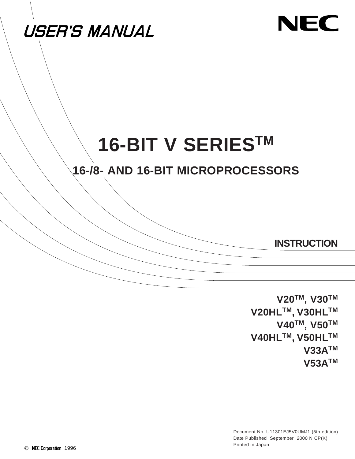

# NEC

# **16-BIT V SERIESTM**

## **16-/8- AND 16-BIT MICROPROCESSORS**

**INSTRUCTION**

**V20TM, V30TM V20HLTM, V30HLTM V40TM, V50TM V40HLTM, V50HLTM V33ATM V53ATM**

Document No. U11301EJ5V0UMJ1 (5th edition) Date Published September 2000 N CP(K) Printed in Japan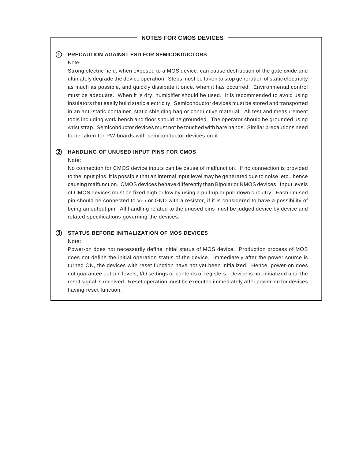#### **1 PRECAUTION AGAINST ESD FOR SEMICONDUCTORS**

#### Note:

Strong electric field, when exposed to a MOS device, can cause destruction of the gate oxide and ultimately degrade the device operation. Steps must be taken to stop generation of static electricity as much as possible, and quickly dissipate it once, when it has occurred. Environmental control must be adequate. When it is dry, humidifier should be used. It is recommended to avoid using insulators that easily build static electricity. Semiconductor devices must be stored and transported in an anti-static container, static shielding bag or conductive material. All test and measurement tools including work bench and floor should be grounded. The operator should be grounded using wrist strap. Semiconductor devices must not be touched with bare hands. Similar precautions need to be taken for PW boards with semiconductor devices on it.

## **2 HANDLING OF UNUSED INPUT PINS FOR CMOS**

#### Note:

No connection for CMOS device inputs can be cause of malfunction. If no connection is provided to the input pins, it is possible that an internal input level may be generated due to noise, etc., hence causing malfunction. CMOS devices behave differently than Bipolar or NMOS devices. Input levels of CMOS devices must be fixed high or low by using a pull-up or pull-down circuitry. Each unused pin should be connected to V<sub>DD</sub> or GND with a resistor, if it is considered to have a possibility of being an output pin. All handling related to the unused pins must be judged device by device and related specifications governing the devices.

#### **3 STATUS BEFORE INITIALIZATION OF MOS DEVICES**

#### Note:

Power-on does not necessarily define initial status of MOS device. Production process of MOS does not define the initial operation status of the device. Immediately after the power source is turned ON, the devices with reset function have not yet been initialized. Hence, power-on does not guarantee out-pin levels, I/O settings or contents of registers. Device is not initialized until the reset signal is received. Reset operation must be executed immediately after power-on for devices having reset function.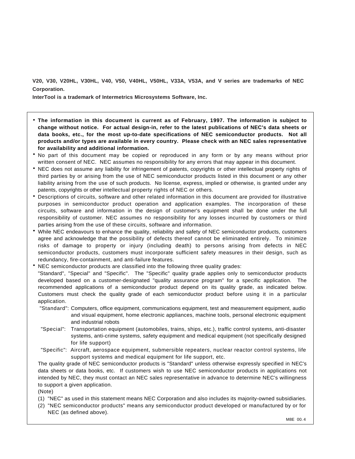**V20, V30, V20HL, V30HL, V40, V50, V40HL, V50HL, V33A, V53A, and V series are trademarks of NEC Corporation.**

**InterTool is a trademark of Intermetrics Microsystems Software, Inc.**

- **The information in this document is current as of February, 1997. The information is subject to change without notice. For actual design-in, refer to the latest publications of NEC's data sheets or data books, etc., for the most up-to-date specifications of NEC semiconductor products. Not all products and/or types are available in every country. Please check with an NEC sales representative for availability and additional information.**
- No part of this document may be copied or reproduced in any form or by any means without prior written consent of NEC. NEC assumes no responsibility for any errors that may appear in this document.
- NEC does not assume any liability for infringement of patents, copyrights or other intellectual property rights of third parties by or arising from the use of NEC semiconductor products listed in this document or any other liability arising from the use of such products. No license, express, implied or otherwise, is granted under any patents, copyrights or other intellectual property rights of NEC or others.
- Descriptions of circuits, software and other related information in this document are provided for illustrative purposes in semiconductor product operation and application examples. The incorporation of these circuits, software and information in the design of customer's equipment shall be done under the full responsibility of customer. NEC assumes no responsibility for any losses incurred by customers or third parties arising from the use of these circuits, software and information.
- While NEC endeavours to enhance the quality, reliability and safety of NEC semiconductor products, customers agree and acknowledge that the possibility of defects thereof cannot be eliminated entirely. To minimize risks of damage to property or injury (including death) to persons arising from defects in NEC semiconductor products, customers must incorporate sufficient safety measures in their design, such as redundancy, fire-containment, and anti-failure features.
- NEC semiconductor products are classified into the following three quality grades: "Standard", "Special" and "Specific". The "Specific" quality grade applies only to semiconductor products developed based on a customer-designated "quality assurance program" for a specific application. The recommended applications of a semiconductor product depend on its quality grade, as indicated below. Customers must check the quality grade of each semiconductor product before using it in a particular application.
	- "Standard": Computers, office equipment, communications equipment, test and measurement equipment, audio and visual equipment, home electronic appliances, machine tools, personal electronic equipment and industrial robots
	- "Special": Transportation equipment (automobiles, trains, ships, etc.), traffic control systems, anti-disaster systems, anti-crime systems, safety equipment and medical equipment (not specifically designed for life support)
	- "Specific": Aircraft, aerospace equipment, submersible repeaters, nuclear reactor control systems, life support systems and medical equipment for life support, etc.

The quality grade of NEC semiconductor products is "Standard" unless otherwise expressly specified in NEC's data sheets or data books, etc. If customers wish to use NEC semiconductor products in applications not intended by NEC, they must contact an NEC sales representative in advance to determine NEC's willingness to support a given application.

(Note)

- (1) "NEC" as used in this statement means NEC Corporation and also includes its majority-owned subsidiaries.
- (2) "NEC semiconductor products" means any semiconductor product developed or manufactured by or for NEC (as defined above).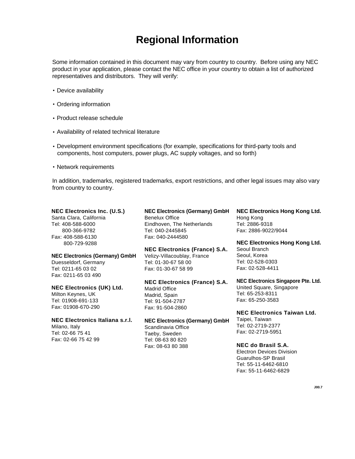## **Regional Information**

Some information contained in this document may vary from country to country. Before using any NEC product in your application, please contact the NEC office in your country to obtain a list of authorized representatives and distributors. They will verify:

- Device availability
- Ordering information
- Product release schedule
- Availability of related technical literature
- Development environment specifications (for example, specifications for third-party tools and components, host computers, power plugs, AC supply voltages, and so forth)
- Network requirements

In addition, trademarks, registered trademarks, export restrictions, and other legal issues may also vary from country to country.

### **NEC Electronics Inc. (U.S.)**

Santa Clara, California Tel: 408-588-6000 800-366-9782 Fax: 408-588-6130 800-729-9288

#### **NEC Electronics (Germany) GmbH**

Duesseldorf, Germany Tel: 0211-65 03 02 Fax: 0211-65 03 490

#### **NEC Electronics (UK) Ltd.** Milton Keynes, UK

Tel: 01908-691-133 Fax: 01908-670-290

#### **NEC Electronics Italiana s.r.l.**

Milano, Italy Tel: 02-66 75 41 Fax: 02-66 75 42 99

#### **NEC Electronics (Germany) GmbH** Benelux Office Eindhoven, The Netherlands Tel: 040-2445845 Fax: 040-2444580

**NEC Electronics (France) S.A.** Velizy-Villacoublay, France Tel: 01-30-67 58 00 Fax: 01-30-67 58 99

#### **NEC Electronics (France) S.A.** Madrid Office Madrid, Spain Tel: 91-504-2787 Fax: 91-504-2860

#### **NEC Electronics (Germany) GmbH** Scandinavia Office Taeby, Sweden Tel: 08-63 80 820 Fax: 08-63 80 388

**NEC Electronics Hong Kong Ltd.** Hong Kong Tel: 2886-9318 Fax: 2886-9022/9044

**NEC Electronics Hong Kong Ltd.** Seoul Branch Seoul, Korea Tel: 02-528-0303 Fax: 02-528-4411

**NEC Electronics Singapore Pte. Ltd.** United Square, Singapore Tel: 65-253-8311 Fax: 65-250-3583

#### **NEC Electronics Taiwan Ltd.** Taipei, Taiwan Tel: 02-2719-2377 Fax: 02-2719-5951

**NEC do Brasil S.A.** Electron Devices Division Guarulhos-SP Brasil Tel: 55-11-6462-6810 Fax: 55-11-6462-6829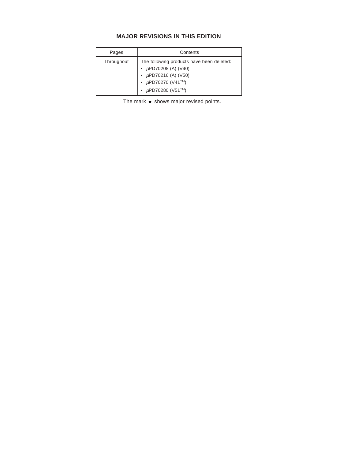#### **MAJOR REVISIONS IN THIS EDITION**

| Pages      | Contents                                                                                                                                                  |
|------------|-----------------------------------------------------------------------------------------------------------------------------------------------------------|
| Throughout | The following products have been deleted:<br>• $\mu$ PD70208 (A) (V40)<br>• $\mu$ PD70216 (A) (V50)<br>• $\mu$ PD70270 (V41TM)<br>• $\mu$ PD70280 (V51TM) |

The mark  $\star$  shows major revised points.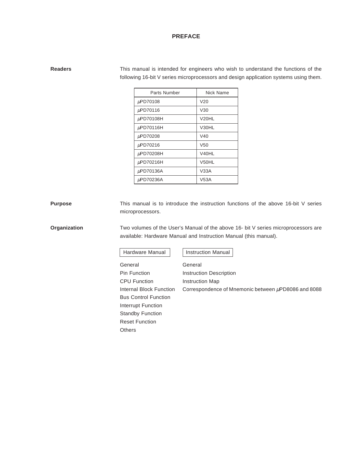#### **PREFACE**

| <b>Readers</b> | This manual is intended for engineers who wish to understand the functions of the    |
|----------------|--------------------------------------------------------------------------------------|
|                | following 16-bit V series microprocessors and design application systems using them. |

| Parts Number | Nick Name          |
|--------------|--------------------|
| µPD70108     | V <sub>20</sub>    |
| µPD70116     | V30                |
| µPD70108H    | V <sub>20</sub> HL |
| µPD70116H    | V30HL              |
| µPD70208     | V40                |
| µPD70216     | V <sub>50</sub>    |
| µPD70208H    | V40HL              |
| µPD70216H    | V50HL              |
| µPD70136A    | V33A               |
| µPD70236A    | V53A               |

**Purpose** This manual is to introduce the instruction functions of the above 16-bit V series microprocessors.

**Organization** Two volumes of the User's Manual of the above 16- bit V series microprocessors are available: Hardware Manual and Instruction Manual (this manual).

| Hardware Manual |  |
|-----------------|--|
|-----------------|--|

**Instruction Manual** 

General General Pin Function **Instruction Description** CPU Function **Instruction Map** Internal Block Function Correspondence of Mnemonic between  $\mu$ PD8086 and 8088 Bus Control Function Interrupt Function Standby Function Reset Function **Others**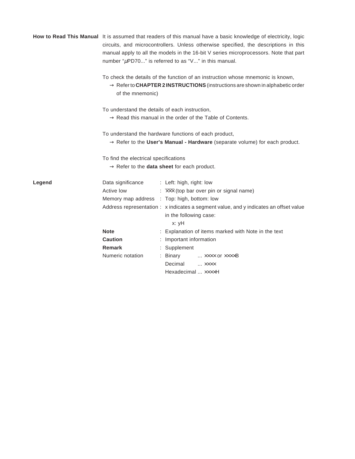|        |                                                          | How to Read This Manual It is assumed that readers of this manual have a basic knowledge of electricity, logic<br>circuits, and microcontrollers. Unless otherwise specified, the descriptions in this<br>manual apply to all the models in the 16-bit V series microprocessors. Note that part<br>number " $\mu$ PD70" is referred to as "V" in this manual. |
|--------|----------------------------------------------------------|---------------------------------------------------------------------------------------------------------------------------------------------------------------------------------------------------------------------------------------------------------------------------------------------------------------------------------------------------------------|
|        | of the mnemonic)                                         | To check the details of the function of an instruction whose mnemonic is known,<br>$\rightarrow$ Refer to CHAPTER 2 INSTRUCTIONS (instructions are shown in alphabetic order                                                                                                                                                                                  |
|        | To understand the details of each instruction,           |                                                                                                                                                                                                                                                                                                                                                               |
|        |                                                          | $\rightarrow$ Read this manual in the order of the Table of Contents.                                                                                                                                                                                                                                                                                         |
|        |                                                          | To understand the hardware functions of each product,<br>$\rightarrow$ Refer to the User's Manual - Hardware (separate volume) for each product.                                                                                                                                                                                                              |
|        | To find the electrical specifications                    | $\rightarrow$ Refer to the data sheet for each product.                                                                                                                                                                                                                                                                                                       |
| Legend | Data significance : Left: high, right: low<br>Active low | $\frac{1}{2}$ $\overline{\times}\times\overline{\times}$ (top bar over pin or signal name)                                                                                                                                                                                                                                                                    |
|        | Memory map address : Top: high, bottom: low              |                                                                                                                                                                                                                                                                                                                                                               |
|        |                                                          | Address representation: x indicates a segment value, and y indicates an offset value<br>in the following case:                                                                                                                                                                                                                                                |
|        |                                                          | x: yH                                                                                                                                                                                                                                                                                                                                                         |
|        | <b>Note</b><br><b>Caution</b>                            | : Explanation of items marked with Note in the text                                                                                                                                                                                                                                                                                                           |
|        | Remark                                                   | : Important information<br>: Supplement                                                                                                                                                                                                                                                                                                                       |
|        | Numeric notation                                         | : Binary<br>… ×××× or ××××B                                                                                                                                                                                                                                                                                                                                   |
|        |                                                          | Decimal  xxxx                                                                                                                                                                                                                                                                                                                                                 |
|        |                                                          | Hexadecimal  xxxxH                                                                                                                                                                                                                                                                                                                                            |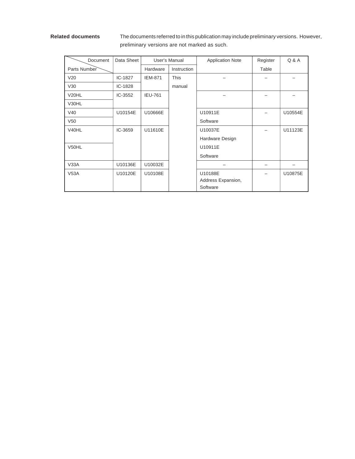**Related documents** The documents referred to in this publication may include preliminary versions. However, preliminary versions are not marked as such.

| Document           | Data Sheet |                | User's Manual | <b>Application Note</b> | Register | Q & A   |
|--------------------|------------|----------------|---------------|-------------------------|----------|---------|
| Parts Number       |            | Hardware       | Instruction   |                         | Table    |         |
| V20                | IC-1827    | <b>IEM-871</b> | <b>This</b>   |                         |          |         |
| V30                | IC-1828    |                | manual        |                         |          |         |
| V <sub>20</sub> HL | IC-3552    | <b>IEU-761</b> |               |                         |          |         |
| V30HL              |            |                |               |                         |          |         |
| V40                | U10154E    | U10666E        |               | U10911E                 |          | U10554E |
| V <sub>50</sub>    |            |                |               | Software                |          |         |
| V <sub>40HL</sub>  | IC-3659    | U11610E        |               | U10037E                 |          | U11123E |
|                    |            |                |               | Hardware Design         |          |         |
| V50HL              |            |                |               | U10911E                 |          |         |
|                    |            |                |               | Software                |          |         |
| V33A               | U10136E    | U10032E        |               |                         |          |         |
| V53A               | U10120E    | U10108E        |               | U10188E                 |          | U10875E |
|                    |            |                |               | Address Expansion,      |          |         |
|                    |            |                |               | Software                |          |         |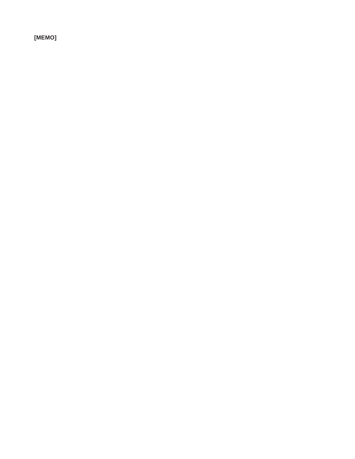**[MEMO]**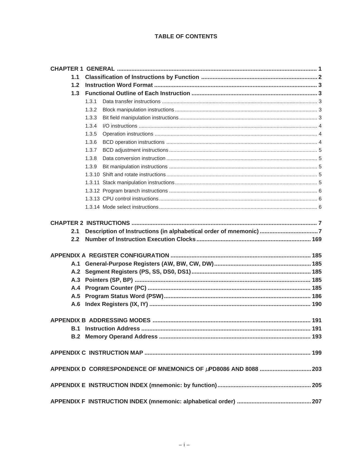#### **TABLE OF CONTENTS**

| 1.1 |       |  |
|-----|-------|--|
| 1.2 |       |  |
| 1.3 |       |  |
|     | 1.3.1 |  |
|     | 1.3.2 |  |
|     | 1.3.3 |  |
|     | 1.3.4 |  |
|     | 1.3.5 |  |
|     | 1.3.6 |  |
|     | 1.3.7 |  |
|     | 1.3.8 |  |
|     | 1.3.9 |  |
|     |       |  |
|     |       |  |
|     |       |  |
|     |       |  |
|     |       |  |
|     |       |  |
|     |       |  |
|     |       |  |
| 2.1 |       |  |
| 2.2 |       |  |
|     |       |  |
|     |       |  |
|     |       |  |
|     |       |  |
|     |       |  |
|     |       |  |
|     |       |  |
|     |       |  |
|     |       |  |
| B.1 |       |  |
|     |       |  |
|     |       |  |
|     |       |  |
|     |       |  |
|     |       |  |
|     |       |  |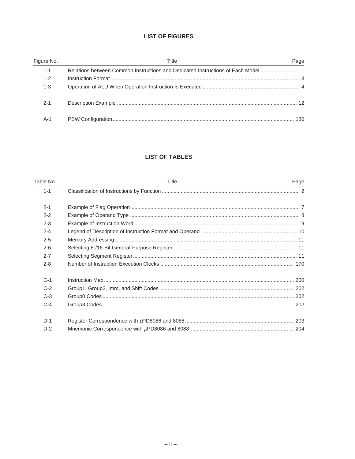#### **LIST OF FIGURES**

| Figure No. | Title | Page |
|------------|-------|------|
| $1 - 1$    |       |      |
| $1 - 2$    |       |      |
| $1 - 3$    |       |      |
| $2 - 1$    |       |      |
| A-1        |       | 186  |

### **LIST OF TABLES**

| Table No. | Title | Page |
|-----------|-------|------|
| $1 - 1$   |       |      |
| $2 - 1$   |       |      |
| $2 - 2$   |       |      |
| $2 - 3$   |       |      |
| $2 - 4$   |       |      |
| $2 - 5$   |       |      |
| $2 - 6$   |       |      |
| $2 - 7$   |       |      |
| $2 - 8$   |       |      |
| $C-1$     |       |      |
| $C-2$     |       |      |
| $C-3$     |       |      |
| $C-4$     |       |      |
| $D-1$     |       |      |
| $D-2$     |       |      |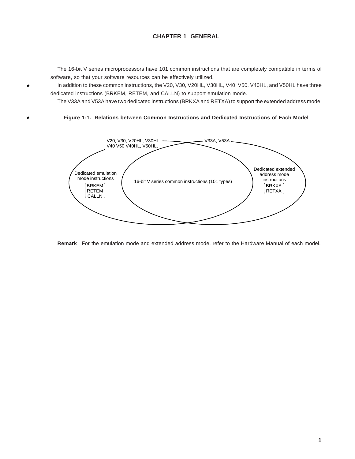#### **CHAPTER 1 GENERAL**

The 16-bit V series microprocessors have 101 common instructions that are completely compatible in terms of software, so that your software resources can be effectively utilized.

In addition to these common instructions, the V20, V30, V20HL, V30HL, V40, V50, V40HL, and V50HL have three dedicated instructions (BRKEM, RETEM, and CALLN) to support emulation mode.

The V33A and V53A have two dedicated instructions (BRKXA and RETXA) to support the extended address mode.

#### **Figure 1-1. Relations between Common Instructions and Dedicated Instructions of Each Model**

 $\star$ 

 $\star$ 



**Remark** For the emulation mode and extended address mode, refer to the Hardware Manual of each model.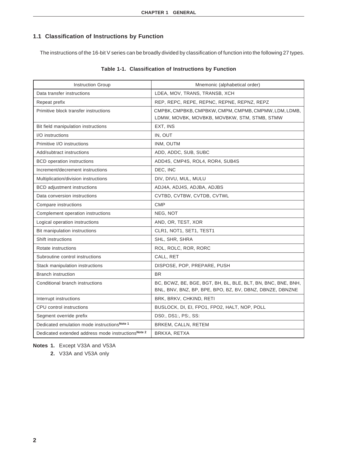### **1.1 Classification of Instructions by Function**

The instructions of the 16-bit V series can be broadly divided by classification of function into the following 27 types.

| <b>Instruction Group</b>                           | Mnemonic (alphabetical order)                                                                                            |
|----------------------------------------------------|--------------------------------------------------------------------------------------------------------------------------|
| Data transfer instructions                         | LDEA, MOV, TRANS, TRANSB, XCH                                                                                            |
| Repeat prefix                                      | REP, REPC, REPE, REPNC, REPNE, REPNZ, REPZ                                                                               |
| Primitive block transfer instructions              | CMPBK, CMPBKB, CMPBKW, CMPM, CMPMB, CMPMW, LDM, LDMB,<br>LDMW, MOVBK, MOVBKB, MOVBKW, STM, STMB, STMW                    |
| Bit field manipulation instructions                | EXT, INS                                                                                                                 |
| I/O instructions                                   | IN, OUT                                                                                                                  |
| Primitive I/O instructions                         | INM, OUTM                                                                                                                |
| Add/subtract instructions                          | ADD, ADDC, SUB, SUBC                                                                                                     |
| <b>BCD</b> operation instructions                  | ADD4S, CMP4S, ROL4, ROR4, SUB4S                                                                                          |
| Increment/decrement instructions                   | DEC, INC                                                                                                                 |
| Multiplication/division instructions               | DIV, DIVU, MUL, MULU                                                                                                     |
| <b>BCD</b> adjustment instructions                 | ADJ4A, ADJ4S, ADJBA, ADJBS                                                                                               |
| Data conversion instructions                       | CVTBD, CVTBW, CVTDB, CVTWL                                                                                               |
| Compare instructions                               | <b>CMP</b>                                                                                                               |
| Complement operation instructions                  | NEG, NOT                                                                                                                 |
| Logical operation instructions                     | AND, OR, TEST, XOR                                                                                                       |
| Bit manipulation instructions                      | CLR1, NOT1, SET1, TEST1                                                                                                  |
| Shift instructions                                 | SHL, SHR, SHRA                                                                                                           |
| Rotate instructions                                | ROL, ROLC, ROR, RORC                                                                                                     |
| Subroutine control instructions                    | CALL, RET                                                                                                                |
| Stack manipulation instructions                    | DISPOSE, POP, PREPARE, PUSH                                                                                              |
| <b>Branch instruction</b>                          | <b>BR</b>                                                                                                                |
| Conditional branch instructions                    | BC, BCWZ, BE, BGE, BGT, BH, BL, BLE, BLT, BN, BNC, BNE, BNH,<br>BNL, BNV, BNZ, BP, BPE, BPO, BZ, BV, DBNZ, DBNZE, DBNZNE |
| Interrupt instructions                             | BRK, BRKV, CHKIND, RETI                                                                                                  |
| CPU control instructions                           | BUSLOCK, DI, EI, FPO1, FPO2, HALT, NOP, POLL                                                                             |
| Segment override prefix                            | DS0:, DS1:, PS:, SS:                                                                                                     |
| Dedicated emulation mode instructionsNote 1        | BRKEM, CALLN, RETEM                                                                                                      |
| Dedicated extended address mode instructionsNote 2 | BRKXA, RETXA                                                                                                             |

#### **Table 1-1. Classification of Instructions by Function**

**Notes 1.** Except V33A and V53A

**2.** V33A and V53A only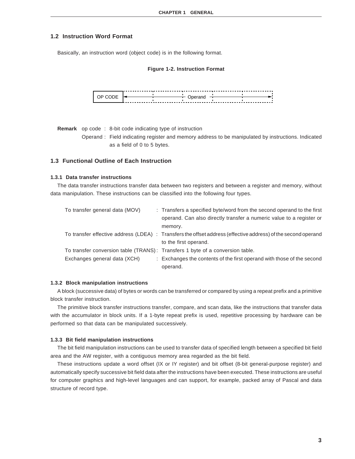#### **1.2 Instruction Word Format**

Basically, an instruction word (object code) is in the following format.

#### **Figure 1-2. Instruction Format**



**Remark** op code : 8-bit code indicating type of instruction

Operand : Field indicating register and memory address to be manipulated by instructions. Indicated as a field of 0 to 5 bytes.

#### **1.3 Functional Outline of Each Instruction**

#### **1.3.1 Data transfer instructions**

The data transfer instructions transfer data between two registers and between a register and memory, without data manipulation. These instructions can be classified into the following four types.

| To transfer general data (MOV)                                                | : Transfers a specified byte/word from the second operand to the first                                        |
|-------------------------------------------------------------------------------|---------------------------------------------------------------------------------------------------------------|
|                                                                               | operand. Can also directly transfer a numeric value to a register or                                          |
|                                                                               | memory.                                                                                                       |
|                                                                               | To transfer effective address (LDEA) : Transfers the offset address (effective address) of the second operand |
|                                                                               | to the first operand.                                                                                         |
| To transfer conversion table (TRANS): Transfers 1 byte of a conversion table. |                                                                                                               |
| Exchanges general data (XCH)                                                  | : Exchanges the contents of the first operand with those of the second                                        |
|                                                                               | operand.                                                                                                      |

#### **1.3.2 Block manipulation instructions**

A block (successive data) of bytes or words can be transferred or compared by using a repeat prefix and a primitive block transfer instruction.

The primitive block transfer instructions transfer, compare, and scan data, like the instructions that transfer data with the accumulator in block units. If a 1-byte repeat prefix is used, repetitive processing by hardware can be performed so that data can be manipulated successively.

#### **1.3.3 Bit field manipulation instructions**

The bit field manipulation instructions can be used to transfer data of specified length between a specified bit field area and the AW register, with a contiguous memory area regarded as the bit field.

These instructions update a word offset (IX or IY register) and bit offset (8-bit general-purpose register) and automatically specify successive bit field data after the instructions have been executed. These instructions are useful for computer graphics and high-level languages and can support, for example, packed array of Pascal and data structure of record type.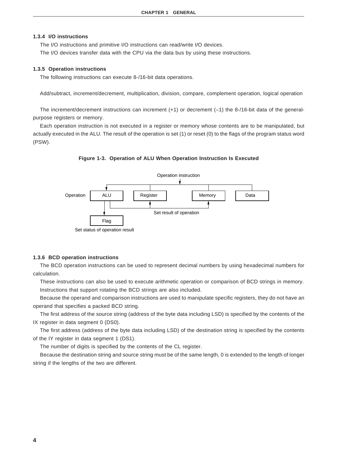#### **1.3.4 I/O instructions**

The I/O instructions and primitive I/O instructions can read/write I/O devices.

The I/O devices transfer data with the CPU via the data bus by using these instructions.

#### **1.3.5 Operation instructions**

The following instructions can execute 8-/16-bit data operations.

Add/subtract, increment/decrement, multiplication, division, compare, complement operation, logical operation

The increment/decrement instructions can increment (+1) or decrement (–1) the 8-/16-bit data of the generalpurpose registers or memory.

Each operation instruction is not executed in a register or memory whose contents are to be manipulated, but actually executed in the ALU. The result of the operation is set (1) or reset (0) to the flags of the program status word (PSW).





#### **1.3.6 BCD operation instructions**

The BCD operation instructions can be used to represent decimal numbers by using hexadecimal numbers for calculation.

These instructions can also be used to execute arithmetic operation or comparison of BCD strings in memory. Instructions that support rotating the BCD strings are also included.

Because the operand and comparison instructions are used to manipulate specific registers, they do not have an operand that specifies a packed BCD string.

The first address of the source string (address of the byte data including LSD) is specified by the contents of the IX register in data segment 0 (DS0).

The first address (address of the byte data including LSD) of the destination string is specified by the contents of the IY register in data segment 1 (DS1).

The number of digits is specified by the contents of the CL register.

Because the destination string and source string must be of the same length, 0 is extended to the length of longer string if the lengths of the two are different.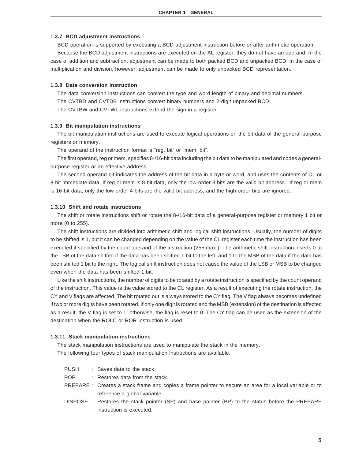#### **1.3.7 BCD adjustment instructions**

BCD operation is supported by executing a BCD adjustment instruction before or after arithmetic operation. Because the BCD adjustment instructions are executed on the AL register, they do not have an operand. In the case of addition and subtraction, adjustment can be made to both packed BCD and unpacked BCD. In the case of multiplication and division, however, adjustment can be made to only unpacked BCD representation.

#### **1.3.8 Data conversion instruction**

The data conversion instructions can convert the type and word length of binary and decimal numbers. The CVTBD and CVTDB instructions convert binary numbers and 2-digit unpacked BCD.

The CVTBW and CVTWL instructions extend the sign in a register.

#### **1.3.9 Bit manipulation instructions**

The bit manipulation instructions are used to execute logical operations on the bit data of the general-purpose registers or memory.

The operand of the instruction format is "reg, bit" or "mem, bit".

The first operand, reg or mem, specifies 8-/16-bit data including the bit data to be manipulated and codes a generalpurpose register or an effective address.

The second operand bit indicates the address of the bit data in a byte or word, and uses the contents of CL or 8-bit immediate data. If reg or mem is 8-bit data, only the low-order 3 bits are the valid bit address. If reg or mem is 16-bit data, only the low-order 4 bits are the valid bit address, and the high-order bits are ignored.

#### **1.3.10 Shift and rotate instructions**

The shift or rotate instructions shift or rotate the 8-/16-bit data of a general-purpose register or memory 1 bit or more (0 to 255).

The shift instructions are divided into arithmetic shift and logical shift instructions. Usually, the number of digits to be shifted is 1, but it can be changed depending on the value of the CL register each time the instruction has been executed if specified by the count operand of the instruction (255 max.). The arithmetic shift instruction inserts 0 to the LSB of the data shifted if the data has been shifted 1 bit to the left, and 1 to the MSB of the data if the data has been shifted 1 bit to the right. The logical shift instruction does not cause the value of the LSB or MSB to be changed even when the data has been shifted 1 bit.

Like the shift instructions, the number of digits to be rotated by a rotate instruction is specified by the count operand of the instruction. This value is the value stored to the CL register. As a result of executing the rotate instruction, the CY and V flags are affected. The bit rotated out is always stored to the CY flag. The V flag always becomes undefined if two or more digits have been rotated. If only one digit is rotated and the MSB (extension) of the destination is affected as a result, the V flag is set to 1; otherwise, the flag is reset to 0. The CY flag can be used as the extension of the destination when the ROLC or ROR instruction is used.

#### **1.3.11 Stack manipulation instructions**

The stack manipulation instructions are used to manipulate the stack in the memory. The following four types of stack manipulation instructions are available.

- PUSH : Saves data to the stack.
- POP : Restores data from the stack.
- PREPARE : Creates a stack frame and copies a frame pointer to secure an area for a local variable or to reference a global variable.
- DISPOSE : Restores the stack pointer (SP) and base pointer (BP) to the status before the PREPARE instruction is executed.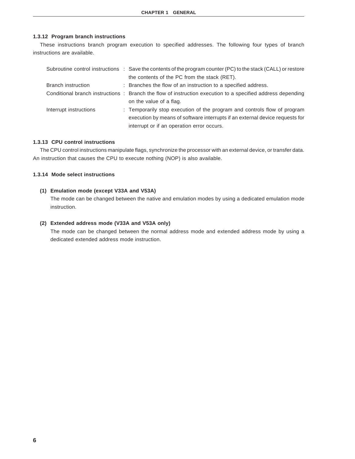#### **1.3.12 Program branch instructions**

These instructions branch program execution to specified addresses. The following four types of branch instructions are available.

|                        | Subroutine control instructions : Save the contents of the program counter (PC) to the stack (CALL) or restore |
|------------------------|----------------------------------------------------------------------------------------------------------------|
|                        | the contents of the PC from the stack (RET).                                                                   |
| Branch instruction     | : Branches the flow of an instruction to a specified address.                                                  |
|                        | Conditional branch instructions : Branch the flow of instruction execution to a specified address depending    |
|                        | on the value of a flag.                                                                                        |
| Interrupt instructions | : Temporarily stop execution of the program and controls flow of program                                       |
|                        | execution by means of software interrupts if an external device requests for                                   |
|                        | interrupt or if an operation error occurs.                                                                     |

#### **1.3.13 CPU control instructions**

The CPU control instructions manipulate flags, synchronize the processor with an external device, or transfer data. An instruction that causes the CPU to execute nothing (NOP) is also available.

#### **1.3.14 Mode select instructions**

#### **(1) Emulation mode (except V33A and V53A)**

The mode can be changed between the native and emulation modes by using a dedicated emulation mode instruction.

#### **(2) Extended address mode (V33A and V53A only)**

The mode can be changed between the normal address mode and extended address mode by using a dedicated extended address mode instruction.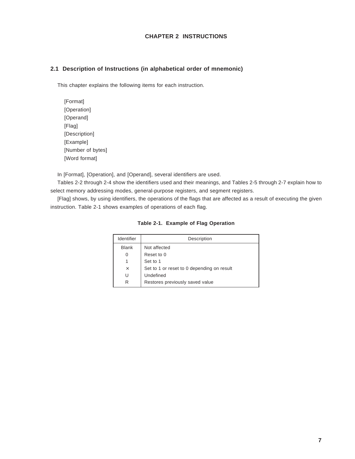#### **CHAPTER 2 INSTRUCTIONS**

#### **2.1 Description of Instructions (in alphabetical order of mnemonic)**

This chapter explains the following items for each instruction.

[Format] [Operation] [Operand] [Flag] [Description] [Example] [Number of bytes] [Word format]

In [Format], [Operation], and [Operand], several identifiers are used.

Tables 2-2 through 2-4 show the identifiers used and their meanings, and Tables 2-5 through 2-7 explain how to select memory addressing modes, general-purpose registers, and segment registers.

[Flag] shows, by using identifiers, the operations of the flags that are affected as a result of executing the given instruction. Table 2-1 shows examples of operations of each flag.

| Identifier   | Description                                |
|--------------|--------------------------------------------|
| <b>Blank</b> | Not affected                               |
| O            | Reset to 0                                 |
|              | Set to 1                                   |
| $\times$     | Set to 1 or reset to 0 depending on result |
| U            | Undefined                                  |
| R            | Restores previously saved value            |

**Table 2-1. Example of Flag Operation**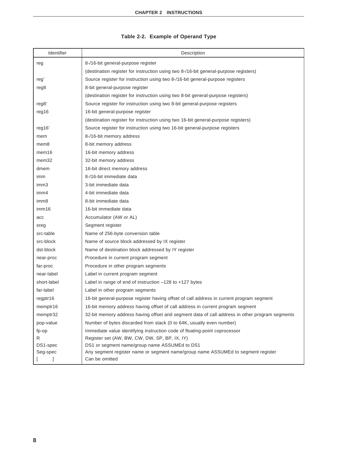|  |  |  | Table 2-2. Example of Operand Type |  |
|--|--|--|------------------------------------|--|
|--|--|--|------------------------------------|--|

| Identifier        | Description                                                                                    |
|-------------------|------------------------------------------------------------------------------------------------|
| reg               | 8-/16-bit general-purpose register                                                             |
|                   | (destination register for instruction using two 8-/16-bit general-purpose registers)           |
| reg'              | Source register for instruction using two 8-/16-bit general-purpose registers                  |
| reg8              | 8-bit general-purpose register                                                                 |
|                   | (destination register for instruction using two 8-bit general-purpose registers)               |
| reg8'             | Source register for instruction using two 8-bit general-purpose registers                      |
| reg16             | 16-bit general-purpose register                                                                |
|                   | (destination register for instruction using two 16-bit general-purpose registers)              |
| reg16'            | Source register for instruction using two 16-bit general-purpose registers                     |
| mem               | 8-/16-bit memory address                                                                       |
| mem8              | 8-bit memory address                                                                           |
| mem <sub>16</sub> | 16-bit memory address                                                                          |
| mem <sub>32</sub> | 32-bit memory address                                                                          |
| dmem              | 16-bit direct memory address                                                                   |
| imm               | 8-/16-bit immediate data                                                                       |
| imm <sub>3</sub>  | 3-bit immediate data                                                                           |
| imm4              | 4-bit immediate data                                                                           |
| imm8              | 8-bit immediate data                                                                           |
| imm16             | 16-bit immediate data                                                                          |
| acc               | Accumulator (AW or AL)                                                                         |
| sreg              | Segment register                                                                               |
| src-table         | Name of 256-byte conversion table                                                              |
| src-block         | Name of source block addressed by IX register                                                  |
| dst-block         | Name of destination block addressed by IY register                                             |
| near-proc         | Procedure in current program segment                                                           |
| far-proc          | Procedure in other program segments                                                            |
| near-label        | Label in current program segment                                                               |
| short-label       | Label in range of end of instruction $-128$ to $+127$ bytes                                    |
| far-label         | Label in other program segments                                                                |
| regptr16          | 16-bit general-purpose register having offset of call address in current program segment       |
| memptr16          | 16-bit memory address having offset of call address in current program segment                 |
| memptr32          | 32-bit memory address having offset and segment data of call address in other program segments |
| pop-value         | Number of bytes discarded from stack (0 to 64K, usually even number)                           |
| fp-op             | Immediate value identifying instruction code of floating-point coprocessor                     |
| R                 | Register set (AW, BW, CW, DW, SP, BP, IX, IY)                                                  |
| DS1-spec          | DS1 or segment name/group name ASSUMEd to DS1                                                  |
| Seg-spec          | Any segment register name or segment name/group name ASSUMEd to segment register               |
| 1                 | Can be omitted                                                                                 |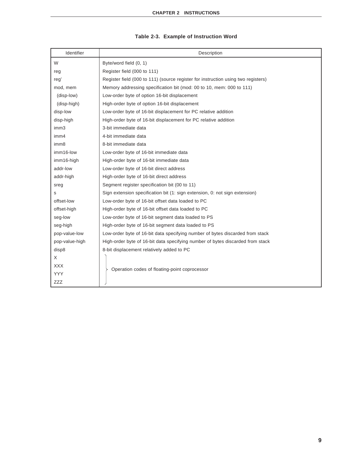| Identifier       | Description                                                                       |
|------------------|-----------------------------------------------------------------------------------|
| W                | Byte/word field (0, 1)                                                            |
| reg              | Register field (000 to 111)                                                       |
| reg'             | Register field (000 to 111) (source register for instruction using two registers) |
| mod, mem         | Memory addressing specification bit (mod: 00 to 10, mem: 000 to 111)              |
| (disp-low)       | Low-order byte of option 16-bit displacement                                      |
| (disp-high)      | High-order byte of option 16-bit displacement                                     |
| disp-low         | Low-order byte of 16-bit displacement for PC relative addition                    |
| disp-high        | High-order byte of 16-bit displacement for PC relative addition                   |
| imm <sub>3</sub> | 3-bit immediate data                                                              |
| imm4             | 4-bit immediate data                                                              |
| imm8             | 8-bit immediate data                                                              |
| imm16-low        | Low-order byte of 16-bit immediate data                                           |
| imm16-high       | High-order byte of 16-bit immediate data                                          |
| addr-low         | Low-order byte of 16-bit direct address                                           |
| addr-high        | High-order byte of 16-bit direct address                                          |
| sreg             | Segment register specification bit (00 to 11)                                     |
| s                | Sign extension specification bit (1: sign extension, 0: not sign extension)       |
| offset-low       | Low-order byte of 16-bit offset data loaded to PC                                 |
| offset-high      | High-order byte of 16-bit offset data loaded to PC                                |
| seg-low          | Low-order byte of 16-bit segment data loaded to PS                                |
| seg-high         | High-order byte of 16-bit segment data loaded to PS                               |
| pop-value-low    | Low-order byte of 16-bit data specifying number of bytes discarded from stack     |
| pop-value-high   | High-order byte of 16-bit data specifying number of bytes discarded from stack    |
| disp8            | 8-bit displacement relatively added to PC                                         |
| X                |                                                                                   |
| <b>XXX</b>       | Operation codes of floating-point coprocessor                                     |
| <b>YYY</b>       |                                                                                   |
| <b>ZZZ</b>       |                                                                                   |

#### **Table 2-3. Example of Instruction Word**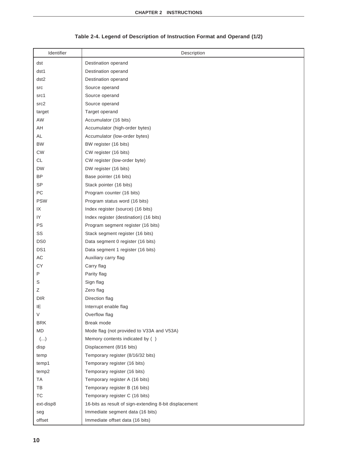## **Table 2-4. Legend of Description of Instruction Format and Operand (1/2)**

| Identifier       | Description                                            |
|------------------|--------------------------------------------------------|
| dst              | Destination operand                                    |
| dst1             | Destination operand                                    |
| dst <sub>2</sub> | Destination operand                                    |
| <b>SrC</b>       | Source operand                                         |
| src1             | Source operand                                         |
| src2             | Source operand                                         |
| target           | Target operand                                         |
| AW               | Accumulator (16 bits)                                  |
| AΗ               | Accumulator (high-order bytes)                         |
| AL               | Accumulator (low-order bytes)                          |
| <b>BW</b>        | BW register (16 bits)                                  |
| <b>CW</b>        | CW register (16 bits)                                  |
| <b>CL</b>        | CW register (low-order byte)                           |
| DW               | DW register (16 bits)                                  |
| <b>BP</b>        | Base pointer (16 bits)                                 |
| <b>SP</b>        | Stack pointer (16 bits)                                |
| PC               | Program counter (16 bits)                              |
| <b>PSW</b>       | Program status word (16 bits)                          |
| IX               | Index register (source) (16 bits)                      |
| IY               | Index register (destination) (16 bits)                 |
| PS               | Program segment register (16 bits)                     |
| SS               | Stack segment register (16 bits)                       |
| DS <sub>0</sub>  | Data segment 0 register (16 bits)                      |
| DS <sub>1</sub>  | Data segment 1 register (16 bits)                      |
| AC               | Auxiliary carry flag                                   |
| CY               | Carry flag                                             |
| P                | Parity flag                                            |
| S                | Sign flag                                              |
| Ζ                | Zero flag                                              |
| <b>DIR</b>       | Direction flag                                         |
| IE               | Interrupt enable flag                                  |
| V                | Overflow flag                                          |
| <b>BRK</b>       | Break mode                                             |
| MD               | Mode flag (not provided to V33A and V53A)              |
| ()               | Memory contents indicated by ()                        |
| disp             | Displacement (8/16 bits)                               |
| temp             | Temporary register (8/16/32 bits)                      |
| temp1            | Temporary register (16 bits)                           |
| temp2            | Temporary register (16 bits)                           |
| <b>TA</b>        | Temporary register A (16 bits)                         |
| TB               | Temporary register B (16 bits)                         |
| TC               | Temporary register C (16 bits)                         |
| ext-disp8        | 16-bits as result of sign-extending 8-bit displacement |
| seg              | Immediate segment data (16 bits)                       |
| offset           | Immediate offset data (16 bits)                        |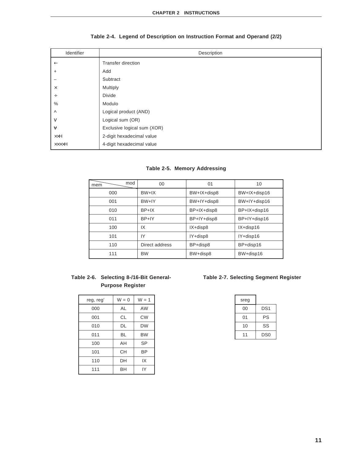| Identifier        | Description                 |
|-------------------|-----------------------------|
| $\leftarrow$      | <b>Transfer direction</b>   |
| $+$               | Add                         |
|                   | Subtract                    |
| $\times$          | Multiply                    |
| $\div$            | Divide                      |
| $\%$              | Modulo                      |
| $\wedge$          | Logical product (AND)       |
| $\vee$            | Logical sum (OR)            |
| $\mathbf{\nabla}$ | Exclusive logical sum (XOR) |
| $\times\times H$  | 2-digit hexadecimal value   |
| <b>XXXXH</b>      | 4-digit hexadecimal value   |

#### **Table 2-4. Legend of Description on Instruction Format and Operand (2/2)**

#### **Table 2-5. Memory Addressing**

| mod<br>mem | 00             | 01          | 10           |
|------------|----------------|-------------|--------------|
| 000        | $BW+IX$        | BW+IX+disp8 | BW+IX+disp16 |
| 001        | BW+IY          | BW+IY+disp8 | BW+IY+disp16 |
| 010        | $BP+IX$        | BP+IX+disp8 | BP+IX+disp16 |
| 011        | BP+IY          | BP+IY+disp8 | BP+IY+disp16 |
| 100        | IX             | IX+disp8    | IX+disp16    |
| 101        | IY             | IY+disp8    | IY+disp16    |
| 110        | Direct address | BP+disp8    | BP+disp16    |
| 111        | <b>BW</b>      | BW+disp8    | BW+disp16    |

## **Purpose Register**

| reg, reg' | $W = 0$   | $W = 1$   |
|-----------|-----------|-----------|
| 000       | AL        | AW        |
| 001       | CL        | <b>CW</b> |
| 010       | DL        | <b>DW</b> |
| 011       | BL        | <b>BW</b> |
| 100       | AH        | <b>SP</b> |
| 101       | <b>CH</b> | <b>BP</b> |
| 110       | DH        | IX        |
| 111       | BH        | IY        |

#### **Table 2-6. Selecting 8-/16-Bit General- Table 2-7. Selecting Segment Register**

| sreg |                 |
|------|-----------------|
| 00   | DS <sub>1</sub> |
| 01   | PS              |
| 10   | SS              |
| 11   | DS <sub>0</sub> |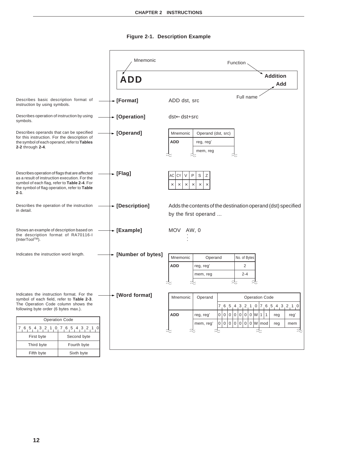## **Figure 2-1. Description Example**

|                                                                                                                                                                                                             |             |  | Mnemonic            |                                                   |                                             | Function          |                                                              |  |
|-------------------------------------------------------------------------------------------------------------------------------------------------------------------------------------------------------------|-------------|--|---------------------|---------------------------------------------------|---------------------------------------------|-------------------|--------------------------------------------------------------|--|
|                                                                                                                                                                                                             |             |  | <b>ADD</b>          |                                                   |                                             |                   | <b>Addition</b><br>Add                                       |  |
| Describes basic description format of<br>instruction by using symbols.                                                                                                                                      |             |  | → [Format]          | ADD dst, src                                      |                                             | Full name         |                                                              |  |
| Describes operation of instruction by using<br>symbols.                                                                                                                                                     |             |  | ← [Operation]       | dst←dst+src                                       |                                             |                   |                                                              |  |
| Describes operands that can be specified<br>for this instruction. For the description of<br>the symbol of each operand, refer to Tables<br>2-2 through 2-4.                                                 |             |  | ► [Operand]         | Mnemonic<br><b>ADD</b>                            | Operand (dst, src)<br>reg, reg'<br>mem, reg |                   |                                                              |  |
| Describes operation of flags that are affected<br>as a result of instruction execution. For the<br>symbol of each flag, refer to Table 2-4. For<br>the symbol of flag operation, refer to Table<br>$2 - 1.$ |             |  | $\star$ [Flag]      | СY<br>٧<br>АC<br>$\times$<br>$\times$<br>$\times$ | P<br>S<br>Ζ<br>$\times$<br>$\times$         |                   |                                                              |  |
| Describes the operation of the instruction<br>in detail.                                                                                                                                                    |             |  | ► [Description]     | by the first operand                              |                                             |                   | Adds the contents of the destination operand (dst) specified |  |
| Shows an example of description based on<br>the description format of RA70116-I<br>(InterTool™).                                                                                                            |             |  | → [Example]         | MOV AW, 0                                         |                                             |                   |                                                              |  |
| Indicates the instruction word length.                                                                                                                                                                      |             |  | ► [Number of bytes] |                                                   |                                             |                   |                                                              |  |
|                                                                                                                                                                                                             |             |  |                     | Mnemonic<br><b>ADD</b>                            | Operand                                     | No. of Bytes<br>2 |                                                              |  |
|                                                                                                                                                                                                             |             |  |                     |                                                   | reg, reg'<br>mem, reg                       | $2 - 4$           |                                                              |  |
|                                                                                                                                                                                                             |             |  |                     |                                                   |                                             |                   |                                                              |  |
| Indicates the instruction format. For the                                                                                                                                                                   |             |  | ← [Word format]     | Mnemonic                                          | Operand                                     |                   | <b>Operation Code</b>                                        |  |
| symbol of each field, refer to Table 2-3.<br>The Operation Code column shows the                                                                                                                            |             |  |                     |                                                   |                                             |                   | $7, 6, 5, 4, 3, 2, 1, 0, 7, 6, 5, 4, 3, 2, 1, 0$             |  |
| following byte order (6 bytes max.).                                                                                                                                                                        |             |  |                     | <b>ADD</b>                                        | reg, reg'                                   | 0 0 0 0 0 0 0 W 1 | 1<br>reg'<br>reg                                             |  |
| <b>Operation Code</b>                                                                                                                                                                                       |             |  |                     | mem, reg'                                         | 0 0 0 0 0 0 0 W mod                         | reg<br>mem        |                                                              |  |
| $7, 6, 5, 4, 3, 2, 1, 0, 7, 6, 5, 4, 3, 2, 1, 0$                                                                                                                                                            |             |  |                     |                                                   |                                             |                   | ~<br><                                                       |  |
| First byte                                                                                                                                                                                                  | Second byte |  |                     |                                                   |                                             |                   |                                                              |  |
| Third byte                                                                                                                                                                                                  | Fourth byte |  |                     |                                                   |                                             |                   |                                                              |  |
| Fifth byte                                                                                                                                                                                                  | Sixth byte  |  |                     |                                                   |                                             |                   |                                                              |  |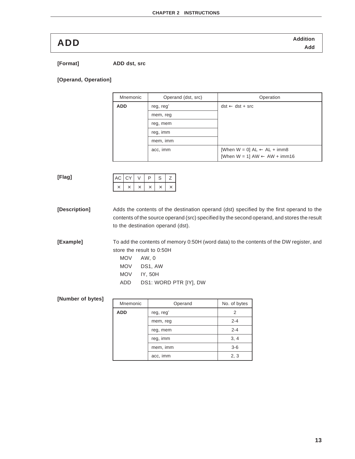**Addition ADD Add**

**[Format] ADD dst, src**

#### **[Operand, Operation]**

| Mnemonic   | Operand (dst, src) | Operation                                        |
|------------|--------------------|--------------------------------------------------|
| <b>ADD</b> | reg, reg'          | $dst \leftarrow dst + src$                       |
|            | mem, reg           |                                                  |
|            | reg, mem           |                                                  |
|            | reg, imm           |                                                  |
|            | mem, imm           |                                                  |
|            | acc, imm           | [When $W = 0$ ] $AL \leftarrow AL + \text{imm8}$ |
|            |                    | [When $W = 1$ ] AW $\leftarrow$ AW + imm16       |

#### **[Flag]**

| $AC$ $CY$ |  | D | C |  |
|-----------|--|---|---|--|
|           |  |   |   |  |

**[Description]** Adds the contents of the destination operand (dst) specified by the first operand to the contents of the source operand (src) specified by the second operand, and stores the result to the destination operand (dst).

**[Example]** To add the contents of memory 0:50H (word data) to the contents of the DW register, and store the result to 0:50H

- MOV AW, 0
- MOV DS1, AW
- MOV IY, 50H
- ADD DS1: WORD PTR [IY], DW

#### **[Number of bytes]**

| Mnemonic   | Operand   | No. of bytes |
|------------|-----------|--------------|
| <b>ADD</b> | reg, reg' |              |
|            | mem, reg  | $2 - 4$      |
|            | reg, mem  | $2 - 4$      |
|            | reg, imm  | 3, 4         |
|            | mem, imm  | $3-6$        |
|            | acc, imm  | 2, 3         |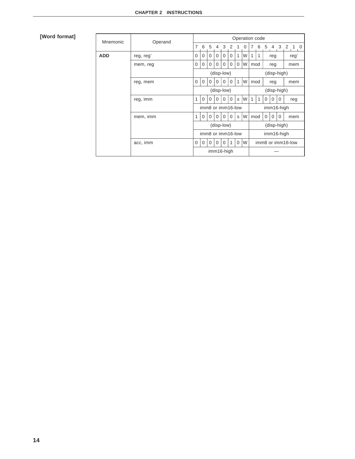### **[Word format]**

| Mnemonic   | Operand   |                   |             |             |                |          |                   |              | Operation code |              |   |                |             |          |                   |            |  |
|------------|-----------|-------------------|-------------|-------------|----------------|----------|-------------------|--------------|----------------|--------------|---|----------------|-------------|----------|-------------------|------------|--|
|            |           | 7                 | 6           | 5           | $\overline{4}$ | 3        | 2                 | 1            | 0              | 7            | 6 | 5 <sup>5</sup> | 4 3         |          | $\overline{2}$    | $1\quad 0$ |  |
| <b>ADD</b> | reg, reg' | $\Omega$          | $\mathbf 0$ | $\Omega$    | $\Omega$       | $\Omega$ | $\mathbf 0$       | 1            | W              | 1            | 1 |                | reg         |          |                   | regʻ       |  |
|            | mem, reg  | 0                 | $\mathbf 0$ | $\mathbf 0$ | $\mathbf 0$    | 0        | $\mathbf 0$       | $\mathbf 0$  | W              | mod          |   |                | reg         |          | mem               |            |  |
|            |           |                   |             |             | (disp-low)     |          |                   |              |                | (disp-high)  |   |                |             |          |                   |            |  |
|            | reg, mem  | $\Omega$          | $\Omega$    | $\Omega$    | $\Omega$       | $\Omega$ | $\Omega$          | $\mathbf{1}$ | W              | mod          |   |                | reg         |          | mem               |            |  |
|            |           |                   |             |             | (disp-low)     |          |                   |              |                | (disp-high)  |   |                |             |          |                   |            |  |
|            | reg, imm  | 1                 | $\Omega$    | $\Omega$    | $\Omega$       | $\Omega$ | $\Omega$          | S            | W              | $\mathbf{1}$ | 1 | $\Omega$       | $\Omega$    | $\Omega$ |                   | reg        |  |
|            |           |                   |             |             |                |          | imm8 or imm16-low |              |                | imm16-high   |   |                |             |          |                   |            |  |
|            | mem, imm  | 1                 | $\Omega$    | $\Omega$    | $\Omega$       | $\Omega$ | $\Omega$          | S            | W              | mod          |   | $\Omega$       | $\Omega$    | $\Omega$ |                   | mem        |  |
|            |           |                   |             |             | (disp-low)     |          |                   |              |                |              |   |                | (disp-high) |          |                   |            |  |
|            |           | imm8 or imm16-low |             |             |                |          |                   |              |                |              |   |                | imm16-high  |          |                   |            |  |
|            | acc, imm  | $\Omega$          | $\mathbf 0$ | $\Omega$    | $\Omega$       | $\Omega$ | 1                 | $\Omega$     | W              |              |   |                |             |          | imm8 or imm16-low |            |  |
|            |           |                   |             |             | imm16-high     |          |                   |              |                |              |   |                |             |          |                   |            |  |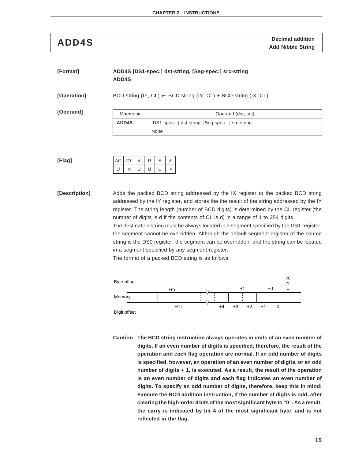**ADD4S Decimal addition**<br>Add Nibble String

#### **[Format] ADD4S [DS1-spec:] dst-string, [Seg-spec:] src-string ADD4S**

**[Operation]** BCD string (IY, CL) ← BCD string (IY, CL) + BCD string (IX, CL)

**[Operand]**

| Mnemonic     | Operand (dst, src)                               |
|--------------|--------------------------------------------------|
| <b>ADD4S</b> | [DS1-spec: ] dst-string, [Seg-spec: ] src-string |
|              | None                                             |

| AC CY |   | D | S |  |
|-------|---|---|---|--|
|       | U | υ | U |  |

**[Description]** Adds the packed BCD string addressed by the IX register to the packed BCD string addressed by the IY register, and stores the the result of the string addressed by the IY register. The string length (number of BCD digits) is determined by the CL register (the number of digits is d if the contents of CL is d) in a range of 1 to 254 digits. The destination string must be always located in a segment specified by the DS1 register, the segment cannot be overridden. Although the default segment register of the source string is the DS0 register, the segment can be overridden, and the string can be located in a segment specified by any segment register.

The format of a packed BCD string is as follows.



**Caution The BCD string instruction always operates in units of an even number of digits. If an even number of digits is specified, therefore, the result of the operation and each flag operation are normal. If an odd number of digits is specified, however, an operation of an even number of digits, or an odd number of digits + 1, is executed. As a result, the result of the operation is an even number of digits and each flag indicates an even number of digits. To specify an odd number of digits, therefore, keep this in mind: Execute the BCD addition instruction, if the number of digits is odd, after clearing the high-order 4 bits of the most significant byte to "0". As a result, the carry is indicated by bit 4 of the most significant byte, and is not reflected in the flag.**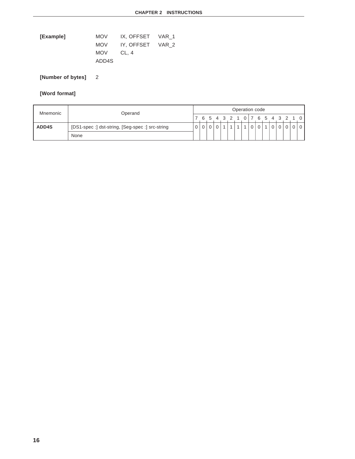| [Example] | MOV . | IX, OFFSET VAR 1 |  |
|-----------|-------|------------------|--|
|           | MOV   | IY, OFFSET VAR 2 |  |
|           | MOV   | CL. 4            |  |
|           | ADD4S |                  |  |

**[Number of bytes]** 2

## **[Word format]**

| Mnemonic | Operand                                          |  | Operation code |  |                               |  |  |  |  |                |                |  |     |                |  |  |       |
|----------|--------------------------------------------------|--|----------------|--|-------------------------------|--|--|--|--|----------------|----------------|--|-----|----------------|--|--|-------|
|          |                                                  |  |                |  | 6 5 4 3 2 1 0 7 6 5 4 3 2 1 0 |  |  |  |  |                |                |  |     |                |  |  |       |
| ADD4S    | [DS1-spec :] dst-string, [Seg-spec :] src-string |  |                |  |                               |  |  |  |  | $\overline{0}$ | $\overline{0}$ |  | 1 0 | 0 <sup>1</sup> |  |  | 0 0 0 |
|          | None                                             |  |                |  |                               |  |  |  |  |                |                |  |     |                |  |  |       |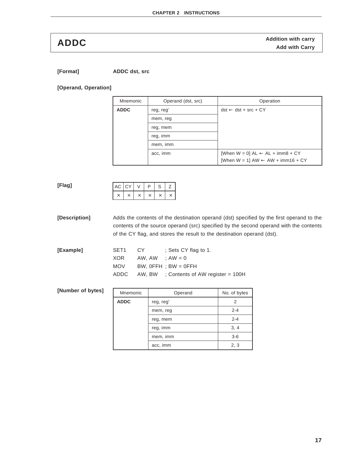**ADDC** Addition with carry<br>Add with Carry **Addition with Carry** 

**[Format] ADDC dst, src**

#### **[Operand, Operation]**

| Mnemonic    | Operand (dst, src) | Operation                                             |
|-------------|--------------------|-------------------------------------------------------|
| <b>ADDC</b> | reg, reg'          | $dst \leftarrow dst + src + CY$                       |
|             | mem, reg           |                                                       |
|             | reg, mem           |                                                       |
|             | reg, imm           |                                                       |
|             | mem, imm           |                                                       |
|             | acc, imm           | [When $W = 0$ ] $AL \leftarrow AL + \text{imm8} + CY$ |
|             |                    | [When $W = 1$ ] AW $\leftarrow$ AW + imm16 + CY       |

#### **[Flag]**

| AC   CY |  | D | S | $\epsilon$ |
|---------|--|---|---|------------|
|         |  |   |   |            |

**[Description]** Adds the contents of the destination operand (dst) specified by the first operand to the contents of the source operand (src) specified by the second operand with the contents of the CY flag, and stores the result to the destination operand (dst).

| [Example] | SET1  | CY C              | : Sets CY flag to 1.                           |
|-----------|-------|-------------------|------------------------------------------------|
|           | XOR   | $AW. AW : AW = 0$ |                                                |
|           | MOV 1 |                   | BW, $0$ FFH : BW = $0$ FFH                     |
|           |       |                   | $ADDC$ AW, BW : Contents of AW register = 100H |
|           |       |                   |                                                |

| [Number of bytes] | Mnemonic    | Operand   | No. of bytes |
|-------------------|-------------|-----------|--------------|
|                   | <b>ADDC</b> | reg, reg' | 2            |
|                   |             | mem, reg  | $2 - 4$      |
|                   |             | reg, mem  | $2 - 4$      |
|                   | reg, imm    | 3, 4      |              |
|                   |             | mem, imm  | $3-6$        |
|                   |             | acc, imm  | 2, 3         |
|                   |             |           |              |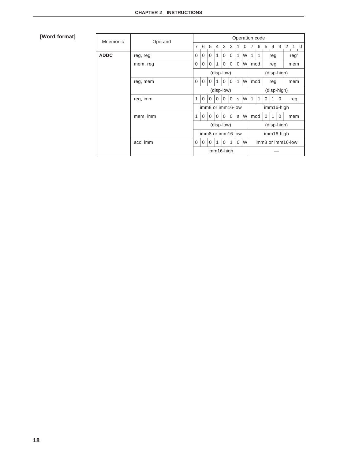### **[Word format]**

| Mnemonic    | Operand   | Operation code    |             |          |                |            |                   |              |                        |              |            |          |                |              |      |            |  |
|-------------|-----------|-------------------|-------------|----------|----------------|------------|-------------------|--------------|------------------------|--------------|------------|----------|----------------|--------------|------|------------|--|
|             |           | $\overline{7}$    | 6           | 5        | $\overline{4}$ | 3          | 2                 | 1            | $\Omega$               | 7            | 6          | 5        | $\overline{4}$ | $\mathbf{3}$ | 2    | $1\quad 0$ |  |
| <b>ADDC</b> | reg, reg' | $\Omega$          | $\Omega$    | $\Omega$ | 1              | $\Omega$   | $\Omega$          | 1            | W                      | 1            | 1          |          | reg            |              | reg' |            |  |
|             | mem, reg  | $\Omega$          | $\Omega$    | $\Omega$ | 1              | $\Omega$   | $\mathbf 0$       | $\mathbf 0$  | W                      | mod          |            |          | reg            |              | mem  |            |  |
|             |           |                   |             |          |                | (disp-low) |                   |              |                        | (disp-high)  |            |          |                |              |      |            |  |
|             | reg, mem  | $\Omega$          | $\mathbf 0$ | 0        |                | 0          | $\Omega$          | $\mathbf{1}$ | W                      | mod          |            | reg      |                |              | mem  |            |  |
|             |           |                   |             |          |                | (disp-low) |                   |              |                        | (disp-high)  |            |          |                |              |      |            |  |
|             | reg, imm  | 1                 | $\Omega$    | $\Omega$ | $\Omega$       | $\Omega$   | 0                 | S            | W                      | $\mathbf{1}$ | 1          | $\Omega$ | $\mathbf{1}$   | 0            |      | reg        |  |
|             |           |                   |             |          |                |            | imm8 or imm16-low |              |                        | imm16-high   |            |          |                |              |      |            |  |
|             | mem, imm  | 1                 | $\Omega$    | $\Omega$ | $\Omega$       | $\Omega$   | $\Omega$          | s            | W<br>mod               |              |            | $\Omega$ | 1              | $\Omega$     |      | mem        |  |
|             |           |                   |             |          |                | (disp-low) |                   |              |                        |              |            |          | (disp-high)    |              |      |            |  |
|             |           | imm8 or imm16-low |             |          |                |            |                   |              |                        |              | imm16-high |          |                |              |      |            |  |
|             | acc, imm  | $\Omega$          | $\mathbf 0$ | $\Omega$ | 1              | $\Omega$   | 1                 | $\Omega$     | W<br>imm8 or imm16-low |              |            |          |                |              |      |            |  |
|             |           |                   |             |          |                | imm16-high |                   |              |                        |              |            |          |                |              |      |            |  |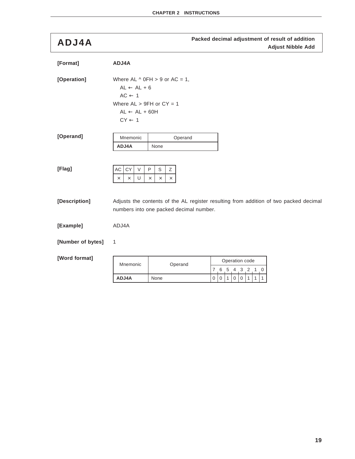**Packed decimal adjustment of result of addition ADJ4A Adjust Nibble Add**

| [Format]          | ADJ4A                                                                                                                        |                                                 |                                                                                       |
|-------------------|------------------------------------------------------------------------------------------------------------------------------|-------------------------------------------------|---------------------------------------------------------------------------------------|
| [Operation]       | $AL \leftarrow AL + 6$<br>$AC \leftarrow 1$<br>Where $AL > 9FH$ or $CY = 1$<br>$AL \leftarrow AL + 60H$<br>$CY \leftarrow 1$ | Where AL $\land$ 0FH $>$ 9 or AC = 1,           |                                                                                       |
| [Operand]         | Mnemonic                                                                                                                     | Operand                                         |                                                                                       |
|                   | ADJ4A                                                                                                                        | None                                            |                                                                                       |
| [Flag]            | $\mathsf{AC}$<br>СY<br>V<br>U<br>$\times$<br>×                                                                               | P<br>S<br>Ζ<br>$\times$<br>$\times$<br>$\times$ |                                                                                       |
| [Description]     |                                                                                                                              | numbers into one packed decimal number.         | Adjusts the contents of the AL register resulting from addition of two packed decimal |
| [Example]         | ADJ4A                                                                                                                        |                                                 |                                                                                       |
| [Number of bytes] | 1                                                                                                                            |                                                 |                                                                                       |
| [Word format]     | Mnemonic                                                                                                                     | Operand                                         | Operation code<br>7<br>6 5<br>4<br>З<br>2                                             |
|                   | ADJ4A                                                                                                                        | None                                            | $\overline{0}$<br>1<br>$\mathbf 0$<br>$\mathbf 0$<br>0                                |
|                   |                                                                                                                              |                                                 |                                                                                       |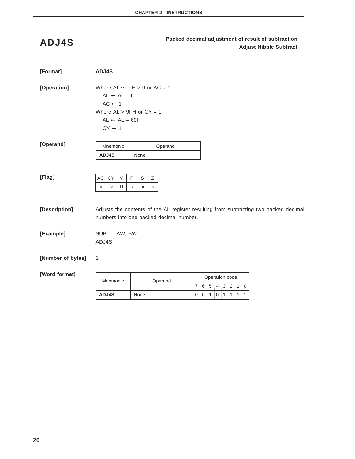## **Packed decimal adjustment of result of subtraction ADJ4S Adjust Nibble Subtract**

| [Format]                                  | ADJ4S                                                                                                                        |                                                                                                                                                               |                            |  |              |             |                     |   |  |   |  |
|-------------------------------------------|------------------------------------------------------------------------------------------------------------------------------|---------------------------------------------------------------------------------------------------------------------------------------------------------------|----------------------------|--|--------------|-------------|---------------------|---|--|---|--|
| [Operation]                               | $AL \leftarrow AL - 6$<br>$AC \leftarrow 1$<br>Where $AL > 9FH$ or $CY = 1$<br>$AL \leftarrow AL - 60H$<br>$CY \leftarrow 1$ | Where AL $\land$ 0FH > 9 or AC = 1                                                                                                                            |                            |  |              |             |                     |   |  |   |  |
| [Operand]                                 | Mnemonic                                                                                                                     | Operand                                                                                                                                                       |                            |  |              |             |                     |   |  |   |  |
|                                           | ADJ4S                                                                                                                        | None                                                                                                                                                          |                            |  |              |             |                     |   |  |   |  |
| [Flag]<br>[Description]                   | CY<br>AC<br>$\vee$<br>U<br>$\times$<br>$\times$                                                                              | $\mathsf{P}$<br>$\mathsf S$<br>Ζ<br>$\times$<br>$\times$<br>$\times$<br>Adjusts the contents of the AL register resulting from subtracting two packed decimal |                            |  |              |             |                     |   |  |   |  |
|                                           |                                                                                                                              | numbers into one packed decimal number.                                                                                                                       |                            |  |              |             |                     |   |  |   |  |
| [Example]                                 | <b>SUB</b><br>AW, BW<br>ADJ4S                                                                                                |                                                                                                                                                               |                            |  |              |             |                     |   |  |   |  |
| [Number of bytes]                         | 1                                                                                                                            |                                                                                                                                                               |                            |  |              |             |                     |   |  |   |  |
|                                           |                                                                                                                              |                                                                                                                                                               |                            |  |              |             |                     |   |  |   |  |
| [Word format]<br>Operand<br>Mnemonic<br>7 |                                                                                                                              |                                                                                                                                                               |                            |  |              |             | Operation code<br>3 | 2 |  | 0 |  |
|                                           | ADJ4S                                                                                                                        | None                                                                                                                                                          | $\mathbf 0$<br>$\mathbf 0$ |  | $\mathbf{1}$ | $\mathbf 0$ |                     | 1 |  | 1 |  |
|                                           |                                                                                                                              |                                                                                                                                                               |                            |  |              |             |                     |   |  |   |  |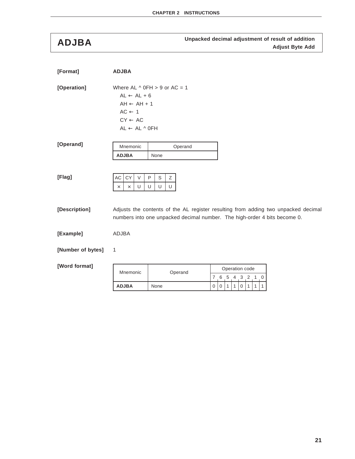**Unpacked decimal adjustment of result of addition ADJBA Adjust Byte Add**

| [Format]          | <b>ADJBA</b>                                                                                                                 |                                                                                                                                                                 |                                          |  |
|-------------------|------------------------------------------------------------------------------------------------------------------------------|-----------------------------------------------------------------------------------------------------------------------------------------------------------------|------------------------------------------|--|
| [Operation]       | $AL \leftarrow AL + 6$<br>$AH \leftarrow AH + 1$<br>$AC \leftarrow 1$<br>$CY \leftarrow AC$<br>$AL \leftarrow AL \wedge OFH$ | Where AL $\land$ 0FH $>$ 9 or AC = 1                                                                                                                            |                                          |  |
| [Operand]         | Mnemonic<br><b>ADJBA</b>                                                                                                     | Operand<br>None                                                                                                                                                 |                                          |  |
| [Flag]            | AC<br>CY<br>$\vee$<br>U<br>$\times$<br>$\times$                                                                              | S<br>Ζ<br>P<br>U<br>U<br>U                                                                                                                                      |                                          |  |
| [Description]     |                                                                                                                              | Adjusts the contents of the AL register resulting from adding two unpacked decimal<br>numbers into one unpacked decimal number. The high-order 4 bits become 0. |                                          |  |
| [Example]         | ADJBA                                                                                                                        |                                                                                                                                                                 |                                          |  |
| [Number of bytes] | 1                                                                                                                            |                                                                                                                                                                 |                                          |  |
| [Word format]     | Mnemonic                                                                                                                     | Operand                                                                                                                                                         | Operation code<br>7, 6, 5, 4, 3, 2, 1, 0 |  |

**ADJBA** None 000110111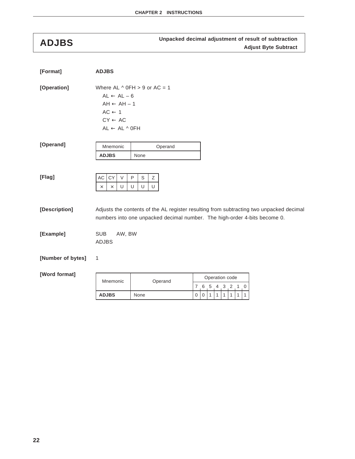## **Unpacked decimal adjustment of result of subtraction ADJBS Adjust Byte Subtract**

| [Format]          | <b>ADJBS</b>                                                                                                                 |                                    |                                                                                                                                                                      |
|-------------------|------------------------------------------------------------------------------------------------------------------------------|------------------------------------|----------------------------------------------------------------------------------------------------------------------------------------------------------------------|
| [Operation]       | $AL \leftarrow AL - 6$<br>$AH \leftarrow AH - 1$<br>$AC \leftarrow 1$<br>$CY \leftarrow AC$<br>$AL \leftarrow AL \wedge OFH$ | Where AL $\land$ 0FH > 9 or AC = 1 |                                                                                                                                                                      |
| [Operand]         | Mnemonic<br><b>ADJBS</b>                                                                                                     | Operand<br>None                    |                                                                                                                                                                      |
| [Flag]            | AC<br>CY<br>$\vee$<br>U<br>$\times$<br>$\times$                                                                              | $\sf P$<br>S<br>Ζ<br>U<br>U<br>U   |                                                                                                                                                                      |
| [Description]     |                                                                                                                              |                                    | Adjusts the contents of the AL register resulting from subtracting two unpacked decimal<br>numbers into one unpacked decimal number. The high-order 4-bits become 0. |
| [Example]         | <b>SUB</b><br>AW, BW<br><b>ADJBS</b>                                                                                         |                                    |                                                                                                                                                                      |
| [Number of bytes] | 1                                                                                                                            |                                    |                                                                                                                                                                      |
| [Word format]     | Mnemonic                                                                                                                     | Operand                            | Operation code<br>7 6 5 4 3 2 1<br>0                                                                                                                                 |
|                   | <b>ADJBS</b>                                                                                                                 | None                               | 0<br>$\mathbf{1}$<br>$\mathbf{1}$<br>1<br>1<br>1<br>$\mathbf 0$<br>1                                                                                                 |
|                   |                                                                                                                              |                                    |                                                                                                                                                                      |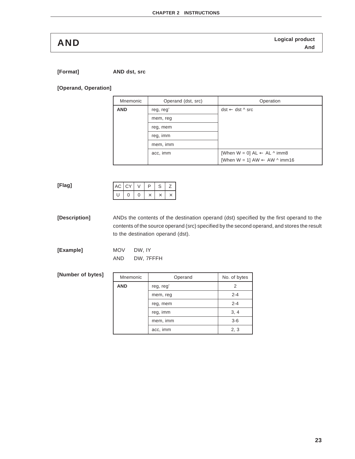**Logical product AND And**

**[Format] AND dst, src**

#### **[Operand, Operation]**

| Mnemonic   | Operand (dst, src) | Operation                                        |
|------------|--------------------|--------------------------------------------------|
| <b>AND</b> | reg, reg'          | $dst \leftarrow dst \land src$                   |
|            | mem, reg           |                                                  |
|            | reg, mem           |                                                  |
|            | reg, imm           |                                                  |
|            | mem, imm           |                                                  |
| acc, imm   |                    | [When $W = 0$ ] AL $\leftarrow$ AL $\land$ imm8  |
|            |                    | [When $W = 1$ ] AW $\leftarrow$ AW $\land$ imm16 |

#### **[Flag]**

| $AC$ $ CY$ |  | ∍ | ◠<br>⊃ |  |
|------------|--|---|--------|--|
|            |  |   |        |  |

**[Description]** ANDs the contents of the destination operand (dst) specified by the first operand to the contents of the source operand (src) specified by the second operand, and stores the result to the destination operand (dst).

| [Example] | <b>MOV</b> | DW. IY    |
|-----------|------------|-----------|
|           | AND        | DW, 7FFFH |

#### **[Number of bytes]**

| Mnemonic   | Operand   | No. of bytes |
|------------|-----------|--------------|
| <b>AND</b> | reg, reg' | 2            |
|            | mem, reg  | $2 - 4$      |
|            | reg, mem  | $2 - 4$      |
|            | reg, imm  | 3, 4         |
|            | mem, imm  | $3-6$        |
|            | acc, imm  | 2, 3         |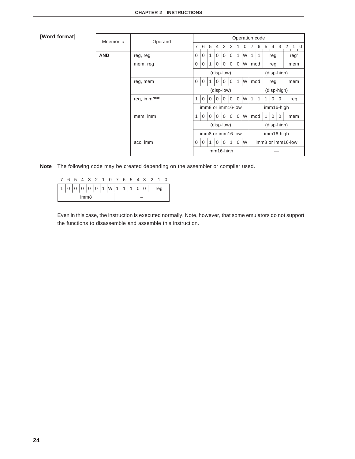#### **[Word format]**

| Mnemonic   | Operand      |                   | Operation code |          |            |           |                   |             |   |            |                   |                          |          |          |            |  |
|------------|--------------|-------------------|----------------|----------|------------|-----------|-------------------|-------------|---|------------|-------------------|--------------------------|----------|----------|------------|--|
|            |              | $\overline{7}$    | 6              | - 5      | 4          | $3\quad2$ |                   | 1           | 0 | 7          | 6                 | 5<br>3 <sub>2</sub><br>4 |          |          | $1\quad 0$ |  |
| <b>AND</b> | reg, reg'    | 0                 | $\Omega$       | 1        | $\Omega$   | 0         | 0                 | 1           | W | 1          | 1                 |                          | reg      |          | reg'       |  |
|            | mem, reg     | 0                 | $\Omega$       | 1        | $\Omega$   | $\Omega$  | $\Omega$          | 0           | W |            | mod<br>reg        |                          |          |          | mem        |  |
|            |              |                   |                |          | (disp-low) |           |                   |             |   |            | (disp-high)       |                          |          |          |            |  |
|            | reg, mem     | 0                 | $\mathbf 0$    | 1        | 0          | 0         | 0                 | 1           | W | mod        |                   | reg                      |          |          | mem        |  |
|            |              |                   |                |          | (disp-low) |           |                   |             |   |            |                   | (disp-high)              |          |          |            |  |
|            | reg, immNote | 1                 | $\Omega$       | $\Omega$ | $\Omega$   | $\Omega$  | $\Omega$          | $\Omega$    | W | 1          | 1                 | 1                        | $\Omega$ | $\Omega$ | reg        |  |
|            |              |                   |                |          |            |           | imm8 or imm16-low |             |   | imm16-high |                   |                          |          |          |            |  |
|            | mem, imm     | 1                 | 0              | $\Omega$ | $\Omega$   | $\Omega$  | $\Omega$          | $\Omega$    | W | mod        |                   | 1                        | $\Omega$ | $\Omega$ | mem        |  |
|            |              |                   | (disp-low)     |          |            |           |                   | (disp-high) |   |            |                   |                          |          |          |            |  |
|            |              | imm8 or imm16-low |                |          |            |           |                   | imm16-high  |   |            |                   |                          |          |          |            |  |
|            | acc, imm     | 0                 | 0              | 1        | $\Omega$   | 0         | 1                 | $\Omega$    | W |            | imm8 or imm16-low |                          |          |          |            |  |
|            |              |                   |                |          | imm16-high |           |                   |             |   |            |                   |                          |          |          |            |  |

**Note** The following code may be created depending on the assembler or compiler used.

|  |   |                  |  | 6 5 4 3 2 1 0 7 6 5 4 3 2 1 |  |  |  |     |  |  |     |  |
|--|---|------------------|--|-----------------------------|--|--|--|-----|--|--|-----|--|
|  | 0 |                  |  | 0 0 0 1 W 1 1 1             |  |  |  | l 0 |  |  | reg |  |
|  |   | imm <sub>8</sub> |  |                             |  |  |  |     |  |  |     |  |

Even in this case, the instruction is executed normally. Note, however, that some emulators do not support the functions to disassemble and assemble this instruction.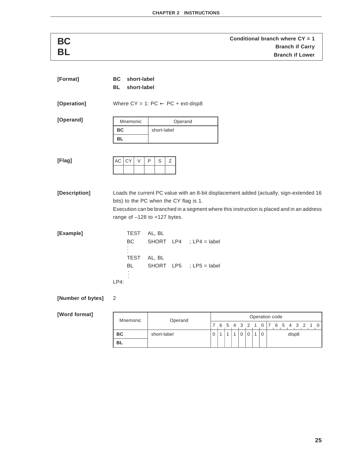| [Format]          | short-label<br>BC<br><b>BL</b><br>short-label |                                                                                           |  |  |  |  |  |  |
|-------------------|-----------------------------------------------|-------------------------------------------------------------------------------------------|--|--|--|--|--|--|
| [Operation]       |                                               | Where $CY = 1$ : $PC \leftarrow PC + ext\text{-}disp8$                                    |  |  |  |  |  |  |
| [Operand]         | Mnemonic                                      | Operand                                                                                   |  |  |  |  |  |  |
|                   | BC                                            | short-label                                                                               |  |  |  |  |  |  |
|                   | <b>BL</b>                                     |                                                                                           |  |  |  |  |  |  |
|                   |                                               |                                                                                           |  |  |  |  |  |  |
| [Flag]            | AC<br>CY<br>$\vee$                            | P<br>$\mathsf S$<br>Ζ                                                                     |  |  |  |  |  |  |
|                   |                                               |                                                                                           |  |  |  |  |  |  |
|                   |                                               |                                                                                           |  |  |  |  |  |  |
|                   |                                               |                                                                                           |  |  |  |  |  |  |
| [Description]     |                                               | Loads the current PC value with an 8-bit displacement added (actually, sign-extended 16   |  |  |  |  |  |  |
|                   | bits) to the PC when the CY flag is 1.        |                                                                                           |  |  |  |  |  |  |
|                   |                                               | Execution can be branched in a segment where this instruction is placed and in an address |  |  |  |  |  |  |
|                   |                                               | range of $-128$ to $+127$ bytes.                                                          |  |  |  |  |  |  |
| [Example]         | <b>TEST</b>                                   | AL, BL                                                                                    |  |  |  |  |  |  |
|                   | BC                                            | SHORT $LP4$ ; $LP4 =$ label                                                               |  |  |  |  |  |  |
|                   |                                               |                                                                                           |  |  |  |  |  |  |
|                   | <b>TEST</b>                                   | AL, BL                                                                                    |  |  |  |  |  |  |
|                   | <b>BL</b>                                     | SHORT $LP5$ ; LP5 = label                                                                 |  |  |  |  |  |  |
|                   |                                               |                                                                                           |  |  |  |  |  |  |
|                   | $LP4$ :                                       |                                                                                           |  |  |  |  |  |  |
|                   |                                               |                                                                                           |  |  |  |  |  |  |
| [Number of bytes] | 2                                             |                                                                                           |  |  |  |  |  |  |
|                   |                                               |                                                                                           |  |  |  |  |  |  |

|  | [Word format] |
|--|---------------|
|--|---------------|

| Mnemonic  | Operand     | Operation code |  |  |  |  |          |  |                             |       |  |  |  |  |  |  |  |
|-----------|-------------|----------------|--|--|--|--|----------|--|-----------------------------|-------|--|--|--|--|--|--|--|
|           |             |                |  |  |  |  |          |  | 6 5 4 3 2 1 0 7 6 5 4 3 2 1 |       |  |  |  |  |  |  |  |
| <b>BC</b> | short-label |                |  |  |  |  | $\Omega$ |  | $\Omega$                    | disp8 |  |  |  |  |  |  |  |
| <b>BL</b> |             |                |  |  |  |  |          |  |                             |       |  |  |  |  |  |  |  |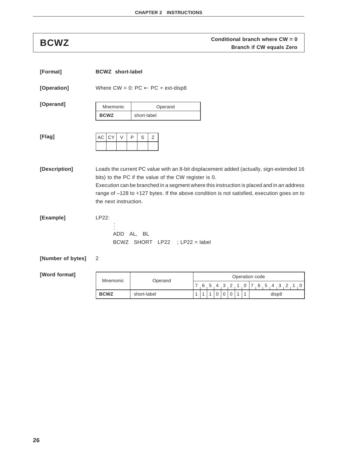## **CONZ Conditional branch where CW = 0**<br>**BRANCH Branch if CW equals Zero**

| [Format]          | <b>BCWZ</b> short-label     |                                                        |                                                                                                                                                                                                                                                                                    |
|-------------------|-----------------------------|--------------------------------------------------------|------------------------------------------------------------------------------------------------------------------------------------------------------------------------------------------------------------------------------------------------------------------------------------|
| [Operation]       |                             | Where $CW = 0$ : $PC \leftarrow PC + ext\text{-}disp8$ |                                                                                                                                                                                                                                                                                    |
| [Operand]         | Mnemonic                    | Operand                                                |                                                                                                                                                                                                                                                                                    |
|                   | <b>BCWZ</b>                 | short-label                                            |                                                                                                                                                                                                                                                                                    |
| [Flag]            | <b>CY</b><br>AC  <br>$\vee$ | P<br>S<br>Ζ                                            |                                                                                                                                                                                                                                                                                    |
| [Description]     | the next instruction.       | bits) to the PC if the value of the CW register is 0.  | Loads the current PC value with an 8-bit displacement added (actually, sign-extended 16<br>Execution can be branched in a segment where this instruction is placed and in an address<br>range of -128 to +127 bytes. If the above condition is not satisfied, execution goes on to |
| [Example]         | LP22:                       | ADD AL, BL<br>BCWZ SHORT LP22 ; LP22 = label           |                                                                                                                                                                                                                                                                                    |
| [Number of bytes] | 2                           |                                                        |                                                                                                                                                                                                                                                                                    |
| [Word format]     | Mnemonic                    | Operand                                                | Operation code                                                                                                                                                                                                                                                                     |
|                   |                             |                                                        | 7 6 5 4 3 2<br>3<br>2<br>0<br>$\prime$<br>6                                                                                                                                                                                                                                        |
|                   | <b>BCWZ</b>                 | short-label                                            | 1<br>1<br>1<br>disp8<br>0<br>0<br>0<br>1                                                                                                                                                                                                                                           |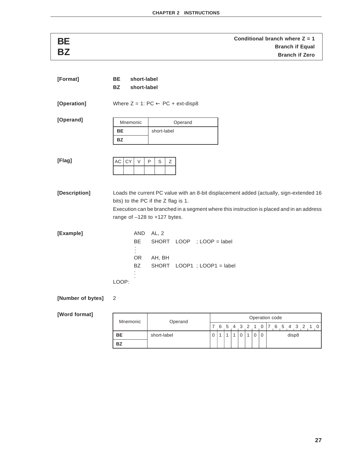| BE                |                                               |                                                | Conditional branch where $Z = 1$                                                          |
|-------------------|-----------------------------------------------|------------------------------------------------|-------------------------------------------------------------------------------------------|
| <b>BZ</b>         |                                               |                                                | <b>Branch if Equal</b><br><b>Branch if Zero</b>                                           |
|                   |                                               |                                                |                                                                                           |
|                   |                                               |                                                |                                                                                           |
| [Format]          | BE<br>short-label<br><b>BZ</b><br>short-label |                                                |                                                                                           |
|                   |                                               |                                                |                                                                                           |
| [Operation]       |                                               | Where $Z = 1$ : PC $\leftarrow$ PC + ext-disp8 |                                                                                           |
|                   |                                               |                                                |                                                                                           |
| [Operand]         | Mnemonic                                      | Operand                                        |                                                                                           |
|                   | BE                                            | short-label                                    |                                                                                           |
|                   | BZ                                            |                                                |                                                                                           |
|                   |                                               |                                                |                                                                                           |
| [Flag]            | AC<br>СY<br>V                                 | P<br>S<br>Ζ                                    |                                                                                           |
|                   |                                               |                                                |                                                                                           |
|                   |                                               |                                                |                                                                                           |
| [Description]     |                                               |                                                | Loads the current PC value with an 8-bit displacement added (actually, sign-extended 16   |
|                   |                                               | bits) to the PC if the Z flag is 1.            |                                                                                           |
|                   |                                               |                                                | Execution can be branched in a segment where this instruction is placed and in an address |
|                   |                                               | range of $-128$ to $+127$ bytes.               |                                                                                           |
| [Example]         | AND                                           | AL, 2                                          |                                                                                           |
|                   | <b>BE</b>                                     | SHORT LOOP ; LOOP = label                      |                                                                                           |
|                   |                                               |                                                |                                                                                           |
|                   | OR                                            | AH, BH                                         |                                                                                           |
|                   | <b>BZ</b>                                     | SHORT LOOP1 ; LOOP1 = label                    |                                                                                           |
|                   | LOOP:                                         |                                                |                                                                                           |
|                   |                                               |                                                |                                                                                           |
| [Number of bytes] | 2                                             |                                                |                                                                                           |
| [Word format]     |                                               |                                                |                                                                                           |
|                   | Mnemonic                                      | Operand                                        | Operation code                                                                            |
|                   |                                               |                                                | 7 6 5 1 2 2 1 0 7 6 5 1 2 2 1<br>$\sim$                                                   |

| Mnemonic  | Operand     |  |  |  | Operation code              |  |       |  |                |
|-----------|-------------|--|--|--|-----------------------------|--|-------|--|----------------|
|           |             |  |  |  | 6 5 4 3 2 1 0 7 6 5 4 3 2 1 |  |       |  | $\overline{0}$ |
| BE        | short-label |  |  |  |                             |  | disp8 |  |                |
| <b>BZ</b> |             |  |  |  |                             |  |       |  |                |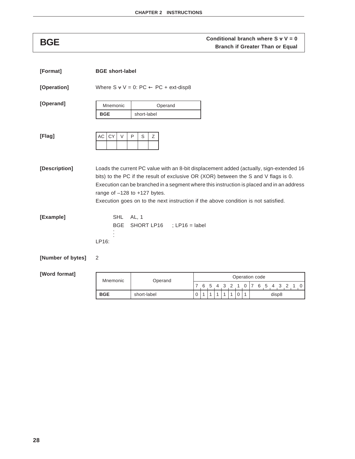## **Conditional branch where S v V = 0**<br>**BGE Branch if Greater Than or Equal**

| [Format]          | <b>BGE short-label</b>            |                                                                                                                                                                                                                                                                                                                                                                                                       |   |              |     |     |   |                |                |   |                 |       |  |  |
|-------------------|-----------------------------------|-------------------------------------------------------------------------------------------------------------------------------------------------------------------------------------------------------------------------------------------------------------------------------------------------------------------------------------------------------------------------------------------------------|---|--------------|-----|-----|---|----------------|----------------|---|-----------------|-------|--|--|
| [Operation]       |                                   | Where $S \vee V = 0$ : PC $\leftarrow$ PC + ext-disp8                                                                                                                                                                                                                                                                                                                                                 |   |              |     |     |   |                |                |   |                 |       |  |  |
| [Operand]         | Mnemonic<br><b>BGE</b>            | Operand<br>short-label                                                                                                                                                                                                                                                                                                                                                                                |   |              |     |     |   |                |                |   |                 |       |  |  |
| [Flag]            | <b>CY</b><br>AC<br>$\vee$         | P<br>S<br>Ζ                                                                                                                                                                                                                                                                                                                                                                                           |   |              |     |     |   |                |                |   |                 |       |  |  |
| [Description]     |                                   | Loads the current PC value with an 8-bit displacement added (actually, sign-extended 16<br>bits) to the PC if the result of exclusive OR (XOR) between the S and V flags is 0.<br>Execution can be branched in a segment where this instruction is placed and in an address<br>range of $-128$ to $+127$ bytes.<br>Execution goes on to the next instruction if the above condition is not satisfied. |   |              |     |     |   |                |                |   |                 |       |  |  |
| [Example]         | <b>SHL</b><br><b>BGE</b><br>LP16: | AL, 1<br>SHORT LP16 ; LP16 = label                                                                                                                                                                                                                                                                                                                                                                    |   |              |     |     |   |                |                |   |                 |       |  |  |
| [Number of bytes] | 2                                 |                                                                                                                                                                                                                                                                                                                                                                                                       |   |              |     |     |   |                |                |   |                 |       |  |  |
| [Word format]     | Mnemonic                          |                                                                                                                                                                                                                                                                                                                                                                                                       |   |              |     |     |   |                |                |   | Operation code  |       |  |  |
|                   |                                   | Operand                                                                                                                                                                                                                                                                                                                                                                                               | 7 | - 6          | - 5 | - 4 | 3 | $\overline{2}$ | $\overline{1}$ | 0 | 7 6 5 4 3 2 1 0 |       |  |  |
|                   | <b>BGE</b>                        | short-label                                                                                                                                                                                                                                                                                                                                                                                           | 0 | $\mathbf{1}$ | 1   | 1   | 1 | 1              | 0              | 1 |                 | disp8 |  |  |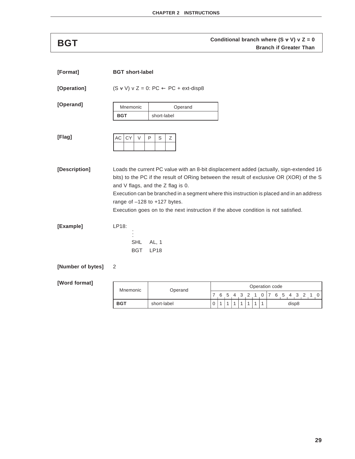# **Conditional branch where (S v V) v Z = 0**<br>Branch if Greater Than

| [Format]          | <b>BGT</b> short-label            |                                                                       |                                                                                                                                                                                                                                                                                                                                                                        |
|-------------------|-----------------------------------|-----------------------------------------------------------------------|------------------------------------------------------------------------------------------------------------------------------------------------------------------------------------------------------------------------------------------------------------------------------------------------------------------------------------------------------------------------|
| [Operation]       |                                   | $(S \vee V) \vee Z = 0$ : PC $\leftarrow$ PC + ext-disp8              |                                                                                                                                                                                                                                                                                                                                                                        |
| [Operand]         | Mnemonic<br><b>BGT</b>            | Operand<br>short-label                                                |                                                                                                                                                                                                                                                                                                                                                                        |
| [Flag]            | AC<br><b>CY</b><br>V              | S<br>Ζ<br>P                                                           |                                                                                                                                                                                                                                                                                                                                                                        |
| [Description]     |                                   | and V flags, and the Z flag is 0.<br>range of $-128$ to $+127$ bytes. | Loads the current PC value with an 8-bit displacement added (actually, sign-extended 16<br>bits) to the PC if the result of ORing between the result of exclusive OR (XOR) of the S<br>Execution can be branched in a segment where this instruction is placed and in an address<br>Execution goes on to the next instruction if the above condition is not satisfied. |
| [Example]         | LP18:<br><b>SHL</b><br><b>BGT</b> | AL, 1<br><b>LP18</b>                                                  |                                                                                                                                                                                                                                                                                                                                                                        |
| [Number of bytes] | 2                                 |                                                                       |                                                                                                                                                                                                                                                                                                                                                                        |

| Mnemonic   | Operand     |          |  |  |         | Operation code |  |   |       |  |  |
|------------|-------------|----------|--|--|---------|----------------|--|---|-------|--|--|
|            |             |          |  |  | 5 4 3 2 |                |  | 5 |       |  |  |
| <b>BGT</b> | short-label | $\Omega$ |  |  |         |                |  |   | disp8 |  |  |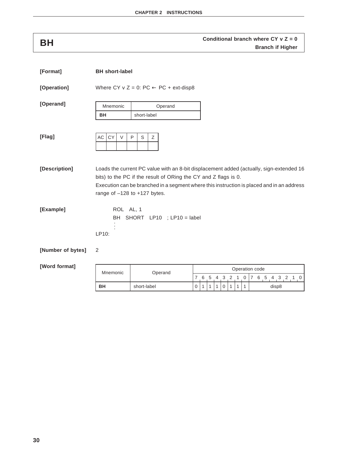# **Conditional branch where CY v Z = 0**<br>**Branch if Higher**

| [Format]          | <b>BH</b> short-label |                                                                                                                                                                                                                                                                                             |               |   |   |                     |               |                     |                 |              |                          |
|-------------------|-----------------------|---------------------------------------------------------------------------------------------------------------------------------------------------------------------------------------------------------------------------------------------------------------------------------------------|---------------|---|---|---------------------|---------------|---------------------|-----------------|--------------|--------------------------|
| [Operation]       |                       | Where CY v Z = 0: PC $\leftarrow$ PC + ext-disp8                                                                                                                                                                                                                                            |               |   |   |                     |               |                     |                 |              |                          |
| [Operand]         | Mnemonic              | Operand                                                                                                                                                                                                                                                                                     |               |   |   |                     |               |                     |                 |              |                          |
|                   | BH                    | short-label                                                                                                                                                                                                                                                                                 |               |   |   |                     |               |                     |                 |              |                          |
| [Flag]            | CY<br>AC  <br>$\vee$  | $\mathsf{P}$<br>$\mathsf S$<br>Ζ                                                                                                                                                                                                                                                            |               |   |   |                     |               |                     |                 |              |                          |
| [Description]     |                       | Loads the current PC value with an 8-bit displacement added (actually, sign-extended 16<br>bits) to the PC if the result of ORing the CY and Z flags is 0.<br>Execution can be branched in a segment where this instruction is placed and in an address<br>range of $-128$ to $+127$ bytes. |               |   |   |                     |               |                     |                 |              |                          |
| [Example]         | ROL AL, 1<br>LP10:    | BH SHORT LP10 ; LP10 = label                                                                                                                                                                                                                                                                |               |   |   |                     |               |                     |                 |              |                          |
| [Number of bytes] | 2                     |                                                                                                                                                                                                                                                                                             |               |   |   |                     |               |                     |                 |              |                          |
| [Word format]     | Mnemonic              | Operand                                                                                                                                                                                                                                                                                     |               |   |   |                     |               |                     |                 |              | Operation code           |
|                   | <b>BH</b>             | short-label                                                                                                                                                                                                                                                                                 | 7<br>$\Omega$ | 6 | 5 | $\overline{4}$<br>1 | 3<br>$\Omega$ | $\overline{2}$<br>1 | $1\quad 0$<br>1 | $\mathbf{1}$ | 7 6 5 4 3 2 1 0<br>disp8 |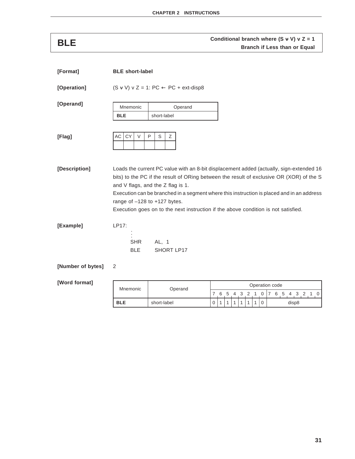# **Conditional branch where (S v V) v Z = 1**<br>**BLE Branch if Less than or Equal**

| [Format]          | <b>BLE</b> short-label            |                                                                                                                                                                                                                                                                                                                                                                                                                                                   |  |
|-------------------|-----------------------------------|---------------------------------------------------------------------------------------------------------------------------------------------------------------------------------------------------------------------------------------------------------------------------------------------------------------------------------------------------------------------------------------------------------------------------------------------------|--|
| [Operation]       |                                   | $(S \vee V) \vee Z = 1$ : PC $\leftarrow$ PC + ext-disp8                                                                                                                                                                                                                                                                                                                                                                                          |  |
| [Operand]         | Mnemonic<br><b>BLE</b>            | Operand<br>short-label                                                                                                                                                                                                                                                                                                                                                                                                                            |  |
| [Flag]            | AC<br><b>CY</b><br>V              | P<br>S<br>Ζ                                                                                                                                                                                                                                                                                                                                                                                                                                       |  |
| [Description]     |                                   | Loads the current PC value with an 8-bit displacement added (actually, sign-extended 16<br>bits) to the PC if the result of ORing between the result of exclusive OR (XOR) of the S<br>and V flags, and the $Z$ flag is 1.<br>Execution can be branched in a segment where this instruction is placed and in an address<br>range of $-128$ to $+127$ bytes.<br>Execution goes on to the next instruction if the above condition is not satisfied. |  |
| [Example]         | LP17:<br><b>SHR</b><br><b>BLE</b> | AL, 1<br>SHORT LP17                                                                                                                                                                                                                                                                                                                                                                                                                               |  |
| FNumbor of butant |                                   |                                                                                                                                                                                                                                                                                                                                                                                                                                                   |  |

## **[Number of bytes]** 2

| Mnemonic   | Operand     |   |   |     |       |  | Operation code |  |    |   |       |  |  |
|------------|-------------|---|---|-----|-------|--|----------------|--|----|---|-------|--|--|
|            |             |   | 6 | - 5 | 4 3 2 |  |                |  | -5 | 4 |       |  |  |
| <b>BLE</b> | short-label | υ |   |     |       |  |                |  |    |   | disp8 |  |  |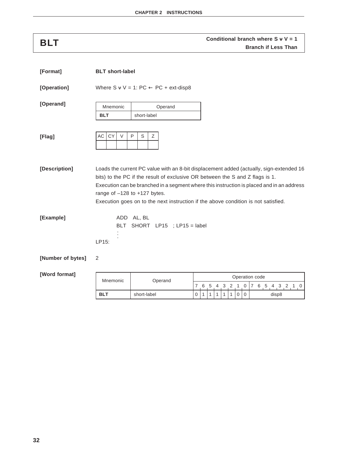## **Conditional branch where S v V = 1**<br>**BLT Branch if Less Than**

| [Format]          | <b>BLT</b> short-label    |                                                       |                                                                                                                                                                                                                                                                                                                                                             |
|-------------------|---------------------------|-------------------------------------------------------|-------------------------------------------------------------------------------------------------------------------------------------------------------------------------------------------------------------------------------------------------------------------------------------------------------------------------------------------------------------|
| [Operation]       |                           | Where $S \vee V = 1$ : PC $\leftarrow$ PC + ext-disp8 |                                                                                                                                                                                                                                                                                                                                                             |
| [Operand]         | Mnemonic<br><b>BLT</b>    | Operand<br>short-label                                |                                                                                                                                                                                                                                                                                                                                                             |
| [Flag]            | AC<br><b>CY</b><br>$\vee$ | P<br>S<br>Z                                           |                                                                                                                                                                                                                                                                                                                                                             |
| [Description]     |                           | range of $-128$ to $+127$ bytes.                      | Loads the current PC value with an 8-bit displacement added (actually, sign-extended 16<br>bits) to the PC if the result of exclusive OR between the S and Z flags is 1.<br>Execution can be branched in a segment where this instruction is placed and in an address<br>Execution goes on to the next instruction if the above condition is not satisfied. |
| [Example]         | LP15:                     | ADD AL, BL<br>BLT SHORT LP15 ; LP15 = label           |                                                                                                                                                                                                                                                                                                                                                             |
| [Number of bytes] | 2                         |                                                       |                                                                                                                                                                                                                                                                                                                                                             |
| [Word format]     |                           |                                                       | Oneration code                                                                                                                                                                                                                                                                                                                                              |

| Mnemonic  | Operand     |  |           |  |  |  | Operation code |              |       |  |  |
|-----------|-------------|--|-----------|--|--|--|----------------|--------------|-------|--|--|
|           |             |  | 6 5 4 3 2 |  |  |  | 6              | <sub>5</sub> |       |  |  |
| <b>BL</b> | short-label |  |           |  |  |  |                |              | disp8 |  |  |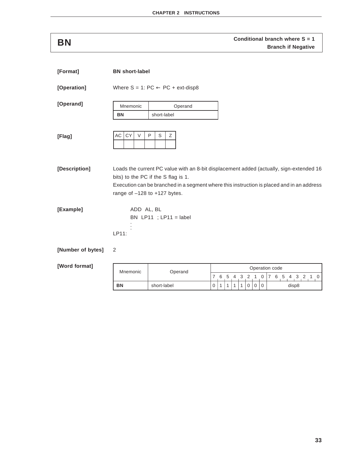**Conditional branch where S = 1**<br>**BN Branch if Negative** 

| [Format]          | <b>BN</b> short-label            |                                                                                                                                                                                                                             |        |          |        |        |                   |        |                     |                               |                                  |
|-------------------|----------------------------------|-----------------------------------------------------------------------------------------------------------------------------------------------------------------------------------------------------------------------------|--------|----------|--------|--------|-------------------|--------|---------------------|-------------------------------|----------------------------------|
| [Operation]       |                                  | Where $S = 1$ : PC $\leftarrow$ PC + ext-disp8                                                                                                                                                                              |        |          |        |        |                   |        |                     |                               |                                  |
| [Operand]         | Mnemonic<br><b>BN</b>            | Operand<br>short-label                                                                                                                                                                                                      |        |          |        |        |                   |        |                     |                               |                                  |
| [Flag]            | CY<br>AC<br>$\vee$               | $\mathsf{P}$<br>S<br>Ζ                                                                                                                                                                                                      |        |          |        |        |                   |        |                     |                               |                                  |
| [Description]     | range of $-128$ to $+127$ bytes. | Loads the current PC value with an 8-bit displacement added (actually, sign-extended 16<br>bits) to the PC if the S flag is 1.<br>Execution can be branched in a segment where this instruction is placed and in an address |        |          |        |        |                   |        |                     |                               |                                  |
| [Example]         | ADD AL, BL<br>LP11:              | BN LP11 ; LP11 = label                                                                                                                                                                                                      |        |          |        |        |                   |        |                     |                               |                                  |
| [Number of bytes] | 2                                |                                                                                                                                                                                                                             |        |          |        |        |                   |        |                     |                               |                                  |
| [Word format]     | Mnemonic                         | Operand                                                                                                                                                                                                                     |        |          |        |        |                   |        |                     |                               | Operation code                   |
|                   | <b>BN</b>                        | short-label                                                                                                                                                                                                                 | 7<br>0 | - 6<br>1 | 5<br>1 | 4<br>1 | 3<br>$\mathbf{1}$ | 2<br>0 | $\overline{1}$<br>0 | $\overline{0}$<br>$\mathbf 0$ | 7 6 5 4 3 2<br>$\Omega$<br>disp8 |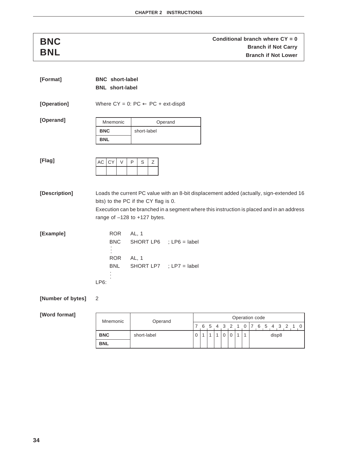### **Conditional branch where CY = 0**<br> **Conditional branch where CY = 0**<br> **BNL**<br> **BNL**<br> **BNL Branch if Not Carry Branch if Not Lower**

| [Format]          | <b>BNC</b> short-label   |                                                        |         |          |     |   |   |          |                |              |              |                                                                                                                                                                                      |
|-------------------|--------------------------|--------------------------------------------------------|---------|----------|-----|---|---|----------|----------------|--------------|--------------|--------------------------------------------------------------------------------------------------------------------------------------------------------------------------------------|
|                   | <b>BNL</b> short-label   |                                                        |         |          |     |   |   |          |                |              |              |                                                                                                                                                                                      |
| [Operation]       |                          | Where $CY = 0$ : $PC \leftarrow PC + ext\text{-}disp8$ |         |          |     |   |   |          |                |              |              |                                                                                                                                                                                      |
| [Operand]         | Mnemonic                 |                                                        | Operand |          |     |   |   |          |                |              |              |                                                                                                                                                                                      |
|                   | <b>BNC</b>               | short-label                                            |         |          |     |   |   |          |                |              |              |                                                                                                                                                                                      |
|                   | <b>BNL</b>               |                                                        |         |          |     |   |   |          |                |              |              |                                                                                                                                                                                      |
|                   |                          |                                                        |         |          |     |   |   |          |                |              |              |                                                                                                                                                                                      |
| [Flag]            | CY<br>V<br>AC            | P<br>S<br>Ζ                                            |         |          |     |   |   |          |                |              |              |                                                                                                                                                                                      |
| [Description]     |                          | bits) to the PC if the CY flag is 0.                   |         |          |     |   |   |          |                |              |              | Loads the current PC value with an 8-bit displacement added (actually, sign-extended 16<br>Execution can be branched in a segment where this instruction is placed and in an address |
|                   |                          | range of $-128$ to $+127$ bytes.                       |         |          |     |   |   |          |                |              |              |                                                                                                                                                                                      |
| [Example]         | <b>ROR</b><br><b>BNC</b> | AL, 1<br>SHORT LP6 ; LP6 = label                       |         |          |     |   |   |          |                |              |              |                                                                                                                                                                                      |
|                   | <b>ROR</b>               | AL, 1                                                  |         |          |     |   |   |          |                |              |              |                                                                                                                                                                                      |
|                   | <b>BNL</b>               | SHORT LP7 ; LP7 = label                                |         |          |     |   |   |          |                |              |              |                                                                                                                                                                                      |
|                   |                          |                                                        |         |          |     |   |   |          |                |              |              |                                                                                                                                                                                      |
|                   | LP6:                     |                                                        |         |          |     |   |   |          |                |              |              |                                                                                                                                                                                      |
| [Number of bytes] | 2                        |                                                        |         |          |     |   |   |          |                |              |              |                                                                                                                                                                                      |
| [Word format]     |                          |                                                        |         |          |     |   |   |          |                |              |              | Operation code                                                                                                                                                                       |
|                   | Mnemonic                 | Operand                                                |         | 7.       | - 6 | 5 |   | 3        | $\overline{2}$ | 1            | 0            | 7 6 5 4 3 2 1 0                                                                                                                                                                      |
|                   | <b>BNC</b>               | short-label                                            |         | $\Omega$ | 1   | 1 | 1 | $\Omega$ | $\Omega$       | $\mathbf{1}$ | $\mathbf{1}$ | disp8                                                                                                                                                                                |

**BNL**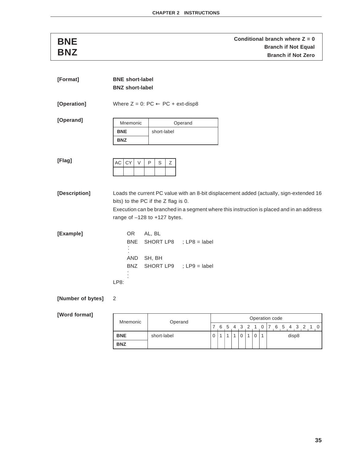**Conditional branch where Z = 0**<br> **Conditional branch where Z = 0**<br> **BNZ**<br> **BNZ**<br> **BNZ Branch if Not Equal Branch if Not Zero** 

| [Format]          | <b>BNE</b> short-label<br><b>BNZ short-label</b>                        |                  |                                                    |                                                                                                                                                                                      |  |
|-------------------|-------------------------------------------------------------------------|------------------|----------------------------------------------------|--------------------------------------------------------------------------------------------------------------------------------------------------------------------------------------|--|
| [Operation]       | Where $Z = 0$ : PC $\leftarrow$ PC + ext-disp8                          |                  |                                                    |                                                                                                                                                                                      |  |
| [Operand]         | Mnemonic                                                                |                  | Operand                                            |                                                                                                                                                                                      |  |
|                   | <b>BNE</b><br><b>BNZ</b>                                                | short-label      |                                                    |                                                                                                                                                                                      |  |
|                   |                                                                         |                  |                                                    |                                                                                                                                                                                      |  |
| [Flag]            | AC<br><b>CY</b><br>$\vee$                                               | P<br>Ζ<br>S      |                                                    |                                                                                                                                                                                      |  |
| [Description]     | bits) to the PC if the Z flag is 0.<br>range of $-128$ to $+127$ bytes. |                  |                                                    | Loads the current PC value with an 8-bit displacement added (actually, sign-extended 16<br>Execution can be branched in a segment where this instruction is placed and in an address |  |
| [Example]         | <b>OR</b><br><b>BNE</b><br>AND<br><b>BNZ</b><br>LP8:                    | AL, BL<br>SH, BH | SHORT LP8 ; LP8 = label<br>SHORT LP9 ; LP9 = label |                                                                                                                                                                                      |  |
| [Number of bytes] | 2                                                                       |                  |                                                    |                                                                                                                                                                                      |  |

| Operation code<br>Mnemonic<br>Operand |             |  |   |  |  |           |  |  |  |       |  |  |               |  |  |  |  |
|---------------------------------------|-------------|--|---|--|--|-----------|--|--|--|-------|--|--|---------------|--|--|--|--|
|                                       |             |  | 6 |  |  | 5 4 3 2 1 |  |  |  |       |  |  | 0 7 6 5 4 3 2 |  |  |  |  |
| <b>BNE</b>                            | short-label |  |   |  |  |           |  |  |  | disp8 |  |  |               |  |  |  |  |
| <b>BNZ</b>                            |             |  |   |  |  |           |  |  |  |       |  |  |               |  |  |  |  |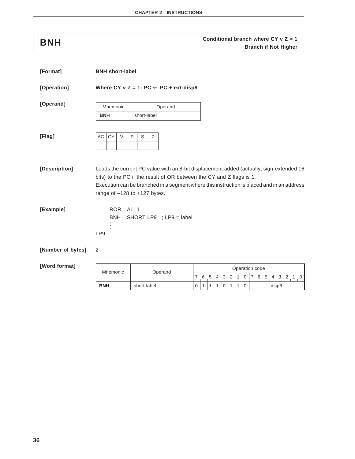## **Conditional branch where CY v Z = 1**<br>**BNH Branch if Not Higher**

| [Format]          | <b>BNH</b> short-label          |                                                                                                                                                                                                                                                                                                  |                  |             |     |    |   |                |   |                |                 |       |  |  |
|-------------------|---------------------------------|--------------------------------------------------------------------------------------------------------------------------------------------------------------------------------------------------------------------------------------------------------------------------------------------------|------------------|-------------|-----|----|---|----------------|---|----------------|-----------------|-------|--|--|
| [Operation]       |                                 | Where CY v Z = 1: PC $\leftarrow$ PC + ext-disp8                                                                                                                                                                                                                                                 |                  |             |     |    |   |                |   |                |                 |       |  |  |
| [Operand]         | Mnemonic                        | Operand                                                                                                                                                                                                                                                                                          |                  |             |     |    |   |                |   |                |                 |       |  |  |
|                   | <b>BNH</b>                      | short-label                                                                                                                                                                                                                                                                                      |                  |             |     |    |   |                |   |                |                 |       |  |  |
| [Flag]            | CY<br>AC<br>$\vee$              | $\mathsf{P}$<br>S<br>Ζ                                                                                                                                                                                                                                                                           |                  |             |     |    |   |                |   |                |                 |       |  |  |
| [Description]     |                                 | Loads the current PC value with an 8-bit displacement added (actually, sign-extended 16<br>bits) to the PC if the result of OR between the CY and Z flags is 1.<br>Execution can be branched in a segment where this instruction is placed and in an address<br>range of $-128$ to $+127$ bytes. |                  |             |     |    |   |                |   |                |                 |       |  |  |
| [Example]         | ROR AL, 1<br><b>BNH</b><br>LP9: | SHORT LP9 ; LP9 = label                                                                                                                                                                                                                                                                          |                  |             |     |    |   |                |   |                |                 |       |  |  |
| [Number of bytes] | 2                               |                                                                                                                                                                                                                                                                                                  |                  |             |     |    |   |                |   |                |                 |       |  |  |
| [Word format]     | Mnemonic                        | Operand                                                                                                                                                                                                                                                                                          |                  |             |     |    |   |                |   |                | Operation code  |       |  |  |
|                   |                                 |                                                                                                                                                                                                                                                                                                  | 7                | $6^{\circ}$ | - 5 | -4 | 3 | $\overline{2}$ | 1 | 0              | 7 6 5 4 3 2 1 0 |       |  |  |
|                   | <b>BNH</b>                      | short-label                                                                                                                                                                                                                                                                                      | $\boldsymbol{0}$ | 1           | 1   | 1  | 0 | 1              | 1 | $\overline{0}$ |                 | disp8 |  |  |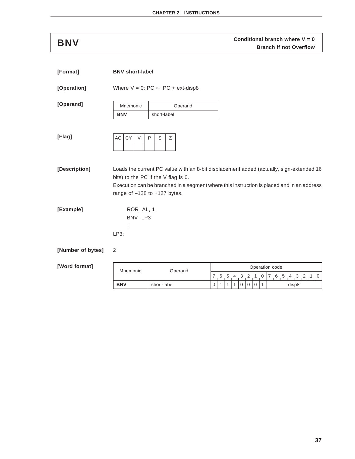**Conditional branch where V = 0**<br>**BNV Branch if not Overflow** 

| [Format]          | <b>BNV</b> short-label       |                                                                                                                                                                                                                                                                 |              |              |              |              |                |                |                |                |                |       |                                 |  |
|-------------------|------------------------------|-----------------------------------------------------------------------------------------------------------------------------------------------------------------------------------------------------------------------------------------------------------------|--------------|--------------|--------------|--------------|----------------|----------------|----------------|----------------|----------------|-------|---------------------------------|--|
| [Operation]       |                              | Where $V = 0$ : PC $\leftarrow$ PC + ext-disp8                                                                                                                                                                                                                  |              |              |              |              |                |                |                |                |                |       |                                 |  |
| [Operand]         | Mnemonic                     | Operand                                                                                                                                                                                                                                                         |              |              |              |              |                |                |                |                |                |       |                                 |  |
|                   | <b>BNV</b>                   | short-label                                                                                                                                                                                                                                                     |              |              |              |              |                |                |                |                |                |       |                                 |  |
| [Flag]            | AC  <br>CY<br>$\vee$         | P<br>S<br>Ζ                                                                                                                                                                                                                                                     |              |              |              |              |                |                |                |                |                |       |                                 |  |
| [Description]     |                              | Loads the current PC value with an 8-bit displacement added (actually, sign-extended 16<br>bits) to the PC if the V flag is 0.<br>Execution can be branched in a segment where this instruction is placed and in an address<br>range of $-128$ to $+127$ bytes. |              |              |              |              |                |                |                |                |                |       |                                 |  |
| [Example]         | ROR AL, 1<br>BNV LP3<br>LP3: |                                                                                                                                                                                                                                                                 |              |              |              |              |                |                |                |                |                |       |                                 |  |
| [Number of bytes] | 2                            |                                                                                                                                                                                                                                                                 |              |              |              |              |                |                |                |                |                |       |                                 |  |
| [Word format]     | Mnemonic                     | Operand                                                                                                                                                                                                                                                         |              |              |              |              |                |                |                |                | Operation code |       |                                 |  |
|                   |                              |                                                                                                                                                                                                                                                                 |              |              |              |              |                |                |                |                |                |       | 7 6 5 4 3 2 1 0 7 6 5 4 3 2 1 0 |  |
|                   | <b>BNV</b>                   | short-label                                                                                                                                                                                                                                                     | $\mathbf{0}$ | $\mathbf{1}$ | $\mathbf{1}$ | $\mathbf{1}$ | $\overline{0}$ | $\overline{0}$ | $\overline{0}$ | $\overline{1}$ |                | disp8 |                                 |  |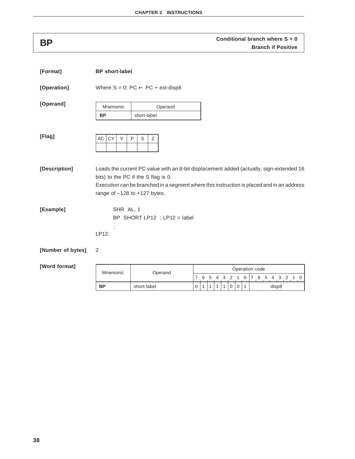## **Conditional branch where S = 0**<br>**BP Branch if Positive**

| [Format]          | <b>BP</b> short-label            |                                                                                                                                                                                                                             |                  |              |              |                |              |                |                |                |                 |
|-------------------|----------------------------------|-----------------------------------------------------------------------------------------------------------------------------------------------------------------------------------------------------------------------------|------------------|--------------|--------------|----------------|--------------|----------------|----------------|----------------|-----------------|
| [Operation]       |                                  | Where $S = 0$ : PC $\leftarrow$ PC + ext-disp8                                                                                                                                                                              |                  |              |              |                |              |                |                |                |                 |
| [Operand]         | Mnemonic                         | Operand                                                                                                                                                                                                                     |                  |              |              |                |              |                |                |                |                 |
|                   | <b>BP</b>                        | short-label                                                                                                                                                                                                                 |                  |              |              |                |              |                |                |                |                 |
| [Flag]            | AC<br>CY<br>$\vee$               | P<br>S<br>Ζ                                                                                                                                                                                                                 |                  |              |              |                |              |                |                |                |                 |
| [Description]     | range of $-128$ to $+127$ bytes. | Loads the current PC value with an 8-bit displacement added (actually, sign-extended 16<br>bits) to the PC if the S flag is 0.<br>Execution can be branched in a segment where this instruction is placed and in an address |                  |              |              |                |              |                |                |                |                 |
| [Example]         | SHR AL, 1<br>LP12:               | BP SHORT LP12 ; LP12 = label                                                                                                                                                                                                |                  |              |              |                |              |                |                |                |                 |
| [Number of bytes] | 2                                |                                                                                                                                                                                                                             |                  |              |              |                |              |                |                |                |                 |
| [Word format]     |                                  |                                                                                                                                                                                                                             |                  |              |              |                |              |                |                |                | Operation code  |
|                   | Mnemonic                         | Operand                                                                                                                                                                                                                     | 7 6              |              | 5            | $\overline{4}$ | 3            | 2 <sub>1</sub> |                | $\overline{0}$ | 7 6 5 4 3 2 1 0 |
|                   | <b>BP</b>                        | short-label                                                                                                                                                                                                                 | $\boldsymbol{0}$ | $\mathbf{1}$ | $\mathbf{1}$ | 1              | $\mathbf{1}$ | 0              | $\overline{0}$ | $\mathbf{1}$   | disp8           |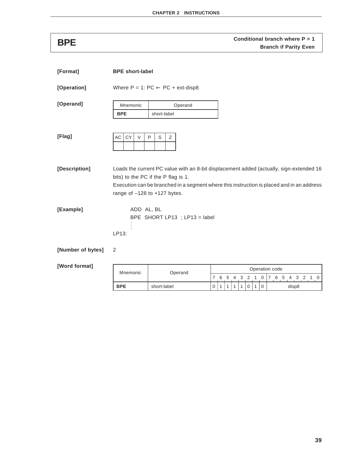**Conditional branch where P = 1**<br>Branch if Parity Even

| [Format]          | <b>BPE short-label</b>           |                                                                                                                                                                                                                             |                |              |   |              |   |           |   |             |                           |
|-------------------|----------------------------------|-----------------------------------------------------------------------------------------------------------------------------------------------------------------------------------------------------------------------------|----------------|--------------|---|--------------|---|-----------|---|-------------|---------------------------|
| [Operation]       |                                  | Where $P = 1$ : $PC \leftarrow PC + ext\text{-}disp8$                                                                                                                                                                       |                |              |   |              |   |           |   |             |                           |
| [Operand]         | Mnemonic                         | Operand                                                                                                                                                                                                                     |                |              |   |              |   |           |   |             |                           |
|                   | <b>BPE</b>                       | short-label                                                                                                                                                                                                                 |                |              |   |              |   |           |   |             |                           |
| [Flag]            | AC<br>CY<br>$\vee$               | P<br>S<br>Ζ                                                                                                                                                                                                                 |                |              |   |              |   |           |   |             |                           |
| [Description]     | range of $-128$ to $+127$ bytes. | Loads the current PC value with an 8-bit displacement added (actually, sign-extended 16<br>bits) to the PC if the P flag is 1.<br>Execution can be branched in a segment where this instruction is placed and in an address |                |              |   |              |   |           |   |             |                           |
| [Example]         | ADD AL, BL<br>LP13:              | BPE SHORT LP13 ; LP13 = label                                                                                                                                                                                               |                |              |   |              |   |           |   |             |                           |
| [Number of bytes] | 2                                |                                                                                                                                                                                                                             |                |              |   |              |   |           |   |             |                           |
| [Word format]     |                                  |                                                                                                                                                                                                                             |                |              |   |              |   |           |   |             | Operation code            |
|                   | Mnemonic                         | Operand                                                                                                                                                                                                                     | $\overline{7}$ | 6            | 5 |              |   | 4 3 2 1 0 |   |             | 7 6 5 4 3 2 1<br>$\Omega$ |
|                   | <b>BPE</b>                       | short-label                                                                                                                                                                                                                 | 0              | $\mathbf{1}$ | 1 | $\mathbf{1}$ | 1 | 0         | 1 | $\mathbf 0$ | disp8                     |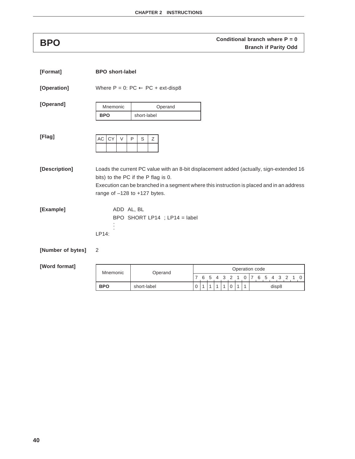# **Conditional branch where P = 0**<br>**BPO Branch if Parity Odd**

| [Format]          | <b>BPO</b> short-label           |                                                                                                                                                                                                                             |                                                                      |   |  |   |   |   |              |   |  |  |  |       |  |  |
|-------------------|----------------------------------|-----------------------------------------------------------------------------------------------------------------------------------------------------------------------------------------------------------------------------|----------------------------------------------------------------------|---|--|---|---|---|--------------|---|--|--|--|-------|--|--|
| [Operation]       |                                  | Where $P = 0$ : $PC \leftarrow PC + ext\text{-}disp8$                                                                                                                                                                       |                                                                      |   |  |   |   |   |              |   |  |  |  |       |  |  |
| [Operand]         | Mnemonic<br><b>BPO</b>           | Operand<br>short-label                                                                                                                                                                                                      |                                                                      |   |  |   |   |   |              |   |  |  |  |       |  |  |
| [Flag]            | CY<br>AC<br>$\vee$               | $\mathsf{P}$<br>S<br>Ζ                                                                                                                                                                                                      |                                                                      |   |  |   |   |   |              |   |  |  |  |       |  |  |
| [Description]     | range of $-128$ to $+127$ bytes. | Loads the current PC value with an 8-bit displacement added (actually, sign-extended 16<br>bits) to the PC if the P flag is 0.<br>Execution can be branched in a segment where this instruction is placed and in an address |                                                                      |   |  |   |   |   |              |   |  |  |  |       |  |  |
| [Example]         | ADD AL, BL<br>LP14:              | BPO SHORT LP14 ; LP14 = label                                                                                                                                                                                               |                                                                      |   |  |   |   |   |              |   |  |  |  |       |  |  |
| [Number of bytes] | 2                                |                                                                                                                                                                                                                             |                                                                      |   |  |   |   |   |              |   |  |  |  |       |  |  |
| [Word format]     | Mnemonic                         | Operand                                                                                                                                                                                                                     | Operation code<br>7 6 5 4 3 2 1 0<br>0<br>7<br>6<br>5<br>3<br>2<br>4 |   |  |   |   |   |              |   |  |  |  |       |  |  |
|                   | <b>BPO</b>                       | short-label                                                                                                                                                                                                                 | 0                                                                    | 1 |  | 1 | 1 | 0 | $\mathbf{1}$ | 1 |  |  |  | disp8 |  |  |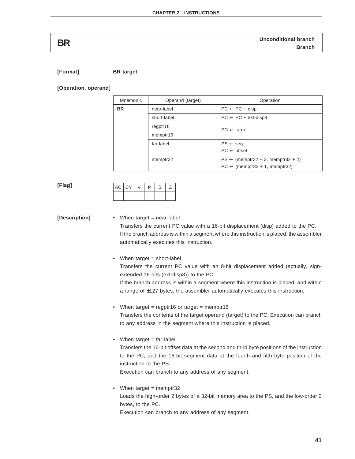# **Unconditional branch BR Branch**

**[Format] BR target**

**[Operation, operand]**

| Mnemonic  | Operand (target) | Operation                                                                                |
|-----------|------------------|------------------------------------------------------------------------------------------|
| <b>BR</b> | near-label       | $PC \leftarrow PC + disp$                                                                |
|           | short-label      | $PC \leftarrow PC + ext\text{-}disp8$                                                    |
|           | regptr16         | $PC \leftarrow$ target                                                                   |
|           | memptr16         |                                                                                          |
|           | far-label        | $PS \leftarrow seg$                                                                      |
|           |                  | $PC \leftarrow$ offset                                                                   |
|           | memptr32         | $PS \leftarrow$ (memptr32 + 3, memptr32 + 2)<br>$PC \leftarrow$ (memptr32 + 1, memptr32) |

### **[Flag]**

| $AC$ $ CY$ . |  |  |
|--------------|--|--|
|              |  |  |

## **[Description]** • When target = near-label Transfers the current PC value with a 16-bit displacement (disp) added to the PC. If the branch address is within a segment where this instruction is placed, the assembler automatically executes this instruction.

• When target = short-label Transfers the current PC value with an 8-bit displacement added (actually, signextended 16 bits (ext-disp8)) to the PC.

If the branch address is within a segment where this instruction is placed, and within a range of ±127 bytes, the assembler automatically executes this instruction.

- When target = regptr16 or target = memptr16 Transfers the contents of the target operand (target) to the PC. Execution can branch to any address in the segment where this instruction is placed.
- $\bullet$  When target = far-label

Transfers the 16-bit offset data at the second and third byte positions of the instruction to the PC, and the 16-bit segment data at the fourth and fifth byte position of the instruction to the PS.

Execution can branch to any address of any segment.

• When target  $=$  memptr32 Loads the high-order 2 bytes of a 32-bit memory area to the PS, and the low-order 2 bytes, to the PC.

Execution can branch to any address of any segment.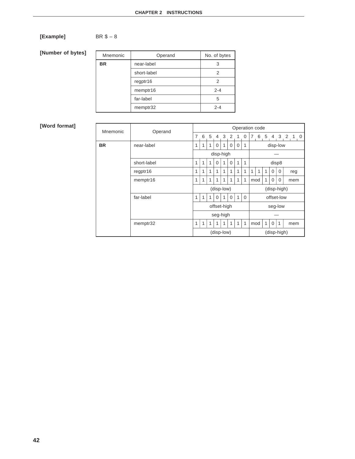## $[Example]$  BR  $$-8$

**[Number of bytes]**

| Mnemonic  | Operand     | No. of bytes |
|-----------|-------------|--------------|
| <b>BR</b> | near-label  | 3            |
|           | short-label | 2            |
|           | regptr16    | 2            |
|           | memptr16    | $2 - 4$      |
|           | far-label   | 5            |
|           | memptr32    | $2 - 4$      |

| Mnemonic  | Operand     |   |   |   |          |             |          |   |              | Operation code<br>6<br>5<br>7<br>3<br>4 |   |   |             |             |                  |
|-----------|-------------|---|---|---|----------|-------------|----------|---|--------------|-----------------------------------------|---|---|-------------|-------------|------------------|
|           |             | 7 | 6 | 5 | 4        | 3           | 2        | 1 | 0            |                                         |   |   |             |             | 2<br>$\mathbf 0$ |
| <b>BR</b> | near-label  | 1 |   |   | $\Omega$ |             | 0        | 0 | 1            |                                         |   |   |             | disp-low    |                  |
|           |             |   |   |   |          | disp-high   |          |   |              |                                         |   |   |             |             |                  |
|           | short-label | 1 | 1 | 1 | $\Omega$ |             | 0        | 1 | $\mathbf{1}$ |                                         |   |   | disp8       |             |                  |
|           | regptr16    | 1 | 1 | 1 | 1        | 1           |          | 1 | $\mathbf{1}$ | 1                                       | 1 | 1 | $\mathbf 0$ | 0           | reg              |
|           | memptr16    | 1 | 1 | 1 | 1        | 1           | 1        | 1 | $\mathbf{1}$ | mod                                     |   | 1 | $\mathbf 0$ | 0           | mem              |
|           |             |   |   |   |          | (disp-low)  |          |   |              |                                         |   |   |             | (disp-high) |                  |
|           | far-label   | 1 |   | 1 | $\Omega$ | 1           | $\Omega$ | 1 | $\Omega$     |                                         |   |   |             | offset-low  |                  |
|           |             |   |   |   |          | offset-high |          |   |              |                                         |   |   |             | seg-low     |                  |
|           |             |   |   |   |          | seg-high    |          |   |              |                                         |   |   |             |             |                  |
|           | memptr32    | 1 |   | 1 |          | 1           |          | 1 | 1            | mod                                     |   | 1 | $\mathbf 0$ | 1           | mem              |
|           |             |   |   |   |          | (disp-low)  |          |   |              |                                         |   |   |             | (disp-high) |                  |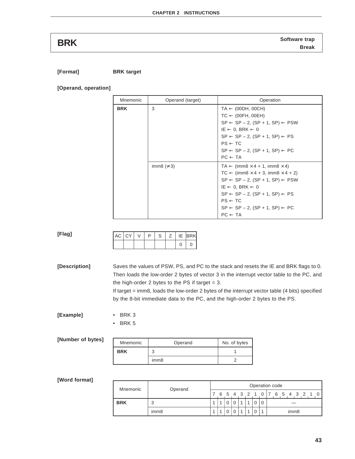**Software trap BRK Break**

**[Format] BRK target**

**[Operand, operation]**

| Mnemonic   | Operand (target) | Operation                                                                                                                                                                                                                                                                                                                                                                      |
|------------|------------------|--------------------------------------------------------------------------------------------------------------------------------------------------------------------------------------------------------------------------------------------------------------------------------------------------------------------------------------------------------------------------------|
| <b>BRK</b> | 3                | $TA \leftarrow (00DH, 00CH)$<br>$TC \leftarrow (00FH, 00EH)$<br>$SP \leftarrow SP - 2$ , $(SP + 1, SP) \leftarrow PSW$<br>$IE \leftarrow 0$ , BRK $\leftarrow 0$<br>$SP \leftarrow SP - 2$ , $(SP + 1, SP) \leftarrow PS$<br>$PS \leftarrow TC$<br>$SP \leftarrow SP - 2$ , $(SP + 1, SP) \leftarrow PC$<br>$PC \leftarrow TA$                                                 |
|            | imm8 ( $\neq$ 3) | $TA \leftarrow (imm8 \times 4 + 1, imm8 \times 4)$<br>$TC \leftarrow (imm8 \times 4 + 3, imm8 \times 4 + 2)$<br>$SP \leftarrow SP - 2$ , $(SP + 1, SP) \leftarrow PSW$<br>$IE \leftarrow 0$ , BRK $\leftarrow 0$<br>$SP \leftarrow SP - 2$ , $(SP + 1, SP) \leftarrow PS$<br>$PS \leftarrow TC$<br>$SP \leftarrow SP - 2$ , $(SP + 1, SP) \leftarrow PC$<br>$PC \leftarrow TA$ |

|  | $AC$ $CY$ $V$ $P$ | S   Z   IE  BRK |  |  |
|--|-------------------|-----------------|--|--|
|  |                   |                 |  |  |

**[Description]** Saves the values of PSW, PS, and PC to the stack and resets the IE and BRK flags to 0. Then loads the low-order 2 bytes of vector 3 in the interrupt vector table to the PC, and the high-order 2 bytes to the PS if target  $= 3$ . If target = imm8, loads the low-order 2 bytes of the interrupt vector table (4 bits) specified

imm8 2

by the 8-bit immediate data to the PC, and the high-order 2 bytes to the PS.

**[Example]** • BRK 3

• BRK 5

| [Number of bytes] | Mnemonic   | Operand | No. of |
|-------------------|------------|---------|--------|
|                   | <b>BRK</b> |         |        |

### **[Word format]**

**[Flag]**

| Mnemonic   | Operand | Operation code |  |  |  |  |  |  |  |                           |  |  |                  |  |  |  |  |
|------------|---------|----------------|--|--|--|--|--|--|--|---------------------------|--|--|------------------|--|--|--|--|
|            |         |                |  |  |  |  |  |  |  | 6 5 4 3 2 1 0 7 6 5 4 3 2 |  |  |                  |  |  |  |  |
| <b>BRK</b> | ◠<br>J  |                |  |  |  |  |  |  |  |                           |  |  |                  |  |  |  |  |
|            | imm8    |                |  |  |  |  |  |  |  |                           |  |  | imm <sub>8</sub> |  |  |  |  |

No. of bytes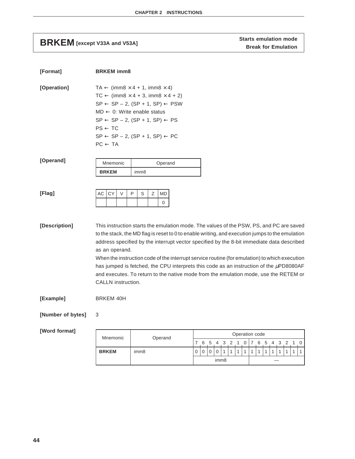## **Starts emulation mode**<br>BRKEM [except V33A and V53A] **BRKEM Break** for Emulation

| [Format]          | <b>BRKEM</b> imm8                                                                   |                                                                                                                                                                                                                                                                                                                                                                                                                                                                                                                                                                            |   |   |          |          |   |              |              |                |   |   |   |  |  |              |
|-------------------|-------------------------------------------------------------------------------------|----------------------------------------------------------------------------------------------------------------------------------------------------------------------------------------------------------------------------------------------------------------------------------------------------------------------------------------------------------------------------------------------------------------------------------------------------------------------------------------------------------------------------------------------------------------------------|---|---|----------|----------|---|--------------|--------------|----------------|---|---|---|--|--|--------------|
| [Operation]       | $MD \leftarrow 0$ : Write enable status<br>$PS \leftarrow TC$<br>$PC \leftarrow TA$ | $TA \leftarrow (imm8 \times 4 + 1, imm8 \times 4)$<br>$TC \leftarrow (imm8 \times 4 + 3, imm8 \times 4 + 2)$<br>$SP \leftarrow SP - 2$ , $(SP + 1, SP) \leftarrow PSW$<br>$SP \leftarrow SP - 2$ , $(SP + 1, SP) \leftarrow PS$<br>$SP \leftarrow SP - 2$ , $(SP + 1, SP) \leftarrow PC$                                                                                                                                                                                                                                                                                   |   |   |          |          |   |              |              |                |   |   |   |  |  |              |
| [Operand]         | Mnemonic                                                                            | Operand                                                                                                                                                                                                                                                                                                                                                                                                                                                                                                                                                                    |   |   |          |          |   |              |              |                |   |   |   |  |  |              |
|                   | <b>BRKEM</b>                                                                        | imm <sub>8</sub>                                                                                                                                                                                                                                                                                                                                                                                                                                                                                                                                                           |   |   |          |          |   |              |              |                |   |   |   |  |  |              |
| [Flag]            | AC<br>CY<br>$\vee$                                                                  | P<br>S<br>Ζ<br>MD<br>0                                                                                                                                                                                                                                                                                                                                                                                                                                                                                                                                                     |   |   |          |          |   |              |              |                |   |   |   |  |  |              |
| [Description]     | as an operand.<br>CALLN instruction.                                                | This instruction starts the emulation mode. The values of the PSW, PS, and PC are saved<br>to the stack, the MD flag is reset to 0 to enable writing, and execution jumps to the emulation<br>address specified by the interrupt vector specified by the 8-bit immediate data described<br>When the instruction code of the interrupt service routine (for emulation) to which execution<br>has jumped is fetched, the CPU interprets this code as an instruction of the µPD8080AF<br>and executes. To return to the native mode from the emulation mode, use the RETEM or |   |   |          |          |   |              |              |                |   |   |   |  |  |              |
| [Example]         | <b>BRKEM 40H</b>                                                                    |                                                                                                                                                                                                                                                                                                                                                                                                                                                                                                                                                                            |   |   |          |          |   |              |              |                |   |   |   |  |  |              |
| [Number of bytes] | 3                                                                                   |                                                                                                                                                                                                                                                                                                                                                                                                                                                                                                                                                                            |   |   |          |          |   |              |              |                |   |   |   |  |  |              |
| [Word format]     | Mnemonic                                                                            | Operand                                                                                                                                                                                                                                                                                                                                                                                                                                                                                                                                                                    |   |   |          |          |   |              |              | Operation code |   |   |   |  |  |              |
|                   |                                                                                     |                                                                                                                                                                                                                                                                                                                                                                                                                                                                                                                                                                            | 7 | 6 | 5        |          |   |              |              | 0              |   | 6 | 5 |  |  |              |
|                   | <b>BRKEM</b>                                                                        | imm8                                                                                                                                                                                                                                                                                                                                                                                                                                                                                                                                                                       | 0 | 0 | $\Omega$ | $\Omega$ | 1 | $\mathbf{1}$ | $\mathbf{1}$ | $\mathbf{1}$   | 1 | 1 |   |  |  | $\mathbf{1}$ |

imm8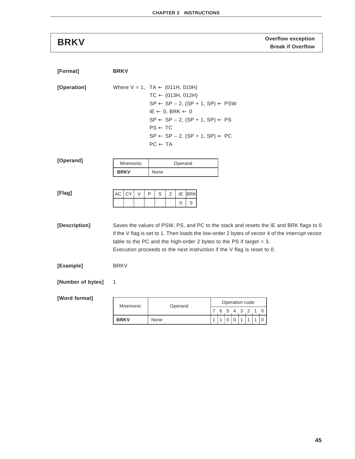**Overflow exception BRKV Break if Overflow**

| [Format]          | <b>BRKV</b>             |                                                                                                                                                                                                                                                                                                                                                |     |   |                     |   |   |   |   |   |  |  |  |  |
|-------------------|-------------------------|------------------------------------------------------------------------------------------------------------------------------------------------------------------------------------------------------------------------------------------------------------------------------------------------------------------------------------------------|-----|---|---------------------|---|---|---|---|---|--|--|--|--|
| [Operation]       |                         | Where $V = 1$ , $TA \leftarrow (011H, 010H)$<br>$TC \leftarrow (013H, 012H)$<br>$SP \leftarrow SP - 2$ , $(SP + 1, SP) \leftarrow PSW$<br>$IE \leftarrow 0$ , BRK $\leftarrow 0$<br>$SP \leftarrow SP - 2$ , $(SP + 1, SP) \leftarrow PS$<br>$PS \leftarrow TC$<br>$SP \leftarrow SP - 2$ , $(SP + 1, SP) \leftarrow PC$<br>$PC \leftarrow TA$ |     |   |                     |   |   |   |   |   |  |  |  |  |
| [Operand]         | Mnemonic<br><b>BRKV</b> | Operand<br>None                                                                                                                                                                                                                                                                                                                                |     |   |                     |   |   |   |   |   |  |  |  |  |
| [Flag]            | CY<br>AC<br>V           | P<br>S<br>Ζ<br>IE<br><b>BRK</b><br>0<br>$\mathbf 0$                                                                                                                                                                                                                                                                                            |     |   |                     |   |   |   |   |   |  |  |  |  |
| [Description]     |                         | Saves the values of PSW, PS, and PC to the stack and resets the IE and BRK flags to 0<br>if the V flag is set to 1. Then loads the low-order 2 bytes of vector 4 of the interrupt vector<br>table to the PC and the high-order 2 bytes to the PS if target $= 3$ .<br>Execution proceeds to the next instruction if the V flag is reset to 0.  |     |   |                     |   |   |   |   |   |  |  |  |  |
| [Example]         | <b>BRKV</b>             |                                                                                                                                                                                                                                                                                                                                                |     |   |                     |   |   |   |   |   |  |  |  |  |
| [Number of bytes] | 1                       |                                                                                                                                                                                                                                                                                                                                                |     |   |                     |   |   |   |   |   |  |  |  |  |
| [Word format]     | Mnemonic                | Operand                                                                                                                                                                                                                                                                                                                                        | 7 6 |   | Operation code<br>5 | 4 | 3 | 2 | 1 | 0 |  |  |  |  |
|                   | <b>BRKV</b>             | None                                                                                                                                                                                                                                                                                                                                           | 1   | 1 | 0                   | 0 | 1 | 1 | 1 | 0 |  |  |  |  |
|                   |                         |                                                                                                                                                                                                                                                                                                                                                |     |   |                     |   |   |   |   |   |  |  |  |  |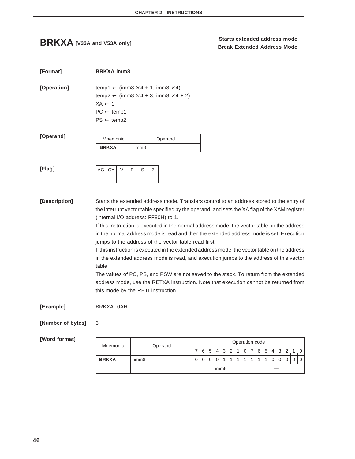## **Starts extended address mode**<br>BRKXA [V33A and V53A only] **Break Extended Address Mode**

 $\lim_{n \to \infty}$   $\lim_{n \to \infty}$   $\lim_{n \to \infty}$ 

| [Format]          | <b>BRKXA imm8</b>                                                                                                                                                                                 |                  |                                                                                                                                                                                                                                                                                                                                                                                                                                                                                                                                                                                                                                                                                                                                                                                                                          |                |                |   |   |   |   |   |                |        |   |   |   |               |
|-------------------|---------------------------------------------------------------------------------------------------------------------------------------------------------------------------------------------------|------------------|--------------------------------------------------------------------------------------------------------------------------------------------------------------------------------------------------------------------------------------------------------------------------------------------------------------------------------------------------------------------------------------------------------------------------------------------------------------------------------------------------------------------------------------------------------------------------------------------------------------------------------------------------------------------------------------------------------------------------------------------------------------------------------------------------------------------------|----------------|----------------|---|---|---|---|---|----------------|--------|---|---|---|---------------|
| [Operation]       | temp1 $\leftarrow$ (imm8 $\times$ 4 + 1, imm8 $\times$ 4)<br>temp2 $\leftarrow$ (imm8 $\times$ 4 + 3, imm8 $\times$ 4 + 2)<br>$XA \leftarrow 1$<br>$PC \leftarrow temp1$<br>$PS \leftarrow temp2$ |                  |                                                                                                                                                                                                                                                                                                                                                                                                                                                                                                                                                                                                                                                                                                                                                                                                                          |                |                |   |   |   |   |   |                |        |   |   |   |               |
| [Operand]         | Mnemonic                                                                                                                                                                                          |                  | Operand                                                                                                                                                                                                                                                                                                                                                                                                                                                                                                                                                                                                                                                                                                                                                                                                                  |                |                |   |   |   |   |   |                |        |   |   |   |               |
|                   | <b>BRKXA</b>                                                                                                                                                                                      | imm <sub>8</sub> |                                                                                                                                                                                                                                                                                                                                                                                                                                                                                                                                                                                                                                                                                                                                                                                                                          |                |                |   |   |   |   |   |                |        |   |   |   |               |
| [Flag]            | CY<br>$\vee$<br>АC                                                                                                                                                                                | P<br>S<br>Ζ      |                                                                                                                                                                                                                                                                                                                                                                                                                                                                                                                                                                                                                                                                                                                                                                                                                          |                |                |   |   |   |   |   |                |        |   |   |   |               |
| [Description]     | (internal I/O address: FF80H) to 1.<br>table.<br>this mode by the RETI instruction.                                                                                                               |                  | Starts the extended address mode. Transfers control to an address stored to the entry of<br>the interrupt vector table specified by the operand, and sets the XA flag of the XAM register<br>If this instruction is executed in the normal address mode, the vector table on the address<br>in the normal address mode is read and then the extended address mode is set. Execution<br>jumps to the address of the vector table read first.<br>If this instruction is executed in the extended address mode, the vector table on the address<br>in the extended address mode is read, and execution jumps to the address of this vector<br>The values of PC, PS, and PSW are not saved to the stack. To return from the extended<br>address mode, use the RETXA instruction. Note that execution cannot be returned from |                |                |   |   |   |   |   |                |        |   |   |   |               |
| [Example]         | BRKXA 0AH                                                                                                                                                                                         |                  |                                                                                                                                                                                                                                                                                                                                                                                                                                                                                                                                                                                                                                                                                                                                                                                                                          |                |                |   |   |   |   |   |                |        |   |   |   |               |
| [Number of bytes] | 3                                                                                                                                                                                                 |                  |                                                                                                                                                                                                                                                                                                                                                                                                                                                                                                                                                                                                                                                                                                                                                                                                                          |                |                |   |   |   |   |   |                |        |   |   |   |               |
| [Word format]     | Mnemonic                                                                                                                                                                                          |                  |                                                                                                                                                                                                                                                                                                                                                                                                                                                                                                                                                                                                                                                                                                                                                                                                                          |                |                |   |   |   |   |   | Operation code |        |   |   |   |               |
|                   |                                                                                                                                                                                                   |                  | Operand                                                                                                                                                                                                                                                                                                                                                                                                                                                                                                                                                                                                                                                                                                                                                                                                                  |                |                |   | 5 | 3 | 2 | 1 | 0<br>7         | 6<br>5 |   | 3 | 2 | 0<br>1        |
|                   | <b>BRKXA</b>                                                                                                                                                                                      | imm <sub>8</sub> |                                                                                                                                                                                                                                                                                                                                                                                                                                                                                                                                                                                                                                                                                                                                                                                                                          | $\overline{0}$ | $\overline{0}$ | 0 | 0 | 1 | 1 | 1 | 1<br>1         | 1<br>1 | 0 | 0 | 0 | 0<br>$\Omega$ |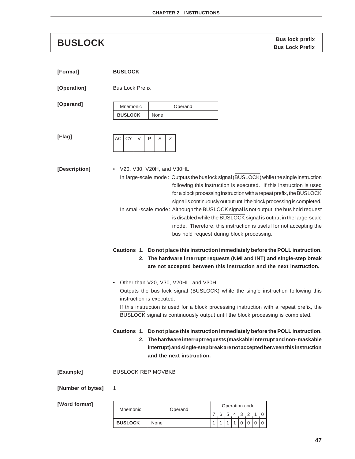**Bus lock prefix BUSLOCK Bus Lock Prefix**

| [Format]          | <b>BUSLOCK</b>                                                                                                                                                                                                                                                                                                                                                                                                                                                                                                                                                                                                                                                                                                                                                                                                                                                        |
|-------------------|-----------------------------------------------------------------------------------------------------------------------------------------------------------------------------------------------------------------------------------------------------------------------------------------------------------------------------------------------------------------------------------------------------------------------------------------------------------------------------------------------------------------------------------------------------------------------------------------------------------------------------------------------------------------------------------------------------------------------------------------------------------------------------------------------------------------------------------------------------------------------|
| [Operation]       | <b>Bus Lock Prefix</b>                                                                                                                                                                                                                                                                                                                                                                                                                                                                                                                                                                                                                                                                                                                                                                                                                                                |
| [Operand]         | Mnemonic<br>Operand<br><b>BUSLOCK</b><br>None                                                                                                                                                                                                                                                                                                                                                                                                                                                                                                                                                                                                                                                                                                                                                                                                                         |
| [Flag]            | CY<br>$\vee$<br>$\mathsf{P}$<br>S<br>AC<br>Ζ                                                                                                                                                                                                                                                                                                                                                                                                                                                                                                                                                                                                                                                                                                                                                                                                                          |
| [Description]     | • V20, V30, V20H, and V30HL<br>In large-scale mode: Outputs the bus lock signal (BUSLOCK) while the single instruction<br>following this instruction is executed. If this instruction is used<br>for a block processing instruction with a repeat prefix, the BUSLOCK<br>signal is continuously output until the block processing is completed.<br>In small-scale mode: Although the BUSLOCK signal is not output, the bus hold request<br>is disabled while the BUSLOCK signal is output in the large-scale<br>mode. Therefore, this instruction is useful for not accepting the<br>bus hold request during block processing.<br>Cautions 1. Do not place this instruction immediately before the POLL instruction.<br>2. The hardware interrupt requests (NMI and INT) and single-step break<br>are not accepted between this instruction and the next instruction. |
|                   | Other than V20, V30, V20HL, and V30HL<br>Outputs the bus lock signal (BUSLOCK) while the single instruction following this<br>instruction is executed.<br>If this instruction is used for a block processing instruction with a repeat prefix, the<br>BUSLOCK signal is continuously output until the block processing is completed.                                                                                                                                                                                                                                                                                                                                                                                                                                                                                                                                  |
|                   | Cautions 1. Do not place this instruction immediately before the POLL instruction.<br>The hardware interrupt requests (maskable interrupt and non-maskable<br>2.<br>interrupt) and single-step break are not accepted between this instruction<br>and the next instruction.                                                                                                                                                                                                                                                                                                                                                                                                                                                                                                                                                                                           |
| [Example]         | <b>BUSLOCK REP MOVBKB</b>                                                                                                                                                                                                                                                                                                                                                                                                                                                                                                                                                                                                                                                                                                                                                                                                                                             |
| [Number of bytes] | 1                                                                                                                                                                                                                                                                                                                                                                                                                                                                                                                                                                                                                                                                                                                                                                                                                                                                     |

| Mnemonic       | Operand | Operation code |   |               |  |       |  |  |  |  |  |  |  |  |
|----------------|---------|----------------|---|---------------|--|-------|--|--|--|--|--|--|--|--|
|                |         |                | 6 | $\mathcal{D}$ |  | 4 3 2 |  |  |  |  |  |  |  |  |
| <b>BUSLOCK</b> | None    |                |   |               |  |       |  |  |  |  |  |  |  |  |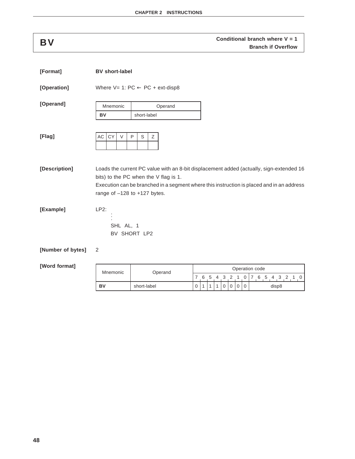## **Conditional branch where V = 1**<br>**BV Branch if Overflow**

| [Format]          | <b>BV</b> short-label                                                     |                        |                                                                                               |   |   |     |    |    |                |                |   |                                                                                                                                                                                      |
|-------------------|---------------------------------------------------------------------------|------------------------|-----------------------------------------------------------------------------------------------|---|---|-----|----|----|----------------|----------------|---|--------------------------------------------------------------------------------------------------------------------------------------------------------------------------------------|
| [Operation]       | Where $V = 1$ : PC $\leftarrow$ PC + ext-disp8                            |                        |                                                                                               |   |   |     |    |    |                |                |   |                                                                                                                                                                                      |
| [Operand]         | Mnemonic                                                                  |                        | Operand                                                                                       |   |   |     |    |    |                |                |   |                                                                                                                                                                                      |
|                   | <b>BV</b>                                                                 | short-label            |                                                                                               |   |   |     |    |    |                |                |   |                                                                                                                                                                                      |
| [Flag]            | CY<br>AC<br>$\vee$                                                        | $\mathsf{P}$<br>S<br>Ζ |                                                                                               |   |   |     |    |    |                |                |   |                                                                                                                                                                                      |
| [Description]     | bits) to the PC when the V flag is 1.<br>range of $-128$ to $+127$ bytes. |                        |                                                                                               |   |   |     |    |    |                |                |   | Loads the current PC value with an 8-bit displacement added (actually, sign-extended 16<br>Execution can be branched in a segment where this instruction is placed and in an address |
| [Example]         | $LP2$ :<br>SHL AL, 1                                                      | BV SHORT LP2           |                                                                                               |   |   |     |    |    |                |                |   |                                                                                                                                                                                      |
| [Number of bytes] | 2                                                                         |                        |                                                                                               |   |   |     |    |    |                |                |   |                                                                                                                                                                                      |
| [Word format]     | Mnemonic                                                                  |                        | Operand                                                                                       |   |   |     |    |    |                |                |   | Operation code                                                                                                                                                                       |
|                   |                                                                           |                        |                                                                                               | 7 | 6 | - 5 | -4 | -3 | $\overline{2}$ | $\overline{1}$ | 0 | 7 6 5 4 3 2 1 0                                                                                                                                                                      |
|                   | BV                                                                        | short-label            | $\boldsymbol{0}$<br>0<br>$\pmb{0}$<br>$\boldsymbol{0}$<br>$\mathbf 0$<br>disp8<br>1<br>1<br>1 |   |   |     |    |    |                |                |   |                                                                                                                                                                                      |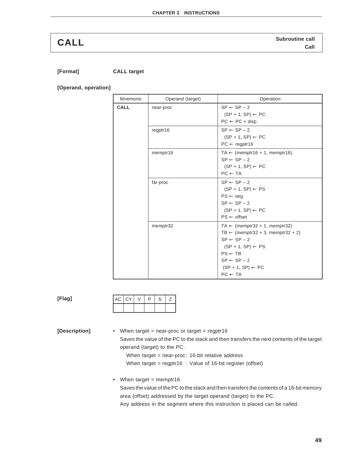**[Format] CALL target**

**[Operand, operation]**

| Mnemonic | Operand (target) | Operation                                                                                                                                                                                                                                                |
|----------|------------------|----------------------------------------------------------------------------------------------------------------------------------------------------------------------------------------------------------------------------------------------------------|
| CALL     | near-proc        | $SP \leftarrow SP - 2$<br>$(SP + 1, SP) \leftarrow PC$<br>$PC \leftarrow PC + disp$                                                                                                                                                                      |
|          | regptr16         | $SP \leftarrow SP - 2$<br>$(SP + 1, SP) \leftarrow PC$<br>$PC \leftarrow \text{regptr16}$                                                                                                                                                                |
|          | memptr16         | $TA \leftarrow$ (memptr16 + 1, memptr16)<br>$SP \leftarrow SP - 2$<br>$(SP + 1, SP) \leftarrow PC$<br>$PC \leftarrow TA$                                                                                                                                 |
|          | far-proc         | $SP \leftarrow SP - 2$<br>$(SP + 1, SP) \leftarrow PS$<br>$PS \leftarrow seg$<br>$SP \leftarrow SP - 2$<br>$(SP + 1, SP) \leftarrow PC$<br>$PS \leftarrow$ offset                                                                                        |
|          | memptr32         | $TA \leftarrow$ (memptr32 + 1, memptr32)<br>TB $\leftarrow$ (memptr32 + 3, memptr32 + 2)<br>$SP \leftarrow SP - 2$<br>$(SP + 1, SP) \leftarrow PS$<br>$PS \leftarrow TB$<br>$SP \leftarrow SP - 2$<br>$(SP + 1, SP) \leftarrow PC$<br>$PC \leftarrow TA$ |

| ×<br>. .<br>$\sim$ |
|--------------------|
|--------------------|

| AC   CY | ٠ | D | S | $\epsilon$ |
|---------|---|---|---|------------|
|         |   |   |   |            |

**[Description]** • When target = near-proc or target = regptr16 Saves the value of the PC to the stack and then transfers the next contents of the target operand (target) to the PC.

> When target = near-proc: 16-bit relative address When target = regptr16 : Value of 16-bit register (offset)

• When target  $=$  memptr16 Saves the value of the PC to the stack and then transfers the contents of a 16-bit memory area (offset) addressed by the target operand (target) to the PC. Any address in the segment where this instruction is placed can be called.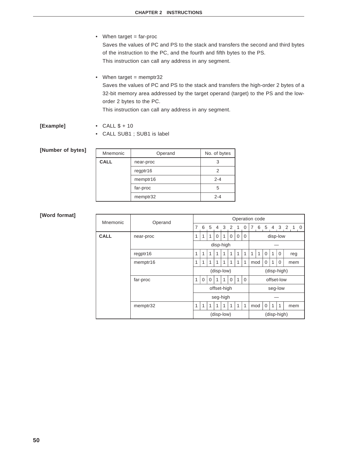- When target = far-proc Saves the values of PC and PS to the stack and transfers the second and third bytes of the instruction to the PC, and the fourth and fifth bytes to the PS. This instruction can call any address in any segment.
	- When target  $=$  memptr32 Saves the values of PC and PS to the stack and transfers the high-order 2 bytes of a 32-bit memory area addressed by the target operand (target) to the PS and the loworder 2 bytes to the PC.

This instruction can call any address in any segment.

- **[Example]** CALL \$ + 10
	- CALL SUB1 ; SUB1 is label

### **[Number of bytes]**

| Mnemonic    | Operand   | No. of bytes |
|-------------|-----------|--------------|
| <b>CALL</b> | near-proc |              |
|             | regptr16  |              |
|             | memptr16  | $2 - 4$      |
|             | far-proc  |              |
|             | memptr32  | $2 - 4$      |

| Mnemonic    | Operand   |             | Operation code |          |          |            |          |              |              |     |   |             |              |             |                              |
|-------------|-----------|-------------|----------------|----------|----------|------------|----------|--------------|--------------|-----|---|-------------|--------------|-------------|------------------------------|
|             |           | 7           | 6              | 5        | 4        | 3          | 2        | 1            | 0            | 7   | 6 | 5           | 4            | 3           | $\overline{2}$<br>$1\quad 0$ |
| <b>CALL</b> | near-proc | 1           | 1              | 1        | $\Omega$ | 1          | $\Omega$ | $\mathbf 0$  | $\Omega$     |     |   |             | disp-low     |             |                              |
|             |           |             |                |          |          | disp-high  |          |              |              |     |   |             |              |             |                              |
|             | regptr16  | 1           | 1              | 1        | 1        | 1          | 1        | $\mathbf{1}$ | $\mathbf{1}$ | 1   | 1 | $\Omega$    | 1            | $\mathbf 0$ | reg                          |
|             | memptr16  | 1           | 1              | 1        | 1        | 1          | 1        | 1            | 1            | mod |   | $\mathbf 0$ | $\mathbf{1}$ | 0           | mem                          |
|             |           |             |                |          |          | (disp-low) |          |              |              |     |   |             | (disp-high)  |             |                              |
|             | far-proc  | 1           | $\Omega$       | $\Omega$ | 1        | 1          | $\Omega$ | $\mathbf{1}$ | $\Omega$     |     |   |             | offset-low   |             |                              |
|             |           | offset-high |                |          |          |            | seg-low  |              |              |     |   |             |              |             |                              |
|             |           |             |                |          |          | seg-high   |          |              |              |     |   |             |              |             |                              |
|             | memptr32  | 1           | 1              | 1        | 1        | 1          | 1        | $\mathbf{1}$ | 1            | mod |   | $\Omega$    | $\mathbf{1}$ | 1           | mem                          |
|             |           |             |                |          |          | (disp-low) |          |              |              |     |   |             | (disp-high)  |             |                              |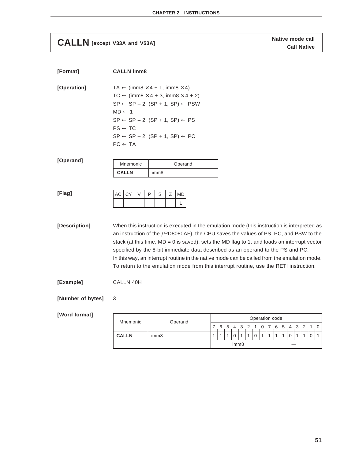## **CALLN** [except V33A and V53A] **CALLN** [except V33A and V53A]

| [Format]          | <b>CALLN imm8</b>                                             |                                                                                                                                                                                                                                                                                                                                                                                                                                                                                                                                                                       |                                                                                  |                                  |
|-------------------|---------------------------------------------------------------|-----------------------------------------------------------------------------------------------------------------------------------------------------------------------------------------------------------------------------------------------------------------------------------------------------------------------------------------------------------------------------------------------------------------------------------------------------------------------------------------------------------------------------------------------------------------------|----------------------------------------------------------------------------------|----------------------------------|
| [Operation]       | $MD \leftarrow 1$<br>$PS \leftarrow TC$<br>$PC \leftarrow TA$ | $TA \leftarrow (imm8 \times 4 + 1, imm8 \times 4)$<br>$TC \leftarrow (imm8 \times 4 + 3, imm8 \times 4 + 2)$<br>$SP \leftarrow SP - 2$ , $(SP + 1, SP) \leftarrow PSW$<br>$SP \leftarrow SP - 2$ , $(SP + 1, SP) \leftarrow PS$<br>$SP \leftarrow SP - 2$ , $(SP + 1, SP) \leftarrow PC$                                                                                                                                                                                                                                                                              |                                                                                  |                                  |
| [Operand]         | Mnemonic                                                      | Operand                                                                                                                                                                                                                                                                                                                                                                                                                                                                                                                                                               |                                                                                  |                                  |
|                   | <b>CALLN</b>                                                  | imm <sub>8</sub>                                                                                                                                                                                                                                                                                                                                                                                                                                                                                                                                                      |                                                                                  |                                  |
| [Flag]            | CY<br>$\vee$<br>АC                                            | P<br>S<br>Ζ<br><b>MD</b><br>1                                                                                                                                                                                                                                                                                                                                                                                                                                                                                                                                         |                                                                                  |                                  |
| [Description]     |                                                               | When this instruction is executed in the emulation mode (this instruction is interpreted as<br>an instruction of the $\mu$ PD8080AF), the CPU saves the values of PS, PC, and PSW to the<br>stack (at this time, $MD = 0$ is saved), sets the MD flag to 1, and loads an interrupt vector<br>specified by the 8-bit immediate data described as an operand to the PS and PC.<br>In this way, an interrupt routine in the native mode can be called from the emulation mode.<br>To return to the emulation mode from this interrupt routine, use the RETI instruction. |                                                                                  |                                  |
| [Example]         | CALLN 40H                                                     |                                                                                                                                                                                                                                                                                                                                                                                                                                                                                                                                                                       |                                                                                  |                                  |
| [Number of bytes] | 3                                                             |                                                                                                                                                                                                                                                                                                                                                                                                                                                                                                                                                                       |                                                                                  |                                  |
| [Word format]     |                                                               |                                                                                                                                                                                                                                                                                                                                                                                                                                                                                                                                                                       | Operation code                                                                   |                                  |
|                   | Mnemonic                                                      | Operand                                                                                                                                                                                                                                                                                                                                                                                                                                                                                                                                                               | 7<br>6<br>5<br>4<br>3<br>2<br>1<br>0<br>7                                        | 6<br>3<br>2<br>1<br>0<br>5<br>4  |
|                   | <b>CALLN</b>                                                  | imm8                                                                                                                                                                                                                                                                                                                                                                                                                                                                                                                                                                  | 0<br>1<br>1<br>$\Omega$<br>$\mathbf{1}$<br>$\mathbf{1}$<br>1<br>imm <sub>8</sub> | $\mathbf{1}$<br>1<br>0<br>0<br>1 |
|                   |                                                               |                                                                                                                                                                                                                                                                                                                                                                                                                                                                                                                                                                       |                                                                                  |                                  |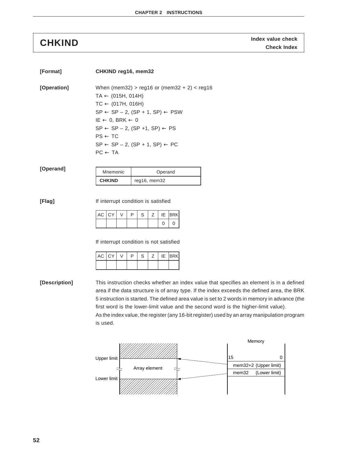**Index value check CHKIND Check Index**

| [Format]      | CHKIND reg16, mem32                                                                                                                                |                                                                                                                                                                                                                         |                                                                                                                                                                                                                                                                                                                                                                                |
|---------------|----------------------------------------------------------------------------------------------------------------------------------------------------|-------------------------------------------------------------------------------------------------------------------------------------------------------------------------------------------------------------------------|--------------------------------------------------------------------------------------------------------------------------------------------------------------------------------------------------------------------------------------------------------------------------------------------------------------------------------------------------------------------------------|
| [Operation]   | $TA \leftarrow (015H, 014H)$<br>$TC \leftarrow (017H, 016H)$<br>$IE \leftarrow 0$ , BRK $\leftarrow 0$<br>$PS \leftarrow TC$<br>$PC \leftarrow TA$ | When (mem32) > reg16 or (mem32 + 2) < reg16<br>$SP \leftarrow SP - 2$ , $(SP + 1, SP) \leftarrow PSW$<br>$SP \leftarrow SP - 2$ , $(SP + 1, SP) \leftarrow PS$<br>$SP \leftarrow SP - 2$ , $(SP + 1, SP) \leftarrow PC$ |                                                                                                                                                                                                                                                                                                                                                                                |
| [Operand]     | Mnemonic<br><b>CHKIND</b>                                                                                                                          | Operand<br>reg16, mem32                                                                                                                                                                                                 |                                                                                                                                                                                                                                                                                                                                                                                |
| [Flag]        | AC<br>CY<br>V<br>P<br>AC<br>CY<br>P<br>V                                                                                                           | If interrupt condition is satisfied<br>S<br>Ζ<br><b>BRK</b><br>IE<br>0<br>$\mathbf 0$<br>If interrupt condition is not satisfied<br>Ζ<br><b>BRK</b><br>S<br>IE                                                          |                                                                                                                                                                                                                                                                                                                                                                                |
| [Description] |                                                                                                                                                    |                                                                                                                                                                                                                         | This instruction checks whether an index value that specifies an element is in a defined<br>area if the data structure is of array type. If the index exceeds the defined area, the BRK<br>5 instruction is started. The defined area value is set to 2 words in memory in advance (the<br>first word is the lower-limit value and the second word is the higher-limit value). |

higher-limit value). As the index value, the register (any 16-bit register) used by an array manipulation program is used.

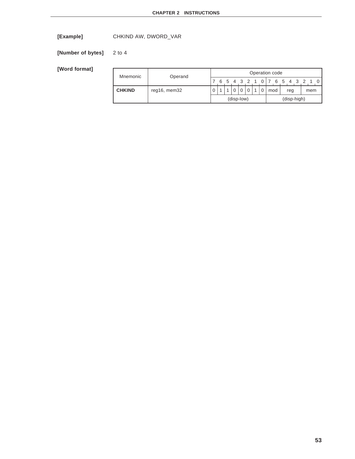**[Example]** CHKIND AW, DWORD\_VAR

**[Number of bytes]** 2 to 4

| Mnemonic      | Operand      |   |   |            |  | Operation code |     |                           |  |     |  |
|---------------|--------------|---|---|------------|--|----------------|-----|---------------------------|--|-----|--|
|               |              |   | 6 |            |  |                |     | 5 4 3 2 1 0 1 7 6 5 4 3 2 |  |     |  |
| <b>CHKIND</b> | reg16, mem32 | 0 |   |            |  |                | mod | reg                       |  | mem |  |
|               |              |   |   | (disp-low) |  |                |     | (disp-high)               |  |     |  |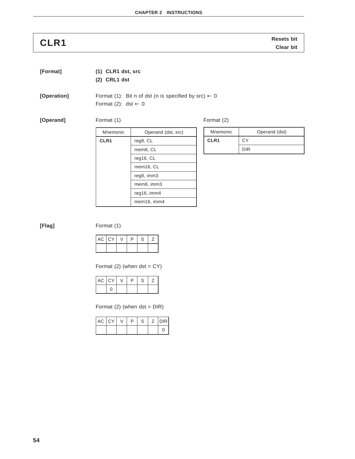**CLR1 CLR1 CLR1** 

| [Format] |                | $(1)$ CLR1 dst, src |
|----------|----------------|---------------------|
|          | $(2)$ CRL1 dst |                     |

**[Operation]** Format (1): Bit n of dst (n is specified by  $src$ )  $\leftarrow$  0 Format (2): dst  $\leftarrow$  0

**[Operand]** Format (1)

Mnemonic | Operand (dst, src) **CLR1** reg8, CL mem8, CL reg16, CL mem16, CL reg8, imm3 mem8, imm3 reg16, imm4 mem16, imm4

| Format (2) |  |
|------------|--|
|            |  |

| Mnemonic         | Operand (dst) |
|------------------|---------------|
| CLR <sub>1</sub> | C.Y           |
|                  | <b>DIR</b>    |

**[Flag]** Format (1)

| AC   CY | ⋻ | S |  |
|---------|---|---|--|
|         |   |   |  |

Format  $(2)$  (when dst = CY)

| AC CY |  | ∍ | C |  |
|-------|--|---|---|--|
|       |  |   |   |  |

Format  $(2)$  (when dst = DIR)

| AC CY |  | ח | c<br>5 | <b>IDIRI</b> |
|-------|--|---|--------|--------------|
|       |  |   |        |              |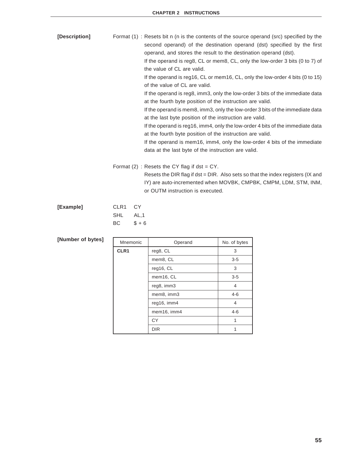| [Description] | Format (1) : Resets bit n (n is the contents of the source operand (src) specified by the<br>second operand) of the destination operand (dst) specified by the first<br>operand, and stores the result to the destination operand (dst).<br>If the operand is reg8, CL or mem8, CL, only the low-order 3 bits (0 to 7) of<br>the value of CL are valid.<br>If the operand is reg16, CL or mem16, CL, only the low-order 4 bits (0 to 15)<br>of the value of CL are valid.<br>If the operand is reg8, imm3, only the low-order 3 bits of the immediate data |
|---------------|------------------------------------------------------------------------------------------------------------------------------------------------------------------------------------------------------------------------------------------------------------------------------------------------------------------------------------------------------------------------------------------------------------------------------------------------------------------------------------------------------------------------------------------------------------|
|               | at the fourth byte position of the instruction are valid.<br>If the operand is mem8, imm3, only the low-order 3 bits of the immediate data<br>at the last byte position of the instruction are valid.<br>If the operand is reg16, imm4, only the low-order 4 bits of the immediate data<br>at the fourth byte position of the instruction are valid.<br>If the operand is mem16, imm4, only the low-order 4 bits of the immediate<br>data at the last byte of the instruction are valid.                                                                   |
|               | Format $(2)$ : Resets the CY flag if dst = CY.<br>Resets the DIR flag if dst = DIR. Also sets so that the index registers (IX and<br>IY) are auto-incremented when MOVBK, CMPBK, CMPM, LDM, STM, INM,<br>or OUTM instruction is executed.                                                                                                                                                                                                                                                                                                                  |
| [Example]     | CLR <sub>1</sub><br><b>CY</b>                                                                                                                                                                                                                                                                                                                                                                                                                                                                                                                              |

| <b>ICXample</b> | ULKI UI  |       |
|-----------------|----------|-------|
|                 | SHL AL,1 |       |
|                 | BC.      | $$+6$ |

| Mnemonic | Operand     | No. of bytes |
|----------|-------------|--------------|
| CLR1     | reg8, CL    | 3            |
|          | mem8, CL    | $3-5$        |
|          | req16, CL   | 3            |
|          | mem16, CL   | $3-5$        |
|          | reg8, imm3  | 4            |
|          | mem8, imm3  | $4 - 6$      |
|          | reg16, imm4 | 4            |
|          | mem16, imm4 | $4 - 6$      |
|          | CY          |              |
|          | <b>DIR</b>  |              |

### [Number of bytes]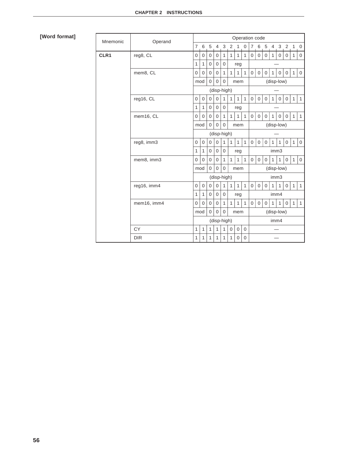| Mnemonic | Operand     | Operation code |                |                |                |                |              |                |              |                |                |              |                |              |                |                |              |  |  |  |  |
|----------|-------------|----------------|----------------|----------------|----------------|----------------|--------------|----------------|--------------|----------------|----------------|--------------|----------------|--------------|----------------|----------------|--------------|--|--|--|--|
|          |             | $\overline{7}$ | 6              | 5              | $\overline{4}$ | 3              | 2            | $\mathbf{1}$   | $\mathbf 0$  | $7^{\circ}$    | 6              | 5            | $\overline{4}$ | 3            | $\overline{2}$ | $\overline{1}$ | $\mathbf 0$  |  |  |  |  |
| CLR1     | reg8, CL    | $\overline{0}$ | $\mathbf 0$    | $\mathbf 0$    | $\mathbf 0$    | $\mathbf{1}$   | $\mathbf{1}$ | $\mathbf{1}$   | $\mathbf{1}$ | $\mathbf 0$    | $\mathbf{0}$   | $\mathbf 0$  | $\mathbf{1}$   | $\mathbf 0$  | $\mathbf{0}$   | $\mathbf{1}$   | $\mathbf 0$  |  |  |  |  |
|          |             | 1              | $\mathbf{1}$   | $\overline{0}$ | $\overline{0}$ | $\overline{0}$ |              | reg            |              |                |                |              |                |              |                |                |              |  |  |  |  |
|          | mem8, CL    | $\Omega$       | $\overline{0}$ | $\mathbf 0$    | $\Omega$       | $\mathbf{1}$   | $\mathbf{1}$ | $\mathbf{1}$   | $\mathbf{1}$ | $\mathbf 0$    | $\mathbf{0}$   | $\mathbf 0$  | 1              | $\mathbf 0$  | $\mathbf{0}$   | $\mathbf{1}$   | $\mathbf 0$  |  |  |  |  |
|          |             | mod            |                | $\Omega$       | $\Omega$       | $\mathbf 0$    |              | mem            |              |                |                |              | (disp-low)     |              |                |                |              |  |  |  |  |
|          |             |                |                |                |                | (disp-high)    |              |                |              |                |                |              |                |              |                |                |              |  |  |  |  |
|          | reg16, CL   | $\overline{0}$ | $\overline{0}$ | $\overline{0}$ | 0              | 1              | $\mathbf{1}$ | $\mathbf{1}$   | $\mathbf{1}$ | $\mathbf 0$    | $\mathbf 0$    | $\mathbf 0$  | $\mathbf{1}$   | $\mathbf 0$  | $\mathbf 0$    | $\mathbf{1}$   | $\mathbf{1}$ |  |  |  |  |
|          |             | 1              | 1              | $\overline{0}$ | $\mathbf 0$    | $\mathbf 0$    |              | reg            |              |                |                |              |                |              |                |                |              |  |  |  |  |
|          | mem16, CL   | $\overline{0}$ | $\overline{0}$ | $\overline{0}$ | $\overline{0}$ | $\mathbf{1}$   | $\mathbf{1}$ | $\mathbf{1}$   | $\mathbf{1}$ | $\mathbf 0$    | $\mathbf 0$    | $\mathbf{0}$ | $\mathbf{1}$   | $\mathbf 0$  | $\mathbf{0}$   | $\mathbf{1}$   | $\mathbf{1}$ |  |  |  |  |
|          |             | mod            |                | $\Omega$       | $\overline{0}$ | $\overline{0}$ |              | mem            |              |                | (disp-low)     |              |                |              |                |                |              |  |  |  |  |
|          |             | (disp-high)    |                |                |                |                |              |                |              |                |                |              |                |              |                |                |              |  |  |  |  |
|          | reg8, imm3  | $\Omega$       | $\mathbf 0$    | $\mathbf 0$    | $\overline{0}$ | $\mathbf{1}$   | $\mathbf{1}$ | $\mathbf{1}$   | $\mathbf{1}$ | $\overline{0}$ | $\overline{0}$ | $\mathbf 0$  | $\mathbf{1}$   | 1            | $\mathbf{0}$   | $\mathbf{1}$   | $\mathbf 0$  |  |  |  |  |
|          |             | 1              | $\mathbf{1}$   | $\Omega$       | $\Omega$       | $\Omega$       |              | reg            |              | imm3           |                |              |                |              |                |                |              |  |  |  |  |
|          | mem8, imm3  | $\Omega$       | $\Omega$       | $\Omega$       | $\Omega$       | $\mathbf{1}$   | $\mathbf{1}$ | $\mathbf{1}$   | $\mathbf{1}$ | $\Omega$       | $\mathbf{0}$   | $\mathbf{0}$ | $\mathbf{1}$   | 1            | $\mathbf{0}$   | $\mathbf{1}$   | $\mathbf 0$  |  |  |  |  |
|          |             | mod            |                | $\Omega$       | $\Omega$       | $\overline{0}$ |              | mem            |              | (disp-low)     |                |              |                |              |                |                |              |  |  |  |  |
|          |             | (disp-high)    |                |                |                |                |              |                |              |                |                |              | imm3           |              |                |                |              |  |  |  |  |
|          | reg16, imm4 | $\Omega$       | $\mathbf 0$    | $\mathbf 0$    | $\Omega$       | $\mathbf{1}$   | $\mathbf{1}$ | $\mathbf{1}$   | $\mathbf{1}$ | $\mathbf 0$    | $\mathbf 0$    | $\mathbf 0$  | $\mathbf{1}$   | $\mathbf{1}$ | $\Omega$       | $\mathbf{1}$   | $\mathbf{1}$ |  |  |  |  |
|          |             | 1              | 1              | $\mathbf 0$    | $\mathbf 0$    | $\Omega$       |              | reg            |              |                |                |              | imm4           |              |                |                |              |  |  |  |  |
|          | mem16, imm4 | $\mathbf 0$    | $\overline{0}$ | $\overline{0}$ | $\overline{0}$ | $\mathbf{1}$   | $\mathbf{1}$ | $\mathbf{1}$   | $\mathbf{1}$ | $\overline{0}$ | $\mathbf 0$    | $\mathbf 0$  | $\mathbf{1}$   | $\mathbf{1}$ | $\mathbf 0$    | $\mathbf{1}$   | $\mathbf{1}$ |  |  |  |  |
|          |             | mod            |                | $\overline{0}$ | $\overline{0}$ | $\overline{0}$ |              | mem            |              |                |                |              | (disp-low)     |              |                |                |              |  |  |  |  |
|          |             | (disp-high)    |                |                |                |                |              |                | imm4         |                |                |              |                |              |                |                |              |  |  |  |  |
|          | <b>CY</b>   | 1              | 1              | 1              | $\mathbf{1}$   | 1              | 0            | $\mathbf 0$    | $\mathbf 0$  |                |                |              |                |              |                |                |              |  |  |  |  |
|          | <b>DIR</b>  | 1              | 1              | $\mathbf{1}$   | $\mathbf{1}$   | 1              | $\mathbf{1}$ | $\overline{0}$ | $\mathbf 0$  |                |                |              |                |              |                |                |              |  |  |  |  |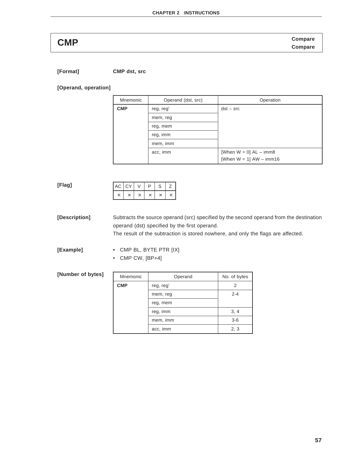**Compare CMP Compare**

**[Format] CMP dst, src**

**[Operand, operation]**

| Mnemonic   | Operand (dst, src) | Operation                   |
|------------|--------------------|-----------------------------|
| <b>CMP</b> | reg, reg'          | $dst - src$                 |
|            | mem, reg           |                             |
|            | reg, mem           |                             |
|            | reg, imm           |                             |
|            | mem, imm           |                             |
|            | acc, imm           | [When $W = 0$ ] $AL - imm8$ |
|            |                    | [When $W = 1$ ] AW - imm16  |

### **[Flag]**  $AC$   $CY$   $V$   $P$   $S$   $Z$ × | × | × | × | × | ×

**[Description]** Subtracts the source operand (src) specified by the second operand from the destination operand (dst) specified by the first operand. The result of the subtraction is stored nowhere, and only the flags are affected.

**[Example]** • CMP BL, BYTE PTR [IX]

• CMP CW, [BP+4]

### **[Number of bytes]**

| Mnemonic   | Operand   | No. of bytes |
|------------|-----------|--------------|
| <b>CMP</b> | reg, reg' | 2            |
|            | mem, reg  | $2 - 4$      |
|            | reg, mem  |              |
|            | reg, imm  | 3, 4         |
|            | mem, imm  | $3 - 6$      |
|            | acc, imm  | 2, 3         |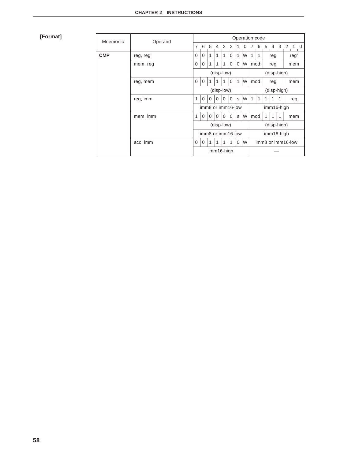## **[Format]**

| Mnemonic   | Operand           | Operation code |             |          |                |              |                   |             |    |             |   |                   |                |   |            |  |  |  |
|------------|-------------------|----------------|-------------|----------|----------------|--------------|-------------------|-------------|----|-------------|---|-------------------|----------------|---|------------|--|--|--|
|            |                   | 7              | 6           | 5        | $\overline{4}$ | $\mathbf{3}$ | 2                 | 1           | 0  | 7           | 6 | 5                 | $\overline{4}$ |   | 3 2 1 0    |  |  |  |
| <b>CMP</b> | reg, reg'         | $\mathbf 0$    | 0           | 1        | 1              | 1            | 0                 | 1           | W  | 1           | 1 |                   | reg            |   | reg'       |  |  |  |
|            | mem, reg          | $\mathbf 0$    | 0           | 1        | 1              | 1            | $\Omega$          | $\Omega$    | W  | mod         |   |                   | reg            |   | mem        |  |  |  |
|            |                   |                |             |          |                | (disp-low)   |                   |             |    |             |   |                   | (disp-high)    |   |            |  |  |  |
|            | reg, mem          | $\mathbf 0$    | $\mathbf 0$ | 1        | 1              |              | 0                 | 1           | W  | mod         |   |                   | reg            |   | mem        |  |  |  |
|            |                   | (disp-low)     |             |          |                |              |                   |             |    | (disp-high) |   |                   |                |   |            |  |  |  |
|            | reg, imm          | 1              | $\Omega$    | $\Omega$ | $\Omega$       | $\Omega$     | $\Omega$          | S           | lw | 1           | 1 | 1                 | 1              | 1 | reg        |  |  |  |
|            |                   |                |             |          |                |              | imm8 or imm16-low |             |    |             |   |                   |                |   | imm16-high |  |  |  |
|            | mem, imm          | 1              | 0           | 0        | 0              | $\Omega$     | $\Omega$          | S           | W  | mod         |   | 1                 | 1              | 1 | mem        |  |  |  |
|            |                   |                |             |          |                | (disp-low)   |                   |             |    |             |   |                   | (disp-high)    |   |            |  |  |  |
|            | imm8 or imm16-low |                |             |          |                |              |                   |             |    |             |   | imm16-high        |                |   |            |  |  |  |
|            | acc, imm          | $\mathbf 0$    | $\mathbf 0$ | 1        | 1              | 1            | 1                 | $\mathbf 0$ | W  |             |   | imm8 or imm16-low |                |   |            |  |  |  |
|            |                   |                |             |          |                | imm16-high   |                   |             |    |             |   |                   |                |   |            |  |  |  |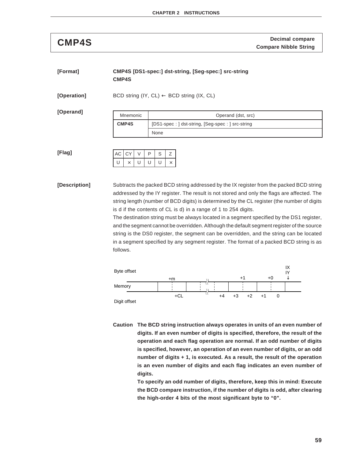**Decimal compare CMP4S Compare Nibble String**

| [Format] | CMP4S [DS1-spec:] dst-string, [Seg-spec:] src-string |
|----------|------------------------------------------------------|
|          | <b>CMP4S</b>                                         |

**[Operation]** BCD string (IY, CL) ← BCD string (IX, CL)

**[Operand]**

| Mnemonic     | Operand (dst, src)                               |
|--------------|--------------------------------------------------|
| <b>CMP4S</b> | [DS1-spec: ] dst-string, [Seg-spec: ] src-string |
|              | None                                             |

**[Flag]**

|              | $AC$ $CY$ |   | D | S. |  |
|--------------|-----------|---|---|----|--|
| $\mathsf{U}$ |           | U | U | U  |  |

**[Description]** Subtracts the packed BCD string addressed by the IX register from the packed BCD string addressed by the IY register. The result is not stored and only the flags are affected. The string length (number of BCD digits) is determined by the CL register (the number of digits is d if the contents of CL is d) in a range of 1 to 254 digits.

> The destination string must be always located in a segment specified by the DS1 register, and the segment cannot be overridden. Although the default segment register of the source string is the DS0 register, the segment can be overridden, and the string can be located in a segment specified by any segment register. The format of a packed BCD string is as follows.



**Caution The BCD string instruction always operates in units of an even number of digits. If an even number of digits is specified, therefore, the result of the operation and each flag operation are normal. If an odd number of digits is specified, however, an operation of an even number of digits, or an odd number of digits + 1, is executed. As a result, the result of the operation is an even number of digits and each flag indicates an even number of digits.**

> **To specify an odd number of digits, therefore, keep this in mind: Execute the BCD compare instruction, if the number of digits is odd, after clearing the high-order 4 bits of the most significant byte to "0".**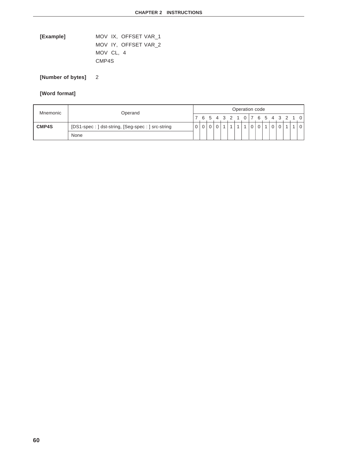**[Example]** MOV IX, OFFSET VAR\_1 MOV IY, OFFSET VAR\_2 MOV CL, 4 CMP4S

**[Number of bytes]** 2

| Mnemonic     | Operand                                        |  | Operation code                  |  |  |  |  |  |  |          |                |  |          |   |  |  |  |
|--------------|------------------------------------------------|--|---------------------------------|--|--|--|--|--|--|----------|----------------|--|----------|---|--|--|--|
|              |                                                |  | 7 6 5 4 3 2 1 0 7 6 5 4 3 2 1 0 |  |  |  |  |  |  |          |                |  |          |   |  |  |  |
| <b>CMP4S</b> | [DS1-spec:] dst-string, [Seg-spec:] src-string |  |                                 |  |  |  |  |  |  | $\Omega$ | $\overline{0}$ |  | $\Omega$ | 0 |  |  |  |
|              | None                                           |  |                                 |  |  |  |  |  |  |          |                |  |          |   |  |  |  |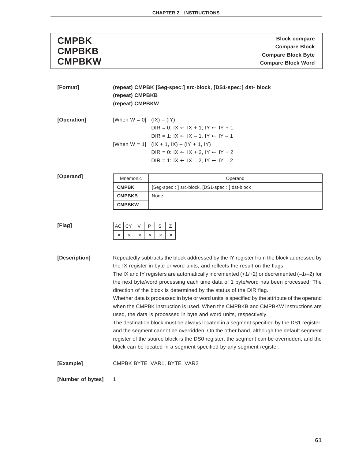| <b>CMPBK</b>  | <b>Block compare</b>      |
|---------------|---------------------------|
| <b>CMPBKB</b> | <b>Compare Block</b>      |
|               | <b>Compare Block Byte</b> |
| <b>CMPBKW</b> | <b>Compare Block Word</b> |

| [Format]          | (repeat) CMPBK [Seg-spec:] src-block, [DS1-spec:] dst- block<br>(repeat) CMPBKB<br>(repeat) CMPBKW                                                                                                                                                                                                                                                                                                                                                                                                                                                                                                                                                                                                                                                                                                                                                                                                                                                                                                                                                     |                                                                                                                                                                    |
|-------------------|--------------------------------------------------------------------------------------------------------------------------------------------------------------------------------------------------------------------------------------------------------------------------------------------------------------------------------------------------------------------------------------------------------------------------------------------------------------------------------------------------------------------------------------------------------------------------------------------------------------------------------------------------------------------------------------------------------------------------------------------------------------------------------------------------------------------------------------------------------------------------------------------------------------------------------------------------------------------------------------------------------------------------------------------------------|--------------------------------------------------------------------------------------------------------------------------------------------------------------------|
| [Operation]       | [When $W = 0$ ] (IX) – (IY)                                                                                                                                                                                                                                                                                                                                                                                                                                                                                                                                                                                                                                                                                                                                                                                                                                                                                                                                                                                                                            | DIR = 0: $IX \leftarrow IX + 1$ , $IY \leftarrow IY + 1$<br>DIR = 1: $IX \leftarrow IX - 1$ , $IY \leftarrow IY - 1$                                               |
|                   |                                                                                                                                                                                                                                                                                                                                                                                                                                                                                                                                                                                                                                                                                                                                                                                                                                                                                                                                                                                                                                                        | [When $W = 1$ ] $( X + 1,  X) - ( Y + 1,  Y)$<br>DIR = 0: $IX \leftarrow IX + 2$ , $IY \leftarrow IY + 2$<br>$DIR = 1: IX \leftarrow IX - 2, IY \leftarrow IY - 2$ |
| [Operand]         | Mnemonic                                                                                                                                                                                                                                                                                                                                                                                                                                                                                                                                                                                                                                                                                                                                                                                                                                                                                                                                                                                                                                               | Operand                                                                                                                                                            |
|                   | <b>CMPBK</b>                                                                                                                                                                                                                                                                                                                                                                                                                                                                                                                                                                                                                                                                                                                                                                                                                                                                                                                                                                                                                                           | [Seg-spec: ] src-block, [DS1-spec: ] dst-block                                                                                                                     |
|                   | <b>CMPBKB</b><br><b>CMPBKW</b>                                                                                                                                                                                                                                                                                                                                                                                                                                                                                                                                                                                                                                                                                                                                                                                                                                                                                                                                                                                                                         | None                                                                                                                                                               |
| [Flag]            | СY<br>V<br>АC<br>$\times$<br>$\times$<br>$\times$                                                                                                                                                                                                                                                                                                                                                                                                                                                                                                                                                                                                                                                                                                                                                                                                                                                                                                                                                                                                      | P<br>S<br>Ζ<br>$\times$<br>$\times$<br>$\times$                                                                                                                    |
| [Description]     | Repeatedly subtracts the block addressed by the IY register from the block addressed by<br>the IX register in byte or word units, and reflects the result on the flags.<br>The IX and IY registers are automatically incremented $(+1/+2)$ or decremented $(-1/-2)$ for<br>the next byte/word processing each time data of 1 byte/word has been processed. The<br>direction of the block is determined by the status of the DIR flag.<br>Whether data is processed in byte or word units is specified by the attribute of the operand<br>when the CMPBK instruction is used. When the CMPBKB and CMPBKW instructions are<br>used, the data is processed in byte and word units, respectively.<br>The destination block must be always located in a segment specified by the DS1 register,<br>and the segment cannot be overridden. On the other hand, although the default segment<br>register of the source block is the DS0 register, the segment can be overridden, and the<br>block can be located in a segment specified by any segment register. |                                                                                                                                                                    |
| [Example]         |                                                                                                                                                                                                                                                                                                                                                                                                                                                                                                                                                                                                                                                                                                                                                                                                                                                                                                                                                                                                                                                        | CMPBK BYTE_VAR1, BYTE_VAR2                                                                                                                                         |
| [Number of bytes] | 1                                                                                                                                                                                                                                                                                                                                                                                                                                                                                                                                                                                                                                                                                                                                                                                                                                                                                                                                                                                                                                                      |                                                                                                                                                                    |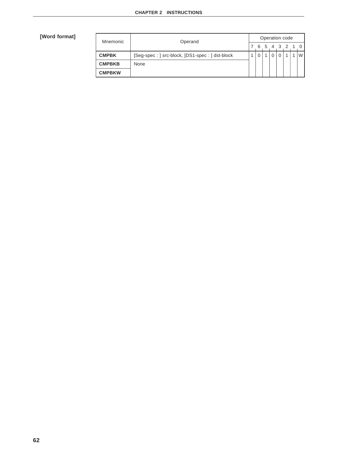| <b>Mnemonic</b> | Operand                                        | Operation code |   |  |  |  |             |  |   |  |  |
|-----------------|------------------------------------------------|----------------|---|--|--|--|-------------|--|---|--|--|
|                 |                                                |                | 6 |  |  |  | 5 4 3 2 1 0 |  |   |  |  |
| <b>CMPBK</b>    | [Seg-spec: ] src-block, [DS1-spec: ] dst-block |                |   |  |  |  |             |  | W |  |  |
| <b>CMPBKB</b>   | None                                           |                |   |  |  |  |             |  |   |  |  |
| <b>CMPBKW</b>   |                                                |                |   |  |  |  |             |  |   |  |  |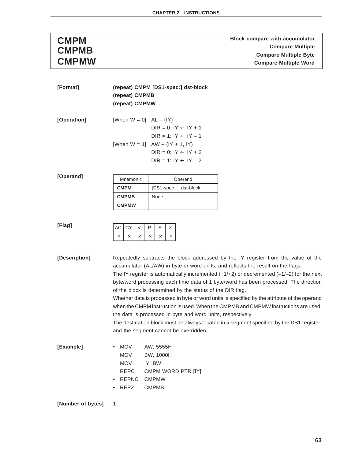**Block compare with accumulator**<br> **CMPMB**<br> **CMPMB**<br> **COMPMB**<br> **COMPMB Compare Multiple CMPMB Compare Multiple Byte Compare Multiple Word** 

| [Format]      | (repeat) CMPM [DS1-spec:] dst-block                                    |                                                                                                                                                                                                                                                                                                                                                                                                                            |  |  |  |  |  |  |  |  |  |  |
|---------------|------------------------------------------------------------------------|----------------------------------------------------------------------------------------------------------------------------------------------------------------------------------------------------------------------------------------------------------------------------------------------------------------------------------------------------------------------------------------------------------------------------|--|--|--|--|--|--|--|--|--|--|
|               |                                                                        | (repeat) CMPMB                                                                                                                                                                                                                                                                                                                                                                                                             |  |  |  |  |  |  |  |  |  |  |
|               | (repeat) CMPMW                                                         |                                                                                                                                                                                                                                                                                                                                                                                                                            |  |  |  |  |  |  |  |  |  |  |
| [Operation]   | [When $W = 0$ ] $AL - (IY)$                                            | DIR = $0: IY \leftarrow IY + 1$<br>$DIR = 1: IY \leftarrow IY - 1$                                                                                                                                                                                                                                                                                                                                                         |  |  |  |  |  |  |  |  |  |  |
|               |                                                                        | [When $W = 1$ ] $AW - (IY + 1, IY)$<br>DIR = 0: $IY \leftarrow IY + 2$<br>$DIR = 1: IY \leftarrow IY - 2$                                                                                                                                                                                                                                                                                                                  |  |  |  |  |  |  |  |  |  |  |
| [Operand]     | Mnemonic                                                               | Operand                                                                                                                                                                                                                                                                                                                                                                                                                    |  |  |  |  |  |  |  |  |  |  |
|               | <b>CMPM</b>                                                            | [DS1-spec: ] dst-block                                                                                                                                                                                                                                                                                                                                                                                                     |  |  |  |  |  |  |  |  |  |  |
|               | <b>CMPMB</b>                                                           | None                                                                                                                                                                                                                                                                                                                                                                                                                       |  |  |  |  |  |  |  |  |  |  |
|               | <b>CMPMW</b>                                                           |                                                                                                                                                                                                                                                                                                                                                                                                                            |  |  |  |  |  |  |  |  |  |  |
|               |                                                                        |                                                                                                                                                                                                                                                                                                                                                                                                                            |  |  |  |  |  |  |  |  |  |  |
| [Flag]        | CY<br>АC<br>$\vee$                                                     | P<br>S<br>Ζ                                                                                                                                                                                                                                                                                                                                                                                                                |  |  |  |  |  |  |  |  |  |  |
|               | $\times$<br>$\times$<br>$\times$                                       | $\times$<br>$\times$<br>$\times$                                                                                                                                                                                                                                                                                                                                                                                           |  |  |  |  |  |  |  |  |  |  |
|               |                                                                        |                                                                                                                                                                                                                                                                                                                                                                                                                            |  |  |  |  |  |  |  |  |  |  |
| [Description] |                                                                        | Repeatedly subtracts the block addressed by the IY register from the value of the<br>accumulator (AL/AW) in byte or word units, and reflects the result on the flags.<br>The IY register is automatically incremented $(+1/+2)$ or decremented $(-1/-2)$ for the next<br>byte/word processing each time data of 1 byte/word has been processed. The direction<br>of the block is determined by the status of the DIR flag. |  |  |  |  |  |  |  |  |  |  |
|               |                                                                        | Whether data is processed in byte or word units is specified by the attribute of the operand<br>when the CMPM instruction is used. When the CMPMB and CMPMW instructions are used,<br>the data is processed in byte and word units, respectively.                                                                                                                                                                          |  |  |  |  |  |  |  |  |  |  |
|               |                                                                        | The destination block must be always located in a segment specified by the DS1 register,<br>and the segment cannot be overridden.                                                                                                                                                                                                                                                                                          |  |  |  |  |  |  |  |  |  |  |
| [Example]     | <b>MOV</b><br>MOV<br><b>MOV</b><br><b>REPC</b><br><b>REPNC</b><br>REPZ | AW, 5555H<br>BW, 1000H<br>IY, BW<br>CMPM WORD PTR [IY]<br><b>CMPMW</b><br><b>CMPMB</b>                                                                                                                                                                                                                                                                                                                                     |  |  |  |  |  |  |  |  |  |  |

**[Number of bytes]** 1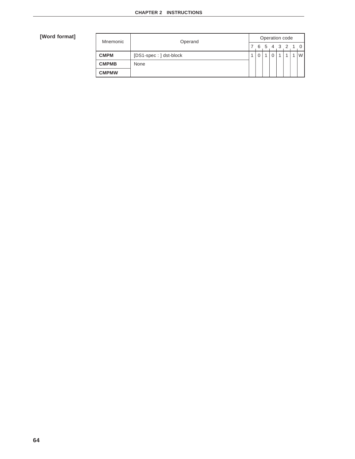| Mnemonic     | Operand                | Operation code |  |  |  |  |  |  |               |  |  |
|--------------|------------------------|----------------|--|--|--|--|--|--|---------------|--|--|
|              |                        |                |  |  |  |  |  |  | 6 5 4 3 2 1 0 |  |  |
| <b>CMPM</b>  | [DS1-spec: ] dst-block |                |  |  |  |  |  |  | W l           |  |  |
| <b>CMPMB</b> | None                   |                |  |  |  |  |  |  |               |  |  |
| <b>CMPMW</b> |                        |                |  |  |  |  |  |  |               |  |  |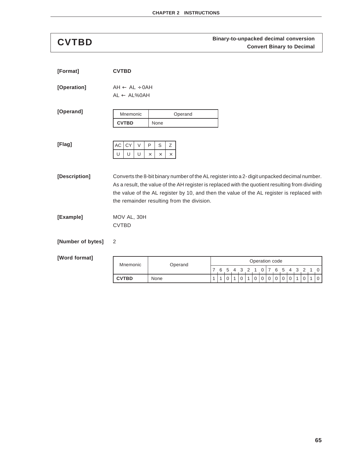# **CVTBD COVTBD COVTBD COVTBD COVTBD COVET BINARY-to-unpacked decimal conversion**

| [Format]          | <b>CVTBD</b>                                           |                                                                                                                                                                                                                                                                                                                                            |
|-------------------|--------------------------------------------------------|--------------------------------------------------------------------------------------------------------------------------------------------------------------------------------------------------------------------------------------------------------------------------------------------------------------------------------------------|
| [Operation]       | $AH \leftarrow AL \div OAH$<br>$AL \leftarrow AL\%OAH$ |                                                                                                                                                                                                                                                                                                                                            |
| [Operand]         | Mnemonic<br><b>CVTBD</b>                               | Operand<br>None                                                                                                                                                                                                                                                                                                                            |
| [Flag]            | AC<br>CY<br>V<br>U<br>U<br>U                           | P<br>S<br>Ζ<br>$\times$<br>$\times$<br>×                                                                                                                                                                                                                                                                                                   |
| [Description]     |                                                        | Converts the 8-bit binary number of the AL register into a 2-digit unpacked decimal number.<br>As a result, the value of the AH register is replaced with the quotient resulting from dividing<br>the value of the AL register by 10, and then the value of the AL register is replaced with<br>the remainder resulting from the division. |
| [Example]         | MOV AL, 30H<br><b>CVTBD</b>                            |                                                                                                                                                                                                                                                                                                                                            |
| [Number of bytes] | 2                                                      |                                                                                                                                                                                                                                                                                                                                            |

| Mnemonic     | Operand | Operation code |  |  |  |         |  |  |  |  |  |  |           |  |  |  |
|--------------|---------|----------------|--|--|--|---------|--|--|--|--|--|--|-----------|--|--|--|
|              |         |                |  |  |  | 5 4 3 2 |  |  |  |  |  |  | 6 5 4 3 2 |  |  |  |
| <b>CVTBD</b> | None    |                |  |  |  |         |  |  |  |  |  |  |           |  |  |  |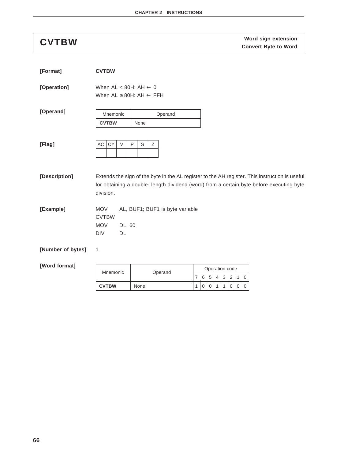# **Word sign extension CVTBW Convert Byte to Word**

| [Format]          | <b>CVTBW</b>                                                                 |                                 |                                                                                                                                                                                            |
|-------------------|------------------------------------------------------------------------------|---------------------------------|--------------------------------------------------------------------------------------------------------------------------------------------------------------------------------------------|
| [Operation]       | When AL < 80H: AH $\leftarrow$ 0<br>When $AL \geq 80H$ : $AH \leftarrow FFH$ |                                 |                                                                                                                                                                                            |
| [Operand]         | Mnemonic                                                                     | Operand                         |                                                                                                                                                                                            |
|                   | <b>CVTBW</b>                                                                 | None                            |                                                                                                                                                                                            |
| [Flag]            | CY<br>AC<br>$\vee$                                                           | $\mathsf{P}$<br>Ζ<br>S          |                                                                                                                                                                                            |
| [Description]     | division.                                                                    |                                 | Extends the sign of the byte in the AL register to the AH register. This instruction is useful<br>for obtaining a double- length dividend (word) from a certain byte before executing byte |
| [Example]         | <b>MOV</b><br><b>CVTBW</b><br><b>MOV</b><br>DL, 60<br>DL<br>DIV              | AL, BUF1; BUF1 is byte variable |                                                                                                                                                                                            |
| [Number of bytes] | 1                                                                            |                                 |                                                                                                                                                                                            |
| [Word format]     | Mnemonic                                                                     | Operand                         | Operation code<br>6<br>5 <sup>5</sup><br>$\overline{7}$<br>3<br>4<br>2<br>0<br>1.                                                                                                          |
|                   | <b>CVTBW</b>                                                                 | None                            | 1<br>$\mathbf 0$<br>0<br>1<br>1<br>0<br>0<br>$\Omega$                                                                                                                                      |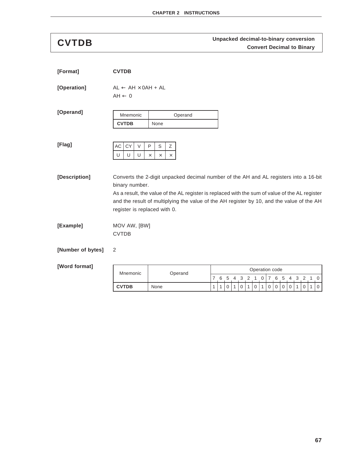# **Unpacked decimal-to-binary conversion CVTDB Convert Decimal to Binary**

| [Format]          | <b>CVTDB</b>      |              |                                                |          |      |               |                                                                                                                                                                                                                                                                                      |              |    |   |   |   |                |             |                  |                     |             |             |              |             |              |             |
|-------------------|-------------------|--------------|------------------------------------------------|----------|------|---------------|--------------------------------------------------------------------------------------------------------------------------------------------------------------------------------------------------------------------------------------------------------------------------------------|--------------|----|---|---|---|----------------|-------------|------------------|---------------------|-------------|-------------|--------------|-------------|--------------|-------------|
| [Operation]       | $AH \leftarrow 0$ |              | $AL \leftarrow AH \times OAH + AL$             |          |      |               |                                                                                                                                                                                                                                                                                      |              |    |   |   |   |                |             |                  |                     |             |             |              |             |              |             |
| [Operand]         | Mnemonic          |              |                                                |          |      |               | Operand                                                                                                                                                                                                                                                                              |              |    |   |   |   |                |             |                  |                     |             |             |              |             |              |             |
|                   |                   | <b>CVTDB</b> |                                                |          | None |               |                                                                                                                                                                                                                                                                                      |              |    |   |   |   |                |             |                  |                     |             |             |              |             |              |             |
| [Flag]            |                   |              | $\vee$                                         | P        | S    |               |                                                                                                                                                                                                                                                                                      |              |    |   |   |   |                |             |                  |                     |             |             |              |             |              |             |
|                   | AC<br>U           | CY<br>U      | U                                              | $\times$ | X    | Ζ<br>$\times$ |                                                                                                                                                                                                                                                                                      |              |    |   |   |   |                |             |                  |                     |             |             |              |             |              |             |
|                   |                   |              |                                                |          |      |               |                                                                                                                                                                                                                                                                                      |              |    |   |   |   |                |             |                  |                     |             |             |              |             |              |             |
| [Description]     |                   |              | binary number.<br>register is replaced with 0. |          |      |               | Converts the 2-digit unpacked decimal number of the AH and AL registers into a 16-bit<br>As a result, the value of the AL register is replaced with the sum of value of the AL register<br>and the result of multiplying the value of the AH register by 10, and the value of the AH |              |    |   |   |   |                |             |                  |                     |             |             |              |             |              |             |
| [Example]         | <b>CVTDB</b>      |              | MOV AW, [BW]                                   |          |      |               |                                                                                                                                                                                                                                                                                      |              |    |   |   |   |                |             |                  |                     |             |             |              |             |              |             |
| [Number of bytes] | 2                 |              |                                                |          |      |               |                                                                                                                                                                                                                                                                                      |              |    |   |   |   |                |             |                  |                     |             |             |              |             |              |             |
| [Word format]     | Mnemonic          |              |                                                |          |      |               |                                                                                                                                                                                                                                                                                      |              |    |   |   |   | Operation code |             |                  |                     |             |             |              |             |              |             |
|                   |                   | Operand      |                                                |          |      | 7             | - 6                                                                                                                                                                                                                                                                                  | -5           | -4 | 3 | 2 | 1 | 0<br>7         |             |                  | $6 \quad 5 \quad 4$ | $3 \quad 2$ |             | $1\quad 0$   |             |              |             |
|                   |                   | <b>CVTDB</b> |                                                |          | None |               |                                                                                                                                                                                                                                                                                      | $\mathbf{1}$ | 1  | 0 | 1 | 0 | 1              | $\mathbf 0$ | $\mathbf 0$<br>1 | $\mathbf 0$         | $\mathbf 0$ | $\mathbf 0$ | $\mathbf{1}$ | $\mathbf 0$ | $\mathbf{1}$ | $\mathbf 0$ |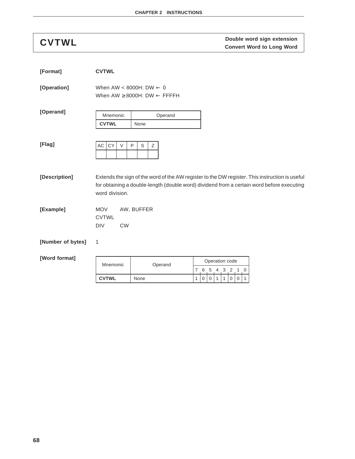**Double word sign extension CVTWL Convert Word to Long Word**

| [Format]          | <b>CVTWL</b>                                          |                                                                                                                                                                                             |
|-------------------|-------------------------------------------------------|---------------------------------------------------------------------------------------------------------------------------------------------------------------------------------------------|
| [Operation]       |                                                       | When AW < 8000H: DW $\leftarrow$ 0<br>When AW $\geq$ 8000H: DW $\leftarrow$ FFFFH                                                                                                           |
| [Operand]         | Mnemonic                                              | Operand                                                                                                                                                                                     |
|                   | <b>CVTWL</b>                                          | None                                                                                                                                                                                        |
| [Flag]            | CY<br>AC<br>$\vee$                                    | $\mathsf{P}$<br>Ζ<br>S                                                                                                                                                                      |
| [Description]     | word division.                                        | Extends the sign of the word of the AW register to the DW register. This instruction is useful<br>for obtaining a double-length (double word) dividend from a certain word before executing |
| [Example]         | <b>MOV</b><br><b>CVTWL</b><br><b>DIV</b><br><b>CW</b> | AW, BUFFER                                                                                                                                                                                  |
| [Number of bytes] | 1                                                     |                                                                                                                                                                                             |

| Mnemonic     | Operand | Operation code |  |  |  |  |           |  |  |  |  |  |  |  |
|--------------|---------|----------------|--|--|--|--|-----------|--|--|--|--|--|--|--|
|              |         |                |  |  |  |  | 6 5 4 3 2 |  |  |  |  |  |  |  |
| <b>CVTWL</b> | None    |                |  |  |  |  |           |  |  |  |  |  |  |  |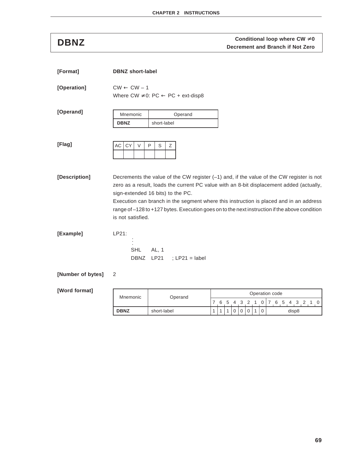**Conditional loop where CW ≠ 0**<br>DBNZ<br>**DENZ Decrement and Branch if Not Zero** 

| [Format]          | <b>DBNZ</b> short-label          |                                                                                                                                                                                                                                                                                                                                                                                                                        |
|-------------------|----------------------------------|------------------------------------------------------------------------------------------------------------------------------------------------------------------------------------------------------------------------------------------------------------------------------------------------------------------------------------------------------------------------------------------------------------------------|
| [Operation]       | $CW \leftarrow CW - 1$           | Where $CW \neq 0$ : PC $\leftarrow$ PC + ext-disp8                                                                                                                                                                                                                                                                                                                                                                     |
| [Operand]         | Mnemonic                         | Operand                                                                                                                                                                                                                                                                                                                                                                                                                |
|                   | <b>DBNZ</b>                      | short-label                                                                                                                                                                                                                                                                                                                                                                                                            |
| [Flag]            | <b>AC</b><br><b>CY</b><br>$\vee$ | $\mathsf{P}$<br>S<br>Ζ                                                                                                                                                                                                                                                                                                                                                                                                 |
| [Description]     | is not satisfied.                | Decrements the value of the CW register $(-1)$ and, if the value of the CW register is not<br>zero as a result, loads the current PC value with an 8-bit displacement added (actually,<br>sign-extended 16 bits) to the PC.<br>Execution can branch in the segment where this instruction is placed and in an address<br>range of -128 to +127 bytes. Execution goes on to the next instruction if the above condition |
| [Example]         | LP21:<br><b>SHL</b><br>DBNZ      | AL, 1<br>LP21<br>$\div$ LP21 = label                                                                                                                                                                                                                                                                                                                                                                                   |
| [Number of bytes] | 2                                |                                                                                                                                                                                                                                                                                                                                                                                                                        |

| Mnemonic<br>Operand |             | Operation code |   |               |  |  |  |  |  |       |  |               |  |  |  |  |  |
|---------------------|-------------|----------------|---|---------------|--|--|--|--|--|-------|--|---------------|--|--|--|--|--|
|                     |             |                | 6 | $\mathcal{D}$ |  |  |  |  |  |       |  | $\mathcal{D}$ |  |  |  |  |  |
| <b>DBNZ</b>         | short-label |                |   |               |  |  |  |  |  | disp8 |  |               |  |  |  |  |  |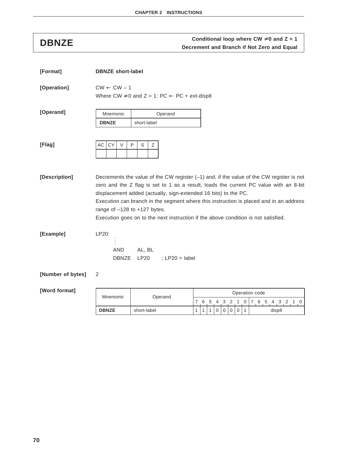# **Conditional loop where CW ≠ 0 and Z = 1**<br>DBNZE **Decrement and Branch if Not Zero and Equal**

| [Format]          | <b>DBNZE</b> short-label         |                                                                 |                                                                                                                                                                                                                                                                                                                                                                     |
|-------------------|----------------------------------|-----------------------------------------------------------------|---------------------------------------------------------------------------------------------------------------------------------------------------------------------------------------------------------------------------------------------------------------------------------------------------------------------------------------------------------------------|
| [Operation]       | $CW \leftarrow CW - 1$           | Where CW $\neq$ 0 and Z = 1: PC $\leftarrow$ PC + ext-disp8     |                                                                                                                                                                                                                                                                                                                                                                     |
| [Operand]         | Mnemonic<br><b>DBNZE</b>         | Operand<br>short-label                                          |                                                                                                                                                                                                                                                                                                                                                                     |
| [Flag]            | CY<br>AC<br>$\vee$               | $\mathsf{P}$<br>Ζ<br>S                                          |                                                                                                                                                                                                                                                                                                                                                                     |
| [Description]     | range of $-128$ to $+127$ bytes. | displacement added (actually, sign-extended 16 bits) to the PC. | Decrements the value of the CW register $(-1)$ and, if the value of the CW register is not<br>zero and the Z flag is set to 1 as a result, loads the current PC value with an 8-bit<br>Execution can branch in the segment where this instruction is placed and in an address<br>Execution goes on to the next instruction if the above condition is not satisfied. |
| [Example]         | LP20:<br><b>AND</b>              | AL, BL<br>DBNZE LP20<br>; $LP20 = label$                        |                                                                                                                                                                                                                                                                                                                                                                     |
| [Number of bytes] | 2                                |                                                                 |                                                                                                                                                                                                                                                                                                                                                                     |
| [Word format]     |                                  |                                                                 | Oneration code                                                                                                                                                                                                                                                                                                                                                      |

| Mnemonic     | Operand     |  |               |       | Operation code |  |   |       |       |  |  |
|--------------|-------------|--|---------------|-------|----------------|--|---|-------|-------|--|--|
|              |             |  | $\mathcal{D}$ | 4 3 2 |                |  | 6 | $5 -$ | 4     |  |  |
| <b>DBNZE</b> | short-label |  |               |       |                |  |   |       | disp8 |  |  |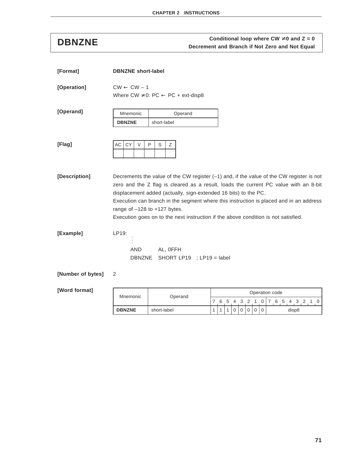# **Conditional loop where CW ≠ 0 and Z = 0**<br>Decrement and Branch if Not Zero and Not Equal

| [Format]          | <b>DBNZNE</b> short-label                                                                                                                                                                                                                                                                                                                                                                                                                                                 |
|-------------------|---------------------------------------------------------------------------------------------------------------------------------------------------------------------------------------------------------------------------------------------------------------------------------------------------------------------------------------------------------------------------------------------------------------------------------------------------------------------------|
| [Operation]       | $CW \leftarrow CW - 1$<br>Where $CW \neq 0$ : PC $\leftarrow$ PC + ext-disp8                                                                                                                                                                                                                                                                                                                                                                                              |
| [Operand]         | Mnemonic<br>Operand<br><b>DBNZNE</b><br>short-label                                                                                                                                                                                                                                                                                                                                                                                                                       |
| [Flag]            | <b>CY</b><br>AC<br>$\vee$<br>P<br>S<br>Ζ                                                                                                                                                                                                                                                                                                                                                                                                                                  |
| [Description]     | Decrements the value of the CW register $(-1)$ and, if the value of the CW register is not<br>zero and the Z flag is cleared as a result, loads the current PC value with an 8-bit<br>displacement added (actually, sign-extended 16 bits) to the PC.<br>Execution can branch in the segment where this instruction is placed and in an address<br>range of $-128$ to $+127$ bytes.<br>Execution goes on to the next instruction if the above condition is not satisfied. |
| [Example]         | LP19:<br><b>AND</b><br>AL, OFFH<br><b>DBNZNE</b><br>SHORT LP19 ; LP19 = label                                                                                                                                                                                                                                                                                                                                                                                             |
| [Number of bytes] | 2                                                                                                                                                                                                                                                                                                                                                                                                                                                                         |

| Mnemonic      | Operand     |  |  |           | Operation code |  |   |               |       |  |  |
|---------------|-------------|--|--|-----------|----------------|--|---|---------------|-------|--|--|
|               |             |  |  | $3 \quad$ |                |  | 6 | $\mathcal{L}$ | 4 3   |  |  |
| <b>DBNZNE</b> | short-label |  |  |           |                |  |   |               | disp8 |  |  |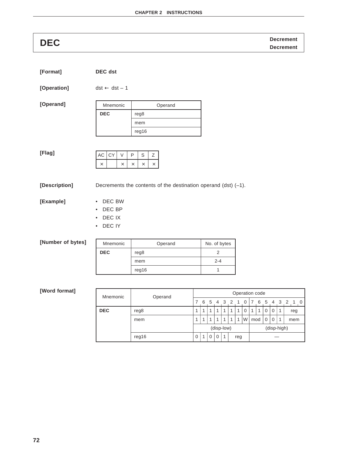# **Decrement DEC Decrement**

| [Format]          | <b>DEC</b> dst                   |                                                                   |              |
|-------------------|----------------------------------|-------------------------------------------------------------------|--------------|
| [Operation]       | $dst \leftarrow dst - 1$         |                                                                   |              |
| [Operand]         | Mnemonic                         | Operand                                                           |              |
|                   | <b>DEC</b>                       | reg8                                                              |              |
|                   |                                  | mem                                                               |              |
|                   |                                  | reg16                                                             |              |
|                   |                                  |                                                                   |              |
| [Flag]            | AC<br>CY<br>$\vee$               | $\mathbb S$<br>P<br>Ζ                                             |              |
|                   | $\times$<br>$\times$             | $\times$<br>$\times$<br>$\times$                                  |              |
|                   |                                  |                                                                   |              |
| [Description]     |                                  | Decrements the contents of the destination operand (dst) $(-1)$ . |              |
|                   |                                  |                                                                   |              |
|                   |                                  |                                                                   |              |
|                   | DEC BW<br>$\bullet$<br>$\bullet$ |                                                                   |              |
| [Example]         | DEC BP<br>$\bullet$              |                                                                   |              |
|                   | DEC IX<br>DEC IY<br>$\bullet$    |                                                                   |              |
|                   |                                  |                                                                   |              |
|                   | Mnemonic                         | Operand                                                           | No. of bytes |
|                   | <b>DEC</b>                       | reg8                                                              | 2            |
| [Number of bytes] |                                  | mem                                                               | $2 - 4$      |

| Mnemonic   | Operand |   | Operation code |                         |                         |                         |                         |     |          |                |   |          |             |   |                            |
|------------|---------|---|----------------|-------------------------|-------------------------|-------------------------|-------------------------|-----|----------|----------------|---|----------|-------------|---|----------------------------|
|            |         |   | 6              | -5                      | 4                       | $\mathbf{3}$            | $\mathcal{P}$           |     | $\theta$ |                | 6 | 5        | 4           | 3 | $\overline{2}$<br>$\Omega$ |
| <b>DEC</b> | reg8    | 4 | и              | $\boldsymbol{A}$        | $\overline{\mathbf{A}}$ | $\overline{\mathbf{A}}$ | $\overline{\mathbf{A}}$ |     | $\Omega$ | $\overline{ }$ | 1 | $\Omega$ | 0           | 1 | reg                        |
|            | mem     |   | и              | $\overline{\mathbf{A}}$ | $\overline{\mathbf{A}}$ | 1                       | 1                       |     | W        | mod            |   | 0        | $\mathbf 0$ | 1 | mem                        |
|            |         |   |                |                         |                         | (disp-low)              |                         |     |          |                |   |          | (disp-high) |   |                            |
|            | reg16   | 0 | и              | 0                       | $\mathbf 0$             | 1                       |                         | reg |          |                |   |          |             |   |                            |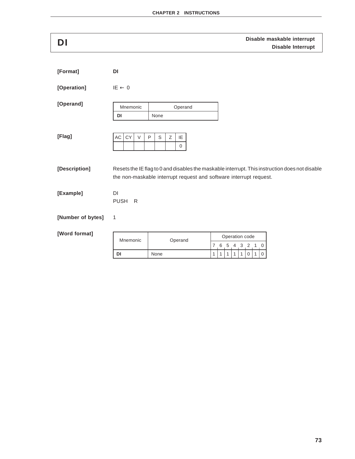| DI                |                        |                                                                                                                                                                      |                   |                                   |     |              |                               |                                                            | Disable maskable interrupt<br><b>Disable Interrupt</b> |
|-------------------|------------------------|----------------------------------------------------------------------------------------------------------------------------------------------------------------------|-------------------|-----------------------------------|-----|--------------|-------------------------------|------------------------------------------------------------|--------------------------------------------------------|
| [Format]          | DI                     |                                                                                                                                                                      |                   |                                   |     |              |                               |                                                            |                                                        |
| [Operation]       | $IE \leftarrow 0$      |                                                                                                                                                                      |                   |                                   |     |              |                               |                                                            |                                                        |
| [Operand]         | Mnemonic<br>DI         | Operand<br>None                                                                                                                                                      |                   |                                   |     |              |                               |                                                            |                                                        |
| [Flag]            | AC<br>CY<br>$\vee$     | Z<br>$\mathsf{P}$<br>$\mathbb S$<br>IE<br>$\mathbf 0$                                                                                                                |                   |                                   |     |              |                               |                                                            |                                                        |
| [Description]     |                        | Resets the IE flag to 0 and disables the maskable interrupt. This instruction does not disable<br>the non-maskable interrupt request and software interrupt request. |                   |                                   |     |              |                               |                                                            |                                                        |
| [Example]         | DI<br><b>PUSH</b><br>R |                                                                                                                                                                      |                   |                                   |     |              |                               |                                                            |                                                        |
| [Number of bytes] | 1                      |                                                                                                                                                                      |                   |                                   |     |              |                               |                                                            |                                                        |
| [Word format]     | Mnemonic               | Operand                                                                                                                                                              |                   |                                   |     |              | Operation code                |                                                            |                                                        |
|                   | DI                     | None                                                                                                                                                                 | 7<br>$\mathbf{1}$ | 6<br>$\mathbf{1}$<br>$\mathbf{1}$ | 5 4 | $\mathbf{1}$ | 3<br>$\overline{2}$<br>0<br>1 | $\mathbf 0$<br>$\mathbf{1}$<br>$\mathbf{1}$<br>$\mathbf 0$ |                                                        |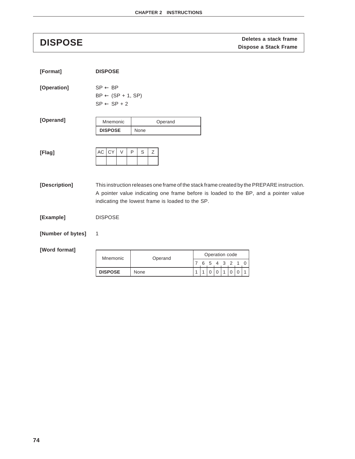# **DISPOSE DISPOSE DISPOSE Dispose a Stack frame**

| [Format]          | <b>DISPOSE</b>                                                                                                                                                                                                                         |  |
|-------------------|----------------------------------------------------------------------------------------------------------------------------------------------------------------------------------------------------------------------------------------|--|
| [Operation]       | $SP \leftarrow BP$<br>$BP \leftarrow (SP + 1, SP)$<br>$SP \leftarrow SP + 2$                                                                                                                                                           |  |
| [Operand]         | Mnemonic<br>Operand                                                                                                                                                                                                                    |  |
|                   | <b>DISPOSE</b><br>None                                                                                                                                                                                                                 |  |
| [Flag]            | AC<br><b>CY</b><br>P<br>S<br>Ζ<br>$\vee$                                                                                                                                                                                               |  |
| [Description]     | This instruction releases one frame of the stack frame created by the PREPARE instruction.<br>A pointer value indicating one frame before is loaded to the BP, and a pointer value<br>indicating the lowest frame is loaded to the SP. |  |
| [Example]         | <b>DISPOSE</b>                                                                                                                                                                                                                         |  |
| [Number of bytes] | 1                                                                                                                                                                                                                                      |  |

| Mnemonic  | Operand | Operation code |  |  |           |  |  |  |
|-----------|---------|----------------|--|--|-----------|--|--|--|
|           |         |                |  |  | 6 5 4 3 2 |  |  |  |
| i dispose | None    |                |  |  |           |  |  |  |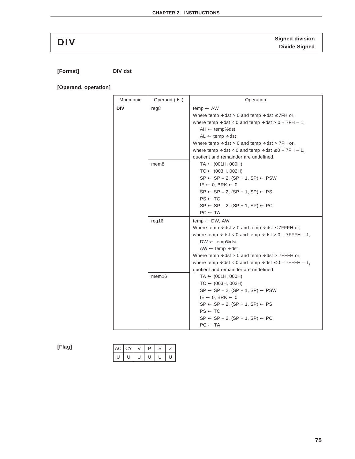# **Signed division DIV Divide Signed**

**[Format] DIV dst**

**[Operand, operation]**

| Mnemonic | Operand (dst)     | Operation                                                                                                                                                                                                                                                                                                                                                                                                 |
|----------|-------------------|-----------------------------------------------------------------------------------------------------------------------------------------------------------------------------------------------------------------------------------------------------------------------------------------------------------------------------------------------------------------------------------------------------------|
| DIV      | reg8              | $temp \leftarrow AW$<br>Where temp $\div$ dst > 0 and temp $\div$ dst $\leq$ 7FH or,<br>where temp $\div$ dst < 0 and temp $\div$ dst > 0 - 7FH - 1,<br>$AH \leftarrow temp\%$ dst<br>$AL \leftarrow temp \div dist$<br>Where temp $\div$ dst > 0 and temp $\div$ dst > 7FH or,<br>where temp $\div$ dst < 0 and temp $\div$ dst $\leq$ 0 – 7FH – 1,<br>quotient and remainder are undefined.             |
|          | mem8              | $TA \leftarrow (001H, 000H)$<br>$TC \leftarrow (003H, 002H)$<br>$SP \leftarrow SP - 2$ , $(SP + 1, SP) \leftarrow PSW$<br>$IE \leftarrow 0$ , BRK $\leftarrow 0$<br>$SP \leftarrow SP - 2$ , $(SP + 1, SP) \leftarrow PS$<br>$PS \leftarrow TC$<br>$SP \leftarrow SP - 2$ , $(SP + 1, SP) \leftarrow PC$<br>$PC \leftarrow TA$                                                                            |
|          | reg16             | temp $\leftarrow$ DW, AW<br>Where temp $\div$ dst > 0 and temp $\div$ dst $\leq$ 7FFFH or,<br>where temp $\div$ dst < 0 and temp $\div$ dst > 0 - 7FFFH - 1,<br>$DW \leftarrow temp\%$ dst<br>$AW \leftarrow temp \div dist$<br>Where temp $\div$ dst > 0 and temp $\div$ dst > 7FFFH or,<br>where temp $\div$ dst < 0 and temp $\div$ dst $\leq$ 0 – 7FFFH – 1,<br>quotient and remainder are undefined. |
|          | mem <sub>16</sub> | $TA \leftarrow (001H, 000H)$<br>$TC \leftarrow (003H, 002H)$<br>$SP \leftarrow SP - 2$ , $(SP + 1, SP) \leftarrow PSW$<br>$IE \leftarrow 0$ , BRK $\leftarrow 0$<br>$SP \leftarrow SP - 2$ , $(SP + 1, SP) \leftarrow PS$<br>$PS \leftarrow TC$<br>$SP \leftarrow SP - 2$ , $(SP + 1, SP) \leftarrow PC$<br>$PC \leftarrow TA$                                                                            |

**[Flag]**

| AC I CY |  | ר | r. |  |
|---------|--|---|----|--|
|         |  |   |    |  |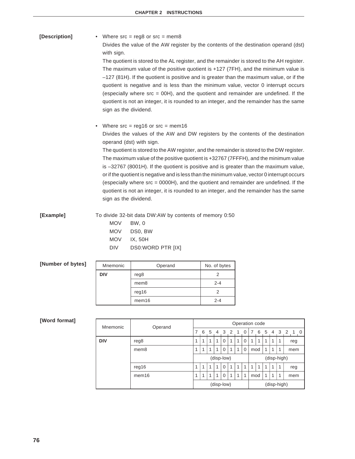**[Description]** • Where src = reg8 or src = mem8 Divides the value of the AW register by the contents of the destination operand (dst) with sign. The quotient is stored to the AL register, and the remainder is stored to the AH register. The maximum value of the positive quotient is +127 (7FH), and the minimum value is –127 (81H). If the quotient is positive and is greater than the maximum value, or if the quotient is negative and is less than the minimum value, vector 0 interrupt occurs (especially where  $src = 00H$ ), and the quotient and remainder are undefined. If the quotient is not an integer, it is rounded to an integer, and the remainder has the same sign as the dividend. • Where src = reg16 or src = mem16 Divides the values of the AW and DW registers by the contents of the destination

> operand (dst) with sign. The quotient is stored to the AW register, and the remainder is stored to the DW register.

The maximum value of the positive quotient is +32767 (7FFFH), and the minimum value is –32767 (8001H). If the quotient is positive and is greater than the maximum value, or if the quotient is negative and is less than the minimum value, vector 0 interrupt occurs (especially where src = 0000H), and the quotient and remainder are undefined. If the quotient is not an integer, it is rounded to an integer, and the remainder has the same sign as the dividend.

**[Example]** To divide 32-bit data DW:AW by contents of memory 0:50 MOV BW, 0 MOV DS0, BW

| <b>MOV</b> | IX, 50H |
|------------|---------|
|            |         |

DIV DS0:WORD PTR [IX]

| Mnemonic   | Operand           | No. of bytes |
|------------|-------------------|--------------|
| <b>DIV</b> | reg8              |              |
|            | mem <sub>8</sub>  | $2 - 4$      |
|            | reg16             | 2            |
|            | mem <sub>16</sub> | $2 - 4$      |
|            |                   |              |

| Mnemonic   | Operand                                              |            | Operation code |   |   |                         |   |    |          |             |                    |   |             |     |         |
|------------|------------------------------------------------------|------------|----------------|---|---|-------------------------|---|----|----------|-------------|--------------------|---|-------------|-----|---------|
|            |                                                      |            | 6              | 5 | 4 | $\overline{\mathbf{3}}$ | 2 | -1 | 0        |             | 6                  | 5 | 4           |     | 3 2 1 0 |
| <b>DIV</b> | reg8                                                 | 1          | 1              | 1 | 1 | $\Omega$                | 1 | 1  | $\Omega$ | 1           | 1                  |   | 1           | 1   | reg     |
|            | mem <sub>8</sub>                                     | 1          | 1              | 1 | 1 | $\Omega$                | 1 | 1  | $\Omega$ |             | 1<br>1<br>1<br>mod |   |             | mem |         |
|            |                                                      | (disp-low) |                |   |   |                         |   |    |          | (disp-high) |                    |   |             |     |         |
|            | 1<br>1<br>$\Omega$<br>1<br>1<br>1<br>1<br>req16<br>1 |            |                |   | 1 | 1                       | 1 | 1  | reg      |             |                    |   |             |     |         |
|            | mem <sub>16</sub>                                    | 1          | 1              | 1 | 1 | $\mathbf 0$             | 1 | 1  | 1        | 1<br>mod    |                    | 1 | 1           | mem |         |
|            |                                                      |            |                |   |   | (disp-low)              |   |    |          |             |                    |   | (disp-high) |     |         |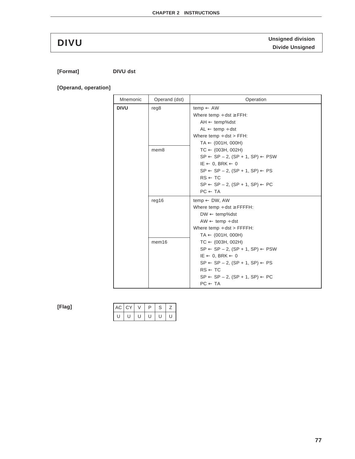# **Unsigned division DIVU Divide Unsigned**

**[Format] DIVU dst**

**[Operand, operation]**

| Mnemonic | Operand (dst)    | Operation                                                                                                                                                                                                                                                                                      |
|----------|------------------|------------------------------------------------------------------------------------------------------------------------------------------------------------------------------------------------------------------------------------------------------------------------------------------------|
| DIVU     | reg8             | $temp \leftarrow AW$<br>Where temp $\div$ dst $\geq$ FFH:<br>$AH \leftarrow temp\%dst$<br>$AL \leftarrow temp \div dist$<br>Where $temp \div dist > FFH$ :<br>$TA \leftarrow (001H, 000H)$                                                                                                     |
|          | mem <sub>8</sub> | $TC \leftarrow (003H, 002H)$<br>$SP \leftarrow SP - 2$ , $(SP + 1, SP) \leftarrow PSW$<br>$IE \leftarrow 0$ , BRK $\leftarrow 0$<br>$SP \leftarrow SP - 2$ , $(SP + 1, SP) \leftarrow PS$<br>$RS \leftarrow TC$<br>$SP \leftarrow SP - 2$ , $(SP + 1, SP) \leftarrow PC$<br>$PC \leftarrow TA$ |
|          | req16            | temp $\leftarrow$ DW, AW<br>Where temp $\div$ dst $\geq$ FFFFH:<br>$DW \leftarrow temp\%$ dst<br>$AW \leftarrow temp \div dist$<br>Where temp $\div$ dst > FFFFH:<br>$TA \leftarrow (001H, 000H)$                                                                                              |
|          | mem16            | $TC \leftarrow (003H, 002H)$<br>$SP \leftarrow SP - 2$ , $(SP + 1, SP) \leftarrow PSW$<br>$IE \leftarrow 0$ , BRK $\leftarrow 0$<br>$SP \leftarrow SP - 2$ , $(SP + 1, SP) \leftarrow PS$<br>$RS \leftarrow TC$<br>$SP \leftarrow SP - 2$ , $(SP + 1, SP) \leftarrow PC$<br>$PC \leftarrow TA$ |

**[Flag]**

| $AC$ $CY$ |  | D | S |  |
|-----------|--|---|---|--|
| Ь         |  | U | U |  |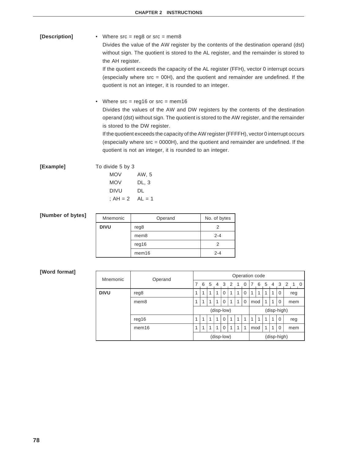| [Description] | • Where $src = \text{req8}$ or $src = \text{mem8}$<br>Divides the value of the AW register by the contents of the destination operand (dst)<br>without sign. The quotient is stored to the AL register, and the remainder is stored to<br>the AH register.<br>If the quotient exceeds the capacity of the AL register (FFH), vector 0 interrupt occurs<br>(especially where $src = 00H$ ), and the quotient and remainder are undefined. If the<br>quotient is not an integer, it is rounded to an integer. |
|---------------|-------------------------------------------------------------------------------------------------------------------------------------------------------------------------------------------------------------------------------------------------------------------------------------------------------------------------------------------------------------------------------------------------------------------------------------------------------------------------------------------------------------|
|               | • Where $src = \text{req16}$ or $src = \text{mem16}$<br>Divides the values of the AW and DW registers by the contents of the destination<br>operand (dst) without sign. The quotient is stored to the AW register, and the remainder<br>is stored to the DW register.                                                                                                                                                                                                                                       |

If the quotient exceeds the capacity of the AW register (FFFFH), vector 0 interrupt occurs (especially where src = 0000H), and the quotient and remainder are undefined. If the quotient is not an integer, it is rounded to an integer.

**[Example]** To divide 5 by 3

| <b>MOV</b> | AW. 5    |
|------------|----------|
| MOV        | DL, 3    |
| DIVU       | DL       |
| ; $AH = 2$ | $AL = 1$ |

## **[Number of bytes]**

| Mnemonic    | Operand           | No. of bytes |
|-------------|-------------------|--------------|
| <b>DIVU</b> | reg8              |              |
|             | mem <sub>8</sub>  | $2 - 4$      |
|             | reg16             |              |
|             | mem <sub>16</sub> | 2-4          |

| Mnemonic    | Operand           |            | Operation code                    |   |   |             |               |   |          |     |                |   |                      |             |                       |  |
|-------------|-------------------|------------|-----------------------------------|---|---|-------------|---------------|---|----------|-----|----------------|---|----------------------|-------------|-----------------------|--|
|             |                   |            | 6                                 | 5 | 4 | 3           | $\mathcal{P}$ | 1 | 0        | 7   | 6              | 5 | 4                    | 3 2         | $\overline{1}$<br>- 0 |  |
| <b>DIVU</b> | reg8              | 1          | 1                                 | 1 | 1 | 0           | 1             |   | $\Omega$ | 1   | 1<br>1<br>0    |   | reg                  |             |                       |  |
|             | mem <sub>8</sub>  | 1          | 1                                 | 1 | 1 | $\mathbf 0$ | 1             | 1 | $\Omega$ |     | 1<br>mod<br>-1 |   |                      | 0           | mem                   |  |
|             |                   | (disp-low) |                                   |   |   |             |               |   |          |     | (disp-high)    |   |                      |             |                       |  |
|             | req16             | 1          | $\Omega$<br>1<br>1<br>1<br>1<br>1 |   | 1 | 1           |               | 1 | 0        | reg |                |   |                      |             |                       |  |
|             | mem <sub>16</sub> | 1          | 1                                 | 4 | 4 | 0           | 1             |   | 1        | mod |                |   | 1<br>$\Omega$<br>mem |             |                       |  |
|             |                   |            |                                   |   |   | (disp-low)  |               |   |          |     |                |   |                      | (disp-high) |                       |  |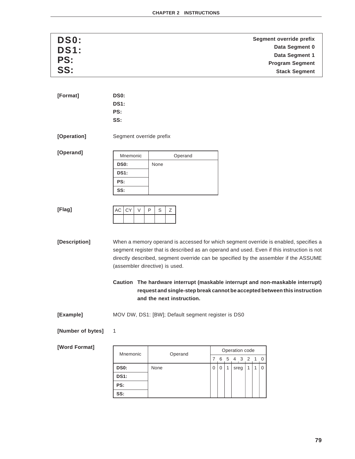| DS0:        | Segment override prefix |
|-------------|-------------------------|
| <b>DS1:</b> | Data Segment 0          |
|             | Data Segment 1          |
| PS:         | <b>Program Segment</b>  |
| SS:         | <b>Stack Segment</b>    |

| [Format] | DS <sub>0</sub> : |  |
|----------|-------------------|--|
|          | <b>DS1:</b>       |  |
|          | PS:               |  |
|          | SS:               |  |

**[Operation]** Segment override prefix

**[Operand]**

| Mnemonic    |      | Operand |  |
|-------------|------|---------|--|
| <b>DS0:</b> | None |         |  |
| <b>DS1:</b> |      |         |  |
| PS:         |      |         |  |
| SS:         |      |         |  |

| [Flag] | IAC . | CY |  |  |
|--------|-------|----|--|--|
|        |       |    |  |  |

**[Description]** When a memory operand is accessed for which segment override is enabled, specifies a segment register that is described as an operand and used. Even if this instruction is not directly described, segment override can be specified by the assembler if the ASSUME (assembler directive) is used.

> **Caution The hardware interrupt (maskable interrupt and non-maskable interrupt) request and single-step break cannot be accepted between this instruction and the next instruction.**

**[Example]** MOV DW, DS1: [BW]; Default segment register is DS0

### **[Number of bytes]** 1

| Mnemonic    |         | Operation code |   |   |   |      |  |  |           |          |  |  |
|-------------|---------|----------------|---|---|---|------|--|--|-----------|----------|--|--|
|             | Operand |                |   | 6 | 5 |      |  |  | 4 3 2 1 0 |          |  |  |
| <b>DS0:</b> | None    |                | 0 | 0 | 1 | sreg |  |  |           | $\Omega$ |  |  |
| <b>DS1:</b> |         |                |   |   |   |      |  |  |           |          |  |  |
| PS:         |         |                |   |   |   |      |  |  |           |          |  |  |
| SS:         |         |                |   |   |   |      |  |  |           |          |  |  |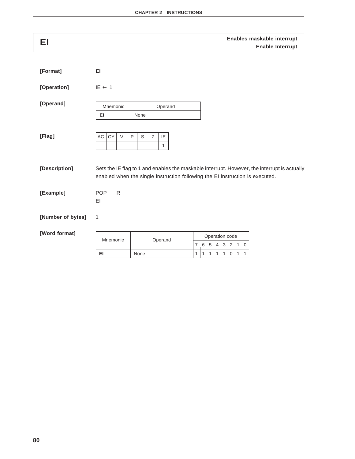| EI                |                       |                                             | Enables maskable interrupt<br><b>Enable Interrupt</b>                                                                                                                         |
|-------------------|-----------------------|---------------------------------------------|-------------------------------------------------------------------------------------------------------------------------------------------------------------------------------|
| [Format]          | EI                    |                                             |                                                                                                                                                                               |
| [Operation]       | $IE \leftarrow 1$     |                                             |                                                                                                                                                                               |
| [Operand]         | Mnemonic<br>EI.       | Operand<br>None                             |                                                                                                                                                                               |
| [Flag]            | AC<br>CY<br>$\vee$    | $\mathsf P$<br>S<br>Ζ<br>IE<br>$\mathbf{1}$ |                                                                                                                                                                               |
| [Description]     |                       |                                             | Sets the IE flag to 1 and enables the maskable interrupt. However, the interrupt is actually<br>enabled when the single instruction following the EI instruction is executed. |
| [Example]         | <b>POP</b><br>R<br>EI |                                             |                                                                                                                                                                               |
| [Number of bytes] | 1                     |                                             |                                                                                                                                                                               |
| [Word format]     | Mnemonic              | Operand                                     | Operation code<br>$6\,$<br>$\overline{7}$<br>5<br>$\overline{2}$<br>4<br>3 <sup>1</sup><br>$\overline{1}$<br>$\mathbf 0$                                                      |
|                   | EI                    | None                                        | 1<br>$\mathbf{1}$<br>1<br>$\mathbf 0$<br>1<br>1<br>$\mathbf{1}$<br>1                                                                                                          |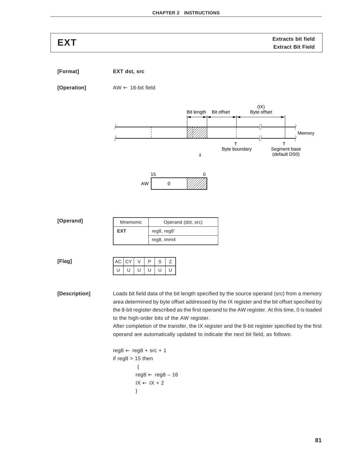# **EXT**<br>**EXT** Extracts bit field Extracts bit field

**[Format] EXT dst, src**

**[Operation]** AW ← 16-bit field





| [Operand] | Mnemonic   | Operand (dst, src) |
|-----------|------------|--------------------|
|           | <b>EXT</b> | reg8, reg8'        |
|           |            | reg8, imm4         |

**[Flag]**

|   | AC CY | D            | S |  |
|---|-------|--------------|---|--|
| ш |       | $\mathbf{I}$ | U |  |

**[Description]** Loads bit field data of the bit length specified by the source operand (src) from a memory area determined by byte offset addressed by the IX register and the bit offset specified by the 8-bit register described as the first operand to the AW register. At this time, 0 is loaded to the high-order bits of the AW register.

> After completion of the transfer, the IX register and the 8-bit register specified by the first operand are automatically updated to indicate the next bit field, as follows:

```
reg8 \leftarrow reg8 + src + 1if reg8 > 15 then
              {
            reg8 \leftarrow reg8 - 16IX \leftarrow IX + 2}
```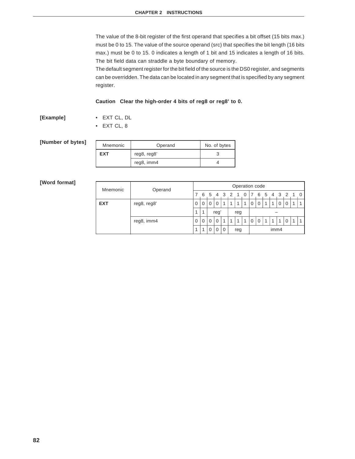The value of the 8-bit register of the first operand that specifies a bit offset (15 bits max.) must be 0 to 15. The value of the source operand (src) that specifies the bit length (16 bits max.) must be 0 to 15. 0 indicates a length of 1 bit and 15 indicates a length of 16 bits. The bit field data can straddle a byte boundary of memory.

The default segment register for the bit field of the source is the DS0 register, and segments can be overridden. The data can be located in any segment that is specified by any segment register.

### **Caution Clear the high-order 4 bits of reg8 or reg8' to 0.**

**[Example]** • EXT CL, DL

• EXT CL, 8

## **[Number of bytes]**

| Mnemonic | Operand     | No. of bytes |  |  |  |  |  |
|----------|-------------|--------------|--|--|--|--|--|
| EXT      | reg8, reg8' |              |  |  |  |  |  |
|          | reg8, imm4  |              |  |  |  |  |  |

| Mnemonic   | Operand     |   |   |          |          |    |   |     | Operation code |   |          |   |      |     |          |          |
|------------|-------------|---|---|----------|----------|----|---|-----|----------------|---|----------|---|------|-----|----------|----------|
|            |             |   | 6 | 5        | 4        | -3 | 2 |     |                |   | 6        | 5 | -4   | - 3 |          | $\Omega$ |
| <b>EXT</b> | reg8, reg8' | 0 | 0 | $\Omega$ |          |    |   |     |                |   |          |   |      |     |          |          |
|            |             | 1 | 1 |          | reg      |    |   | reg |                |   |          |   |      |     |          |          |
|            | reg8, imm4  | 0 | 0 | $\Omega$ | $\Omega$ |    | 1 |     |                | 0 | $\Omega$ |   |      |     | $\Omega$ |          |
|            |             | 4 | ٠ | 0        | $\Omega$ | 0  |   | reg |                |   |          |   | imm4 |     |          |          |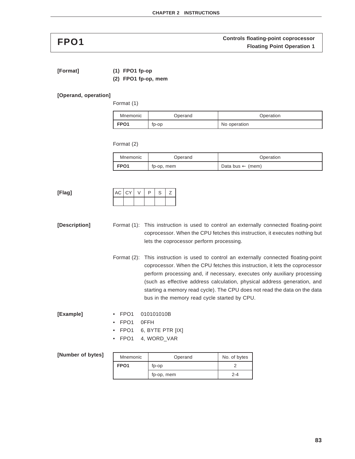**FPO1 FPO1 FPO1 FROM FROM FIDO1 FIDO1 FIDO1 FIDO1 FIDO1 FIDO1 FIDO1 FIDO1 FIDO1 FIDO1 FIDO1 FIDO1 FIDO1 FIDO1 FIDO1** 

**[Format] (1) FPO1 fp-op**

**(2) FPO1 fp-op, mem**

### **[Operand, operation]**

Format (1)

| Mnemonic         | Operand | Operation    |
|------------------|---------|--------------|
| FPO <sub>1</sub> | tp-op   | No operation |

Format (2)

| Mnemonic         | Operand    | Operation                   |
|------------------|------------|-----------------------------|
| FPO <sub>1</sub> | tp-op, mem | Data bus $\leftarrow$ (mem) |

**[Flag]**

| AC CY | D | S | ← |
|-------|---|---|---|
|       |   |   |   |

- **[Description]** Format (1): This instruction is used to control an externally connected floating-point coprocessor. When the CPU fetches this instruction, it executes nothing but lets the coprocessor perform processing.
	- Format (2): This instruction is used to control an externally connected floating-point coprocessor. When the CPU fetches this instruction, it lets the coprocessor perform processing and, if necessary, executes only auxiliary processing (such as effective address calculation, physical address generation, and starting a memory read cycle). The CPU does not read the data on the data bus in the memory read cycle started by CPU.

- **[Example]** FPO1 010101010B
	- FPO1 0FFH
	- FPO1 6, BYTE PTR [IX]
	- FPO1 4, WORD\_VAR

| [Number of bytes] | Mnemonic         | Operand    | No. of bytes |
|-------------------|------------------|------------|--------------|
|                   | FPO <sub>1</sub> | fp-op      |              |
|                   |                  | fp-op, mem | $2 - 4$      |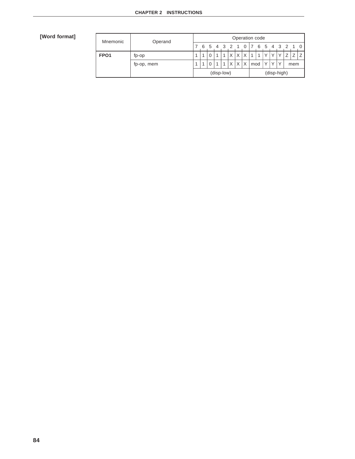| Mnemonic         | Operand    |   |   |     |            |              |              | Operation code |     |                |              |           |              |   |     |  |
|------------------|------------|---|---|-----|------------|--------------|--------------|----------------|-----|----------------|--------------|-----------|--------------|---|-----|--|
|                  |            | 6 | 5 | 4 3 |            |              |              |                |     | 6              | 5            | 4         |              |   |     |  |
| FPO <sub>1</sub> | fp-op      |   | 0 | 4   |            | $\mathsf{x}$ | $\mathsf{v}$ | $\mathsf{x}$   |     | $\overline{A}$ |              |           |              | 7 |     |  |
|                  | fp-op, mem |   | 0 | 4   |            | X            | X            | X              | mod |                | $\checkmark$ | $\sqrt{}$ | $\checkmark$ |   | mem |  |
|                  |            |   |   |     | (disp-low) |              |              |                |     |                |              |           | (disp-high)  |   |     |  |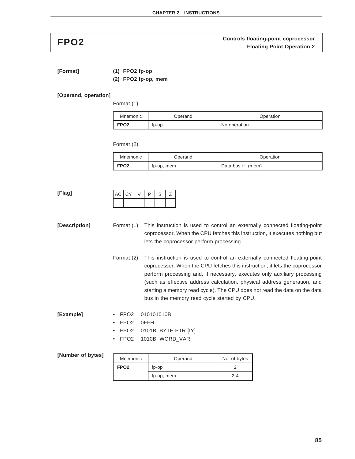**FPO2 FPO2 FRO2 FRO2 FRO2 FIDO2 FIDO2 FIDO2 FIDO2 FIDO2 FIDO2 FIDO2 FIDO2 FIDO2 FIDO2 FIDO2** 

**[Format] (1) FPO2 fp-op**

**(2) FPO2 fp-op, mem**

### **[Operand, operation]**

Format (1)

| Mnemonic | Operand | Operation    |
|----------|---------|--------------|
| l FPO2   | tp-op   | No operation |

Format (2)

| Mnemonic         | Operand    | Operation                   |
|------------------|------------|-----------------------------|
| FPO <sub>2</sub> | tp-op, mem | Data bus $\leftarrow$ (mem) |

**[Flag]**

| $AC$ $CY$ |  | D | S |  |
|-----------|--|---|---|--|
|           |  |   |   |  |

- **[Description]** Format (1): This instruction is used to control an externally connected floating-point coprocessor. When the CPU fetches this instruction, it executes nothing but lets the coprocessor perform processing.
	- Format (2): This instruction is used to control an externally connected floating-point coprocessor. When the CPU fetches this instruction, it lets the coprocessor perform processing and, if necessary, executes only auxiliary processing (such as effective address calculation, physical address generation, and starting a memory read cycle). The CPU does not read the data on the data bus in the memory read cycle started by CPU.

- **[Example]** FPO2 010101010B
	- FPO2 0FFH
	- FPO2 0101B, BYTE PTR [IY]
	- FPO2 1010B, WORD\_VAR

| [Number of bytes] | Mnemonic         | Operand    | No. of bytes |
|-------------------|------------------|------------|--------------|
|                   | FPO <sub>2</sub> | fp-op      |              |
|                   |                  | fp-op, mem | $2 - 4$      |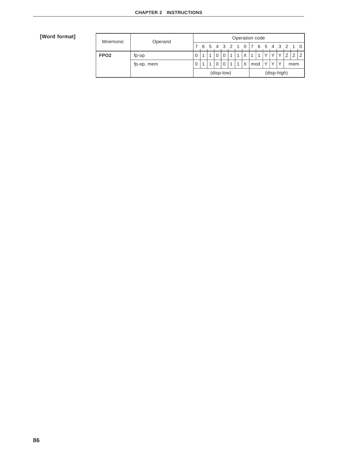| Mnemonic         | Operand    |             | Operation code |   |   |          |                         |                |   |                                  |                  |   |              |    |     |  |   |
|------------------|------------|-------------|----------------|---|---|----------|-------------------------|----------------|---|----------------------------------|------------------|---|--------------|----|-----|--|---|
|                  |            |             | 6              | 5 | 4 | - 3      |                         |                |   |                                  | 6                | 5 | 4            | -3 |     |  | 0 |
| FPO <sub>2</sub> | fp-op      | $\mathbf 0$ |                |   |   |          | $\overline{\mathbf{A}}$ |                | Χ | $\overline{A}$                   | $\boldsymbol{A}$ |   |              |    |     |  |   |
|                  | fp-op, mem | 0           |                |   |   | $\Omega$ | $\overline{A}$          | $\overline{A}$ | X | $\sqrt{}$<br>$\checkmark$<br>mod |                  |   | $\checkmark$ |    | mem |  |   |
|                  |            | (disp-low)  |                |   |   |          | (disp-high)             |                |   |                                  |                  |   |              |    |     |  |   |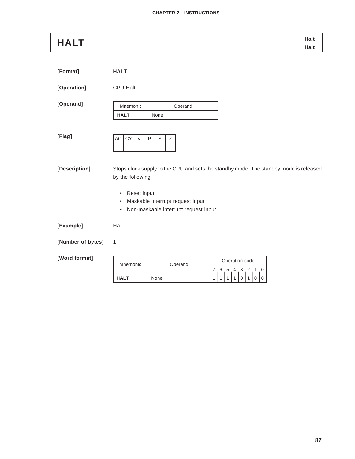# **Halt HALT Halt**

| [Format]          | <b>HALT</b>                                                             |                                                                          |                                                                                                                           |
|-------------------|-------------------------------------------------------------------------|--------------------------------------------------------------------------|---------------------------------------------------------------------------------------------------------------------------|
| [Operation]       | <b>CPU Halt</b>                                                         |                                                                          |                                                                                                                           |
| [Operand]         | Mnemonic<br><b>HALT</b>                                                 | Operand<br>None                                                          |                                                                                                                           |
| [Flag]            | CY<br>AC<br>$\vee$                                                      | $\mathsf{P}$<br>$\mathsf S$<br>Z                                         |                                                                                                                           |
| [Description]     | by the following:<br>Reset input<br>$\bullet$<br>$\bullet$<br>$\bullet$ | Maskable interrupt request input<br>Non-maskable interrupt request input | Stops clock supply to the CPU and sets the standby mode. The standby mode is released                                     |
| [Example]         | <b>HALT</b>                                                             |                                                                          |                                                                                                                           |
| [Number of bytes] | $\mathbf{1}$                                                            |                                                                          |                                                                                                                           |
| [Word format]     | Mnemonic                                                                | Operand                                                                  | Operation code<br>$\overline{7}$<br>5<br>$\overline{3}$<br>$\overline{c}$<br>- 6<br>$\overline{4}$<br>$\overline{1}$<br>0 |
|                   | <b>HALT</b>                                                             | None                                                                     | $\mathbf{1}$<br>1<br>0<br>$\mathbf{1}$<br>0<br>0<br>1<br>1                                                                |
|                   |                                                                         |                                                                          |                                                                                                                           |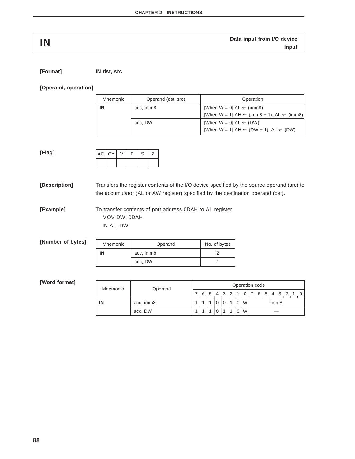| IN | Data input from I/O device |
|----|----------------------------|
|    | Input                      |

| [Format] | IN dst, src |
|----------|-------------|
|          |             |

### **[Operand, operation]**

| Mnemonic | Operand (dst, src) | Operation                                                       |
|----------|--------------------|-----------------------------------------------------------------|
| IN       | acc, imm8          | [When $W = 0$ ] AL $\leftarrow$ (imm8)                          |
|          |                    | [When W = 1] AH $\leftarrow$ (imm8 + 1), AL $\leftarrow$ (imm8) |
|          | acc, DW            | [When $W = 0$ ] $AL \leftarrow (DW)$                            |
|          |                    | [When W = 1] AH $\leftarrow$ (DW + 1), AL $\leftarrow$ (DW)     |

| ×<br>. .<br>$\sim$ |
|--------------------|
|--------------------|

| $AC$ $CY$ | P | S | ╯ |
|-----------|---|---|---|
|           |   |   |   |

**[Description]** Transfers the register contents of the I/O device specified by the source operand (src) to the accumulator (AL or AW register) specified by the destination operand (dst).

**[Example]** To transfer contents of port address 0DAH to AL register MOV DW, 0DAH IN AL, DW

| [Number of bytes] | Mnemonic | Operand   | No. of bytes |
|-------------------|----------|-----------|--------------|
|                   | IN       | acc, imm8 |              |
|                   |          | acc, DW   |              |
|                   |          |           |              |

| Mnemonic | Operand   |  | Operation code |   |  |       |  |  |   |                  |  |  |         |  |  |  |  |
|----------|-----------|--|----------------|---|--|-------|--|--|---|------------------|--|--|---------|--|--|--|--|
|          |           |  | 6              | 5 |  | 4 3 2 |  |  |   |                  |  |  | 6 5 4 3 |  |  |  |  |
| IN       | acc, imm8 |  |                |   |  |       |  |  | W | imm <sub>8</sub> |  |  |         |  |  |  |  |
|          | acc, DW   |  |                |   |  |       |  |  | W |                  |  |  |         |  |  |  |  |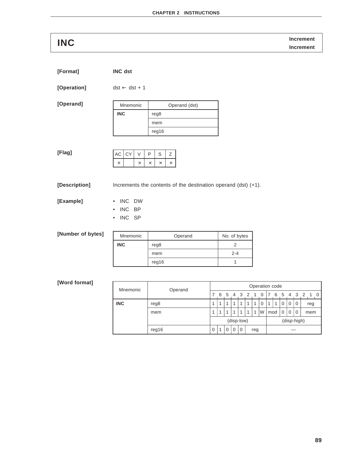**Increment INC Increment**

| [Format] | <b>INC dst</b> |  |
|----------|----------------|--|
|          |                |  |

**[Operation]** dst ← dst + 1

**[Operand]**

| Mnemonic   | Operand (dst) |
|------------|---------------|
| <b>INC</b> | reg8          |
|            | mem           |
|            | reg16         |

**[Flag]**

| AC CY | $\mathcal{U}$ | P | S | $\epsilon$ |
|-------|---------------|---|---|------------|
|       |               |   |   |            |

**[Description]** Increments the contents of the destination operand (dst) (+1).

**[Example]** • INC DW

- INC BP
- INC SP

## **[Number of bytes]**

| Mnemonic   | Operand | No. of bytes |
|------------|---------|--------------|
| <b>INC</b> | reg8    |              |
|            | mem     | $2 - 4$      |
|            | reg16   |              |

| Mnemonic   | Operand |            | Operation code |                |                         |                         |   |     |             |     |             |   |             |          |     |   |          |
|------------|---------|------------|----------------|----------------|-------------------------|-------------------------|---|-----|-------------|-----|-------------|---|-------------|----------|-----|---|----------|
|            |         |            | 6              | 5              | 4 3                     |                         | 2 |     | 0           |     | 6           | 5 | 4           | 3        | 2   | 1 | $\Omega$ |
| <b>INC</b> | reg8    |            | и              | 1              | $\overline{\mathbf{A}}$ | 1                       | 1 | 1   | $\mathbf 0$ | 1   | 1           | 0 | $\mathbf 0$ | 0        | reg |   |          |
|            | mem     |            |                | $\overline{A}$ |                         | $\overline{\mathbf{A}}$ | 1 | 1   | W           | mod |             | 0 | 0           | 0<br>mem |     |   |          |
|            |         | (disp-low) |                |                |                         |                         |   |     |             |     | (disp-high) |   |             |          |     |   |          |
|            | reg16   | 0          | 1              | $\Omega$       | 0                       | $\Omega$                |   | reg |             |     |             |   |             |          |     |   |          |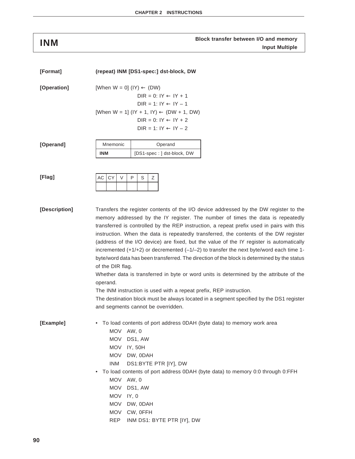# **Block transfer between I/O and memory INM Input Multiple**

| [Format]      | (repeat) INM [DS1-spec:] dst-block, DW                                                                                                                                                                                                                                                                                                                                                                                                                                                                                                                                                                                                                                                                                                                                                                                                                                                                                                                                                    |
|---------------|-------------------------------------------------------------------------------------------------------------------------------------------------------------------------------------------------------------------------------------------------------------------------------------------------------------------------------------------------------------------------------------------------------------------------------------------------------------------------------------------------------------------------------------------------------------------------------------------------------------------------------------------------------------------------------------------------------------------------------------------------------------------------------------------------------------------------------------------------------------------------------------------------------------------------------------------------------------------------------------------|
| [Operation]   | [When $W = 0$ ] (IY) $\leftarrow$ (DW)<br>$DIR = 0: IY \leftarrow IY + 1$<br>$DIR = 1: IY \leftarrow IY - 1$<br>[When W = 1] (IY + 1, IY) $\leftarrow$ (DW + 1, DW)<br>DIR = $0: IY \leftarrow IY + 2$<br>DIR = 1: IY $\leftarrow$ IY $-2$                                                                                                                                                                                                                                                                                                                                                                                                                                                                                                                                                                                                                                                                                                                                                |
| [Operand]     | Mnemonic<br>Operand<br><b>INM</b><br>[DS1-spec: ] dst-block, DW                                                                                                                                                                                                                                                                                                                                                                                                                                                                                                                                                                                                                                                                                                                                                                                                                                                                                                                           |
| [Flag]        | CY<br>$\vee$<br>$\mathsf{P}$<br>Ζ<br>AC<br>S                                                                                                                                                                                                                                                                                                                                                                                                                                                                                                                                                                                                                                                                                                                                                                                                                                                                                                                                              |
| [Description] | Transfers the register contents of the I/O device addressed by the DW register to the<br>memory addressed by the IY register. The number of times the data is repeatedly<br>transferred is controlled by the REP instruction, a repeat prefix used in pairs with this<br>instruction. When the data is repeatedly transferred, the contents of the DW register<br>(address of the I/O device) are fixed, but the value of the IY register is automatically<br>incremented $(+1/+2)$ or decremented $(-1/-2)$ to transfer the next byte/word each time 1-<br>byte/word data has been transferred. The direction of the block is determined by the status<br>of the DIR flag.<br>Whether data is transferred in byte or word units is determined by the attribute of the<br>operand.<br>The INM instruction is used with a repeat prefix, REP instruction.<br>The destination block must be always located in a segment specified by the DS1 register<br>and segments cannot be overridden. |
| [Example]     | To load contents of port address 0DAH (byte data) to memory work area<br><b>MOV</b><br>AW, 0<br><b>MOV</b><br>DS1, AW<br><b>MOV</b><br>IY, 50H<br><b>MOV</b><br>DW, ODAH<br><b>INM</b><br>DS1:BYTE PTR [IY], DW<br>To load contents of port address 0DAH (byte data) to memory 0:0 through 0:FFH<br>$\bullet$<br><b>MOV</b><br>AW, 0<br><b>MOV</b><br>DS1, AW                                                                                                                                                                                                                                                                                                                                                                                                                                                                                                                                                                                                                             |

- MOV IY, 0
- MOV DW, 0DAH
- MOV CW, 0FFH
- REP INM DS1: BYTE PTR [IY], DW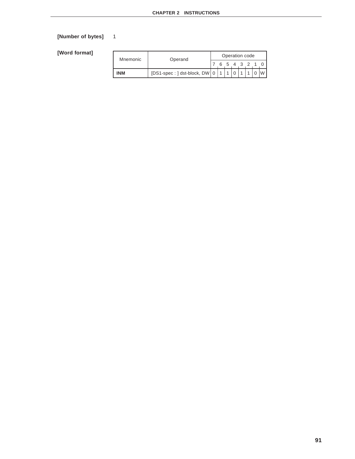# **[Number of bytes]** 1

| Mnemonic   | Operand                                      | Operation code |  |  |      |  |  |  |  |  |  |  |
|------------|----------------------------------------------|----------------|--|--|------|--|--|--|--|--|--|--|
|            |                                              |                |  |  | 6543 |  |  |  |  |  |  |  |
| <b>INM</b> | [DS1-spec: ] dst-block, DW $\vert 0 \vert$ 1 |                |  |  |      |  |  |  |  |  |  |  |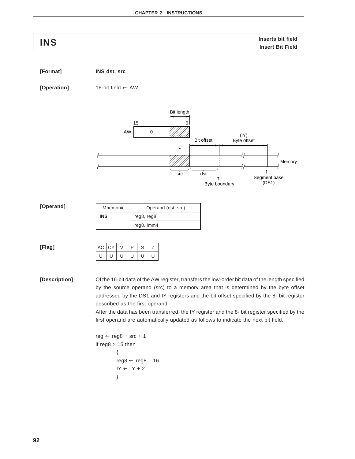**Inserts bit field INS Insert Bit Field**

**[Format] INS dst, src**

**[Operation]** 16-bit field ← AW



**[Description]** Of the 16-bit data of the AW register, transfers the low-order bit data of the length specified by the source operand (src) to a memory area that is determined by the byte offset addressed by the DS1 and IY registers and the bit offset specified by the 8- bit register described as the first operand.

> After the data has been transferred, the IY register and the 8- bit register specified by the first operand are automatically updated as follows to indicate the next bit field.

```
reg \leftarrow reg8 + src + 1if reg8 > 15 then
           {
           reg8 \leftarrow reg8 - 16IY \leftarrow IY + 2}
```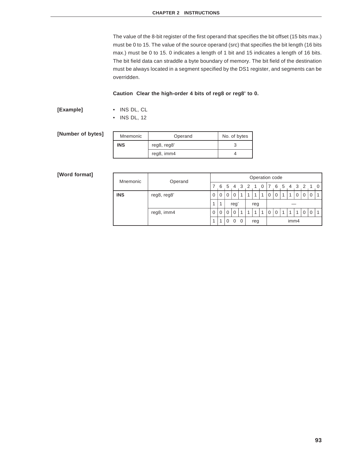The value of the 8-bit register of the first operand that specifies the bit offset (15 bits max.) must be 0 to 15. The value of the source operand (src) that specifies the bit length (16 bits max.) must be 0 to 15. 0 indicates a length of 1 bit and 15 indicates a length of 16 bits. The bit field data can straddle a byte boundary of memory. The bit field of the destination must be always located in a segment specified by the DS1 register, and segments can be overridden.

### **Caution Clear the high-order 4 bits of reg8 or reg8' to 0.**

## **[Example]** • INS DL, CL

• INS DL, 12

| [Number of bytes] | Mnemonic   | Operand     | No. of bytes |
|-------------------|------------|-------------|--------------|
|                   | <b>INS</b> | reg8, reg8' |              |
|                   |            | reg8, imm4  |              |

| Mnemonic   | Operand     | Operation code |   |     |                |     |     |  |   |          |   |      |    |    |  |  |  |  |  |
|------------|-------------|----------------|---|-----|----------------|-----|-----|--|---|----------|---|------|----|----|--|--|--|--|--|
|            |             |                | 6 | -5  | $\overline{4}$ | 3   | 2   |  | 0 |          | 6 | 5    | -4 | -3 |  |  |  |  |  |
| <b>INS</b> | reg8, reg8' | 0              | 0 | 0   | 0              | 4   |     |  | 1 | 0        | 0 |      |    |    |  |  |  |  |  |
|            |             | 4              | 4 | reg |                | reg |     |  |   |          |   |      |    |    |  |  |  |  |  |
|            | reg8, imm4  | 0              | 0 | 0   | $\mathbf 0$    |     | 1   |  | 1 | $\Omega$ | 0 |      |    |    |  |  |  |  |  |
|            |             | 4              |   | 0   | 0              | 0   | reg |  |   |          |   | imm4 |    |    |  |  |  |  |  |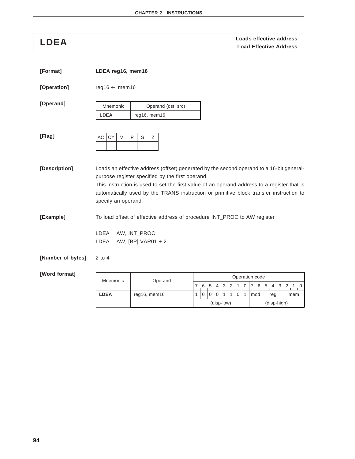**LDEA Loads effective address**<br>
Load Effective Address

(disp-low) (disp-high)

| [Format]          | LDEA reg16, mem16         |                                                  |                                                                                                                                                                                                                                                                                   |
|-------------------|---------------------------|--------------------------------------------------|-----------------------------------------------------------------------------------------------------------------------------------------------------------------------------------------------------------------------------------------------------------------------------------|
| [Operation]       | $reg16 \leftarrow mem16$  |                                                  |                                                                                                                                                                                                                                                                                   |
| [Operand]         | Mnemonic<br><b>LDEA</b>   | Operand (dst, src)<br>reg16, mem16               |                                                                                                                                                                                                                                                                                   |
| [Flag]            | <b>CY</b><br>AC<br>$\vee$ | P<br>Ζ<br>S                                      |                                                                                                                                                                                                                                                                                   |
| [Description]     | specify an operand.       | purpose register specified by the first operand. | Loads an effective address (offset) generated by the second operand to a 16-bit general-<br>This instruction is used to set the first value of an operand address to a register that is<br>automatically used by the TRANS instruction or primitive block transfer instruction to |
| [Example]         | LDEA<br>LDEA              | AW, INT_PROC<br>AW, [BP] VAR01 + 2               | To load offset of effective address of procedure INT_PROC to AW register                                                                                                                                                                                                          |
| [Number of bytes] | $2$ to $4$                |                                                  |                                                                                                                                                                                                                                                                                   |
| [Word format]     | Mnemonic                  | Operand                                          | Operation code                                                                                                                                                                                                                                                                    |
|                   | <b>LDEA</b>               | reg16, mem16                                     | 7 6 5 4 3 2 1 0<br>$\overline{2}$<br>$1\quad0$<br>76<br>-5<br>4<br>3<br>1<br>$\mathbf 0$<br>$\mathbf{0}$<br>0<br>$\Omega$<br>1<br>$\mathbf{1}$<br>1<br>mod<br>reg<br>mem                                                                                                          |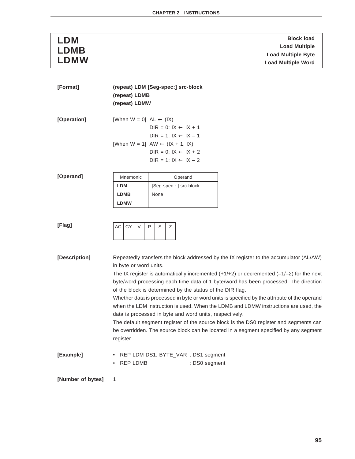| <b>LDM</b>  | <b>Block load</b>         |
|-------------|---------------------------|
| <b>LDMB</b> | <b>Load Multiple</b>      |
|             | <b>Load Multiple Byte</b> |
| LDMW        | <b>Load Multiple Word</b> |

| [Format]          |                                      | (repeat) LDM [Seg-spec:] src-block                                                                                                                                                                                                             |
|-------------------|--------------------------------------|------------------------------------------------------------------------------------------------------------------------------------------------------------------------------------------------------------------------------------------------|
|                   | (repeat) LDMB                        |                                                                                                                                                                                                                                                |
|                   | (repeat) LDMW                        |                                                                                                                                                                                                                                                |
| [Operation]       | [When $W = 0$ ] $AL \leftarrow (IX)$ | $DIR = 0: IX \leftarrow IX + 1$<br>$DIR = 1: IX \leftarrow IX - 1$                                                                                                                                                                             |
|                   |                                      | [When W = 1] $AW \leftarrow (IX + 1, IX)$                                                                                                                                                                                                      |
|                   |                                      | DIR = $0: IX \leftarrow IX + 2$                                                                                                                                                                                                                |
|                   |                                      | $DIR = 1: IX \leftarrow IX - 2$                                                                                                                                                                                                                |
|                   |                                      |                                                                                                                                                                                                                                                |
| [Operand]         | Mnemonic                             | Operand                                                                                                                                                                                                                                        |
|                   | <b>LDM</b>                           | [Seg-spec : ] src-block                                                                                                                                                                                                                        |
|                   | <b>LDMB</b>                          | None                                                                                                                                                                                                                                           |
|                   | <b>LDMW</b>                          |                                                                                                                                                                                                                                                |
|                   |                                      |                                                                                                                                                                                                                                                |
| [Flag]            | <b>CY</b><br>$\vee$<br>АC            | P<br>S<br>Ζ                                                                                                                                                                                                                                    |
| [Description]     |                                      | Repeatedly transfers the block addressed by the IX register to the accumulator (AL/AW)                                                                                                                                                         |
|                   | in byte or word units.               |                                                                                                                                                                                                                                                |
|                   |                                      | The IX register is automatically incremented $(+1/+2)$ or decremented $(-1/-2)$ for the next<br>byte/word processing each time data of 1 byte/word has been processed. The direction                                                           |
|                   |                                      | of the block is determined by the status of the DIR flag.                                                                                                                                                                                      |
|                   |                                      | Whether data is processed in byte or word units is specified by the attribute of the operand<br>when the LDM instruction is used. When the LDMB and LDMW instructions are used, the<br>data is processed in byte and word units, respectively. |
|                   |                                      | The default segment register of the source block is the DS0 register and segments can                                                                                                                                                          |
|                   | register.                            | be overridden. The source block can be located in a segment specified by any segment                                                                                                                                                           |
| [Example]         |                                      | REP LDM DS1: BYTE_VAR; DS1 segment                                                                                                                                                                                                             |
|                   | • REP LDMB                           | ; DS0 segment                                                                                                                                                                                                                                  |
|                   |                                      |                                                                                                                                                                                                                                                |
| [Number of bytes] | 1                                    |                                                                                                                                                                                                                                                |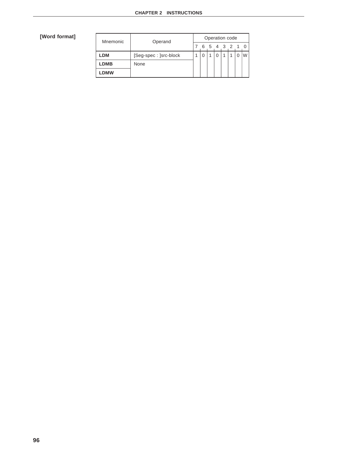| Mnemonic    | Operand               | Operation code |   |  |  |  |           |  |  |  |  |  |  |
|-------------|-----------------------|----------------|---|--|--|--|-----------|--|--|--|--|--|--|
|             |                       |                | 6 |  |  |  | 5 4 3 2 1 |  |  |  |  |  |  |
| LDM         | [Seg-spec: ]src-block |                |   |  |  |  |           |  |  |  |  |  |  |
| <b>LDMB</b> | None                  |                |   |  |  |  |           |  |  |  |  |  |  |
| LDMW        |                       |                |   |  |  |  |           |  |  |  |  |  |  |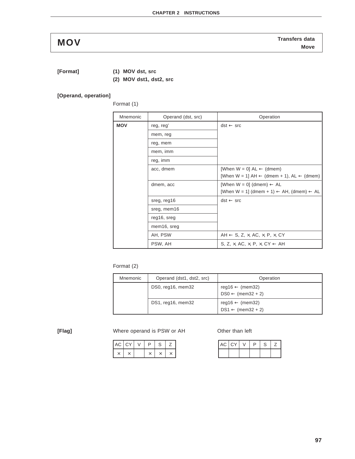**[Format] (1) MOV dst, src**

**(2) MOV dst1, dst2, src**

## **[Operand, operation]**

Format (1)

| Mnemonic   | Operand (dst, src) | Operation                                                          |
|------------|--------------------|--------------------------------------------------------------------|
| <b>MOV</b> | reg, reg'          | $dst \leftarrow src$                                               |
|            | mem, reg           |                                                                    |
|            | reg, mem           |                                                                    |
|            | mem, imm           |                                                                    |
|            | reg, imm           |                                                                    |
|            | acc, dmem          | [When $W = 0$ ] $AL \leftarrow$ (dmem)                             |
|            |                    | [When $W = 1$ ] AH $\leftarrow$ (dmem + 1), AL $\leftarrow$ (dmem) |
|            | dmem, acc          | [When $W = 0$ ] (dmem) $\leftarrow$ AL                             |
|            |                    | [When W = 1] (dmem + 1) $\leftarrow$ AH, (dmem) $\leftarrow$ AL    |
|            | sreg, reg16        | $dst \leftarrow src$                                               |
|            | sreg, mem16        |                                                                    |
|            | reg16, sreg        |                                                                    |
|            | mem16, sreg        |                                                                    |
|            | AH, PSW            | AH $\leftarrow$ S, Z, x, AC, x, P, x, CY                           |
|            | PSW, AH            | S. Z. $\times$ . AC. $\times$ . P. $\times$ . CY $\leftarrow$ AH   |

## Format (2)

| Mnemonic | Operand (dst1, dst2, src) | Operation                                                  |
|----------|---------------------------|------------------------------------------------------------|
|          | DS0, reg16, mem32         | reg16 $\leftarrow$ (mem32)<br>$DS0 \leftarrow (mem32 + 2)$ |
|          | DS1, reg16, mem32         | reg16 $\leftarrow$ (mem32)<br>$DS1 \leftarrow (mem32 + 2)$ |

**[Flag]** Where operand is PSW or AH Other than left

| $AC$ $CY$ |  | n | ◠<br>╮ |  |
|-----------|--|---|--------|--|
|           |  |   |        |  |

| $AC$ $CY$ | $\vee$ | P | S | <u>.</u> |
|-----------|--------|---|---|----------|
|           |        |   |   |          |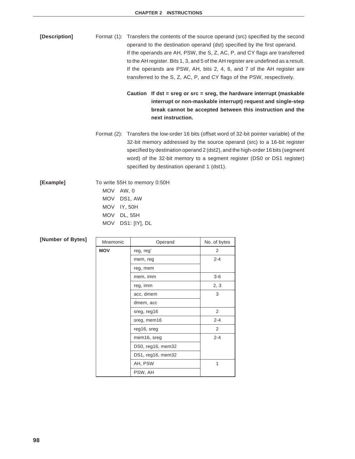**[Description]** Format (1): Transfers the contents of the source operand (src) specified by the second operand to the destination operand (dst) specified by the first operand. If the operands are AH, PSW, the S, Z, AC, P, and CY flags are transferred to the AH register. Bits 1, 3, and 5 of the AH register are undefined as a result. If the operands are PSW, AH, bits 2, 4, 6, and 7 of the AH register are transferred to the S, Z, AC, P, and CY flags of the PSW, respectively.

> **Caution If dst = sreg or src = sreg, the hardware interrupt (maskable interrupt or non-maskable interrupt) request and single-step break cannot be accepted between this instruction and the next instruction.**

Format (2): Transfers the low-order 16 bits (offset word of 32-bit pointer variable) of the 32-bit memory addressed by the source operand (src) to a 16-bit register specified by destination operand 2 (dst2), and the high-order 16 bits (segment word) of the 32-bit memory to a segment register (DS0 or DS1 register) specified by destination operand 1 (dst1).

| [Example] | To write 55H to memory 0:50H |  |  |  |  |
|-----------|------------------------------|--|--|--|--|
|           | MOV AW, 0                    |  |  |  |  |
|           | MOV DS1, AW                  |  |  |  |  |
|           | MOV IY, 50H                  |  |  |  |  |
|           | MOV DL, 55H                  |  |  |  |  |
|           | MOV DS1: [IY], DL            |  |  |  |  |
|           |                              |  |  |  |  |

| Mnemonic   | Operand           | No. of bytes |
|------------|-------------------|--------------|
| <b>MOV</b> | reg, reg'         | 2            |
|            | mem, reg          | $2 - 4$      |
|            | reg, mem          |              |
|            | mem, imm          | 3-6          |
|            | reg, imm          | 2, 3         |
|            | acc, dmem         | 3            |
|            | dmem, acc         |              |
|            | sreg, reg16       | 2            |
|            | sreg, mem16       | $2 - 4$      |
|            | reg16, sreg       | 2            |
|            | mem16, sreg       | $2 - 4$      |
|            | DS0, reg16, mem32 |              |
|            | DS1, reg16, mem32 |              |
|            | AH, PSW           | 1            |
|            | PSW, AH           |              |

# **[Number of Bytes]**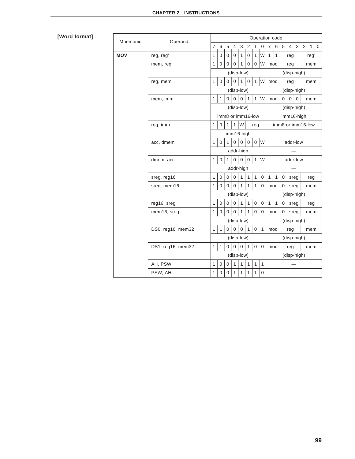| Mnemonic   | Operand           |                           |              |                  |                  |                   |                |                  | Operation code |              |              |                   |             |             |  |               |
|------------|-------------------|---------------------------|--------------|------------------|------------------|-------------------|----------------|------------------|----------------|--------------|--------------|-------------------|-------------|-------------|--|---------------|
|            |                   | $\overline{7}$            | 6            | 5                | 4                | 3                 | $\overline{2}$ | $\mathbf{1}$     | 0              | $7^{\circ}$  |              |                   |             |             |  | 6 5 4 3 2 1 0 |
| <b>MOV</b> | reg, reg'         | 1                         | 0            | $\mathbf 0$      | $\mathbf{0}$     | $\mathbf{1}$      | $\overline{0}$ | $\mathbf{1}$     | W              | $\mathbf{1}$ | $\mathbf{1}$ |                   | reg         |             |  | reg'          |
|            | mem, reg          |                           | 0            | 0                | 0                | 1                 | 0              | 0                | W              | mod          |              |                   | reg<br>mem  |             |  |               |
|            |                   |                           |              |                  |                  | (disp-low)        |                |                  |                |              |              |                   | (disp-high) |             |  |               |
|            | reg, mem          |                           | 0            | $\mathbf 0$      | 0                | $\mathbf{1}$      | $\mathbf 0$    | $\mathbf{1}$     | W              | mod          |              |                   | reg         |             |  | mem           |
|            |                   |                           |              |                  |                  | (disp-low)        |                |                  |                |              |              |                   |             | (disp-high) |  |               |
|            | mem, imm          | $\mathbf{1}$              | $\mathbf{1}$ | 0                | $\mathbf{0}$     | $\mathbf{0}$      | $\mathbf{1}$   | $\mathbf{1}$     | W              | mod          |              | $\boldsymbol{0}$  | $\mathbf 0$ | $\mathbf 0$ |  | mem           |
|            |                   |                           |              |                  |                  | (disp-low)        |                |                  |                |              |              |                   |             | (disp-high) |  |               |
|            |                   |                           |              |                  |                  | imm8 or imm16-low |                |                  |                |              |              |                   |             | imm16-high  |  |               |
|            | reg, imm          |                           | $\mathbf 0$  | 1                | $\mathbf{1}$     | W                 |                | reg              |                |              |              | imm8 or imm16-low |             |             |  |               |
|            |                   |                           |              |                  |                  | imm16-high        |                |                  |                |              |              |                   |             |             |  |               |
|            | acc, dmem         |                           | 0            | $\mathbf{1}$     | $\overline{0}$   | $\mathbf{0}$      | $\Omega$       |                  | $0 \mid W$     | addr-low     |              |                   |             |             |  |               |
|            |                   |                           | addr-high    |                  |                  |                   |                |                  |                |              |              |                   |             |             |  |               |
|            | dmem, acc         |                           | 0            | $\mathbf{1}$     | $\overline{0}$   | $\mathbf 0$       | $\mathbf 0$    | $\mathbf{1}$     | W              | addr-low     |              |                   |             |             |  |               |
|            |                   |                           |              |                  |                  | addr-high         |                |                  |                |              |              |                   |             |             |  |               |
|            | sreg, reg16       | 1                         | 0            | $\pmb{0}$        | $\boldsymbol{0}$ | $\mathbf{1}$      | 1              | $\mathbf{1}$     | 0              | $\mathbf{1}$ | 1            | 0                 | sreg        |             |  | reg           |
|            | sreg, mem16       |                           | 0            | $\Omega$         | $\Omega$         | $\mathbf{1}$      | 1              | 1                | $\mathbf 0$    | mod          |              | 0                 | sreg        |             |  | mem           |
|            |                   | (disp-low)                |              |                  |                  |                   | (disp-high)    |                  |                |              |              |                   |             |             |  |               |
|            | reg16, sreg       | $\mathbf{1}$              | $\mathbf 0$  | $\boldsymbol{0}$ | 0                | $\mathbf{1}$      | $\mathbf{1}$   | $\boldsymbol{0}$ | $\mathbf 0$    | $\mathbf{1}$ | $\mathbf{1}$ | $\mathbf 0$       | sreg        |             |  | reg           |
|            | mem16, sreg       |                           | 0            | 0                | 0                | 1                 | 1              | 0                | 0              | mod          |              | 0                 | sreg        |             |  | mem           |
|            |                   |                           |              |                  |                  | (disp-low)        |                |                  |                |              |              |                   |             | (disp-high) |  |               |
|            | DS0, reg16, mem32 | 1                         | $\mathbf{1}$ | $\Omega$         | $\Omega$         | $\Omega$          | $\mathbf{1}$   | $\Omega$         | $\mathbf{1}$   | mod          |              |                   | reg         |             |  | mem           |
|            |                   |                           |              |                  |                  | (disp-low)        |                |                  |                |              |              |                   |             | (disp-high) |  |               |
|            | DS1, reg16, mem32 | 1                         | 1            | 0                | $\Omega$         | $\mathbf{0}$      | 1              | $\mathbf{0}$     | $\mathbf 0$    | mod          |              |                   | reg         |             |  | mem           |
|            |                   | (disp-low)<br>(disp-high) |              |                  |                  |                   |                |                  |                |              |              |                   |             |             |  |               |
|            | AH, PSW           | 1                         | 0            | 0                | $\mathbf{1}$     | $\mathbf{1}$      | 1              | $\mathbf{1}$     | $\mathbf{1}$   |              |              |                   |             |             |  |               |
|            | PSW, AH           | 1                         | 0            | $\mathbf 0$      | 1                | 1                 | 1              | 1                | 0              |              |              |                   |             |             |  |               |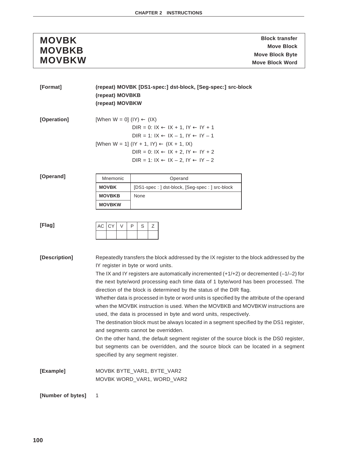| <b>MOVBK</b>  |
|---------------|
| <b>MOVBKB</b> |
| <b>MOVBKW</b> |

**MOVBK** Block transfer **Move Block MOVBKB Move Block Byte Move Block Byte**<br>
Move Block Word<br>
Move Block Word

| [Format]          | (repeat) MOVBK [DS1-spec:] dst-block, [Seg-spec:] src-block |                                                                                                                                 |  |  |  |  |  |  |
|-------------------|-------------------------------------------------------------|---------------------------------------------------------------------------------------------------------------------------------|--|--|--|--|--|--|
|                   | (repeat) MOVBKB                                             |                                                                                                                                 |  |  |  |  |  |  |
|                   | (repeat) MOVBKW                                             |                                                                                                                                 |  |  |  |  |  |  |
| [Operation]       | [When $W = 0$ ] (IY) $\leftarrow$ (IX)                      | DIR = 0: $IX \leftarrow IX + 1$ , $IY \leftarrow IY + 1$<br>$DIR = 1: IX \leftarrow IX - 1, IY \leftarrow IY - 1$               |  |  |  |  |  |  |
|                   |                                                             | [When W = 1] (IY + 1, IY) $\leftarrow$ (IX + 1, IX)                                                                             |  |  |  |  |  |  |
|                   |                                                             | DIR = 0: $IX \leftarrow IX + 2$ , $IY \leftarrow IY + 2$                                                                        |  |  |  |  |  |  |
|                   |                                                             | DIR = 1: $IX \leftarrow IX - 2$ , $IY \leftarrow IY - 2$                                                                        |  |  |  |  |  |  |
|                   |                                                             |                                                                                                                                 |  |  |  |  |  |  |
| [Operand]         | Mnemonic                                                    | Operand                                                                                                                         |  |  |  |  |  |  |
|                   | <b>MOVBK</b>                                                | [DS1-spec: ] dst-block, [Seg-spec: ] src-block                                                                                  |  |  |  |  |  |  |
|                   | <b>MOVBKB</b>                                               | None                                                                                                                            |  |  |  |  |  |  |
|                   | <b>MOVBKW</b>                                               |                                                                                                                                 |  |  |  |  |  |  |
|                   |                                                             |                                                                                                                                 |  |  |  |  |  |  |
| [Flag]            | $\vee$<br>AC<br>CY                                          | P<br>S<br>Ζ                                                                                                                     |  |  |  |  |  |  |
|                   |                                                             |                                                                                                                                 |  |  |  |  |  |  |
|                   |                                                             |                                                                                                                                 |  |  |  |  |  |  |
|                   |                                                             |                                                                                                                                 |  |  |  |  |  |  |
| [Description]     |                                                             | Repeatedly transfers the block addressed by the IX register to the block addressed by the<br>IY register in byte or word units. |  |  |  |  |  |  |
|                   |                                                             | The IX and IY registers are automatically incremented $(+1/+2)$ or decremented $(-1/-2)$ for                                    |  |  |  |  |  |  |
|                   |                                                             | the next byte/word processing each time data of 1 byte/word has been processed. The                                             |  |  |  |  |  |  |
|                   |                                                             | direction of the block is determined by the status of the DIR flag.                                                             |  |  |  |  |  |  |
|                   |                                                             | Whether data is processed in byte or word units is specified by the attribute of the operand                                    |  |  |  |  |  |  |
|                   |                                                             | when the MOVBK instruction is used. When the MOVBKB and MOVBKW instructions are                                                 |  |  |  |  |  |  |
|                   |                                                             | used, the data is processed in byte and word units, respectively.                                                               |  |  |  |  |  |  |
|                   |                                                             | The destination block must be always located in a segment specified by the DS1 register,                                        |  |  |  |  |  |  |
|                   |                                                             | and segments cannot be overridden.<br>On the other hand, the default segment register of the source block is the DS0 register,  |  |  |  |  |  |  |
|                   |                                                             | but segments can be overridden, and the source block can be located in a segment                                                |  |  |  |  |  |  |
|                   |                                                             | specified by any segment register.                                                                                              |  |  |  |  |  |  |
|                   |                                                             |                                                                                                                                 |  |  |  |  |  |  |
| [Example]         |                                                             | MOVBK BYTE_VAR1, BYTE_VAR2                                                                                                      |  |  |  |  |  |  |
|                   |                                                             | MOVBK WORD_VAR1, WORD_VAR2                                                                                                      |  |  |  |  |  |  |
|                   |                                                             |                                                                                                                                 |  |  |  |  |  |  |
| [Number of bytes] | 1                                                           |                                                                                                                                 |  |  |  |  |  |  |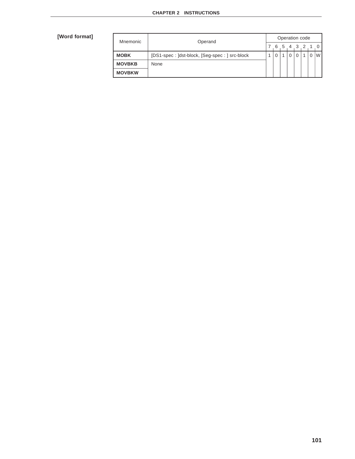| Mnemonic      | Operand                                       |  | Operation code |              |          |       |  |  |   |  |
|---------------|-----------------------------------------------|--|----------------|--------------|----------|-------|--|--|---|--|
|               |                                               |  | 6              | $\mathbf{b}$ |          | 4 3 2 |  |  |   |  |
| <b>MOBK</b>   | [DS1-spec: ]dst-block, [Seg-spec: ] src-block |  |                |              | $\Omega$ |       |  |  | W |  |
| <b>MOVBKB</b> | None                                          |  |                |              |          |       |  |  |   |  |
| <b>MOVBKW</b> |                                               |  |                |              |          |       |  |  |   |  |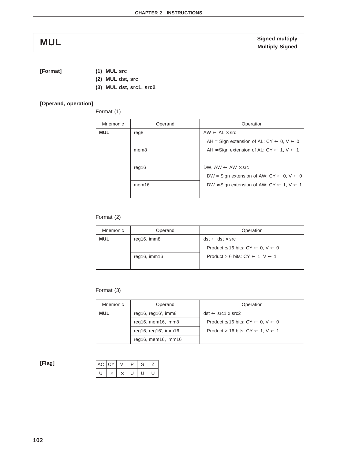**[Format] (1) MUL src**

- **(2) MUL dst, src**
- **(3) MUL dst, src1, src2**

### **[Operand, operation]**

Format (1)

| Mnemonic   | Operand           | Operation                                                           |
|------------|-------------------|---------------------------------------------------------------------|
| <b>MUL</b> | reg <sub>8</sub>  | $AW \leftarrow AL \times src$                                       |
|            |                   | AH = Sign extension of AL: $CY \leftarrow 0, V \leftarrow 0$        |
|            | mem <sub>8</sub>  | AH $\neq$ Sign extension of AL: CY $\leftarrow$ 1, V $\leftarrow$ 1 |
|            |                   |                                                                     |
|            | reg16             | DW, AW $\leftarrow$ AW $\times$ src                                 |
|            |                   | DW = Sign extension of AW: CY $\leftarrow$ 0, V $\leftarrow$ 0      |
|            | mem <sub>16</sub> | DW $\neq$ Sign extension of AW: CY $\leftarrow$ 1, V $\leftarrow$ 1 |
|            |                   |                                                                     |

### Format (2)

| Mnemonic | Operand            | Operation                                                   |
|----------|--------------------|-------------------------------------------------------------|
| MUL      | reg16, imm8        | $dst \leftarrow \text{dst} \times \text{src}$               |
|          |                    | Product $\leq$ 16 bits: CY $\leftarrow$ 0, V $\leftarrow$ 0 |
|          | $req16$ , imm $16$ | Product > 6 bits: $CY \leftarrow 1, V \leftarrow 1$         |
|          |                    |                                                             |

### Format (3)

| Mnemonic   | Operand                   | Operation                                                    |
|------------|---------------------------|--------------------------------------------------------------|
| <b>MUL</b> | reg16, $req16'$ , imm $8$ | $dst \leftarrow src1 x src2$                                 |
|            | reg16, mem16, imm8        | Product $\leq 16$ bits: CY $\leftarrow 0$ , $V \leftarrow 0$ |
|            | reg16, reg16', imm16      | Product > 16 bits: $CY \leftarrow 1, V \leftarrow 1$         |
|            | reg16, mem16, imm16       |                                                              |

**[Flag]**

|   | $AC$ $CY$ | D | S | ∠ |  |
|---|-----------|---|---|---|--|
| U |           | U |   |   |  |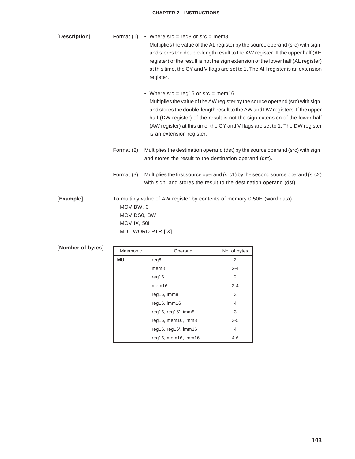| [Description] |                                         | Format (1): • Where $src = reg8$ or $src = mem8$<br>Multiplies the value of the AL register by the source operand (src) with sign,<br>and stores the double-length result to the AW register. If the upper half (AH<br>register) of the result is not the sign extension of the lower half (AL register)<br>at this time, the CY and V flags are set to 1. The AH register is an extension<br>register.             |
|---------------|-----------------------------------------|---------------------------------------------------------------------------------------------------------------------------------------------------------------------------------------------------------------------------------------------------------------------------------------------------------------------------------------------------------------------------------------------------------------------|
|               |                                         | • Where $src = \text{reg16}$ or $src = \text{mem16}$<br>Multiplies the value of the AW register by the source operand (src) with sign,<br>and stores the double-length result to the AW and DW registers. If the upper<br>half (DW register) of the result is not the sign extension of the lower half<br>(AW register) at this time, the CY and V flags are set to 1. The DW register<br>is an extension register. |
|               |                                         | Format (2): Multiplies the destination operand (dst) by the source operand (src) with sign,<br>and stores the result to the destination operand (dst).                                                                                                                                                                                                                                                              |
|               |                                         | Format (3): Multiplies the first source operand (src1) by the second source operand (src2)<br>with sign, and stores the result to the destination operand (dst).                                                                                                                                                                                                                                                    |
| [Example]     | MOV BW, 0<br>MOV DS0, BW<br>MOV IX, 50H | To multiply value of AW register by contents of memory 0:50H (word data)<br>MUL WORD PTR [IX]                                                                                                                                                                                                                                                                                                                       |

| [Number of bytes] | Mnemonic   | Operand              | No. of bytes   |
|-------------------|------------|----------------------|----------------|
|                   | <b>MUL</b> | reg8                 | $\overline{2}$ |
|                   |            | mem <sub>8</sub>     | $2 - 4$        |
|                   |            | req16                | 2              |
|                   |            | mem <sub>16</sub>    | $2 - 4$        |
|                   |            | reg16, imm8          | 3              |
|                   |            | reg16, imm16         | $\overline{4}$ |
|                   |            | reg16, reg16', imm8  | 3              |
|                   |            | reg16, mem16, imm8   | $3 - 5$        |
|                   |            | reg16, reg16', imm16 | $\overline{4}$ |
|                   |            | reg16, mem16, imm16  | $4-6$          |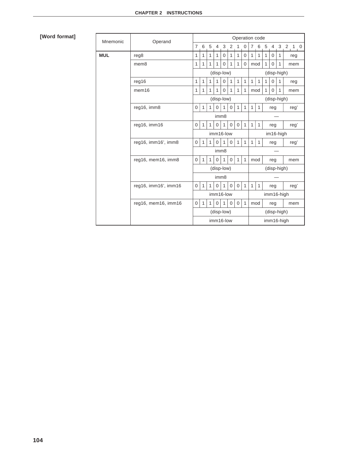| Mnemonic   | Operand              |                                                                               |              |              |                  |              |                |                   |              | Operation code |              |              |                |              |             |
|------------|----------------------|-------------------------------------------------------------------------------|--------------|--------------|------------------|--------------|----------------|-------------------|--------------|----------------|--------------|--------------|----------------|--------------|-------------|
|            |                      | 7                                                                             | 6            | 5            | $\overline{4}$   | 3            | $\overline{2}$ | 1                 | $\mathbf 0$  | $\overline{7}$ | 6            | 5            |                |              | $4$ 3 2 1 0 |
| <b>MUL</b> | reg8                 | 1                                                                             | $\mathbf{1}$ | 1            | $\mathbf{1}$     | $\Omega$     | $\mathbf{1}$   | $\mathbf{1}$      | $\mathbf 0$  | $\mathbf{1}$   | $\mathbf{1}$ | $\mathbf{1}$ | $\overline{0}$ | $\mathbf{1}$ | reg         |
|            | mem <sub>8</sub>     | 1                                                                             | $\mathbf{1}$ | $\mathbf{1}$ | $\mathbf{1}$     | $\mathbf 0$  | $\mathbf{1}$   | $\mathbf{1}$      | $\mathbf 0$  | mod            |              | $\mathbf{1}$ | $\mathbf 0$    | $\mathbf{1}$ | mem         |
|            |                      |                                                                               | (disp-low)   |              |                  |              |                |                   | (disp-high)  |                |              |              |                |              |             |
|            | req16                | 1                                                                             | $\mathbf{1}$ | 1            | 1                | $\mathbf 0$  | $\mathbf{1}$   | $\mathbf{1}$      | 1            | 1              | 1            | $\mathbf{1}$ | 0              | $\mathbf{1}$ | reg         |
|            | mem <sub>16</sub>    | 1                                                                             | 1            | 1            | 1                | $\Omega$     | 1              | 1                 | 1            | mod            |              | $\mathbf{1}$ | $\mathbf 0$    | $\mathbf{1}$ | mem         |
|            |                      | (disp-low)                                                                    |              |              |                  |              |                |                   |              | (disp-high)    |              |              |                |              |             |
|            | reg16, imm8          | 0                                                                             | $\mathbf{1}$ | $\mathbf{1}$ | 0                | $\mathbf{1}$ | 0              | $\mathbf{1}$      | 1            | 1              | $\mathbf{1}$ |              | reg            |              | reg'        |
|            |                      |                                                                               |              |              | imm <sub>8</sub> |              |                |                   |              |                |              |              |                |              |             |
|            | reg16, imm16         | 0                                                                             | $\mathbf{1}$ | 1            | $\Omega$         | $\mathbf{1}$ | $\mathbf 0$    | $\mathbf{0}$      | $\mathbf{1}$ | 1              | $\mathbf{1}$ |              | reg            |              | reg'        |
|            |                      | imm16-low                                                                     |              |              |                  |              |                |                   | im16-high    |                |              |              |                |              |             |
|            | reg16, imm16', imm8  | 0                                                                             | $\mathbf{1}$ | $\mathbf{1}$ | $\mathbf 0$      | 1            | $\mathbf 0$    | $\mathbf{1}$      | 1            | 1              | $\mathbf{1}$ |              | reg            |              | reg'        |
|            |                      | imm <sub>8</sub>                                                              |              |              |                  |              |                |                   |              |                |              |              |                |              |             |
|            | reg16, mem16, imm8   | 0<br>$\mathbf{1}$<br>$\mathbf{0}$<br>$\mathbf{1}$<br>$\mathbf{1}$<br>$\Omega$ |              |              |                  | $\mathbf{1}$ | $\mathbf{1}$   | mod<br>reg<br>mem |              |                |              |              |                |              |             |
|            |                      | (disp-high)<br>(disp-low)                                                     |              |              |                  |              |                |                   |              |                |              |              |                |              |             |
|            |                      |                                                                               |              |              | imm8             |              |                |                   |              |                |              |              |                |              |             |
|            | reg16, imm16', imm16 | 0                                                                             | $\mathbf{1}$ | $\mathbf{1}$ | $\Omega$         | 1            | $\Omega$       | $\Omega$          | $\mathbf{1}$ | 1              | 1            |              | reg            |              | reg'        |
|            |                      |                                                                               |              |              | imm16-low        |              |                |                   |              |                |              |              | imm16-high     |              |             |
|            | reg16, mem16, imm16  | 0                                                                             | 1            | 1            | $\Omega$         | $\mathbf{1}$ | $\Omega$       | $\Omega$          | $\mathbf{1}$ | mod            |              |              | reg            |              | mem         |
|            |                      | (disp-low)                                                                    |              |              |                  |              | (disp-high)    |                   |              |                |              |              |                |              |             |
|            |                      |                                                                               |              |              | imm16-low        |              |                |                   |              | imm16-high     |              |              |                |              |             |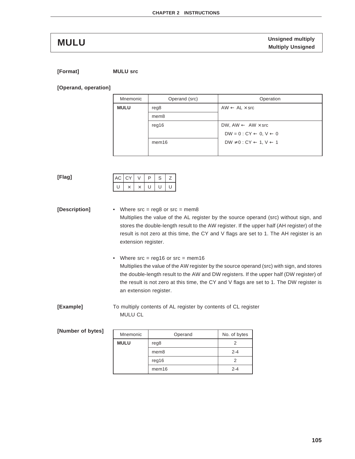**Unsigned multiply MULU Multiply Unsigned**

**[Format] MULU src**

**[Operand, operation]**

| Mnemonic    | Operand (src)     | Operation                                         |
|-------------|-------------------|---------------------------------------------------|
| <b>MULU</b> | reg8              | $AW \leftarrow AL \times src$                     |
|             | mem <sub>8</sub>  |                                                   |
|             | reg16             | DW, AW $\leftarrow$ AW $\times$ src               |
|             |                   | $DW = 0$ : $CY \leftarrow 0, V \leftarrow 0$      |
|             | mem <sub>16</sub> | $DW \neq 0$ : CY $\leftarrow$ 1, $V \leftarrow 1$ |
|             |                   |                                                   |

**[Flag]**

| $AC$ $CY$ |  | ח | ╮ |  |
|-----------|--|---|---|--|
|           |  |   |   |  |

**[Description]** • Where src = reg8 or src = mem8 Multiplies the value of the AL register by the source operand (src) without sign, and stores the double-length result to the AW register. If the upper half (AH register) of the result is not zero at this time, the CY and V flags are set to 1. The AH register is an extension register.

> • Where src = reg16 or src = mem16 Multiplies the value of the AW register by the source operand (src) with sign, and stores the double-length result to the AW and DW registers. If the upper half (DW register) of the result is not zero at this time, the CY and V flags are set to 1. The DW register is an extension register.

**[Example]** To multiply contents of AL register by contents of CL register MULU CL

| [Number of bytes] | Mnemonic    | Operand           | No. of bytes |
|-------------------|-------------|-------------------|--------------|
|                   | <b>MULU</b> | reg8              |              |
|                   |             | mem8              | $2 - 4$      |
|                   |             | reg16             |              |
|                   |             | mem <sub>16</sub> | $2 - 4$      |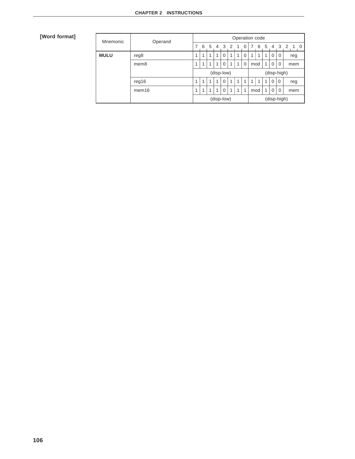| Mnemonic    | Operand           | Operation code |            |    |   |            |   |             |              |  |     |   |          |             |                                           |
|-------------|-------------------|----------------|------------|----|---|------------|---|-------------|--------------|--|-----|---|----------|-------------|-------------------------------------------|
|             |                   | 7              | 6          | 5  | 4 | 3 2        |   | -1          | <sup>0</sup> |  | 6   | 5 | 4        |             | 3 2<br>$\sim$ 0 $\cdot$<br>$\overline{1}$ |
| <b>MULU</b> | reg8              | и              | 4          |    | и |            | 4 |             |              |  | 1   |   | $\Omega$ | 0           | reg                                       |
|             | mem <sub>8</sub>  | ◢              |            |    | 4 | $\Omega$   | 1 |             | $\Omega$     |  | mod | 1 | $\Omega$ | 0           | mem                                       |
|             |                   |                |            |    |   | (disp-low) |   |             |              |  |     |   |          | (disp-high) |                                           |
|             | req16             | 1              | 1          | -1 | 1 | $\Omega$   | 1 | 1           | 1            |  | 1   | 1 | $\Omega$ | $\mathbf 0$ | reg                                       |
|             | mem <sub>16</sub> | и              | ۸          |    | и |            | 4 |             | 1            |  | mod | 4 | $\Omega$ | 0           | mem                                       |
|             |                   |                | (disp-low) |    |   |            |   | (disp-high) |              |  |     |   |          |             |                                           |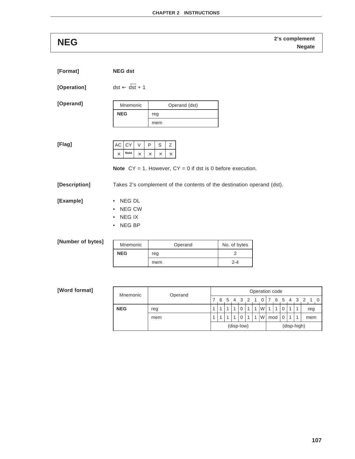**2's complement NEG Negate**

| [Format]          | <b>NEG dst</b>                                                                   |                                                                                                                           |              |
|-------------------|----------------------------------------------------------------------------------|---------------------------------------------------------------------------------------------------------------------------|--------------|
| [Operation]       | $dst \leftarrow dst + 1$                                                         |                                                                                                                           |              |
| [Operand]         | Mnemonic                                                                         | Operand (dst)                                                                                                             |              |
|                   | <b>NEG</b>                                                                       | reg<br>mem                                                                                                                |              |
| [Flag]            | AC<br>CY<br>V<br>Note<br>$\times$<br>$\times$                                    | S<br>P<br>Ζ<br>$\times$<br>$\times$<br>$\times$<br><b>Note</b> $CY = 1$ . However, $CY = 0$ if dst is 0 before execution. |              |
| [Description]     |                                                                                  | Takes 2's complement of the contents of the destination operand (dst).                                                    |              |
| [Example]         | NEG DL<br>$\bullet$<br>NEG CW<br>$\bullet$<br>NEG IX<br>٠<br>NEG BP<br>$\bullet$ |                                                                                                                           |              |
| [Number of bytes] | Mnemonic                                                                         | Operand                                                                                                                   | No. of bytes |
|                   | <b>NEG</b>                                                                       | reg                                                                                                                       | 2            |
|                   |                                                                                  | mem                                                                                                                       | $2 - 4$      |
|                   |                                                                                  |                                                                                                                           |              |

| Mnemonic   |  | Operand | Operation code            |   |  |  |          |  |                  |          |                 |   |             |  |         |     |
|------------|--|---------|---------------------------|---|--|--|----------|--|------------------|----------|-----------------|---|-------------|--|---------|-----|
|            |  |         |                           | 6 |  |  | 5 4 3 2  |  |                  | $\Omega$ | $\overline{17}$ | 6 |             |  | 5 4 3 2 |     |
| <b>NEG</b> |  | reg     | $\overline{\mathbf{A}}$   |   |  |  | 0        |  | $\boldsymbol{A}$ | W.       | 1               |   |             |  |         | reg |
|            |  | mem     | $\overline{\mathbf{A}}$   |   |  |  | $\Omega$ |  | 1                | W.       | mod             |   | $\mathbf 0$ |  |         | mem |
|            |  |         | (disp-high)<br>(disp-low) |   |  |  |          |  |                  |          |                 |   |             |  |         |     |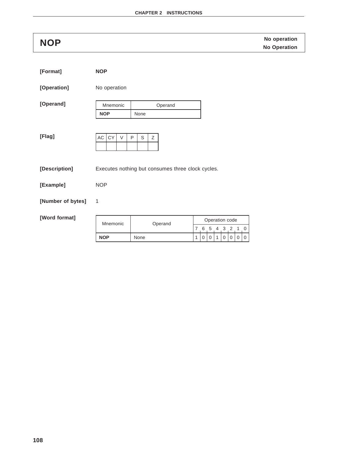**NOP** No operation<br> **NOP** No Operation

| [Format]          | <b>NOP</b>          |                                                   |                                                                                                   |
|-------------------|---------------------|---------------------------------------------------|---------------------------------------------------------------------------------------------------|
| [Operation]       | No operation        |                                                   |                                                                                                   |
| [Operand]         | Mnemonic            | Operand                                           |                                                                                                   |
|                   | <b>NOP</b>          | None                                              |                                                                                                   |
| [Flag]            | AC<br>CY<br>$\vee$  | S<br>P<br>Z                                       |                                                                                                   |
| [Description]     |                     | Executes nothing but consumes three clock cycles. |                                                                                                   |
| [Example]         | <b>NOP</b>          |                                                   |                                                                                                   |
| [Number of bytes] | 1                   |                                                   |                                                                                                   |
| [Word format]     |                     |                                                   | Operation code                                                                                    |
|                   | Mnemonic<br>Operand |                                                   | 6<br>5 4 3<br>$\overline{7}$<br>2<br>1<br>0                                                       |
|                   | <b>NOP</b>          | None                                              | $\mathbf{1}$<br>$\mathbf 0$<br>$\mathbf 0$<br>$\mathbf 0$<br>$\mathbf 0$<br>$\mathbf 0$<br>1<br>0 |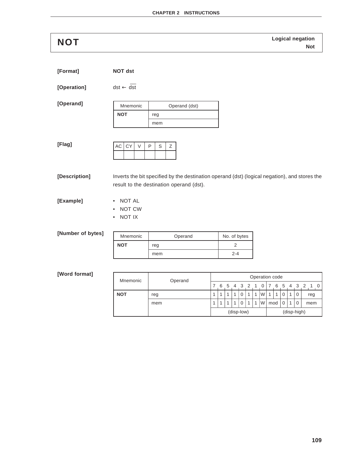**Logical negation NOT Not**

| [Format] | NOT dst |
|----------|---------|
|          |         |

 $[Operation]$  dst  $\leftarrow$  dst

**[Operand]**

| Mnemonic   | Operand (dst) |
|------------|---------------|
| <b>NOT</b> | reg           |
|            | mem           |

**[Flag]**

| $AC$ $CY$ | D | S. |  |
|-----------|---|----|--|
|           |   |    |  |

**[Description]** Inverts the bit specified by the destination operand (dst) (logical negation), and stores the result to the destination operand (dst).

**[Example]** • NOT AL

- 
- NOT CW
- NOT IX

### **[Number of bytes]**

| Mnemonic   | Operand | No. of bytes |  |  |  |  |
|------------|---------|--------------|--|--|--|--|
| <b>NOT</b> | reg     |              |  |  |  |  |
|            | mem     | $2 - 4$      |  |  |  |  |

| Mnemonic   | Operand |  |   |   |     |            |                |   | Operation code |     |   |   |     |             |     |     |  |
|------------|---------|--|---|---|-----|------------|----------------|---|----------------|-----|---|---|-----|-------------|-----|-----|--|
|            |         |  | 6 | 5 | 4 3 |            |                |   |                |     | 6 | 5 | 4 3 |             |     |     |  |
| <b>NOT</b> | reg     |  | 1 |   | 1   |            | 1              | 1 | W              | 1   | 1 |   |     | 0           | reg |     |  |
|            | mem     |  | 1 |   | -1  |            | $\overline{1}$ | 1 | W              | mod |   |   |     | 0           |     | mem |  |
|            |         |  |   |   |     | (disp-low) |                |   |                |     |   |   |     | (disp-high) |     |     |  |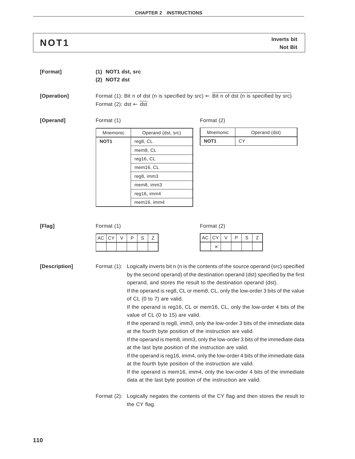# **Inverts bit NOT1 Not Bit**

**[Format] (1) NOT1 dst, src**

**(2) NOT2 dst**

**[Operation]** Format (1): Bit n of dst (n is specified by src)  $\leftarrow$  Bit n of dst (n is specified by src) Format (2): dst  $\leftarrow$  dst

**[Operand]** Format (1) Format (2)

Mnemonic | Operand (dst, src) **NOT1** reg8, CL mem8, CL reg16, CL mem16, CL reg8, imm3 mem8, imm3 reg16, imm4 mem16, imm4

| Mnemonic         | Operand (dst) |
|------------------|---------------|
| NOT <sub>1</sub> | СY            |

| $\sim$<br>$\overline{ }$<br>AC<br>D<br>$\sim$<br>$\sim$<br>$\rightarrow$<br>AC<br>$\sim$<br>∍<br>$\cdot$ .<br>$\sim$ .<br>ບ<br>ت<br>∸<br>∸<br>$\times$ | [Flag] | Format (1) |  |  |  |
|--------------------------------------------------------------------------------------------------------------------------------------------------------|--------|------------|--|--|--|
|                                                                                                                                                        |        |            |  |  |  |
|                                                                                                                                                        |        |            |  |  |  |

**[Description]** Format (1): Logically inverts bit n (n is the contents of the source operand (src) specified by the second operand) of the destination operand (dst) specified by the first operand, and stores the result to the destination operand (dst).

> If the operand is reg8, CL or mem8, CL, only the low-order 3 bits of the value of CL (0 to 7) are valid.

> If the operand is reg16, CL or mem16, CL, only the low-order 4 bits of the value of CL (0 to 15) are valid.

> If the operand is reg8, imm3, only the low-order 3 bits of the immediate data at the fourth byte position of the instruction are valid.

> If the operand is mem8, imm3, only the low-order 3 bits of the immediate data at the last byte position of the instruction are valid.

> If the operand is reg16, imm4, only the low-order 4 bits of the immediate data at the fourth byte position of the instruction are valid.

> If the operand is mem16, imm4, only the low-order 4 bits of the immediate data at the last byte position of the instruction are valid.

Format (2): Logically negates the contents of the CY flag and then stores the result to the CY flag.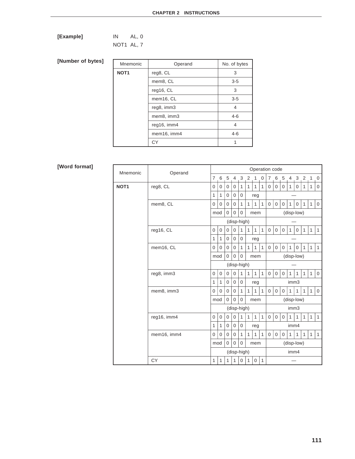| [Example] | IN                       | AL, 0 |  |
|-----------|--------------------------|-------|--|
|           | $\cdots$ $\sim$ $\cdots$ |       |  |

NOT1 AL, 7

### **[Number of bytes]**

| Mnemonic         | Operand     | No. of bytes |
|------------------|-------------|--------------|
| NOT <sub>1</sub> | reg8, CL    | 3            |
|                  | mem8, CL    | $3 - 5$      |
|                  | reg16, CL   | 3            |
|                  | mem16, CL   | $3 - 5$      |
|                  | reg8, imm3  | 4            |
|                  | mem8, imm3  | $4 - 6$      |
|                  | reg16, imm4 | 4            |
|                  | mem16, imm4 | $4 - 6$      |
|                  | СY          |              |

| Mnemonic         | Operand     |                |              |                |                |                |                |                  |              | Operation code |                  |                |              |              |                |              |              |
|------------------|-------------|----------------|--------------|----------------|----------------|----------------|----------------|------------------|--------------|----------------|------------------|----------------|--------------|--------------|----------------|--------------|--------------|
|                  |             | $\overline{7}$ | 6            | 5              | 4              | 3              | $\overline{2}$ | $\mathbf{1}$     | $\mathbf 0$  | $7^{\circ}$    | 6                | 5              | 4            | 3            | 2 <sub>1</sub> | 1            | 0            |
| NOT <sub>1</sub> | reg8, CL    | 0              | 0            | $\mathbf 0$    | 0              | 1              | 1              | 1                | $\mathbf{1}$ | $\mathbf 0$    | $\mathbf 0$      | $\mathbf 0$    | 1            | 0            | $\mathbf{1}$   | $\mathbf{1}$ | $\mathbf 0$  |
|                  |             | 1              | $\mathbf{1}$ | $\overline{0}$ | $\mathbf{0}$   | 0              |                | reg              |              |                |                  |                |              |              |                |              |              |
|                  | mem8, CL    | 0              | 0            | $\mathbf 0$    | 0              | $\mathbf{1}$   | $\mathbf{1}$   | 1                | $\mathbf{1}$ | $\mathbf 0$    | $\mathbf 0$      | 0              | 1            | 0            | $\mathbf{1}$   | $\mathbf{1}$ | 0            |
|                  |             | mod            |              | 0              | $\Omega$       | 0              |                | mem              |              |                |                  |                |              | (disp-low)   |                |              |              |
|                  |             |                |              |                |                | (disp-high)    |                |                  |              |                |                  |                |              |              |                |              |              |
|                  | reg16, CL   | $\Omega$       | $\mathbf 0$  | $\mathbf 0$    | $\Omega$       | $\mathbf{1}$   | $\mathbf{1}$   | $\mathbf{1}$     | $\mathbf{1}$ | $\overline{0}$ | $\mathbf{0}$     | $\mathbf 0$    | $\mathbf{1}$ | $\mathbf 0$  | $\mathbf{1}$   | $\mathbf{1}$ | $\mathbf{1}$ |
|                  |             | 1              | 1            | 0              | 0              | 0              |                | reg              |              |                |                  |                |              |              |                |              |              |
|                  | mem16, CL   | 0              | 0            | $\mathbf 0$    | 0              | $\mathbf{1}$   | $\mathbf{1}$   | $\mathbf{1}$     | $\mathbf{1}$ | $\mathbf 0$    | $\mathbf 0$      | $\mathbf 0$    | $\mathbf{1}$ | $\mathbf 0$  | $\mathbf{1}$   | $\mathbf{1}$ | $\mathbf{1}$ |
|                  |             | mod            |              | 0              | 0              | $\overline{0}$ |                | mem              |              |                |                  |                |              | (disp-low)   |                |              |              |
|                  |             | (disp-high)    |              |                |                |                |                |                  |              |                |                  |                |              |              |                |              |              |
|                  | reg8, imm3  | 0              | 0            | 0              | 0              | $\mathbf{1}$   | $\mathbf{1}$   | $\mathbf{1}$     | $\mathbf{1}$ | $\overline{0}$ | $\mathbf 0$      | $\mathbf 0$    | 1            | 1            | $\mathbf{1}$   | $\mathbf{1}$ | $\mathbf 0$  |
|                  |             | 1              | 1            | 0              | $\mathbf 0$    | 0              |                | reg              |              |                |                  |                | imm3         |              |                |              |              |
|                  | mem8, imm3  | 0              | 0            | $\overline{0}$ | 0              | $\mathbf{1}$   | $\mathbf{1}$   | 1                | 1            | $\overline{0}$ | $\mathbf 0$      | $\overline{0}$ | 1            | 1            | $\mathbf{1}$   | $\mathbf{1}$ | $\mathbf 0$  |
|                  |             | mod            |              | $\overline{0}$ | 0              | $\overline{0}$ |                | mem              |              |                |                  |                |              | (disp-low)   |                |              |              |
|                  |             |                |              |                |                | (disp-high)    |                |                  |              |                |                  |                | imm3         |              |                |              |              |
|                  | reg16, imm4 | 0              | 0            | $\mathbf 0$    | $\overline{0}$ | $\mathbf{1}$   | $\mathbf{1}$   | $\mathbf{1}$     | $\mathbf{1}$ | $\mathbf 0$    | $\boldsymbol{0}$ | $\mathbf 0$    | 1            | 1            | $\mathbf{1}$   | $\mathbf{1}$ | $\mathbf{1}$ |
|                  |             | 1              | $\mathbf{1}$ | 0              | $\mathbf{0}$   | 0              |                | reg              |              |                |                  |                | imm4         |              |                |              |              |
|                  | mem16, imm4 | 0              | $\Omega$     | $\mathbf 0$    | 0              | $\mathbf{1}$   | 1              | 1                | $\mathbf{1}$ | $\overline{0}$ | $\mathbf 0$      | $\mathbf 0$    | 1            | $\mathbf{1}$ | $\mathbf{1}$   | $\mathbf{1}$ | $\mathbf{1}$ |
|                  |             | mod            |              | 0              | $\Omega$       | 0              |                | mem              |              |                |                  |                |              | (disp-low)   |                |              |              |
|                  |             | (disp-high)    |              |                |                |                |                |                  | imm4         |                |                  |                |              |              |                |              |              |
|                  | CY          | 1              | $\mathbf{1}$ | $\mathbf{1}$   | 1              | 0              | $\mathbf{1}$   | $\boldsymbol{0}$ | $\mathbf{1}$ |                |                  |                |              |              |                |              |              |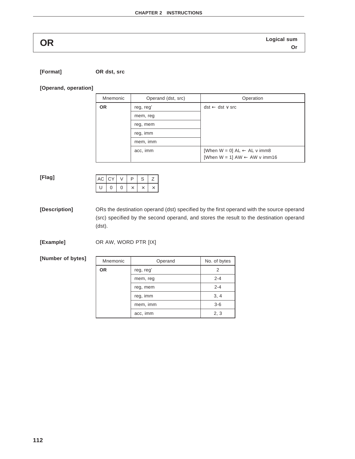**Logical sum OR Or**

**[Format] OR dst, src**

### **[Operand, operation]**

| Mnemonic  | Operand (dst, src) | Operation                                  |
|-----------|--------------------|--------------------------------------------|
| <b>OR</b> | reg, reg'          | $dst \leftarrow dst \vee src$              |
|           | mem, reg           |                                            |
|           | reg, mem           |                                            |
|           | reg, imm           |                                            |
|           | mem, imm           |                                            |
|           | acc, imm           | [When $W = 0$ ] AL $\leftarrow$ AL v imm8  |
|           |                    | [When $W = 1$ ] AW $\leftarrow$ AW v imm16 |

### **[Flag]**

| $AC$ $CY$ |  | D | ⊃ |  |
|-----------|--|---|---|--|
| υ         |  |   |   |  |

**[Description]** ORs the destination operand (dst) specified by the first operand with the source operand (src) specified by the second operand, and stores the result to the destination operand (dst).

**[Example]** OR AW, WORD PTR [IX]

**[Number of bytes]**

| Mnemonic | Operand   | No. of bytes |
|----------|-----------|--------------|
| ΟR       | reg, reg' |              |
|          | mem, reg  | $2 - 4$      |
|          | reg, mem  | $2 - 4$      |
|          | reg, imm  | 3, 4         |
|          | mem, imm  | $3-6$        |
|          | acc, imm  | 2, 3         |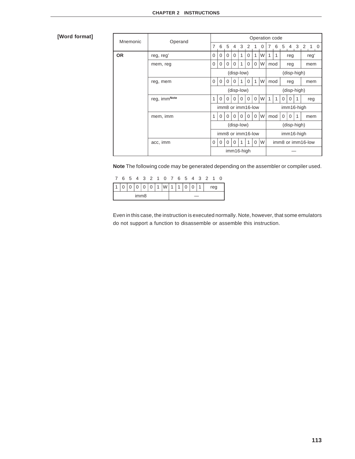# **[Word format]**

| Mnemonic  | Operand      |                           |             |                   |            |              |             |              | Operation code |   |                   |          |             |   |           |
|-----------|--------------|---------------------------|-------------|-------------------|------------|--------------|-------------|--------------|----------------|---|-------------------|----------|-------------|---|-----------|
|           |              | $\overline{7}$            |             | 6 5 4 3 2 1       |            |              |             |              | 0              | 7 | 6                 | - 5      |             |   | 4 3 2 1 0 |
| <b>OR</b> | reg, reg'    | $\Omega$                  | 0           | $\Omega$          | $\Omega$   | 1            | 0           | 1            | W              | 1 | 1                 |          | reg         |   | reg'      |
|           | mem, reg     | $\mathbf 0$               | $\mathbf 0$ | $\Omega$          | $\Omega$   | 1            | $\mathbf 0$ | 0            | W              |   | mod               |          | reg         |   | mem       |
|           |              |                           |             |                   | (disp-low) |              |             |              |                |   |                   |          | (disp-high) |   |           |
|           | reg, mem     | $\Omega$                  | $\Omega$    | $\Omega$          | $\Omega$   | $\mathbf{1}$ | $\Omega$    | $\mathbf{1}$ | W              |   | mod               |          | reg         |   | mem       |
|           |              | (disp-low)<br>(disp-high) |             |                   |            |              |             |              |                |   |                   |          |             |   |           |
|           | reg, immNote |                           | $\Omega$    | $\Omega$          | $\Omega$   | $\Omega$     | $\Omega$    | $\Omega$     | W              | 1 | 1                 | $\Omega$ | 0           | 1 | reg       |
|           |              | imm8 or imm16-low         |             |                   |            |              |             |              | imm16-high     |   |                   |          |             |   |           |
|           | mem, imm     | 1                         | 0           | $\Omega$          | $\Omega$   | 0            | 0           | $\mathbf 0$  | W              |   | mod               | 0        | 0           | 1 | mem       |
|           |              |                           |             |                   | (disp-low) |              |             |              |                |   |                   |          | (disp-high) |   |           |
|           |              |                           |             | imm8 or imm16-low |            |              |             |              |                |   |                   |          | imm16-high  |   |           |
|           | acc, imm     | $\mathbf 0$               | $\mathbf 0$ | $\Omega$          | $\Omega$   | 1            | 1           | 0            | W              |   | imm8 or imm16-low |          |             |   |           |
|           |              |                           |             |                   | imm16-high |              |             |              |                |   |                   |          |             |   |           |

**Note** The following code may be generated depending on the assembler or compiler used.

|  |                  |  | 7 6 5 4 3 2 1 0 7 6 5 4 3 2 1 0 |  |  |  |     |  |
|--|------------------|--|---------------------------------|--|--|--|-----|--|
|  |                  |  | 0 0 0 0 1 W 1 1 0 0 1           |  |  |  | reg |  |
|  | imm <sub>8</sub> |  |                                 |  |  |  |     |  |

Even in this case, the instruction is executed normally. Note, however, that some emulators do not support a function to disassemble or assemble this instruction.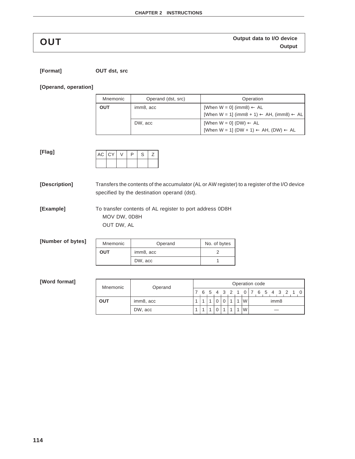**[Flag]**

**OUT** Output data to I/O device<br> **OUT** 

### **[Format] OUT dst, src**

### **[Operand, operation]**

| Mnemonic | Operand (dst, src) | Operation                                                                                                 |
|----------|--------------------|-----------------------------------------------------------------------------------------------------------|
| OUT      | imm8, acc          | [When $W = 0$ ] (imm8) $\leftarrow$ AL<br>[When W = 1] (imm8 + 1) $\leftarrow$ AH, (imm8) $\leftarrow$ AL |
|          | DW, acc            | [When $W = 0$ ] (DW) $\leftarrow$ AL<br>[When W = 1] (DW + 1) $\leftarrow$ AH, (DW) $\leftarrow$ AL       |

| AC CY | ш |  |
|-------|---|--|
|       |   |  |

**[Description]** Transfers the contents of the accumulator (AL or AW register) to a register of the I/O device specified by the destination operand (dst).

**[Example]** To transfer contents of AL register to port address 0D8H MOV DW, 0D8H OUT DW, AL

| [Number of bytes] | Mnemonic   | Operand   | No. of bytes |
|-------------------|------------|-----------|--------------|
|                   | <b>OUT</b> | imm8, acc |              |
|                   |            | DW, acc   |              |

| Mnemonic | Operand   | Operation code |  |  |  |  |  |  |      |                  |  |  |  |  |  |  |                               |
|----------|-----------|----------------|--|--|--|--|--|--|------|------------------|--|--|--|--|--|--|-------------------------------|
|          |           |                |  |  |  |  |  |  |      |                  |  |  |  |  |  |  | 6 5 4 3 2 1 0 7 6 5 4 3 2 1 0 |
| OUT      | imm8, acc |                |  |  |  |  |  |  | 'W l | imm <sub>8</sub> |  |  |  |  |  |  |                               |
|          | DW, acc   |                |  |  |  |  |  |  | W    |                  |  |  |  |  |  |  |                               |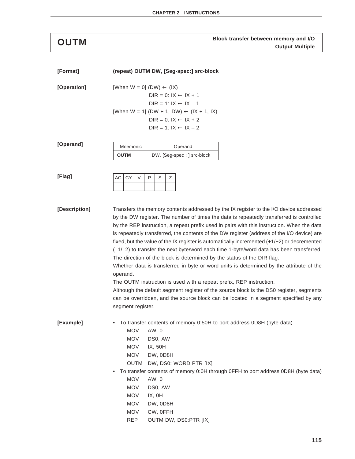# **Block transfer between memory and I/O OUTM Output Multiple**

| [Format]      | (repeat) OUTM DW, [Seg-spec:] src-block                                                                                                                                                  |
|---------------|------------------------------------------------------------------------------------------------------------------------------------------------------------------------------------------|
| [Operation]   | [When $W = 0$ ] (DW) $\leftarrow (IX)$                                                                                                                                                   |
|               | DIR = $0: IX \leftarrow IX + 1$                                                                                                                                                          |
|               | $DIR = 1: IX \leftarrow IX - 1$                                                                                                                                                          |
|               | [When W = 1] (DW + 1, DW) $\leftarrow$ (IX + 1, IX)                                                                                                                                      |
|               | $DIR = 0: IX \leftarrow IX + 2$                                                                                                                                                          |
|               | $DIR = 1: IX \leftarrow IX - 2$                                                                                                                                                          |
| [Operand]     | Mnemonic<br>Operand                                                                                                                                                                      |
|               | OUTM<br>DW, [Seg-spec: ] src-block                                                                                                                                                       |
|               |                                                                                                                                                                                          |
| [Flag]        | AC<br>CY<br>$\vee$<br>P<br>S<br>Ζ                                                                                                                                                        |
|               |                                                                                                                                                                                          |
|               |                                                                                                                                                                                          |
| [Description] | Transfers the memory contents addressed by the IX register to the I/O device addressed<br>by the DW register. The number of times the data is repeatedly transferred is controlled       |
|               | by the REP instruction, a repeat prefix used in pairs with this instruction. When the data                                                                                               |
|               | is repeatedly transferred, the contents of the DW register (address of the I/O device) are                                                                                               |
|               | fixed, but the value of the IX register is automatically incremented $(+1/+2)$ or decremented<br>(-1/-2) to transfer the next byte/word each time 1-byte/word data has been transferred. |
|               | The direction of the block is determined by the status of the DIR flag.                                                                                                                  |
|               | Whether data is transferred in byte or word units is determined by the attribute of the                                                                                                  |
|               | operand.<br>The OUTM instruction is used with a repeat prefix, REP instruction.                                                                                                          |
|               | Although the default segment register of the source block is the DS0 register, segments                                                                                                  |
|               | can be overridden, and the source block can be located in a segment specified by any                                                                                                     |
|               | segment register.                                                                                                                                                                        |
| [Example]     | • To transfer contents of memory 0:50H to port address 0D8H (byte data)                                                                                                                  |
|               | <b>MOV</b><br>AW, 0                                                                                                                                                                      |
|               | <b>MOV</b><br>DS0, AW                                                                                                                                                                    |
|               | <b>MOV</b><br>IX, 50H                                                                                                                                                                    |
|               | <b>MOV</b><br>DW, OD8H                                                                                                                                                                   |
|               | <b>OUTM</b><br>DW, DS0: WORD PTR [IX]                                                                                                                                                    |
|               | To transfer contents of memory 0:0H through 0FFH to port address 0D8H (byte data)<br>$\bullet$                                                                                           |
|               | <b>MOV</b><br>AW, 0                                                                                                                                                                      |
|               | <b>MOV</b><br>DS0, AW                                                                                                                                                                    |
|               | <b>MOV</b><br>IX, OH                                                                                                                                                                     |
|               | <b>MOV</b><br>DW, OD8H                                                                                                                                                                   |
|               | <b>MOV</b><br>CW, OFFH                                                                                                                                                                   |
|               | <b>REP</b><br>OUTM DW, DS0:PTR [IX]                                                                                                                                                      |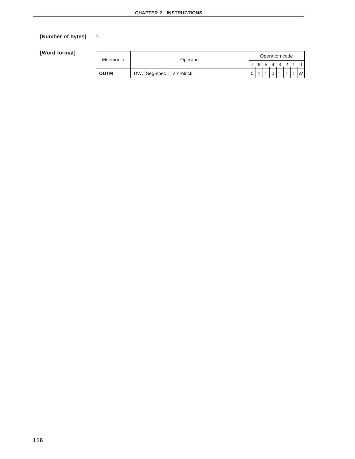# **[Number of bytes]** 1

| Mnemonic    | Operand                     |  |  |  | Operation code |               |
|-------------|-----------------------------|--|--|--|----------------|---------------|
|             |                             |  |  |  |                | 6 5 4 3 2 1 0 |
| <b>OUTM</b> | DW, [Seg-spec : ] src-block |  |  |  |                | W l           |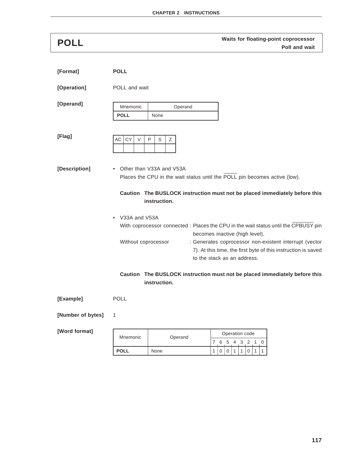**Waits for floating-point coprocessor POLL Poll and wait**

| [Format]      | <b>POLL</b>                                |                                                                                                                                                          |
|---------------|--------------------------------------------|----------------------------------------------------------------------------------------------------------------------------------------------------------|
| [Operation]   | POLL and wait                              |                                                                                                                                                          |
| [Operand]     | Mnemonic<br><b>POLL</b><br>None            | Operand                                                                                                                                                  |
| [Flag]        | <b>CY</b><br>AC<br>$\vee$<br>P<br>S<br>Ζ   |                                                                                                                                                          |
| [Description] | • Other than V33A and V53A<br>instruction. | Places the CPU in the wait status until the POLL pin becomes active (low).<br>Caution The BUSLOCK instruction must not be placed immediately before this |
|               | • V33A and V53A                            |                                                                                                                                                          |
|               |                                            | With coprocessor connected : Places the CPU in the wait status until the CPBUSY pin<br>becomes inactive (high level).                                    |
|               | Without coprocessor                        | : Generates coprocessor non-existent interrupt (vector<br>7). At this time, the first byte of this instruction is saved<br>to the stack as an address.   |
|               | instruction.                               | Caution The BUSLOCK instruction must not be placed immediately before this                                                                               |

**[Example]** POLL

**[Number of bytes]** 1

| Mnemonic    | Operand | Operation code |  |    |     |  |  |  |  |  |
|-------------|---------|----------------|--|----|-----|--|--|--|--|--|
|             |         |                |  | 5. | 4 3 |  |  |  |  |  |
| <b>POLI</b> | None    |                |  |    |     |  |  |  |  |  |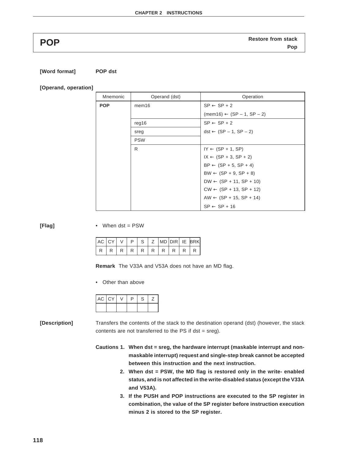**Restore from stack POP Pop**

### **[Word format] POP dst**

**[Operand, operation]**

| Mnemonic   | Operand (dst) | Operation                             |
|------------|---------------|---------------------------------------|
| <b>POP</b> | mem16         | $SP \leftarrow SP + 2$                |
|            |               | $(mem16) \leftarrow (SP - 1, SP - 2)$ |
|            | reg16         | $SP \leftarrow SP + 2$                |
|            | sreg          | $dst \leftarrow (SP - 1, SP - 2)$     |
|            | <b>PSW</b>    |                                       |
|            | R             | $IY \leftarrow (SP + 1, SP)$          |
|            |               | $IX \leftarrow (SP + 3, SP + 2)$      |
|            |               | $BP \leftarrow (SP + 5, SP + 4)$      |
|            |               | $BW \leftarrow (SP + 9, SP + 8)$      |
|            |               | $DW \leftarrow (SP + 11, SP + 10)$    |
|            |               | $CW \leftarrow (SP + 13, SP + 12)$    |
|            |               | $AW \leftarrow (SP + 15, SP + 14)$    |
|            |               | $SP \leftarrow SP + 16$               |

**[Flag]** • When dst = PSW

| I AC I CY |  | S. |  |  | IZ IMDIDIRI IE BRKI |
|-----------|--|----|--|--|---------------------|
|           |  |    |  |  |                     |

**Remark** The V33A and V53A does not have an MD flag.

• Other than above

| $AC$ $CY$ |  | D | S |  |
|-----------|--|---|---|--|
|           |  |   |   |  |

**[Description]** Transfers the contents of the stack to the destination operand (dst) (however, the stack contents are not transferred to the PS if dst = sreg).

- **Cautions 1. When dst = sreg, the hardware interrupt (maskable interrupt and nonmaskable interrupt) request and single-step break cannot be accepted between this instruction and the next instruction.**
	- **2. When dst = PSW, the MD flag is restored only in the write- enabled status, and is not affected in the write-disabled status (except the V33A and V53A).**
	- **3. If the PUSH and POP instructions are executed to the SP register in combination, the value of the SP register before instruction execution minus 2 is stored to the SP register.**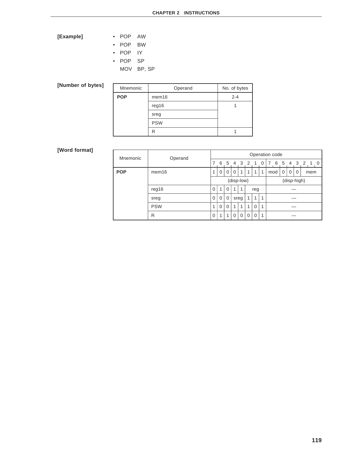# **[Example]** • POP AW

| . .        | .         |
|------------|-----------|
| <b>POP</b> | <b>BW</b> |

- POP IY
- POP SP
	- MOV BP, SP

# **[Number of bytes]**

| Mnemonic   | Operand           | No. of bytes |
|------------|-------------------|--------------|
| <b>POP</b> | mem <sub>16</sub> | $2 - 4$      |
|            | req16             |              |
|            | sreg              |              |
|            | <b>PSW</b>        |              |
|            | R                 |              |

| Mnemonic   | Operand    | Operation code |             |             |              |              |              |              |   |             |                           |   |  |  |           |  |
|------------|------------|----------------|-------------|-------------|--------------|--------------|--------------|--------------|---|-------------|---------------------------|---|--|--|-----------|--|
|            |            | 7              | 6           | 5           | 4 3 2 1      |              |              |              | 0 | 7           | 6                         | 5 |  |  | 4 3 2 1 0 |  |
| <b>POP</b> | mem16      | 1              | $\mathbf 0$ | $\mathbf 0$ | $\mathbf 0$  | $\mathbf{1}$ | $\mathbf{1}$ | 1            | 1 |             | 0<br>0<br>0<br>mod<br>mem |   |  |  |           |  |
|            |            |                | (disp-low)  |             |              |              |              |              |   | (disp-high) |                           |   |  |  |           |  |
|            | reg16      | $\Omega$       | 1           | $\mathbf 0$ | $\mathbf{1}$ | 1            | reg          |              |   |             |                           |   |  |  |           |  |
|            | sreg       | $\mathbf 0$    | $\mathbf 0$ | 0           | sreg         |              | $\mathbf{1}$ | $\mathbf{1}$ | 1 |             |                           |   |  |  |           |  |
|            | <b>PSW</b> | 1              | $\mathbf 0$ | $\mathbf 0$ | $\mathbf{1}$ | 1            | 1            | $\Omega$     | 1 |             |                           |   |  |  |           |  |
|            | R          | $\mathbf 0$    | 1           | 1           | 0            | 0            | $\Omega$     | 0            | 1 |             |                           |   |  |  |           |  |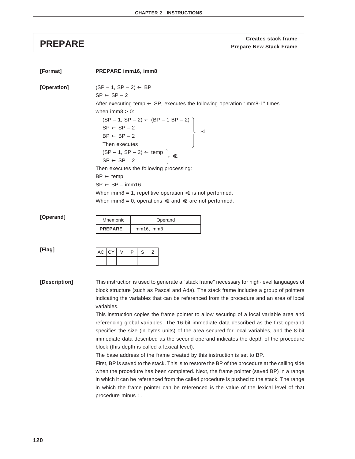**Creates stack frame PREPARE Prepare New Stack Frame**

| [Format]      | PREPARE imm16, imm8                                                                                                                                                                                                                                                                                                                                                                                                                                                                                                                                                                                                                                                                                                       |
|---------------|---------------------------------------------------------------------------------------------------------------------------------------------------------------------------------------------------------------------------------------------------------------------------------------------------------------------------------------------------------------------------------------------------------------------------------------------------------------------------------------------------------------------------------------------------------------------------------------------------------------------------------------------------------------------------------------------------------------------------|
| [Operation]   | $(SP - 1, SP - 2) \leftarrow BP$<br>$SP \leftarrow SP - 2$<br>After executing temp $\leftarrow$ SP, executes the following operation "imm8-1" times<br>when $\text{imm8} > 0$ :<br>$(SP - 1, SP - 2)$ ← $(BP - 1BP - 2)$<br>$SP$ ← $SP - 2$<br>$BP$ ← $BP - 2$<br>$*1$<br>Then executes<br>$(SP - 1, SP - 2) \leftarrow temp \n\{SP \leftarrow SP - 2 \} *2$<br>Then executes the following processing:<br>$BP \leftarrow temp$<br>$SP \leftarrow SP - imm16$<br>When imm8 = 1, repetitive operation $*1$ is not performed.<br>When imm8 = 0, operations $*1$ and $*2$ are not performed.                                                                                                                                 |
| [Operand]     | Mnemonic<br>Operand<br><b>PREPARE</b><br>imm16, imm8                                                                                                                                                                                                                                                                                                                                                                                                                                                                                                                                                                                                                                                                      |
| [Flag]        | P<br>СY<br>V<br>S<br>Ζ<br>АC                                                                                                                                                                                                                                                                                                                                                                                                                                                                                                                                                                                                                                                                                              |
| [Description] | This instruction is used to generate a "stack frame" necessary for high-level languages of<br>block structure (such as Pascal and Ada). The stack frame includes a group of pointers<br>indicating the variables that can be referenced from the procedure and an area of local<br>variables.<br>This instruction copies the frame pointer to allow securing of a local variable area and<br>referencing global variables. The 16-bit immediate data described as the first operand<br>specifies the size (in bytes units) of the area secured for local variables, and the 8-bit<br>immediate data described as the second operand indicates the depth of the procedure<br>block (this depth is called a lexical level). |

The base address of the frame created by this instruction is set to BP.

First, BP is saved to the stack. This is to restore the BP of the procedure at the calling side when the procedure has been completed. Next, the frame pointer (saved BP) in a range in which it can be referenced from the called procedure is pushed to the stack. The range in which the frame pointer can be referenced is the value of the lexical level of that procedure minus 1.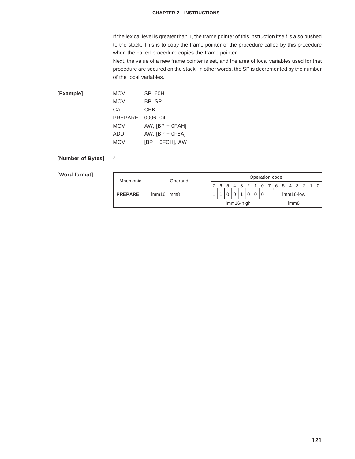If the lexical level is greater than 1, the frame pointer of this instruction itself is also pushed to the stack. This is to copy the frame pointer of the procedure called by this procedure when the called procedure copies the frame pointer.

Next, the value of a new frame pointer is set, and the area of local variables used for that procedure are secured on the stack. In other words, the SP is decremented by the number of the local variables.

| [Example] | <b>MOV</b> | <b>SP, 60H</b>    |
|-----------|------------|-------------------|
|           | <b>MOV</b> | BP, SP            |
|           | CALL       | <b>CHK</b>        |
|           | PREPARE    | 0006.04           |
|           | <b>MOV</b> | $AW,$ [BP + 0FAH] |
|           | ADD        | AW, $[BP + 0F8A]$ |
|           | <b>MOV</b> | [BP + 0FCH], AW   |

### **[Number of Bytes]** 4

| Mnemonic       | Operand     | Operation code |  |  |  |  |  |                  |  |           |  |  |  |  |                               |  |  |
|----------------|-------------|----------------|--|--|--|--|--|------------------|--|-----------|--|--|--|--|-------------------------------|--|--|
|                |             |                |  |  |  |  |  |                  |  |           |  |  |  |  | 6 5 4 3 2 1 0 7 6 5 4 3 2 1 0 |  |  |
| <b>PREPARE</b> | imm16, imm8 |                |  |  |  |  |  |                  |  | imm16-low |  |  |  |  |                               |  |  |
|                |             | imm16-high     |  |  |  |  |  | imm <sub>8</sub> |  |           |  |  |  |  |                               |  |  |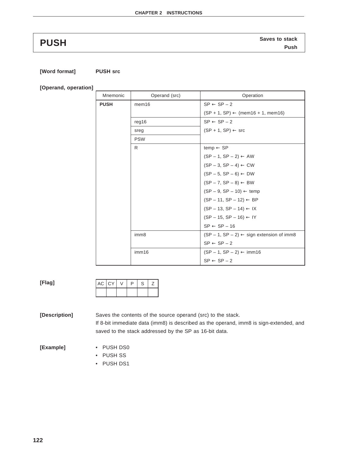**Saves to stack PUSH Push**

### **[Word format] PUSH src**

**[Operand, operation]**

| Mnemonic    | Operand (src)     | Operation                                                                                                                                                                                                                     |  |  |  |  |  |  |  |
|-------------|-------------------|-------------------------------------------------------------------------------------------------------------------------------------------------------------------------------------------------------------------------------|--|--|--|--|--|--|--|
| <b>PUSH</b> | mem <sub>16</sub> | $SP \leftarrow SP - 2$                                                                                                                                                                                                        |  |  |  |  |  |  |  |
|             |                   | $(SP + 1, SP) \leftarrow (mem16 + 1, mem16)$                                                                                                                                                                                  |  |  |  |  |  |  |  |
|             | req16             | $SP \leftarrow SP - 2$                                                                                                                                                                                                        |  |  |  |  |  |  |  |
|             | sreg              | $(SP + 1, SP) \leftarrow src$                                                                                                                                                                                                 |  |  |  |  |  |  |  |
|             | <b>PSW</b>        |                                                                                                                                                                                                                               |  |  |  |  |  |  |  |
|             | R                 | temp $\leftarrow$ SP                                                                                                                                                                                                          |  |  |  |  |  |  |  |
|             |                   |                                                                                                                                                                                                                               |  |  |  |  |  |  |  |
|             |                   |                                                                                                                                                                                                                               |  |  |  |  |  |  |  |
|             |                   |                                                                                                                                                                                                                               |  |  |  |  |  |  |  |
|             |                   | $(SP - 1, SP - 2)$ ← AW<br>$(SP - 3, SP - 4)$ ← CW<br>$(SP - 5, SP - 6)$ ← DW<br>$(SP - 7, SP - 8)$ ← BW<br>$(SP - 1, SP - 10)$ ← temp<br>$(SP - 11, SP - 12)$ ← BP<br>$(SP - 13, SP - 14)$ ← IX<br>$(SP - 15, SP - 16)$ ← IY |  |  |  |  |  |  |  |
|             |                   |                                                                                                                                                                                                                               |  |  |  |  |  |  |  |
|             |                   |                                                                                                                                                                                                                               |  |  |  |  |  |  |  |
|             |                   |                                                                                                                                                                                                                               |  |  |  |  |  |  |  |
|             |                   |                                                                                                                                                                                                                               |  |  |  |  |  |  |  |
|             |                   | $SP \leftarrow SP - 16$                                                                                                                                                                                                       |  |  |  |  |  |  |  |
|             | imm8              | $(SP - 1, SP - 2) \leftarrow$ sign extension of imm8                                                                                                                                                                          |  |  |  |  |  |  |  |
|             |                   | $SP \leftarrow SP - 2$                                                                                                                                                                                                        |  |  |  |  |  |  |  |
|             | imm16             | $(SP - 1, SP - 2) \leftarrow \text{imm16}$                                                                                                                                                                                    |  |  |  |  |  |  |  |
|             |                   | $SP \leftarrow SP - 2$                                                                                                                                                                                                        |  |  |  |  |  |  |  |

| ×<br><b>STEP</b><br>$\sim$ |  |
|----------------------------|--|
|----------------------------|--|

|  | AC CY | D | S | ∠ |
|--|-------|---|---|---|
|  |       |   |   |   |

**[Description]** Saves the contents of the source operand (src) to the stack. If 8-bit immediate data (imm8) is described as the operand, imm8 is sign-extended, and saved to the stack addressed by the SP as 16-bit data.

**[Example]** • PUSH DS0

- PUSH SS
- PUSH DS1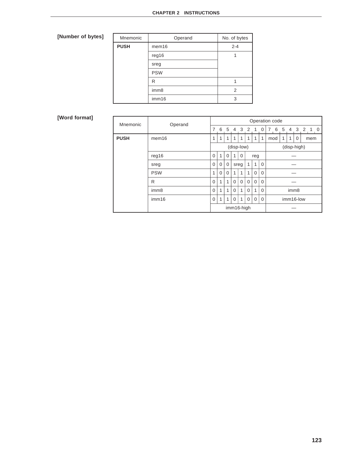# **[Number of bytes]**

| Mnemonic    | Operand           | No. of bytes |
|-------------|-------------------|--------------|
| <b>PUSH</b> | mem <sub>16</sub> | $2 - 4$      |
|             | reg16             |              |
|             | sreg              |              |
|             | <b>PSW</b>        |              |
|             | R                 |              |
|             | imm8              | 2            |
|             | imm16             | 3            |

| Mnemonic    | Operand           | Operation code |          |             |          |            |              |              |             |                  |                    |                |  |         |
|-------------|-------------------|----------------|----------|-------------|----------|------------|--------------|--------------|-------------|------------------|--------------------|----------------|--|---------|
|             |                   | 7              | 6        |             |          | 5 4 3 2    |              | $\mathbf{1}$ | 0           | 6<br>7           | 5                  | $\overline{4}$ |  | 3 2 1 0 |
| <b>PUSH</b> | mem <sub>16</sub> | 1              | 1        | 1           | 1        | 1          | 1            | 1            | 1           | mod              | 1<br>1<br>0<br>mem |                |  |         |
|             |                   | (disp-low)     |          |             |          |            |              |              | (disp-high) |                  |                    |                |  |         |
|             | req16             | 0              | 1        | $\Omega$    | 1        | $\Omega$   |              | reg          |             |                  |                    |                |  |         |
|             | sreg              | 0              | 0        | $\mathbf 0$ | sreg     |            | $\mathbf{1}$ | 1            | $\mathbf 0$ |                  |                    |                |  |         |
|             | <b>PSW</b>        | 1              | $\Omega$ | $\Omega$    | 1        | 1          | 1            | $\Omega$     | $\mathbf 0$ |                  |                    |                |  |         |
|             | R                 | 0              | 1        | 1           | $\Omega$ | $\Omega$   | $\Omega$     | $\Omega$     | $\Omega$    |                  |                    |                |  |         |
|             | imm <sub>8</sub>  | 0              | 1        | 1           | $\Omega$ | 1          | $\Omega$     | 1            | $\mathbf 0$ | imm <sub>8</sub> |                    |                |  |         |
|             | imm16             | 0              | 1        | 1           | $\Omega$ | 1          | $\mathbf 0$  | $\Omega$     | $\mathbf 0$ | imm16-low        |                    |                |  |         |
|             |                   |                |          |             |          | imm16-high |              |              |             |                  |                    |                |  |         |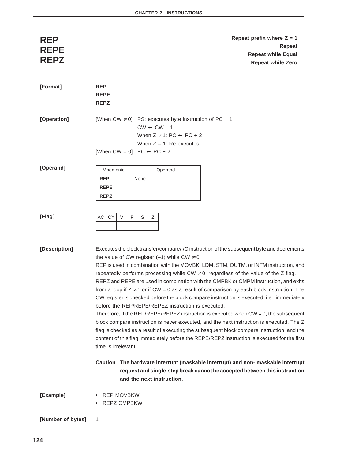| <b>REP</b>  | Repeat prefix where $Z = 1$ |
|-------------|-----------------------------|
| <b>REPE</b> | Repeat                      |
|             | <b>Repeat while Equal</b>   |
| <b>REPZ</b> | <b>Repeat while Zero</b>    |
|             |                             |

| [Format]          | <b>REP</b><br><b>REPE</b><br><b>REPZ</b>                                                                                                                                                                                                                                                                                                                                                                                                                                                                                                                                                                                                                                                                                                                                                                                                                                                                                                                                                                                                                                                                                                                                       |
|-------------------|--------------------------------------------------------------------------------------------------------------------------------------------------------------------------------------------------------------------------------------------------------------------------------------------------------------------------------------------------------------------------------------------------------------------------------------------------------------------------------------------------------------------------------------------------------------------------------------------------------------------------------------------------------------------------------------------------------------------------------------------------------------------------------------------------------------------------------------------------------------------------------------------------------------------------------------------------------------------------------------------------------------------------------------------------------------------------------------------------------------------------------------------------------------------------------|
| [Operation]       | [When CW $\neq$ 0] PS: executes byte instruction of PC + 1<br>$CW \leftarrow CW - 1$<br>When $Z \neq 1$ : PC $\leftarrow$ PC + 2<br>When $Z = 1$ : Re-executes<br>[When CW = 0] $PC \leftarrow PC + 2$                                                                                                                                                                                                                                                                                                                                                                                                                                                                                                                                                                                                                                                                                                                                                                                                                                                                                                                                                                         |
| [Operand]         | Mnemonic<br>Operand<br><b>REP</b><br>None<br><b>REPE</b><br><b>REPZ</b>                                                                                                                                                                                                                                                                                                                                                                                                                                                                                                                                                                                                                                                                                                                                                                                                                                                                                                                                                                                                                                                                                                        |
| [Flag]            | <b>CY</b><br>P<br>AC<br>V<br>S<br>Ζ                                                                                                                                                                                                                                                                                                                                                                                                                                                                                                                                                                                                                                                                                                                                                                                                                                                                                                                                                                                                                                                                                                                                            |
| [Description]     | Executes the block transfer/compare/I/O instruction of the subsequent byte and decrements<br>the value of CW register $(-1)$ while CW $\neq$ 0.<br>REP is used in combination with the MOVBK, LDM, STM, OUTM, or INTM instruction, and<br>repeatedly performs processing while CW $\neq$ 0, regardless of the value of the Z flag.<br>REPZ and REPE are used in combination with the CMPBK or CMPM instruction, and exits<br>from a loop if $Z \neq 1$ or if CW = 0 as a result of comparison by each block instruction. The<br>CW register is checked before the block compare instruction is executed, i.e., immediately<br>before the REP/REPE/REPEZ instruction is executed.<br>Therefore, if the REP/REPE/REPEZ instruction is executed when $CW = 0$ , the subsequent<br>block compare instruction is never executed, and the next instruction is executed. The Z<br>flag is checked as a result of executing the subsequent block compare instruction, and the<br>content of this flag immediately before the REPE/REPZ instruction is executed for the first<br>time is irrelevant.<br>Caution The hardware interrupt (maskable interrupt) and non- maskable interrupt |
|                   | request and single-step break cannot be accepted between this instruction<br>and the next instruction.                                                                                                                                                                                                                                                                                                                                                                                                                                                                                                                                                                                                                                                                                                                                                                                                                                                                                                                                                                                                                                                                         |
| [Example]         | • REP MOVBKW<br>• REPZ CMPBKW                                                                                                                                                                                                                                                                                                                                                                                                                                                                                                                                                                                                                                                                                                                                                                                                                                                                                                                                                                                                                                                                                                                                                  |
| [Number of bytes] | 1                                                                                                                                                                                                                                                                                                                                                                                                                                                                                                                                                                                                                                                                                                                                                                                                                                                                                                                                                                                                                                                                                                                                                                              |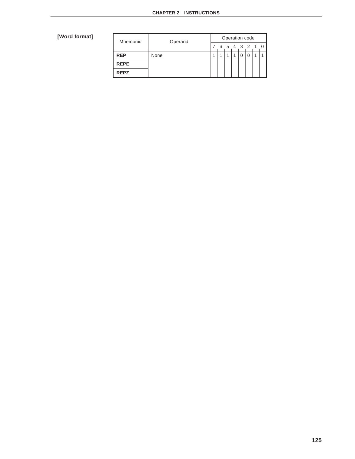| Mnemonic    | Operand | Operation code |   |   |  |  |         |  |                |  |  |
|-------------|---------|----------------|---|---|--|--|---------|--|----------------|--|--|
|             |         |                | 6 | 5 |  |  | 4 3 2 1 |  | $\overline{0}$ |  |  |
| <b>REP</b>  | None    |                |   |   |  |  |         |  |                |  |  |
| <b>REPE</b> |         |                |   |   |  |  |         |  |                |  |  |
| <b>REPZ</b> |         |                |   |   |  |  |         |  |                |  |  |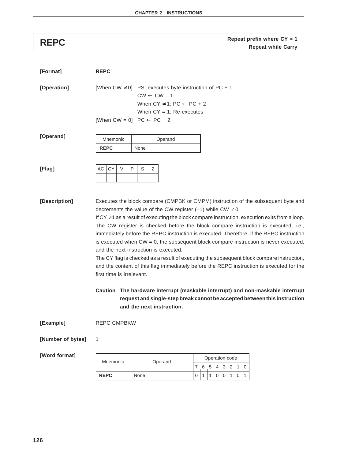| [Format]          | <b>REPC</b>                                                                                                                                                                                                                                                                                                                                                                                                                                                                                                                                                                                                                                                                                                                                                                                            |
|-------------------|--------------------------------------------------------------------------------------------------------------------------------------------------------------------------------------------------------------------------------------------------------------------------------------------------------------------------------------------------------------------------------------------------------------------------------------------------------------------------------------------------------------------------------------------------------------------------------------------------------------------------------------------------------------------------------------------------------------------------------------------------------------------------------------------------------|
| [Operation]       | [When CW $\neq$ 0] PS: executes byte instruction of PC + 1<br>$CW \leftarrow CW - 1$<br>When $CY \neq 1$ : PC $\leftarrow$ PC + 2<br>When $CY = 1$ : Re-executes<br>[When CW = 0] $PC \leftarrow PC + 2$                                                                                                                                                                                                                                                                                                                                                                                                                                                                                                                                                                                               |
| [Operand]         | Mnemonic<br>Operand<br><b>REPC</b><br>None                                                                                                                                                                                                                                                                                                                                                                                                                                                                                                                                                                                                                                                                                                                                                             |
| [Flag]            | CY<br>$\vee$<br>P<br>S<br>Ζ<br>АC                                                                                                                                                                                                                                                                                                                                                                                                                                                                                                                                                                                                                                                                                                                                                                      |
| [Description]     | Executes the block compare (CMPBK or CMPM) instruction of the subsequent byte and<br>decrements the value of the CW register (-1) while CW $\neq$ 0.<br>If $CY \neq 1$ as a result of executing the block compare instruction, execution exits from a loop.<br>The CW register is checked before the block compare instruction is executed, i.e.,<br>immediately before the REPC instruction is executed. Therefore, if the REPC instruction<br>is executed when $CW = 0$ , the subsequent block compare instruction is never executed,<br>and the next instruction is executed.<br>The CY flag is checked as a result of executing the subsequent block compare instruction,<br>and the content of this flag immediately before the REPC instruction is executed for the<br>first time is irrelevant. |
|                   | Caution The hardware interrupt (maskable interrupt) and non-maskable interrupt<br>request and single-step break cannot be accepted between this instruction<br>and the next instruction.                                                                                                                                                                                                                                                                                                                                                                                                                                                                                                                                                                                                               |
| [Example]         | <b>REPC CMPBKW</b>                                                                                                                                                                                                                                                                                                                                                                                                                                                                                                                                                                                                                                                                                                                                                                                     |
| [Number of bytes] | 1                                                                                                                                                                                                                                                                                                                                                                                                                                                                                                                                                                                                                                                                                                                                                                                                      |
| [Word format]     | المامية المتحدد والمتحدد                                                                                                                                                                                                                                                                                                                                                                                                                                                                                                                                                                                                                                                                                                                                                                               |

|  | Mnemonic<br>Operand |      | Operation code |  |  |   |  |  |  |  |  |  |  |  |  |
|--|---------------------|------|----------------|--|--|---|--|--|--|--|--|--|--|--|--|
|  |                     |      |                |  |  | 4 |  |  |  |  |  |  |  |  |  |
|  | <b>REPC</b>         | None |                |  |  |   |  |  |  |  |  |  |  |  |  |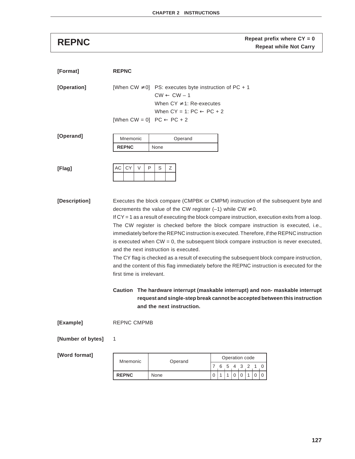**Repeat prefix where CY = 0**<br>**Repeat while Not Carry** 

| [Format]          | <b>REPNC</b>              |                                                                                                                                                                  |                                                                                                                                                                                                                                                                                                                                                                                                                                                                                                                                                                                                                                                                                                                                                                                                                               |
|-------------------|---------------------------|------------------------------------------------------------------------------------------------------------------------------------------------------------------|-------------------------------------------------------------------------------------------------------------------------------------------------------------------------------------------------------------------------------------------------------------------------------------------------------------------------------------------------------------------------------------------------------------------------------------------------------------------------------------------------------------------------------------------------------------------------------------------------------------------------------------------------------------------------------------------------------------------------------------------------------------------------------------------------------------------------------|
| [Operation]       |                           | [When CW $\neq$ 0] PS: executes byte instruction of PC + 1<br>$CW \leftarrow CW - 1$<br>When $CY \neq 1$ : Re-executes<br>When $CY = 1$ : $PC \leftarrow PC + 2$ |                                                                                                                                                                                                                                                                                                                                                                                                                                                                                                                                                                                                                                                                                                                                                                                                                               |
|                   |                           | [When CW = 0] $PC \leftarrow PC + 2$                                                                                                                             |                                                                                                                                                                                                                                                                                                                                                                                                                                                                                                                                                                                                                                                                                                                                                                                                                               |
| [Operand]         | Mnemonic<br><b>REPNC</b>  | Operand<br>None                                                                                                                                                  |                                                                                                                                                                                                                                                                                                                                                                                                                                                                                                                                                                                                                                                                                                                                                                                                                               |
| [Flag]            | <b>CY</b><br>$\vee$<br>AC | P<br>S<br>Ζ                                                                                                                                                      |                                                                                                                                                                                                                                                                                                                                                                                                                                                                                                                                                                                                                                                                                                                                                                                                                               |
| [Description]     | first time is irrelevant. | decrements the value of the CW register (-1) while CW $\neq$ 0.<br>and the next instruction is executed.<br>and the next instruction.                            | Executes the block compare (CMPBK or CMPM) instruction of the subsequent byte and<br>If $CY = 1$ as a result of executing the block compare instruction, execution exits from a loop.<br>The CW register is checked before the block compare instruction is executed, i.e.,<br>immediately before the REPNC instruction is executed. Therefore, if the REPNC instruction<br>is executed when $CW = 0$ , the subsequent block compare instruction is never executed,<br>The CY flag is checked as a result of executing the subsequent block compare instruction,<br>and the content of this flag immediately before the REPNC instruction is executed for the<br>Caution The hardware interrupt (maskable interrupt) and non- maskable interrupt<br>request and single-step break cannot be accepted between this instruction |
| [Example]         | <b>REPNC CMPMB</b>        |                                                                                                                                                                  |                                                                                                                                                                                                                                                                                                                                                                                                                                                                                                                                                                                                                                                                                                                                                                                                                               |
| [Number of bytes] | 1                         |                                                                                                                                                                  |                                                                                                                                                                                                                                                                                                                                                                                                                                                                                                                                                                                                                                                                                                                                                                                                                               |
| [Word format]     |                           |                                                                                                                                                                  | Operation code                                                                                                                                                                                                                                                                                                                                                                                                                                                                                                                                                                                                                                                                                                                                                                                                                |
|                   | Mnemonic                  | Operand                                                                                                                                                          | 7<br>6<br>5<br>$3^{\circ}$<br>2<br>$\overline{4}$<br>1                                                                                                                                                                                                                                                                                                                                                                                                                                                                                                                                                                                                                                                                                                                                                                        |
|                   | <b>REPNC</b>              | None                                                                                                                                                             | $\mathbf 0$<br>1<br>0<br>0<br>0<br>0<br>1<br>1                                                                                                                                                                                                                                                                                                                                                                                                                                                                                                                                                                                                                                                                                                                                                                                |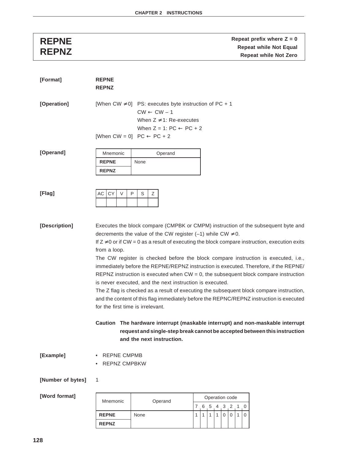**REPNE**<br> **REPNE**<br> **REPNZ**<br> **REPNZ**<br> **REPNZ**<br> **REPNZ**<br> **REPNZ**<br> **Repeat while Not Zero Repeat while Not Zero** 

| [Format]          | <b>REPNE</b><br><b>REPNZ</b>                                                                                                                                                                                                                                                                                                                                                                                                                                                                                                                                                                                                                                                                                                                                                                                                                                                                                                 |                                                                                                        |                                                                        |   |              |   |   |                             |         |          |  |  |  |
|-------------------|------------------------------------------------------------------------------------------------------------------------------------------------------------------------------------------------------------------------------------------------------------------------------------------------------------------------------------------------------------------------------------------------------------------------------------------------------------------------------------------------------------------------------------------------------------------------------------------------------------------------------------------------------------------------------------------------------------------------------------------------------------------------------------------------------------------------------------------------------------------------------------------------------------------------------|--------------------------------------------------------------------------------------------------------|------------------------------------------------------------------------|---|--------------|---|---|-----------------------------|---------|----------|--|--|--|
| [Operation]       | [When CW $\neq$ 0] PS: executes byte instruction of PC + 1<br>[When CW = 0] $PC \leftarrow PC + 2$                                                                                                                                                                                                                                                                                                                                                                                                                                                                                                                                                                                                                                                                                                                                                                                                                           | $CW \leftarrow CW - 1$                                                                                 | When $Z \neq 1$ : Re-executes<br>When $Z = 1$ : PC $\leftarrow$ PC + 2 |   |              |   |   |                             |         |          |  |  |  |
| [Operand]         | Mnemonic<br><b>REPNE</b><br><b>REPNZ</b>                                                                                                                                                                                                                                                                                                                                                                                                                                                                                                                                                                                                                                                                                                                                                                                                                                                                                     | None                                                                                                   | Operand                                                                |   |              |   |   |                             |         |          |  |  |  |
| [Flag]            | CY<br>$\vee$<br>AC                                                                                                                                                                                                                                                                                                                                                                                                                                                                                                                                                                                                                                                                                                                                                                                                                                                                                                           | P<br>S<br>Ζ                                                                                            |                                                                        |   |              |   |   |                             |         |          |  |  |  |
| [Description]     | Executes the block compare (CMPBK or CMPM) instruction of the subsequent byte and<br>decrements the value of the CW register (-1) while CW $\neq$ 0.<br>If $Z \neq 0$ or if CW = 0 as a result of executing the block compare instruction, execution exits<br>from a loop.<br>The CW register is checked before the block compare instruction is executed, i.e.,<br>immediately before the REPNE/REPNZ instruction is executed. Therefore, if the REPNE/<br>REPNZ instruction is executed when $CW = 0$ , the subsequent block compare instruction<br>is never executed, and the next instruction is executed.<br>The Z flag is checked as a result of executing the subsequent block compare instruction,<br>and the content of this flag immediately before the REPNC/REPNZ instruction is executed<br>for the first time is irrelevant.<br>Caution The hardware interrupt (maskable interrupt) and non-maskable interrupt | request and single-step break cannot be accepted between this instruction<br>and the next instruction. |                                                                        |   |              |   |   |                             |         |          |  |  |  |
| [Example]         | <b>REPNE CMPMB</b><br><b>REPNZ CMPBKW</b>                                                                                                                                                                                                                                                                                                                                                                                                                                                                                                                                                                                                                                                                                                                                                                                                                                                                                    |                                                                                                        |                                                                        |   |              |   |   |                             |         |          |  |  |  |
| [Number of bytes] | 1                                                                                                                                                                                                                                                                                                                                                                                                                                                                                                                                                                                                                                                                                                                                                                                                                                                                                                                            |                                                                                                        |                                                                        |   |              |   |   |                             |         |          |  |  |  |
| [Word format]     | Mnemonic                                                                                                                                                                                                                                                                                                                                                                                                                                                                                                                                                                                                                                                                                                                                                                                                                                                                                                                     | Operand                                                                                                |                                                                        |   |              |   |   | Operation code<br>7 6 5 4 3 | $2 \t1$ | 0        |  |  |  |
|                   | <b>REPNE</b>                                                                                                                                                                                                                                                                                                                                                                                                                                                                                                                                                                                                                                                                                                                                                                                                                                                                                                                 | None                                                                                                   |                                                                        | 1 | $\mathbf{1}$ | 1 | 1 | 0                           | 0       | $\Omega$ |  |  |  |
|                   | <b>REPNZ</b>                                                                                                                                                                                                                                                                                                                                                                                                                                                                                                                                                                                                                                                                                                                                                                                                                                                                                                                 |                                                                                                        |                                                                        |   |              |   |   |                             |         |          |  |  |  |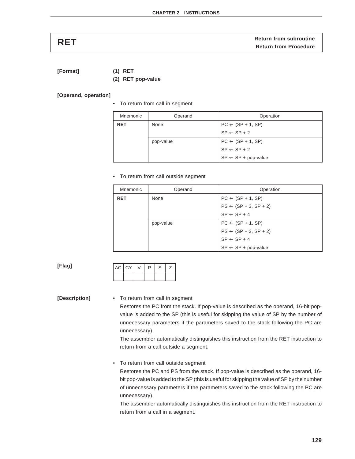| <b>RET</b> | <b>Return from subroutine</b> |
|------------|-------------------------------|
|            | <b>Return from Procedure</b>  |

**[Format] (1) RET**

**(2) RET pop-value**

**[Operand, operation]**

• To return from call in segment

| Mnemonic   | Operand   | Operation                      |
|------------|-----------|--------------------------------|
| <b>RET</b> | None      | $PC \leftarrow (SP + 1, SP)$   |
|            |           | $SP \leftarrow SP + 2$         |
|            | pop-value | $PC \leftarrow (SP + 1, SP)$   |
|            |           | $SP \leftarrow SP + 2$         |
|            |           | $SP \leftarrow SP + pop-value$ |

• To return from call outside segment

| Mnemonic   | Operand   | Operation                        |
|------------|-----------|----------------------------------|
| <b>RET</b> | None      | $PC \leftarrow (SP + 1, SP)$     |
|            |           | $PS \leftarrow (SP + 3, SP + 2)$ |
|            |           | $SP \leftarrow SP + 4$           |
|            | pop-value | $PC \leftarrow (SP + 1, SP)$     |
|            |           | $PS \leftarrow (SP + 3, SP + 2)$ |
|            |           | $SP \leftarrow SP + 4$           |
|            |           | $SP \leftarrow SP + pop-value$   |

**[Flag]**

|  | $IAC$ $CY$ i | D | S |  |
|--|--------------|---|---|--|
|  |              |   |   |  |

**[Description]** • To return from call in segment

Restores the PC from the stack. If pop-value is described as the operand, 16-bit popvalue is added to the SP (this is useful for skipping the value of SP by the number of unnecessary parameters if the parameters saved to the stack following the PC are unnecessary).

The assembler automatically distinguishes this instruction from the RET instruction to return from a call outside a segment.

• To return from call outside segment

Restores the PC and PS from the stack. If pop-value is described as the operand, 16 bit pop-value is added to the SP (this is useful for skipping the value of SP by the number of unnecessary parameters if the parameters saved to the stack following the PC are unnecessary).

The assembler automatically distinguishes this instruction from the RET instruction to return from a call in a segment.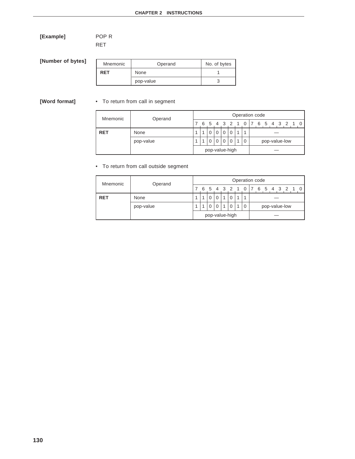**[Example]** POP R RET

**[Number of byte** 

| es] | Mnemonic   | Operand   | No. of bytes |
|-----|------------|-----------|--------------|
|     | <b>RET</b> | None      |              |
|     |            | pop-value |              |

# **[Word format]** • To return from call in segment

| Mnemonic   | Operand   | Operation code |                |             |             |          |          |  |          |  |               |                                                                |  |  |  |  |  |
|------------|-----------|----------------|----------------|-------------|-------------|----------|----------|--|----------|--|---------------|----------------------------------------------------------------|--|--|--|--|--|
|            |           |                | 6              | 5 4 3 2 1 0 |             |          |          |  |          |  |               | $\begin{array}{cccc} \n 17 & 6 & 5 & 4 & 3 & 2 \n \end{array}$ |  |  |  |  |  |
| <b>RET</b> | None      |                |                | 0           | $\mathbf 0$ | $\Omega$ | $\Omega$ |  |          |  | pop-value-low |                                                                |  |  |  |  |  |
|            | pop-value |                |                | $\Omega$    | $\Omega$    | $\Omega$ | $\Omega$ |  | $\Omega$ |  |               |                                                                |  |  |  |  |  |
|            |           |                | pop-value-high |             |             |          |          |  |          |  |               |                                                                |  |  |  |  |  |

• To return from call outside segment

| Mnemonic   | Operand   |  | Operation code |          |          |                |             |  |          |  |  |  |  |               |  |                               |  |
|------------|-----------|--|----------------|----------|----------|----------------|-------------|--|----------|--|--|--|--|---------------|--|-------------------------------|--|
|            |           |  |                |          |          |                |             |  |          |  |  |  |  |               |  | 6 5 4 3 2 1 0 7 6 5 4 3 2 1 0 |  |
| <b>RET</b> | None      |  |                | $\Omega$ | $\Omega$ | $\overline{ }$ |             |  | 1        |  |  |  |  |               |  |                               |  |
|            | pop-value |  |                | $\Omega$ | $\Omega$ | $\overline{1}$ | $\mathbf 0$ |  | $\Omega$ |  |  |  |  | pop-value-low |  |                               |  |
|            |           |  | pop-value-high |          |          |                |             |  |          |  |  |  |  |               |  |                               |  |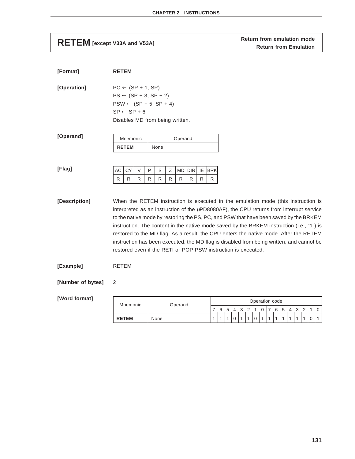**RETEM** [except V33A and V53A] **RETEM [except V33A and V53A] Return from emulation mode** 

| [Format]          | <b>RETEM</b>                                                                                                                                                                                                                                                                                                                                                                                                                                                                                                                                                                                                                  |        |                   |          |                 |         |                            |                    |        |        |        |                   |                               |                                        |              |              |                     |                   |                   |                   |                                |
|-------------------|-------------------------------------------------------------------------------------------------------------------------------------------------------------------------------------------------------------------------------------------------------------------------------------------------------------------------------------------------------------------------------------------------------------------------------------------------------------------------------------------------------------------------------------------------------------------------------------------------------------------------------|--------|-------------------|----------|-----------------|---------|----------------------------|--------------------|--------|--------|--------|-------------------|-------------------------------|----------------------------------------|--------------|--------------|---------------------|-------------------|-------------------|-------------------|--------------------------------|
| [Operation]       | $PC \leftarrow (SP + 1, SP)$<br>$PS \leftarrow (SP + 3, SP + 2)$<br>$PSW \leftarrow (SP + 5, SP + 4)$<br>$SP \leftarrow SP + 6$<br>Disables MD from being written.                                                                                                                                                                                                                                                                                                                                                                                                                                                            |        |                   |          |                 |         |                            |                    |        |        |        |                   |                               |                                        |              |              |                     |                   |                   |                   |                                |
| [Operand]         | Mnemonic<br>Operand<br><b>RETEM</b><br>None                                                                                                                                                                                                                                                                                                                                                                                                                                                                                                                                                                                   |        |                   |          |                 |         |                            |                    |        |        |        |                   |                               |                                        |              |              |                     |                   |                   |                   |                                |
| [Flag]            | СY<br>AC<br>V<br>R<br>R.<br>R                                                                                                                                                                                                                                                                                                                                                                                                                                                                                                                                                                                                 | P<br>R | S<br>Ζ<br>R.<br>R | MD.<br>R | <b>DIR</b><br>R | IE<br>R | <b>BRK</b><br>R            |                    |        |        |        |                   |                               |                                        |              |              |                     |                   |                   |                   |                                |
| [Description]     | When the RETEM instruction is executed in the emulation mode (this instruction is<br>interpreted as an instruction of the $\mu$ PD8080AF), the CPU returns from interrupt service<br>to the native mode by restoring the PS, PC, and PSW that have been saved by the BRKEM<br>instruction. The content in the native mode saved by the BRKEM instruction (i.e., "1") is<br>restored to the MD flag. As a result, the CPU enters the native mode. After the RETEM<br>instruction has been executed, the MD flag is disabled from being written, and cannot be<br>restored even if the RETI or POP PSW instruction is executed. |        |                   |          |                 |         |                            |                    |        |        |        |                   |                               |                                        |              |              |                     |                   |                   |                   |                                |
| [Example]         | <b>RETEM</b>                                                                                                                                                                                                                                                                                                                                                                                                                                                                                                                                                                                                                  |        |                   |          |                 |         |                            |                    |        |        |        |                   |                               |                                        |              |              |                     |                   |                   |                   |                                |
| [Number of bytes] | 2                                                                                                                                                                                                                                                                                                                                                                                                                                                                                                                                                                                                                             |        |                   |          |                 |         |                            |                    |        |        |        |                   |                               |                                        |              |              |                     |                   |                   |                   |                                |
| [Word format]     | Mnemonic                                                                                                                                                                                                                                                                                                                                                                                                                                                                                                                                                                                                                      |        |                   | Operand  |                 |         |                            |                    |        |        |        |                   |                               | Operation code                         |              |              |                     |                   |                   |                   |                                |
|                   | <b>RETEM</b>                                                                                                                                                                                                                                                                                                                                                                                                                                                                                                                                                                                                                  | None   |                   |          |                 |         | $\sqrt{2}$<br>$\mathbf{1}$ | -6<br>$\mathbf{1}$ | 5<br>1 | 4<br>0 | 3<br>1 | 2<br>$\mathbf{1}$ | $\overline{1}$<br>$\mathbf 0$ | 0<br>7<br>$\mathbf{1}$<br>$\mathbf{1}$ | $\mathbf{1}$ | $\mathbf{1}$ | 654<br>$\mathbf{1}$ | 3<br>$\mathbf{1}$ | 2<br>$\mathbf{1}$ | $\mathbf{1}$<br>0 | $\overline{0}$<br>$\mathbf{1}$ |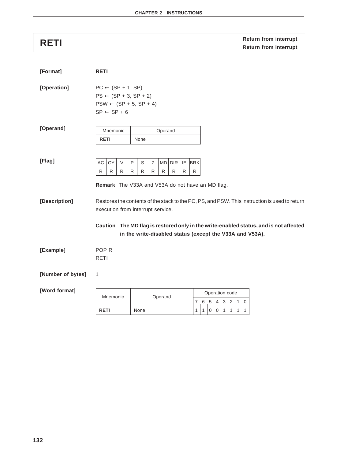# **RETI RETI RETI RETI RETI Return from Interrupt**

| [Format]          | <b>RETI</b>                                                                                                                                                                                                                 |  |                                                          |        |         |               |         |                 |               |   |                |   |   |  |  |  |
|-------------------|-----------------------------------------------------------------------------------------------------------------------------------------------------------------------------------------------------------------------------|--|----------------------------------------------------------|--------|---------|---------------|---------|-----------------|---------------|---|----------------|---|---|--|--|--|
| [Operation]       | $PC \leftarrow (SP + 1, SP)$<br>$PS \leftarrow (SP + 3, SP + 2)$<br>$PSW \leftarrow (SP + 5, SP + 4)$<br>$SP \leftarrow SP + 6$                                                                                             |  |                                                          |        |         |               |         |                 |               |   |                |   |   |  |  |  |
| [Operand]         | Mnemonic<br>Operand<br><b>RETI</b><br>None                                                                                                                                                                                  |  |                                                          |        |         |               |         |                 |               |   |                |   |   |  |  |  |
| [Flag]            | AC<br><b>CY</b><br>$\vee$<br>R<br>R<br>R<br>Remark The V33A and V53A do not have an MD flag.                                                                                                                                |  | P<br>S<br>R<br>R                                         | Ζ<br>R | R       | $MD$ DIR<br>R | IE<br>R | <b>BRK</b><br>R |               |   |                |   |   |  |  |  |
| [Description]     | Restores the contents of the stack to the PC, PS, and PSW. This instruction is used to return<br>execution from interrupt service.<br>Caution The MD flag is restored only in the write-enabled status, and is not affected |  | in the write-disabled status (except the V33A and V53A). |        |         |               |         |                 |               |   |                |   |   |  |  |  |
| [Example]         | POP <sub>R</sub><br><b>RETI</b>                                                                                                                                                                                             |  |                                                          |        |         |               |         |                 |               |   |                |   |   |  |  |  |
| [Number of bytes] | 1                                                                                                                                                                                                                           |  |                                                          |        |         |               |         |                 |               |   |                |   |   |  |  |  |
| [Word format]     | Mnemonic                                                                                                                                                                                                                    |  |                                                          |        | Operand |               |         |                 | 7 6 5 4 3 2 1 |   | Operation code |   | 0 |  |  |  |
|                   | <b>RETI</b>                                                                                                                                                                                                                 |  | None                                                     |        |         |               |         | 1               | 1<br>0        | 0 | 1<br>1         | 1 | 1 |  |  |  |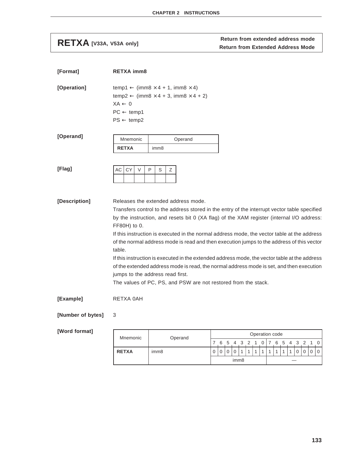**RETXA** [V33A, V53A only] **Return from extended address mode**<br>Return from Extended Address Mode

| [Format]      | <b>RETXA imm8</b>                                                                                                                                                                                                                                                                                                                                                                                                                                                                                                                                                                                                                                                                                                                                         |
|---------------|-----------------------------------------------------------------------------------------------------------------------------------------------------------------------------------------------------------------------------------------------------------------------------------------------------------------------------------------------------------------------------------------------------------------------------------------------------------------------------------------------------------------------------------------------------------------------------------------------------------------------------------------------------------------------------------------------------------------------------------------------------------|
| [Operation]   | temp1 $\leftarrow$ (imm8 $\times$ 4 + 1, imm8 $\times$ 4)<br>temp2 $\leftarrow$ (imm8 $\times$ 4 + 3, imm8 $\times$ 4 + 2)<br>$XA \leftarrow 0$<br>$PC \leftarrow temp1$<br>$PS \leftarrow temp2$                                                                                                                                                                                                                                                                                                                                                                                                                                                                                                                                                         |
| [Operand]     | Mnemonic<br>Operand<br><b>RETXA</b><br>imm <sub>8</sub>                                                                                                                                                                                                                                                                                                                                                                                                                                                                                                                                                                                                                                                                                                   |
| [Flag]        | <b>CY</b><br>$\vee$<br>P<br>AC<br>S<br>Ζ                                                                                                                                                                                                                                                                                                                                                                                                                                                                                                                                                                                                                                                                                                                  |
| [Description] | Releases the extended address mode.<br>Transfers control to the address stored in the entry of the interrupt vector table specified<br>by the instruction, and resets bit 0 (XA flag) of the XAM register (internal I/O address:<br>FF80H) to 0.<br>If this instruction is executed in the normal address mode, the vector table at the address<br>of the normal address mode is read and then execution jumps to the address of this vector<br>table.<br>If this instruction is executed in the extended address mode, the vector table at the address<br>of the extended address mode is read, the normal address mode is set, and then execution<br>jumps to the address read first.<br>The values of PC, PS, and PSW are not restored from the stack. |
| [Example]     | RETXA 0AH                                                                                                                                                                                                                                                                                                                                                                                                                                                                                                                                                                                                                                                                                                                                                 |
|               |                                                                                                                                                                                                                                                                                                                                                                                                                                                                                                                                                                                                                                                                                                                                                           |

# **[Number of bytes]** 3

| Mnemonic     | Operand          |                  | Operation code |  |         |  |  |  |  |                 |                |  |           |  |  |  |          |
|--------------|------------------|------------------|----------------|--|---------|--|--|--|--|-----------------|----------------|--|-----------|--|--|--|----------|
|              |                  |                  | 6              |  | 5 4 3 2 |  |  |  |  | 0 <sub>17</sub> |                |  | 6 5 4 3 2 |  |  |  | $\Omega$ |
| <b>RETXA</b> | imm <sub>8</sub> |                  |                |  |         |  |  |  |  |                 | $\overline{A}$ |  |           |  |  |  | 0        |
|              |                  | imm <sub>8</sub> |                |  |         |  |  |  |  |                 |                |  |           |  |  |  |          |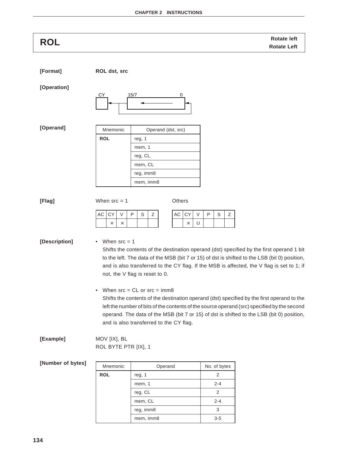| <b>ROL</b>    | <b>Rotate left</b><br><b>Rotate Left</b>                                                                                                                                                                                                                                                                                                                                          |
|---------------|-----------------------------------------------------------------------------------------------------------------------------------------------------------------------------------------------------------------------------------------------------------------------------------------------------------------------------------------------------------------------------------|
| [Format]      | ROL dst, src                                                                                                                                                                                                                                                                                                                                                                      |
| [Operation]   | 15/7<br>СY<br>0                                                                                                                                                                                                                                                                                                                                                                   |
| [Operand]     | Mnemonic<br>Operand (dst, src)<br><b>ROL</b><br>reg, 1<br>mem, 1<br>reg, CL<br>mem, CL<br>reg, imm8<br>mem, imm8                                                                                                                                                                                                                                                                  |
| [Flag]        | When $src = 1$<br>Others<br>$\mathsf{P}$<br>$\mathbb S$<br>CY<br>$\vee$<br>P<br>AC<br>CY<br>V<br>Ζ<br>AC<br>S<br>Ζ<br>U<br>$\times$<br>$\times$<br>$\times$                                                                                                                                                                                                                       |
| [Description] | When $src = 1$<br>٠<br>Shifts the contents of the destination operand (dst) specified by the first operand 1 bit<br>to the left. The data of the MSB (bit 7 or 15) of dst is shifted to the LSB (bit 0) position,<br>and is also transferred to the CY flag. If the MSB is affected, the V flag is set to 1; if<br>not, the V flag is reset to 0.                                 |
|               | When $src = CL$ or $src = imm8$<br>$\bullet$<br>Shifts the contents of the destination operand (dst) specified by the first operand to the<br>left the number of bits of the contents of the source operand (src) specified by the second<br>operand. The data of the MSB (bit 7 or 15) of dst is shifted to the LSB (bit 0) position,<br>and is also transferred to the CY flag. |
| [Example]     | MOV [IX], BL<br>ROL BYTE PTR [IX], 1                                                                                                                                                                                                                                                                                                                                              |

| Mnemonic   | Operand   | No. of bytes |
|------------|-----------|--------------|
| <b>ROL</b> | reg, 1    | 2            |
|            | mem, 1    | $2 - 4$      |
|            | reg, CL   | 2            |
|            | mem, CL   | $2 - 4$      |
|            | reg, imm8 | 3            |
|            | mem, imm8 | $3 - 5$      |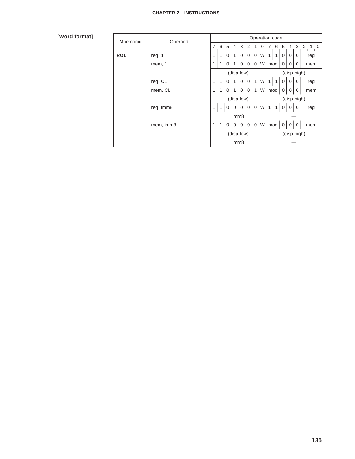| Mnemonic   | Operand   | Operation code |                  |             |             |                  |             |                |             |             |     |             |                |             |             |
|------------|-----------|----------------|------------------|-------------|-------------|------------------|-------------|----------------|-------------|-------------|-----|-------------|----------------|-------------|-------------|
|            |           | 7              | 6                | 5           | 4 3         |                  | 2           |                | 0           | 7           | 6   | 5           | $\overline{4}$ | 3           | $2 \t1 \t0$ |
| <b>ROL</b> | reg, 1    | 1              | 1                | $\Omega$    | 1           | $\Omega$         | $\mathbf 0$ | $\mathbf 0$    | W           | 1           | 1   | 0           | 0              | 0           | reg         |
|            | mem, 1    | 1              | 1                | $\Omega$    | 1           | 0                | 0           | $\mathbf 0$    | W           |             | mod | 0           | $\Omega$       | 0           | mem         |
|            |           |                |                  |             |             | (disp-low)       |             |                |             |             |     |             |                | (disp-high) |             |
|            | reg, CL   | 1              | 1                | $\Omega$    | 1           | $\Omega$         | $\mathbf 0$ | $\mathbf{1}$   | W           | 1           | 1   | $\mathbf 0$ | 0              | 0           | reg         |
|            | mem, CL   | $\mathbf{1}$   | $\mathbf{1}$     | $\Omega$    | 1           | $\mathbf 0$      | $\mathbf 0$ | $\mathbf{1}$   | W           |             | mod | $\mathbf 0$ | 0              | 0           | mem         |
|            |           |                |                  |             |             | (disp-low)       |             |                |             | (disp-high) |     |             |                |             |             |
|            | reg, imm8 | 1              | 1                | $\Omega$    | $\Omega$    | $\Omega$         | $\Omega$    | $\Omega$       | W           | 1           | 1   | 0           | $\Omega$       | $\Omega$    | reg         |
|            |           |                | imm <sub>8</sub> |             |             |                  |             |                |             |             |     |             |                |             |             |
|            | mem, imm8 | $\mathbf{1}$   | $\mathbf{1}$     | $\mathbf 0$ | $\mathbf 0$ | $\mathbf 0$      | $\mathbf 0$ | $\overline{0}$ | W           |             | mod | $\mathbf 0$ | $\mathbf 0$    | $\mathbf 0$ | mem         |
|            |           |                | (disp-low)       |             |             |                  |             |                | (disp-high) |             |     |             |                |             |             |
|            |           |                |                  |             |             | imm <sub>8</sub> |             |                |             |             |     |             |                |             |             |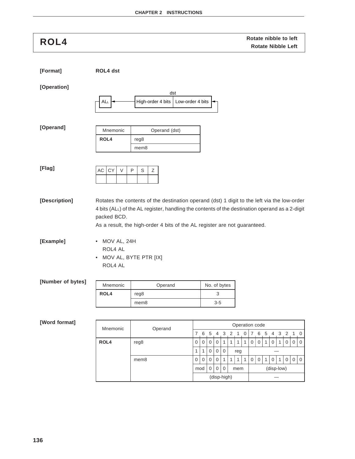| ROL4              |                          |                                                                           |                                                                                       | Rotate nibble to left<br><b>Rotate Nibble Left</b>                                                                                                                                                             |
|-------------------|--------------------------|---------------------------------------------------------------------------|---------------------------------------------------------------------------------------|----------------------------------------------------------------------------------------------------------------------------------------------------------------------------------------------------------------|
| [Format]          | ROL4 dst                 |                                                                           |                                                                                       |                                                                                                                                                                                                                |
| [Operation]       |                          | dst                                                                       |                                                                                       |                                                                                                                                                                                                                |
|                   | ALL                      | High-order 4 bits                                                         | Low-order 4 bits                                                                      |                                                                                                                                                                                                                |
| [Operand]         | Mnemonic                 | Operand (dst)                                                             |                                                                                       |                                                                                                                                                                                                                |
|                   | ROL4                     | reg8                                                                      |                                                                                       |                                                                                                                                                                                                                |
|                   |                          | mem8                                                                      |                                                                                       |                                                                                                                                                                                                                |
|                   |                          |                                                                           |                                                                                       |                                                                                                                                                                                                                |
| [Flag]            | CY<br>$\vee$<br>AC       | S<br>P<br>Ζ                                                               |                                                                                       |                                                                                                                                                                                                                |
|                   |                          |                                                                           |                                                                                       |                                                                                                                                                                                                                |
| [Description]     | packed BCD.              | As a result, the high-order 4 bits of the AL register are not guaranteed. |                                                                                       | Rotates the contents of the destination operand (dst) 1 digit to the left via the low-order<br>4 bits (ALL) of the AL register, handling the contents of the destination operand as a 2-digit                  |
| [Example]         | MOV AL, 24H<br>$\bullet$ |                                                                           |                                                                                       |                                                                                                                                                                                                                |
|                   |                          |                                                                           |                                                                                       |                                                                                                                                                                                                                |
|                   | ROL4 AL                  |                                                                           |                                                                                       |                                                                                                                                                                                                                |
|                   | $\bullet$                | MOV AL, BYTE PTR [IX]                                                     |                                                                                       |                                                                                                                                                                                                                |
|                   | ROL4 AL                  |                                                                           |                                                                                       |                                                                                                                                                                                                                |
| [Number of bytes] |                          |                                                                           |                                                                                       |                                                                                                                                                                                                                |
|                   | Mnemonic<br>ROL4         | Operand<br>reg8                                                           | No. of bytes<br>$\ensuremath{\mathsf{3}}$                                             |                                                                                                                                                                                                                |
|                   |                          | mem8                                                                      | $3 - 5$                                                                               |                                                                                                                                                                                                                |
|                   |                          |                                                                           |                                                                                       |                                                                                                                                                                                                                |
| [Word format]     |                          |                                                                           |                                                                                       | Operation code                                                                                                                                                                                                 |
|                   | Mnemonic<br>ROL4         | Operand<br>reg8                                                           | 3 <sub>2</sub><br>$\,$ 5 $\,$<br>4<br>7<br>6<br>0<br>$\mathbf{1}$<br>0<br>0<br>0<br>1 | $\mathbf{1}$<br>$\mathbf 0$<br>$\boldsymbol{7}$<br>6<br>$\sqrt{5}$<br>3<br>$\overline{c}$<br>$1 \quad 0$<br>4<br>$\mathsf{O}$<br>$\mathbf 0$<br>$\boldsymbol{0}$<br>$\mathbf{1}$<br>0<br>1<br>0<br>0<br>1<br>1 |

mem8 00001111001010100

 $mod | 0 | 0 | 0 |$  mem (disp-low) (disp-high) —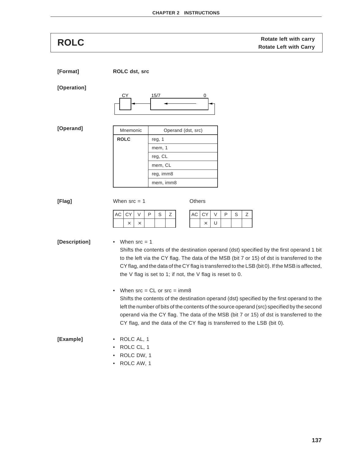**Rotate left with carry ROLC Rotate Left with Carry**

**[Format] ROLC dst, src**

### **[Operation]**



**[Operand]**

| Mnemonic    | Operand (dst, src) |
|-------------|--------------------|
| <b>ROLC</b> | reg, 1             |
|             | mem, 1             |
|             | reg, CL            |
|             | mem, CL            |
|             | reg, imm8          |
|             | mem, imm8          |

**[Flag]** When src = 1 Others

| AC CY |  | ם | S |  |
|-------|--|---|---|--|
|       |  |   |   |  |

 $AC$   $CY$   $V$   $P$   $S$   $Z$  $\times$  U

# **[Description]** • When src = 1

Shifts the contents of the destination operand (dst) specified by the first operand 1 bit to the left via the CY flag. The data of the MSB (bit 7 or 15) of dst is transferred to the CY flag, and the data of the CY flag is transferred to the LSB (bit 0). If the MSB is affected, the V flag is set to 1; if not, the V flag is reset to 0.

• When  $src = CL$  or  $src = imm8$ 

Shifts the contents of the destination operand (dst) specified by the first operand to the left the number of bits of the contents of the source operand (src) specified by the second operand via the CY flag. The data of the MSB (bit 7 or 15) of dst is transferred to the CY flag, and the data of the CY flag is transferred to the LSB (bit 0).

## **[Example]** • ROLC AL, 1

- ROLC CL, 1
- ROLC DW, 1
- ROLC AW, 1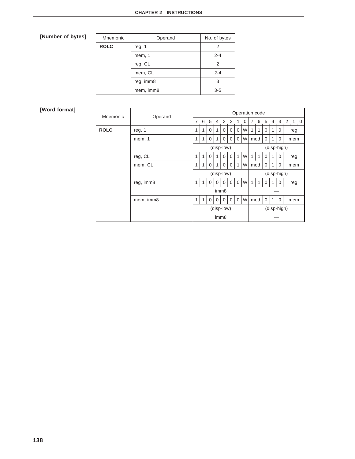| Mnemonic    | Operand   | No. of bytes |
|-------------|-----------|--------------|
| <b>ROLC</b> | reg, 1    | 2            |
|             | mem, 1    | $2 - 4$      |
|             | reg, CL   | 2            |
|             | mem, CL   | $2 - 4$      |
|             | reg, imm8 | 3            |
|             | mem, imm8 | $3-5$        |

| Mnemonic    | Operand   | Operation code |              |          |          |                  |             |             |             |             |              |          |                |          |         |
|-------------|-----------|----------------|--------------|----------|----------|------------------|-------------|-------------|-------------|-------------|--------------|----------|----------------|----------|---------|
|             |           | 7              | 6            | -5       |          | 4 3 2            |             | 1           | 0           | 7           |              | 6 5      | $\overline{4}$ |          | 3 2 1 0 |
| <b>ROLC</b> | reg, 1    | 1              | 1            | $\Omega$ | 1        | $\Omega$         | $\mathbf 0$ | 0           | W           |             | 1            | $\Omega$ | 1              | 0        | reg     |
|             | mem, 1    | 1              | 1            | $\Omega$ | 1        | $\Omega$         | $\Omega$    | $\Omega$    | W           |             | mod          | $\Omega$ | 1              | $\Omega$ | mem     |
|             |           | (disp-low)     |              |          |          |                  |             |             |             | (disp-high) |              |          |                |          |         |
|             | reg, CL   | 1              | $\mathbf{1}$ | $\Omega$ | 1        | $\Omega$         | $\Omega$    | 1           | W           | 1           | 1            | $\Omega$ | 1              | $\Omega$ | reg     |
|             | mem, CL   | 1              | 1            | 0        | 1        | 0                | $\mathbf 0$ | 1           | W           |             | mod          | 0        | 1              | 0        | mem     |
|             |           |                |              |          |          | (disp-low)       |             |             | (disp-high) |             |              |          |                |          |         |
|             | reg, imm8 | 1              | $\mathbf{1}$ | $\Omega$ | $\Omega$ | $\Omega$         | $\Omega$    | $\Omega$    | W           | 1           | $\mathbf{1}$ | $\Omega$ | 1              | $\Omega$ | reg     |
|             |           |                |              |          |          | imm8             |             |             |             |             |              |          |                |          |         |
|             | mem, imm8 |                |              |          | $\Omega$ | $\Omega$         | $\mathbf 0$ | $\mathbf 0$ | W           |             | mod          | $\Omega$ | 1              | $\Omega$ | mem     |
|             |           |                | (disp-low)   |          |          |                  |             |             |             | (disp-high) |              |          |                |          |         |
|             |           |                |              |          |          | imm <sub>8</sub> |             |             |             |             |              |          |                |          |         |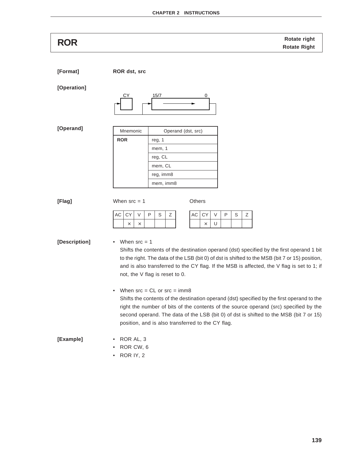**Rotate right ROR Rotate Right**

**[Format] ROR dst, src**

### **[Operation]**



### **[Operand]**

| Mnemonic   | Operand (dst, src) |  |  |  |  |  |
|------------|--------------------|--|--|--|--|--|
| <b>ROR</b> | reg, 1             |  |  |  |  |  |
|            | mem, 1             |  |  |  |  |  |
|            | reg, CL            |  |  |  |  |  |
|            | mem, CL            |  |  |  |  |  |
|            | reg, imm8          |  |  |  |  |  |
|            | mem, imm8          |  |  |  |  |  |

**[Flag]** When src = 1 Others

| $AC$ $CY$ | V | P | S. | Ζ |
|-----------|---|---|----|---|
|           |   |   |    |   |

### **[Description]** • When src = 1

Shifts the contents of the destination operand (dst) specified by the first operand 1 bit to the right. The data of the LSB (bit 0) of dst is shifted to the MSB (bit 7 or 15) position, and is also transferred to the CY flag. If the MSB is affected, the V flag is set to 1; if not, the V flag is reset to 0.

 $AC$   $CY$   $V$   $P$   $S$   $Z$ 

 $\times$  U

• When  $src = CL$  or  $src = imm8$ 

Shifts the contents of the destination operand (dst) specified by the first operand to the right the number of bits of the contents of the source operand (src) specified by the second operand. The data of the LSB (bit 0) of dst is shifted to the MSB (bit 7 or 15) position, and is also transferred to the CY flag.

# **[Example]** • ROR AL, 3

- ROR CW, 6
- ROR IY, 2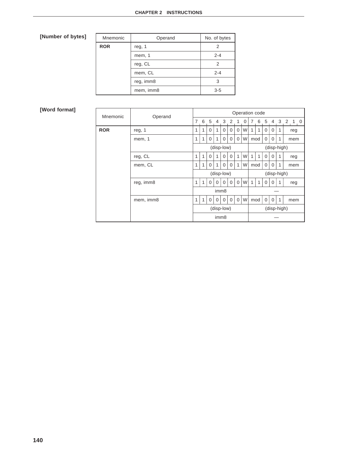| Mnemonic   | Operand   | No. of bytes |
|------------|-----------|--------------|
| <b>ROR</b> | reg, 1    | 2            |
|            | mem, 1    | $2 - 4$      |
|            | reg, CL   | 2            |
|            | mem, CL   | $2 - 4$      |
|            | reg, imm8 | 3            |
|            | mem, imm8 | $3 - 5$      |

| Mnemonic   | Operand   | Operation code |            |          |                |                  |             |             |             |              |              |          |             |   |         |  |
|------------|-----------|----------------|------------|----------|----------------|------------------|-------------|-------------|-------------|--------------|--------------|----------|-------------|---|---------|--|
|            |           | $\overline{7}$ | 6          | -5       | $\overline{4}$ | $\mathbf{3}$     | 2           | 1           | 0           | 7            |              | 6 5      | 4           |   | 3 2 1 0 |  |
| <b>ROR</b> | reg, 1    | 1              | 1          | $\Omega$ | 1              | $\mathbf 0$      | $\mathbf 0$ | 0           | W           |              |              | 0        | $\mathbf 0$ | 1 | reg     |  |
|            | mem, 1    | 1              | 1          | $\Omega$ | 1              | $\Omega$         | $\mathbf 0$ | $\Omega$    | W           |              | mod          | $\Omega$ | $\Omega$    | 1 | mem     |  |
|            |           | (disp-low)     |            |          |                |                  |             |             | (disp-high) |              |              |          |             |   |         |  |
|            | reg, CL   | 1              | 1          | $\Omega$ | 1              | $\Omega$         | $\Omega$    | 1           | W           | 1            | $\mathbf{1}$ | $\Omega$ | $\Omega$    | 1 | reg     |  |
|            | mem, CL   | 1              | 1          | 0        | 1              | 0                | 0           | 1           | W           |              | mod          | 0        | 0           | 1 | mem     |  |
|            |           |                |            |          |                | (disp-low)       |             |             |             | (disp-high)  |              |          |             |   |         |  |
|            | reg, imm8 | 1              | 1          | $\Omega$ | $\Omega$       | $\Omega$         | $\mathbf 0$ | $\Omega$    | W           | $\mathbf{1}$ | 1            | $\Omega$ | $\Omega$    | 1 | reg     |  |
|            |           |                |            |          |                | imm8             |             |             |             |              |              |          |             |   |         |  |
|            | mem, imm8 |                |            | $\Omega$ | $\Omega$       | $\Omega$         | $\mathbf 0$ | $\mathbf 0$ | W           |              | mod          | $\Omega$ | $\Omega$    | 1 | mem     |  |
|            |           |                | (disp-low) |          |                |                  |             |             |             | (disp-high)  |              |          |             |   |         |  |
|            |           |                |            |          |                | imm <sub>8</sub> |             |             |             |              |              |          |             |   |         |  |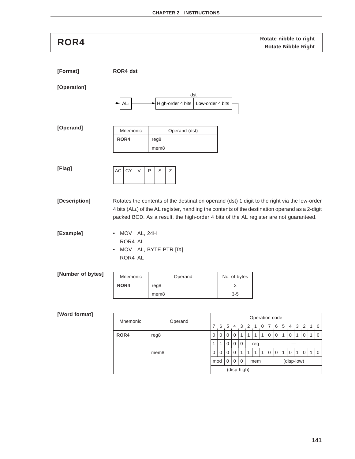# **Rotate nibble to right ROR4 Rotate Nibble Right**

**[Format] ROR4 dst [Operation] [Operand] [Flag] [Description]** Rotates the contents of the destination operand (dst) 1 digit to the right via the low-order 4 bits (ALL) of the AL register, handling the contents of the destination operand as a 2-digit packed BCD. As a result, the high-order 4 bits of the AL register are not guaranteed. **[Example]** • MOV AL, 24H ROR4 AL • MOV AL, BYTE PTR [IX] ROR4 AL **[Number of bytes] [Word format]** Mnemonic | Operand (dst) ROR4 | reg8 mem8  $AC$   $CY$   $V$   $P$   $S$   $Z$ Mnemonic | Operand No. of bytes **ROR4** | reg8 3 mem8 3-5 Mnemonic Operand Operation code<br>
7 6 5 4 3 2 1 0 7 6 5 7654321076543210 **ROR4** | reg8  $0000011111100010101010101$  $1 | 1 | 0 | 0 | 0 |$  reg  $|$   $$ mem8 00000111110010101010 dst  $ALL$   $\rightarrow$  High-order 4 bits Low-order 4 bits

 $mod |0|0|0$  mem  $\vert$  (disp-low)

(disp-high) —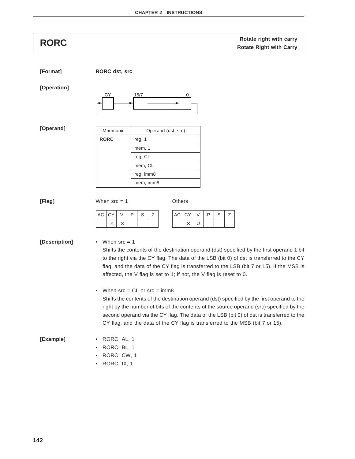| <b>RORC</b>             | Rotate right with carry<br><b>Rotate Right with Carry</b>                                                                                                                                                                                                                                                                                                                                                           |
|-------------------------|---------------------------------------------------------------------------------------------------------------------------------------------------------------------------------------------------------------------------------------------------------------------------------------------------------------------------------------------------------------------------------------------------------------------|
| [Format]<br>[Operation] | <b>RORC</b> dst, src<br>СY<br>15/7<br>0                                                                                                                                                                                                                                                                                                                                                                             |
| [Operand]               | Mnemonic<br>Operand (dst, src)<br><b>RORC</b><br>reg, 1<br>mem, 1<br>reg, CL<br>mem, CL<br>reg, imm8<br>mem, imm8                                                                                                                                                                                                                                                                                                   |
| [Flag]                  | When $src = 1$<br>Others<br>CY<br>$\vee$<br>P<br>$\mathbb S$<br>Ζ<br>AC<br>CY<br>V<br>P<br>S<br>Ζ<br>AC<br>U<br>$\times$<br>$\times$<br>$\times$                                                                                                                                                                                                                                                                    |
| [Description]           | When $src = 1$<br>Shifts the contents of the destination operand (dst) specified by the first operand 1 bit<br>to the right via the CY flag. The data of the LSB (bit 0) of dst is transferred to the CY<br>flag, and the data of the CY flag is transferred to the LSB (bit 7 or 15). If the MSB is<br>affected, the V flag is set to 1; if not, the V flag is reset to 0.<br>When $src = CL$ or $src = imm8$<br>٠ |
|                         | Shifts the contents of the destination operand (dst) specified by the first operand to the<br>right by the number of bits of the contents of the source operand (src) specified by the<br>second operand via the CY flag. The data of the LSB (bit 0) of dst is transferred to the<br>CY flag, and the data of the CY flag is transferred to the MSB (bit 7 or 15).                                                 |
| [Example]               | RORC AL, 1<br>RORC BL, 1<br>RORC CW, 1<br>$\bullet$<br>RORC IX, 1<br>$\bullet$                                                                                                                                                                                                                                                                                                                                      |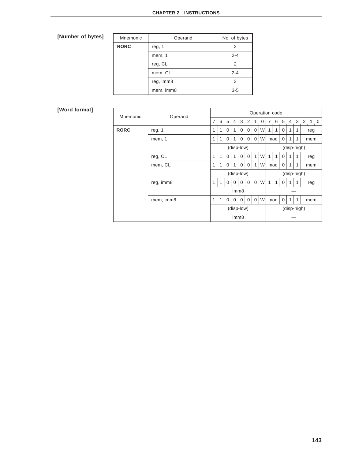| Mnemonic    | Operand   | No. of bytes |
|-------------|-----------|--------------|
| <b>RORC</b> | reg, 1    | 2            |
|             | mem, 1    | $2 - 4$      |
|             | reg, CL   | 2            |
|             | mem, CL   | $2 - 4$      |
|             | reg, imm8 | 3            |
|             | mem, imm8 | $3 - 5$      |

| Mnemonic         |           | Operation code<br>Operand |              |          |              |                  |             |             |   |   |             |             |              |             |  |               |  |
|------------------|-----------|---------------------------|--------------|----------|--------------|------------------|-------------|-------------|---|---|-------------|-------------|--------------|-------------|--|---------------|--|
|                  |           | $\overline{7}$            |              |          |              |                  | 6 5 4 3 2 1 |             | 0 | 7 |             |             |              |             |  | 6 5 4 3 2 1 0 |  |
| <b>RORC</b>      | reg, 1    | 1                         | 1            | $\Omega$ | 1            | $\Omega$         | 0           | $\Omega$    | W |   | 1           | $\Omega$    | 1            |             |  | reg           |  |
|                  | mem, 1    | 1                         | 1            | $\Omega$ | 1            | $\Omega$         | $\Omega$    | $\Omega$    | W |   | mod         | 0           | 1            | 1           |  | mem           |  |
|                  |           |                           |              |          |              | (disp-low)       |             |             |   |   |             |             |              | (disp-high) |  |               |  |
|                  | reg, CL   | 1                         | 1            | $\Omega$ | 1            | $\Omega$         | $\Omega$    | 1           | W | 1 | 1           | $\Omega$    | 1            | 1           |  | reg           |  |
|                  | mem, CL   | 1                         | $\mathbf{1}$ | $\Omega$ | $\mathbf{1}$ | $\Omega$         | $\Omega$    | 1           | W |   | mod         | $\mathbf 0$ | 1            | 1           |  | mem           |  |
|                  |           |                           |              |          |              | (disp-low)       |             |             |   |   | (disp-high) |             |              |             |  |               |  |
|                  | reg, imm8 | 1                         | 1            | $\Omega$ | 0            | $\Omega$         | $\Omega$    | $\Omega$    | W | 1 | 1           | $\Omega$    | 1            |             |  | reg           |  |
| imm <sub>8</sub> |           |                           |              |          |              |                  |             |             |   |   |             |             |              |             |  |               |  |
|                  | mem, imm8 | 1                         | $\mathbf{1}$ | 0        | $\Omega$     | $\Omega$         | $\Omega$    | $\mathbf 0$ | W |   | mod         | $\Omega$    | $\mathbf{1}$ | 1           |  | mem           |  |
|                  |           |                           |              |          |              | (disp-low)       |             |             |   |   |             |             |              | (disp-high) |  |               |  |
|                  |           |                           |              |          |              | imm <sub>8</sub> |             |             |   |   |             |             |              |             |  |               |  |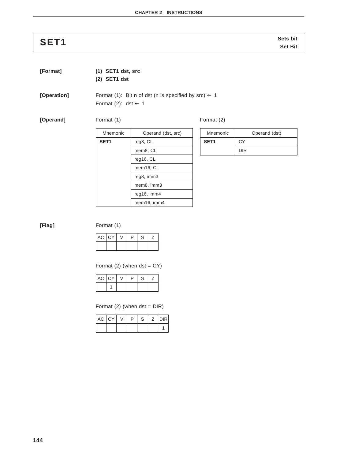# **Sets bit SET1 Set Bit**

**[Format] (1) SET1 dst, src**

**(2) SET1 dst**

**[Operation]** Format (1): Bit n of dst (n is specified by  $src$ )  $\leftarrow$  1 Format (2): dst  $\leftarrow$  1

**[Operand]** Format (1) Format (2)

| Mnemonic         | Operand (dst, src) |
|------------------|--------------------|
| SET <sub>1</sub> | reg8, CL           |
|                  | mem8, CL           |
|                  | reg16, CL          |
|                  | mem16, CL          |
|                  | reg8, imm3         |
|                  | mem8, imm3         |
|                  | reg16, imm4        |
|                  | mem16, imm4        |
|                  |                    |

| Mnemonic | Operand (dst) |
|----------|---------------|
| SET1     | СY            |
|          | <b>DIR</b>    |

**[Flag]** Format (1)

| AC CY | P | S |  |
|-------|---|---|--|
|       |   |   |  |

Format  $(2)$  (when dst = CY)

| AC CY |  | D | S |  |
|-------|--|---|---|--|
|       |  |   |   |  |

Format  $(2)$  (when dst = DIR)

| AC CY |  | ↽ | S. | <b>DIRI</b> |
|-------|--|---|----|-------------|
|       |  |   |    |             |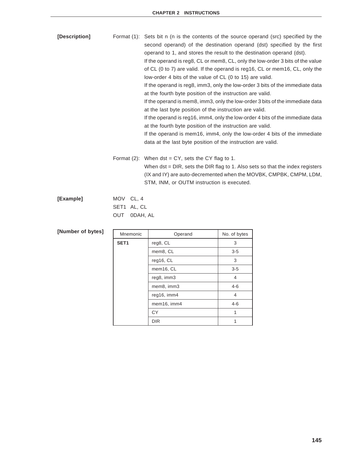| [Description]     |                                                       | Format (1): Sets bit n (n is the contents of the source operand (src) specified by the<br>second operand) of the destination operand (dst) specified by the first<br>operand to 1, and stores the result to the destination operand (dst).<br>If the operand is reg8, CL or mem8, CL, only the low-order 3 bits of the value<br>of CL (0 to 7) are valid. If the operand is reg16, CL or mem16, CL, only the<br>low-order 4 bits of the value of CL (0 to 15) are valid.<br>If the operand is reg8, imm3, only the low-order 3 bits of the immediate data<br>at the fourth byte position of the instruction are valid.<br>If the operand is mem8, imm3, only the low-order 3 bits of the immediate data<br>at the last byte position of the instruction are valid.<br>If the operand is reg16, imm4, only the low-order 4 bits of the immediate data<br>at the fourth byte position of the instruction are valid.<br>If the operand is mem16, imm4, only the low-order 4 bits of the immediate<br>data at the last byte position of the instruction are valid. |              |  |
|-------------------|-------------------------------------------------------|----------------------------------------------------------------------------------------------------------------------------------------------------------------------------------------------------------------------------------------------------------------------------------------------------------------------------------------------------------------------------------------------------------------------------------------------------------------------------------------------------------------------------------------------------------------------------------------------------------------------------------------------------------------------------------------------------------------------------------------------------------------------------------------------------------------------------------------------------------------------------------------------------------------------------------------------------------------------------------------------------------------------------------------------------------------|--------------|--|
|                   |                                                       | Format $(2)$ : When dst = CY, sets the CY flag to 1.<br>When dst = DIR, sets the DIR flag to 1. Also sets so that the index registers<br>(IX and IY) are auto-decremented when the MOVBK, CMPBK, CMPM, LDM,<br>STM, INM, or OUTM instruction is executed.                                                                                                                                                                                                                                                                                                                                                                                                                                                                                                                                                                                                                                                                                                                                                                                                      |              |  |
| [Example]         | MOV<br>CL, 4<br>SET1 AL, CL<br><b>OUT</b><br>ODAH, AL |                                                                                                                                                                                                                                                                                                                                                                                                                                                                                                                                                                                                                                                                                                                                                                                                                                                                                                                                                                                                                                                                |              |  |
| [Number of bytes] | Mnemonic                                              | Operand                                                                                                                                                                                                                                                                                                                                                                                                                                                                                                                                                                                                                                                                                                                                                                                                                                                                                                                                                                                                                                                        | No. of bytes |  |
|                   | SET <sub>1</sub>                                      | reg8, CL                                                                                                                                                                                                                                                                                                                                                                                                                                                                                                                                                                                                                                                                                                                                                                                                                                                                                                                                                                                                                                                       | 3            |  |
|                   |                                                       | mem8, CL                                                                                                                                                                                                                                                                                                                                                                                                                                                                                                                                                                                                                                                                                                                                                                                                                                                                                                                                                                                                                                                       | $3-5$        |  |
|                   |                                                       | reg16, CL                                                                                                                                                                                                                                                                                                                                                                                                                                                                                                                                                                                                                                                                                                                                                                                                                                                                                                                                                                                                                                                      | 3            |  |
|                   |                                                       | mem16, CL                                                                                                                                                                                                                                                                                                                                                                                                                                                                                                                                                                                                                                                                                                                                                                                                                                                                                                                                                                                                                                                      | $3 - 5$      |  |
|                   |                                                       | reg8, imm3                                                                                                                                                                                                                                                                                                                                                                                                                                                                                                                                                                                                                                                                                                                                                                                                                                                                                                                                                                                                                                                     | 4            |  |
|                   |                                                       | mem <sub>8</sub> , imm <sub>3</sub>                                                                                                                                                                                                                                                                                                                                                                                                                                                                                                                                                                                                                                                                                                                                                                                                                                                                                                                                                                                                                            | 4-6          |  |

reg16, imm4 4 mem16, imm4 4-6  $CY$  1 1 DIR 1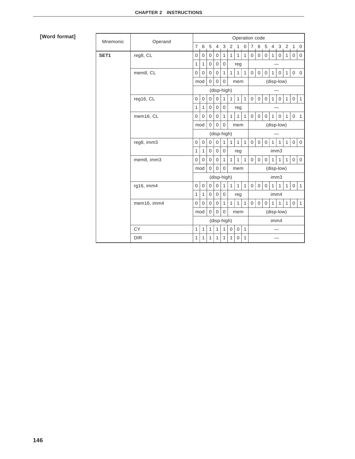| Mnemonic | Operand     |                | Operation code                                                              |                |                     |                |              |                |              |                |              |              |                |                |              |                                       |                     |
|----------|-------------|----------------|-----------------------------------------------------------------------------|----------------|---------------------|----------------|--------------|----------------|--------------|----------------|--------------|--------------|----------------|----------------|--------------|---------------------------------------|---------------------|
|          |             | $\overline{7}$ | 6                                                                           | 5              | $\overline{4}$      | 3              | 2            | $\mathbf{1}$   | $\mathbf 0$  | $7^{\circ}$    | 6            | 5            | $\overline{4}$ | 3              |              | $2 \n\begin{bmatrix} 1 \end{bmatrix}$ | $\mathbf 0$         |
| SET1     | reg8, CL    | $\overline{0}$ | 0                                                                           | $\mathbf 0$    | $\mathbf 0$         | $\mathbf{1}$   | $\mathbf{1}$ | $\mathbf{1}$   | $\mathbf{1}$ | 0              | 0            | 0            | $\mathbf{1}$   | 0              | $\mathbf{1}$ | 0                                     | $\mathbf 0$         |
|          |             | 1              | 1                                                                           | $\overline{0}$ | $\overline{0}$      | $\overline{0}$ |              | reg            |              |                |              |              |                |                |              |                                       |                     |
|          | mem8, CL    | $\Omega$       | $\overline{0}$                                                              | $\mathbf 0$    | $\Omega$            | $\mathbf{1}$   | $\mathbf{1}$ | $\mathbf{1}$   | $\mathbf{1}$ | $\Omega$       | $\mathbf{0}$ | $\Omega$     | 1              | $\Omega$       | $\mathbf{1}$ | $0\quad 0$                            |                     |
|          |             | mod            |                                                                             | $\Omega$       | $\Omega$            | $\Omega$       |              | mem            |              |                |              |              |                | (disp-low)     |              |                                       |                     |
|          |             |                |                                                                             |                |                     | (disp-high)    |              |                |              |                |              |              |                |                |              |                                       |                     |
|          | reg16, CL   | $\overline{0}$ | 0                                                                           | $\overline{0}$ | $\Omega$            | $\mathbf{1}$   | $\mathbf{1}$ | $\mathbf{1}$   | $\mathbf{1}$ | $\overline{0}$ | $\mathbf{0}$ | $\mathbf{0}$ | $\mathbf{1}$   | $\mathbf 0$    | $\mathbf{1}$ | $\overline{0}$                        | $\mathbf{1}$        |
|          |             | 1              | 1                                                                           | $\overline{0}$ | $\Omega$            | $\mathbf 0$    |              | reg            |              |                |              |              |                |                |              |                                       |                     |
|          | mem16, CL   |                | $\overline{0}$                                                              | $\mathbf 0$    | $\mathbf 0$         | $\mathbf{1}$   | $\mathbf{1}$ | $\mathbf{1}$   | $\mathbf{1}$ | $\mathbf 0$    | $\mathbf{0}$ | $\mathbf{0}$ | $\mathbf{1}$   | $\overline{0}$ | $\mathbf{1}$ | $\mathbf 0$                           | $\overline{1}$      |
|          |             |                | (disp-low)<br>$\overline{0}$<br>$\overline{0}$<br>mod<br>$\mathbf 0$<br>mem |                |                     |                |              |                |              |                |              |              |                |                |              |                                       |                     |
|          |             | (disp-high)    |                                                                             |                |                     |                |              |                |              |                |              |              |                |                |              |                                       |                     |
|          | reg8, imm3  | $\overline{0}$ | $\mathbf 0$                                                                 | $\overline{0}$ | $\overline{0}$      | 1              | $\mathbf{1}$ | $\mathbf{1}$   | $\mathbf{1}$ | $\mathbf 0$    | $\mathbf 0$  | $\mathbf{0}$ | $\mathbf{1}$   | 1              | $\mathbf{1}$ | $\mathbf 0$                           | $\mathsf{O}\xspace$ |
|          |             | $\mathbf{1}$   | 1                                                                           | $\mathbf 0$    | $\mathbf 0$         | $\Omega$       |              | reg            |              | imm3           |              |              |                |                |              |                                       |                     |
|          | mem8, imm3  | $\mathbf 0$    | $\Omega$                                                                    | $\overline{0}$ | $\overline{0}$      | $\mathbf{1}$   | $\mathbf{1}$ | $\mathbf{1}$   | $\mathbf{1}$ | $\mathbf 0$    | $\mathbf 0$  | $\mathbf{0}$ | $\mathbf{1}$   | $\mathbf{1}$   | $\mathbf{1}$ | $\mathbf 0$                           | $\mathbf 0$         |
|          |             |                | $\Omega$<br>$\Omega$<br>$\Omega$<br>mod<br>mem                              |                |                     |                |              | (disp-low)     |              |                |              |              |                |                |              |                                       |                     |
|          |             | (disp-high)    |                                                                             |                |                     |                |              | imm3           |              |                |              |              |                |                |              |                                       |                     |
|          | rg16, imm4  | $\Omega$       | $\mathbf 0$                                                                 | $\Omega$       | $\Omega$            | $\mathbf{1}$   | $\mathbf{1}$ | $\mathbf{1}$   | $\mathbf{1}$ | $\mathbf 0$    | $\mathbf{0}$ | $\mathbf 0$  | $\mathbf{1}$   | $\mathbf{1}$   | $\mathbf{1}$ | $\mathbf 0$                           | $\mathbf{1}$        |
|          |             | 1              | 1                                                                           | $\overline{0}$ | $\mathbf 0$         | $\mathbf 0$    |              | reg            |              |                |              |              | imm4           |                |              |                                       |                     |
|          | mem16, imm4 | $\mathbf 0$    | $\overline{0}$                                                              | $\overline{0}$ | $\overline{0}$      | $\mathbf{1}$   | $\mathbf{1}$ | $\mathbf{1}$   | $\mathbf{1}$ | $\overline{0}$ | $\mathbf 0$  | $\mathbf 0$  | $\mathbf{1}$   | $\mathbf{1}$   | $\mathbf{1}$ | $\mathbf 0$                           | $\mathbf{1}$        |
|          |             | mod            |                                                                             | $\overline{0}$ | $\overline{0}$      | $\overline{0}$ |              | mem            |              |                |              |              |                | (disp-low)     |              |                                       |                     |
|          |             |                |                                                                             |                | (disp-high)<br>imm4 |                |              |                |              |                |              |              |                |                |              |                                       |                     |
|          | CY          | 1              | 1                                                                           | 1              | 1                   | 1              | 0            | $\mathbf 0$    | $\mathbf{1}$ |                |              |              |                |                |              |                                       |                     |
|          | <b>DIR</b>  | 1              | $\mathbf{1}$                                                                | $\mathbf{1}$   | $\mathbf{1}$        | 1              | $\mathbf{1}$ | $\overline{0}$ | $\mathbf{1}$ |                |              |              |                |                |              |                                       |                     |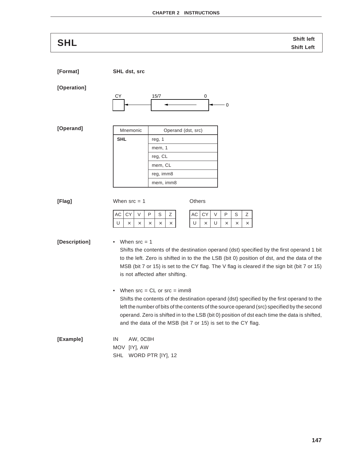| <b>SHL</b>    | Shift left                                                                                                                                                                               |
|---------------|------------------------------------------------------------------------------------------------------------------------------------------------------------------------------------------|
|               | <b>Shift Left</b>                                                                                                                                                                        |
| [Format]      | SHL dst, src                                                                                                                                                                             |
| [Operation]   |                                                                                                                                                                                          |
|               | 15/7<br>СY<br>0<br>$\mathbf 0$                                                                                                                                                           |
| [Operand]     | Mnemonic<br>Operand (dst, src)                                                                                                                                                           |
|               | <b>SHL</b><br>reg, 1                                                                                                                                                                     |
|               | mem, 1                                                                                                                                                                                   |
|               | reg, CL                                                                                                                                                                                  |
|               | mem, CL                                                                                                                                                                                  |
|               | reg, imm8<br>mem, imm8                                                                                                                                                                   |
|               |                                                                                                                                                                                          |
| [Flag]        | When $src = 1$<br>Others                                                                                                                                                                 |
|               | AC<br><b>CY</b><br>$\vee$<br>Ρ<br>S<br>Ζ<br>AC<br>CY<br>V<br>$\mathsf{P}$<br>Ζ<br>S                                                                                                      |
|               | U<br>U<br>U<br>$\times$<br>$\times$<br>$\times$<br>$\times$<br>$\times$<br>$\times$<br>$\times$<br>$\times$<br>X                                                                         |
|               |                                                                                                                                                                                          |
| [Description] | When $src = 1$                                                                                                                                                                           |
|               | Shifts the contents of the destination operand (dst) specified by the first operand 1 bit<br>to the left. Zero is shifted in to the the LSB (bit 0) position of dst, and the data of the |
|               | MSB (bit 7 or 15) is set to the CY flag. The V flag is cleared if the sign bit (bit 7 or 15)                                                                                             |
|               | is not affected after shifting.                                                                                                                                                          |
|               | When $src = CL$ or $src = imm8$<br>$\bullet$                                                                                                                                             |
|               | Shifts the contents of the destination operand (dst) specified by the first operand to the                                                                                               |
|               | left the number of bits of the contents of the source operand (src) specified by the second                                                                                              |
|               | operand. Zero is shifted in to the LSB (bit 0) position of dst each time the data is shifted,<br>and the data of the MSB (bit 7 or 15) is set to the CY flag.                            |
| [Example]     | IN<br>AW, OC8H                                                                                                                                                                           |
|               | MOV<br>$[1Y]$ , AW                                                                                                                                                                       |
|               | WORD PTR [IY], 12<br><b>SHL</b>                                                                                                                                                          |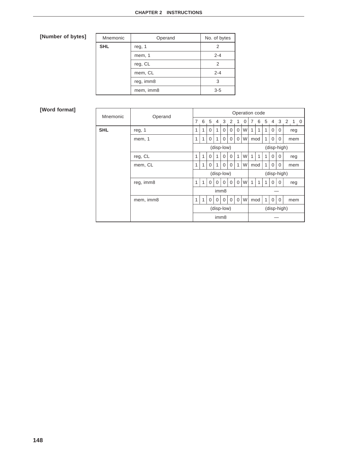| Mnemonic   | Operand   | No. of bytes |
|------------|-----------|--------------|
| <b>SHL</b> | reg, 1    | 2            |
|            | mem, 1    | $2 - 4$      |
|            | reg, CL   | 2            |
|            | mem, CL   | $2 - 4$      |
|            | reg, imm8 | 3            |
|            | mem, imm8 | $3 - 5$      |

| Mnemonic   | Operand    | Operation code            |   |                  |                |              |             |             |   |   |              |     |             |             |         |  |
|------------|------------|---------------------------|---|------------------|----------------|--------------|-------------|-------------|---|---|--------------|-----|-------------|-------------|---------|--|
|            |            | $\overline{7}$            | 6 | -5               | $\overline{4}$ | $\mathbf{3}$ | 2           | 1           | 0 | 7 |              | 6 5 | 4           |             | 3 2 1 0 |  |
| <b>SHL</b> | reg, 1     | 1                         | 1 | $\Omega$         | 1              | $\mathbf 0$  | $\mathbf 0$ | 0           | W |   |              |     | $\mathbf 0$ | 0           | reg     |  |
|            | mem, 1     | 1                         | 1 | $\Omega$         | 1              | $\Omega$     | $\mathbf 0$ | $\Omega$    | W |   | mod          | 1   | $\Omega$    | $\Omega$    | mem     |  |
|            | (disp-low) |                           |   |                  |                |              | (disp-high) |             |   |   |              |     |             |             |         |  |
|            | reg, CL    | 1                         | 1 | $\Omega$         | 1              | $\Omega$     | $\Omega$    | 1           | W | 1 | $\mathbf{1}$ |     | $\Omega$    | $\Omega$    | reg     |  |
|            | mem, CL    |                           | 1 | 0                | 1              | 0            | 0           | 1           | W |   | mod          | 1   | 0           | 0           | mem     |  |
|            |            | (disp-low)<br>(disp-high) |   |                  |                |              |             |             |   |   |              |     |             |             |         |  |
|            | reg, imm8  | 1                         | 1 | $\Omega$         | $\Omega$       | $\Omega$     | $\mathbf 0$ | $\Omega$    | W | 1 | 1            | 1   | $\Omega$    | $\Omega$    | reg     |  |
|            |            |                           |   |                  |                | imm8         |             |             |   |   |              |     |             |             |         |  |
|            | mem, imm8  | 1                         | 1 | $\Omega$         | $\Omega$       | $\Omega$     | $\mathbf 0$ | $\mathbf 0$ | W |   | mod          | 1   | $\Omega$    | $\Omega$    | mem     |  |
|            |            |                           |   |                  |                | (disp-low)   |             |             |   |   |              |     |             | (disp-high) |         |  |
|            |            |                           |   | imm <sub>8</sub> |                |              |             |             |   |   |              |     |             |             |         |  |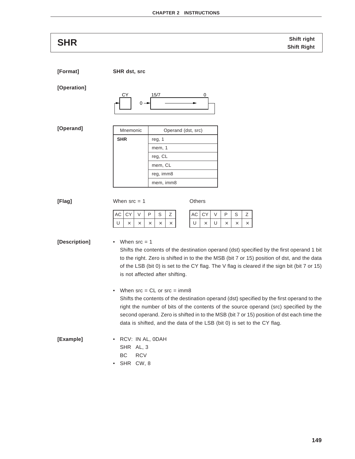**SHR** Shift right and the state of the state of the shift right shift right shift right shift Right

**[Format] SHR dst, src**

### **[Operation]**



**[Operand]**

| Mnemonic   | Operand (dst, src) |
|------------|--------------------|
| <b>SHR</b> | reg, 1             |
|            | mem, 1             |
|            | reg, CL            |
|            | mem, CL            |
|            | reg, imm8          |
|            | mem, imm8          |

| [Flag] | When $src = 1$ | Others |
|--------|----------------|--------|
|        |                |        |

| AC CY V | o | -S |  |
|---------|---|----|--|
|         |   |    |  |

 $AC$   $CY$   $V$   $P$   $S$   $Z$ U |  $\times$  | U |  $\times$  |  $\times$  |  $\times$ 

# **[Description]** • When src = 1

Shifts the contents of the destination operand (dst) specified by the first operand 1 bit to the right. Zero is shifted in to the the MSB (bit 7 or 15) position of dst, and the data of the LSB (bit 0) is set to the CY flag. The V flag is cleared if the sign bit (bit 7 or 15) is not affected after shifting.

• When  $src = CL$  or  $src = imm8$ 

Shifts the contents of the destination operand (dst) specified by the first operand to the right the number of bits of the contents of the source operand (src) specified by the second operand. Zero is shifted in to the MSB (bit 7 or 15) position of dst each time the data is shifted, and the data of the LSB (bit 0) is set to the CY flag.

### **[Example]** • RCV: IN AL, 0DAH SHR AL, 3

- BC RCV
- SHR CW, 8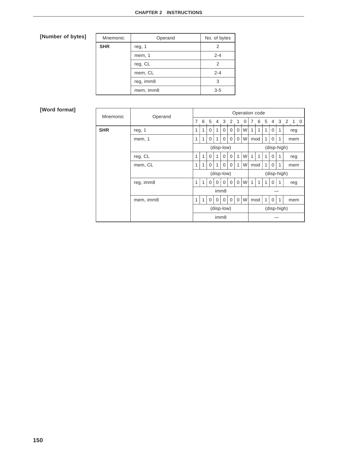| Mnemonic   | Operand   | No. of bytes |
|------------|-----------|--------------|
| <b>SHR</b> | reg, 1    | 2            |
|            | mem, 1    | $2 - 4$      |
|            | reg, CL   | 2            |
|            | mem, CL   | $2 - 4$      |
|            | reg, imm8 | 3            |
|            | mem, imm8 | $3 - 5$      |

| Mnemonic   | Operand    | Operation code            |   |          |                |              |             |             |   |   |              |              |             |   |         |  |
|------------|------------|---------------------------|---|----------|----------------|--------------|-------------|-------------|---|---|--------------|--------------|-------------|---|---------|--|
|            |            | $\overline{7}$            | 6 | -5       | $\overline{4}$ | $\mathbf{3}$ | 2           | 1           | 0 | 7 |              | 6 5          | 4           |   | 3 2 1 0 |  |
| <b>SHR</b> | reg, 1     | 1                         | 1 | $\Omega$ | 1              | $\mathbf 0$  | $\mathbf 0$ | 0           | W |   |              |              | $\mathbf 0$ | 1 | reg     |  |
|            | mem, 1     | 1                         | 1 | $\Omega$ | 1              | $\Omega$     | $\mathbf 0$ | $\Omega$    | W |   | mod          | $\mathbf{1}$ | $\Omega$    | 1 | mem     |  |
|            | (disp-low) |                           |   |          |                |              | (disp-high) |             |   |   |              |              |             |   |         |  |
|            | reg, CL    | 1                         | 1 | $\Omega$ | 1              | $\Omega$     | $\Omega$    | 1           | W | 1 | $\mathbf{1}$ |              | $\Omega$    | 1 | reg     |  |
|            | mem, CL    |                           | 1 | 0        | 1              | 0            | 0           | 1           | W |   | mod          | 1            | 0           | 1 | mem     |  |
|            |            | (disp-low)<br>(disp-high) |   |          |                |              |             |             |   |   |              |              |             |   |         |  |
|            | reg, imm8  | 1                         | 1 | $\Omega$ | $\Omega$       | $\Omega$     | $\mathbf 0$ | $\Omega$    | W | 1 | 1            | 1            | $\Omega$    | 1 | reg     |  |
|            |            |                           |   |          |                | imm8         |             |             |   |   |              |              |             |   |         |  |
|            | mem, imm8  | 1                         | 1 | $\Omega$ | $\Omega$       | $\Omega$     | $\mathbf 0$ | $\mathbf 0$ | W |   | mod          | 1            | $\Omega$    | 1 | mem     |  |
|            |            |                           |   |          | (disp-low)     |              |             |             |   |   |              | (disp-high)  |             |   |         |  |
|            |            | imm <sub>8</sub>          |   |          |                |              |             |             |   |   |              |              |             |   |         |  |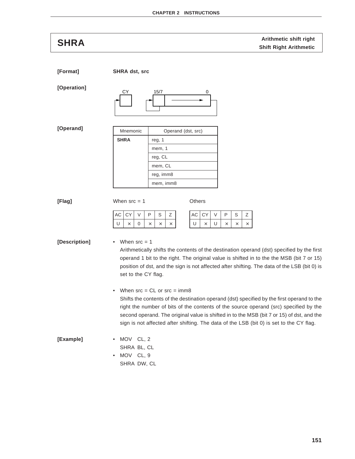# **Arithmetic shift right**<br> **Arithmetic** shift right<br> **SHRA** Shift Right Arithmetic

**[Format] SHRA dst, src [Operation] [Operand] [Flag]** When src = 1 Others **[Description]** • When src = 1 Arithmetically shifts the contents of the destination operand (dst) specified by the first operand 1 bit to the right. The original value is shifted in to the the MSB (bit 7 or 15) position of dst, and the sign is not affected after shifting. The data of the LSB (bit 0) is set to the CY flag. • When  $src = CL$  or  $src = imm8$ Shifts the contents of the destination operand (dst) specified by the first operand to the right the number of bits of the contents of the source operand (src) specified by the second operand. The original value is shifted in to the MSB (bit 7 or 15) of dst, and the sign is not affected after shifting. The data of the LSB (bit 0) is set to the CY flag. **[Example]** • MOV CL, 2 SHRA BL, CL • MOV CL, 9 SHRA DW, CL Mnemonic | Operand (dst, src) **SHRA** reg, 1 mem, 1 reg, CL mem, CL reg, imm8 mem, imm8  $AC$   $CY$   $V$   $P$   $S$   $Z$  $\mathsf{U}~|~\times~|~\mathsf{0}~|~\times~|~\times~|~\times$  $AC$   $CY$   $V$   $P$   $S$   $Z$ U  $\vert \times \vert$  U  $\vert \times \vert \times \vert \times$ CY 15/7 0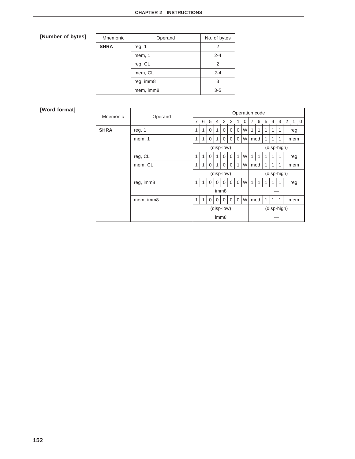| Mnemonic    | Operand   | No. of bytes |
|-------------|-----------|--------------|
| <b>SHRA</b> | reg, 1    | 2            |
|             | mem, 1    | $2 - 4$      |
|             | reg, CL   | 2            |
|             | mem, CL   | $2 - 4$      |
|             | reg, imm8 | 3            |
|             | mem, imm8 | $3-5$        |

| Mnemonic    | Operand   | Operation code            |              |                  |          |            |             |             |   |   |              |              |                |             |         |
|-------------|-----------|---------------------------|--------------|------------------|----------|------------|-------------|-------------|---|---|--------------|--------------|----------------|-------------|---------|
|             |           | 7                         | 6            | -5               |          | 4 3 2      |             | 1           | 0 | 7 |              | 6 5          | $\overline{4}$ |             | 3 2 1 0 |
| <b>SHRA</b> | reg, 1    | 1                         | 1            | $\Omega$         | 1        | $\Omega$   | $\mathbf 0$ | 0           | W |   | 1            |              | 1              |             | reg     |
|             | mem, 1    | 1                         | 1            | $\Omega$         | 1        | $\Omega$   | $\Omega$    | $\Omega$    | W |   | mod          | 1            | $\mathbf{1}$   | 1           | mem     |
|             |           |                           |              |                  |          | (disp-low) |             |             |   |   |              |              |                | (disp-high) |         |
|             | reg, CL   | 1                         | $\mathbf{1}$ | $\Omega$         | 1        | $\Omega$   | $\Omega$    | 1           | W | 1 | $\mathbf{1}$ |              | 1              | 1           | reg     |
|             | mem, CL   |                           | 1            | 0                | 1        | 0          | $\mathbf 0$ | 1           | W |   | mod          | $\mathbf{1}$ | 1              | 1           | mem     |
|             |           | (disp-low)<br>(disp-high) |              |                  |          |            |             |             |   |   |              |              |                |             |         |
|             | reg, imm8 | 1                         | $\mathbf{1}$ | $\Omega$         | $\Omega$ | $\Omega$   | $\Omega$    | $\Omega$    | W | 1 | 1            |              |                |             | reg     |
|             |           |                           |              |                  |          | imm8       |             |             |   |   |              |              |                |             |         |
|             | mem, imm8 | 1                         | $\mathbf{1}$ | $\mathbf 0$      | $\Omega$ | $\Omega$   | $\mathbf 0$ | $\mathbf 0$ | W |   | mod          | $\mathbf{1}$ | 1              | 1           | mem     |
|             |           |                           |              |                  |          | (disp-low) |             |             |   |   |              |              |                | (disp-high) |         |
|             |           |                           |              | imm <sub>8</sub> |          |            |             |             |   |   |              |              |                |             |         |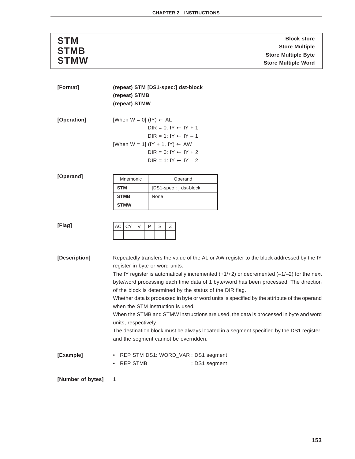| <b>STM</b>  | <b>Block store</b>         |
|-------------|----------------------------|
| <b>STMB</b> | <b>Store Multiple</b>      |
|             | <b>Store Multiple Byte</b> |
| <b>STMW</b> | <b>Store Multiple Word</b> |

| [Format]          | (repeat) STM [DS1-spec:] dst-block   |                                                                                                                                                   |  |  |  |  |
|-------------------|--------------------------------------|---------------------------------------------------------------------------------------------------------------------------------------------------|--|--|--|--|
|                   | (repeat) STMB                        |                                                                                                                                                   |  |  |  |  |
|                   | (repeat) STMW                        |                                                                                                                                                   |  |  |  |  |
| [Operation]       | [When $W = 0$ ] (IY) $\leftarrow$ AL | $DIR = 0: IY \leftarrow IY + 1$<br>$DIR = 1: IY \leftarrow IY - 1$                                                                                |  |  |  |  |
|                   |                                      | [When W = 1] (IY + 1, IY) $\leftarrow$ AW                                                                                                         |  |  |  |  |
|                   |                                      | $DIR = 0: IY \leftarrow IY + 2$                                                                                                                   |  |  |  |  |
|                   |                                      | $DIR = 1: IY \leftarrow IY - 2$                                                                                                                   |  |  |  |  |
|                   |                                      |                                                                                                                                                   |  |  |  |  |
| [Operand]         | Mnemonic                             | Operand                                                                                                                                           |  |  |  |  |
|                   | <b>STM</b>                           | [DS1-spec: ] dst-block                                                                                                                            |  |  |  |  |
|                   | <b>STMB</b>                          | None                                                                                                                                              |  |  |  |  |
|                   | <b>STMW</b>                          |                                                                                                                                                   |  |  |  |  |
|                   |                                      |                                                                                                                                                   |  |  |  |  |
| [Flag]            | <b>CY</b><br>$\vee$<br>АC            | P<br>S<br>Ζ                                                                                                                                       |  |  |  |  |
| [Description]     |                                      | Repeatedly transfers the value of the AL or AW register to the block addressed by the IY                                                          |  |  |  |  |
|                   | register in byte or word units.      |                                                                                                                                                   |  |  |  |  |
|                   |                                      | The IY register is automatically incremented $(+1/+2)$ or decremented $(-1/-2)$ for the next                                                      |  |  |  |  |
|                   |                                      | byte/word processing each time data of 1 byte/word has been processed. The direction<br>of the block is determined by the status of the DIR flag. |  |  |  |  |
|                   |                                      | Whether data is processed in byte or word units is specified by the attribute of the operand                                                      |  |  |  |  |
|                   |                                      | when the STM instruction is used.                                                                                                                 |  |  |  |  |
|                   | units, respectively.                 | When the STMB and STMW instructions are used, the data is processed in byte and word                                                              |  |  |  |  |
|                   |                                      | The destination block must be always located in a segment specified by the DS1 register,                                                          |  |  |  |  |
|                   |                                      | and the segment cannot be overridden.                                                                                                             |  |  |  |  |
| [Example]         |                                      | • REP STM DS1: WORD_VAR : DS1 segment                                                                                                             |  |  |  |  |
|                   | • REP STMB                           | ; DS1 segment                                                                                                                                     |  |  |  |  |
|                   |                                      |                                                                                                                                                   |  |  |  |  |
| [Number of bytes] | 1                                    |                                                                                                                                                   |  |  |  |  |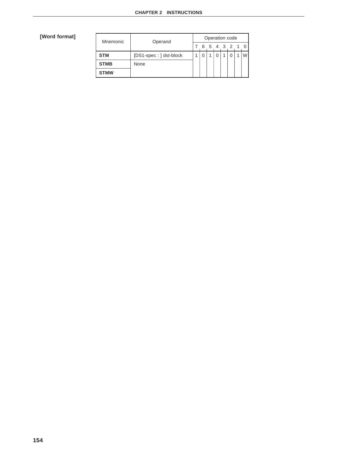| Mnemonic    | Operand                | Operation code |  |   |       |  |  |  |  |  |  |  |  |  |
|-------------|------------------------|----------------|--|---|-------|--|--|--|--|--|--|--|--|--|
|             |                        |                |  | 5 | 4 3 2 |  |  |  |  |  |  |  |  |  |
| <b>STM</b>  | [DS1-spec: ] dst-block |                |  |   |       |  |  |  |  |  |  |  |  |  |
| <b>STMB</b> | None                   |                |  |   |       |  |  |  |  |  |  |  |  |  |
| <b>STMW</b> |                        |                |  |   |       |  |  |  |  |  |  |  |  |  |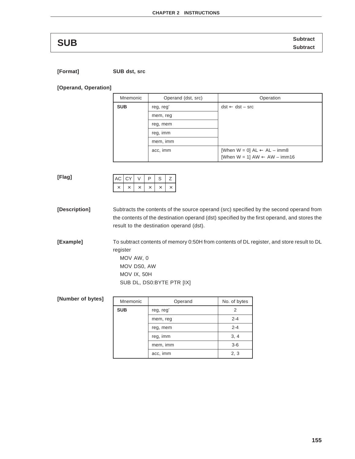**SUB** Subtract **SUB** Subtract

**[Format] SUB dst, src**

**[Operand, Operation]**

| Mnemonic   | Operand (dst, src) | Operation                                        |
|------------|--------------------|--------------------------------------------------|
| <b>SUB</b> | reg, reg'          | $dst \leftarrow dst - src$                       |
|            | mem, reg           |                                                  |
|            | reg, mem           |                                                  |
|            | reg, imm           |                                                  |
|            | mem, imm           |                                                  |
| acc, imm   |                    | [When $W = 0$ ] $AL \leftarrow AL - \text{imm8}$ |
|            |                    | [When $W = 1$ ] AW $\leftarrow$ AW $-$ imm16     |

| . .<br>× |  |
|----------|--|

| $AC$ $CY$ |  | ∍ | S |  |  |  |
|-----------|--|---|---|--|--|--|
|           |  |   |   |  |  |  |

**[Description]** Subtracts the contents of the source operand (src) specified by the second operand from the contents of the destination operand (dst) specified by the first operand, and stores the result to the destination operand (dst).

**[Example]** To subtract contents of memory 0:50H from contents of DL register, and store result to DL register

MOV AW, 0 MOV DS0, AW MOV IX, 50H SUB DL, DS0:BYTE PTR [IX]

| [Number of bytes] | Mnemonic   | Operand   | No. of bytes |  |  |  |  |
|-------------------|------------|-----------|--------------|--|--|--|--|
|                   | <b>SUB</b> | reg, reg' | 2            |  |  |  |  |
|                   |            | mem, reg  | $2 - 4$      |  |  |  |  |
|                   |            | reg, mem  | $2 - 4$      |  |  |  |  |
|                   |            | reg, imm  | 3, 4         |  |  |  |  |
|                   | mem, imm   |           | $3-6$        |  |  |  |  |
|                   | acc, imm   |           |              |  |  |  |  |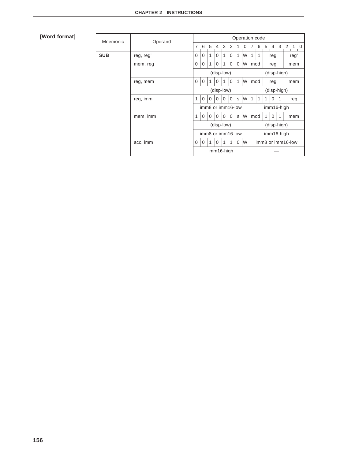| Mnemonic   | Operand   |                                 |             |                |                |                   |              |              | Operation code |     |                   |            |                |   |     |            |  |  |  |
|------------|-----------|---------------------------------|-------------|----------------|----------------|-------------------|--------------|--------------|----------------|-----|-------------------|------------|----------------|---|-----|------------|--|--|--|
|            |           | $\overline{7}$                  | 6           | 5 <sup>5</sup> | $\overline{4}$ | 3                 | 2            | 1            | 0              | 7   | 6                 | 5          | $\overline{4}$ | 3 | 2   | $1\quad 0$ |  |  |  |
| <b>SUB</b> | reg, reg' | $\Omega$                        | $\Omega$    | 1              | $\Omega$       | 1                 | $\Omega$     | 1            | W              | 1   | 1                 |            | reg            |   |     | reg'       |  |  |  |
|            | mem, reg  | $\Omega$                        | $\mathbf 0$ | 1              | $\mathbf 0$    | 1                 | $\mathbf 0$  | $\mathbf 0$  | W              | mod |                   |            | reg            |   |     | mem        |  |  |  |
|            |           |                                 |             |                | (disp-low)     |                   |              |              |                |     |                   |            | (disp-high)    |   |     |            |  |  |  |
|            | 0         | $\mathbf 0$                     |             | 0              |                | $\mathbf 0$       | $\mathbf{1}$ | W            | mod            |     |                   | reg        |                |   | mem |            |  |  |  |
|            |           | (disp-low)                      |             |                |                |                   |              |              |                |     | (disp-high)       |            |                |   |     |            |  |  |  |
|            | reg, imm  | 1                               | $\Omega$    | $\Omega$       | $\Omega$       | $\Omega$          | $\Omega$     | S            | W              | 1   | 1                 | 1          | $\Omega$       | 1 |     | reg        |  |  |  |
|            |           | imm8 or imm16-low<br>imm16-high |             |                |                |                   |              |              |                |     |                   |            |                |   |     |            |  |  |  |
|            | mem, imm  | 1                               | $\Omega$    | $\Omega$       | $\Omega$       | $\Omega$          | $\Omega$     | $\mathbf{s}$ | W              | mod |                   | 1          | 0              |   |     | mem        |  |  |  |
|            |           |                                 |             |                | (disp-low)     |                   |              |              |                |     |                   |            | (disp-high)    |   |     |            |  |  |  |
|            |           |                                 |             |                |                | imm8 or imm16-low |              |              |                |     |                   | imm16-high |                |   |     |            |  |  |  |
|            | acc, imm  | $\Omega$                        | $\mathbf 0$ | 1              | $\Omega$       | 1                 | 1            | $\Omega$     | W              |     | imm8 or imm16-low |            |                |   |     |            |  |  |  |
|            |           |                                 |             |                | imm16-high     |                   |              |              |                |     |                   |            |                |   |     |            |  |  |  |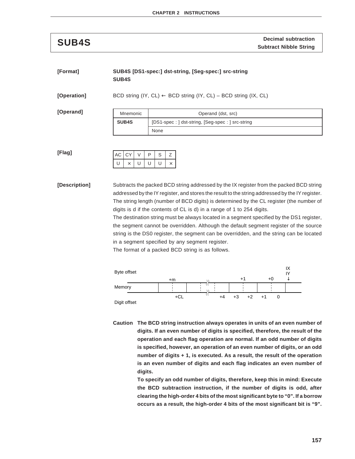**Decimal subtraction SUB4S Subtract Nibble String**

### **[Format] SUB4S [DS1-spec:] dst-string, [Seg-spec:] src-string SUB4S**

**[Operation]** BCD string (IY, CL) ← BCD string (IY, CL) – BCD string (IX, CL)

**[Operand]**

| Mnemonic     | Operand (dst, src)                               |  |  |  |  |  |  |
|--------------|--------------------------------------------------|--|--|--|--|--|--|
| <b>SUB4S</b> | [DS1-spec: ] dst-string, [Seg-spec: ] src-string |  |  |  |  |  |  |
|              | None                                             |  |  |  |  |  |  |

**[Flag]**

| AC CY |   | P | S |  |
|-------|---|---|---|--|
| U     | U | U | υ |  |

**[Description]** Subtracts the packed BCD string addressed by the IX register from the packed BCD string addressed by the IY register, and stores the result to the string addressed by the IY register. The string length (number of BCD digits) is determined by the CL register (the number of digits is d if the contents of CL is d) in a range of 1 to 254 digits.

> The destination string must be always located in a segment specified by the DS1 register, the segment cannot be overridden. Although the default segment register of the source string is the DS0 register, the segment can be overridden, and the string can be located in a segment specified by any segment register.

The format of a packed BCD string is as follows.



**Caution The BCD string instruction always operates in units of an even number of digits. If an even number of digits is specified, therefore, the result of the operation and each flag operation are normal. If an odd number of digits is specified, however, an operation of an even number of digits, or an odd number of digits + 1, is executed. As a result, the result of the operation is an even number of digits and each flag indicates an even number of digits.**

> **To specify an odd number of digits, therefore, keep this in mind: Execute the BCD subtraction instruction, if the number of digits is odd, after clearing the high-order 4 bits of the most significant byte to "0". If a borrow occurs as a result, the high-order 4 bits of the most significant bit is "9".**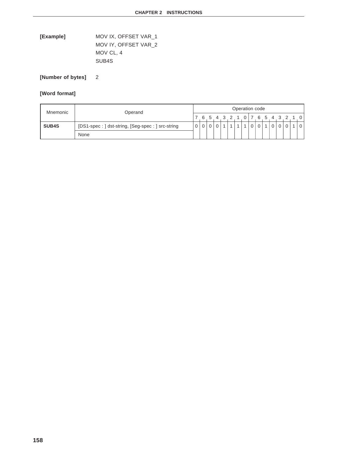**[Example]** MOV IX, OFFSET VAR\_1 MOV IY, OFFSET VAR\_2 MOV CL, 4 SUB4S

**[Number of bytes]** 2

| Mnemonic     | Operand                                                      |  | Operation code |              |             |           |  |  |  |        |          |  |  |  |  |  |              |
|--------------|--------------------------------------------------------------|--|----------------|--------------|-------------|-----------|--|--|--|--------|----------|--|--|--|--|--|--------------|
|              |                                                              |  |                |              |             | 6 5 4 3 2 |  |  |  |        |          |  |  |  |  |  | 101765432101 |
| <b>SUB4S</b> | $\Omega$<br>[DS1-spec: ] dst-string, [Seg-spec: ] src-string |  |                | $\mathbf{0}$ | $\mathbf 0$ |           |  |  |  | $\cap$ | $\Omega$ |  |  |  |  |  |              |
|              | None                                                         |  |                |              |             |           |  |  |  |        |          |  |  |  |  |  |              |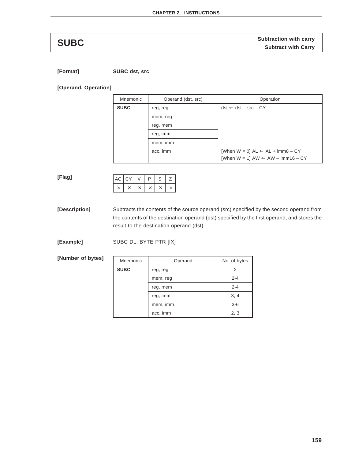**SUBC** Subtraction with carry<br> **SUBC** Subtract with Carry

**[Format] SUBC dst, src**

**[Operand, Operation]**

| Mnemonic    | Operand (dst, src) | Operation                                           |
|-------------|--------------------|-----------------------------------------------------|
| <b>SUBC</b> | reg, reg'          | $dst \leftarrow dst - src - CY$                     |
|             | mem, reg           |                                                     |
|             | reg, mem           |                                                     |
|             | reg, imm           |                                                     |
|             | mem, imm           |                                                     |
|             | acc, imm           | [When $W = 0$ ] $AL \leftarrow AL + imm8 - CY$      |
|             |                    | [When $W = 1$ ] AW $\leftarrow$ AW $-$ imm16 $- CY$ |

**[Flag]**

| $AC$ $CY$ |  | ח | C |  |
|-----------|--|---|---|--|
|           |  |   |   |  |

**[Description]** Subtracts the contents of the source operand (src) specified by the second operand from the contents of the destination operand (dst) specified by the first operand, and stores the result to the destination operand (dst).

**[Example]** SUBC DL, BYTE PTR [IX]

**[Number of bytes]**

| Mnemonic    | Operand   | No. of bytes |
|-------------|-----------|--------------|
| <b>SUBC</b> | reg, reg' | 2            |
|             | mem, reg  | $2 - 4$      |
|             | reg, mem  | $2 - 4$      |
|             | reg, imm  | 3, 4         |
|             | mem, imm  | $3-6$        |
|             | acc, imm  | 2, 3         |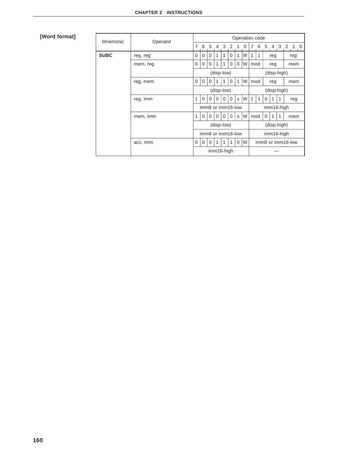| Mnemonic    | Operand   |                                 |             |                |                |          |                   |              | Operation code |                   |             |                |             |              |     |     |      |  |  |
|-------------|-----------|---------------------------------|-------------|----------------|----------------|----------|-------------------|--------------|----------------|-------------------|-------------|----------------|-------------|--------------|-----|-----|------|--|--|
|             |           | $\overline{7}$                  | 6           | 5 <sup>5</sup> | $\overline{4}$ | 3        | 2                 | 1            | $\Omega$       | 7                 | 6           | 5 <sup>5</sup> |             | 4 3 2        |     | 1 0 |      |  |  |
| <b>SUBC</b> | reg, reg' | $\Omega$                        | $\Omega$    | $\Omega$       | 1              | 1        | $\Omega$          | 1            | W              | 1                 | 1           | reg            |             |              |     |     | reg' |  |  |
|             | mem, reg  | $\Omega$                        | $\mathbf 0$ | $\Omega$       | 1              | 1        | $\mathbf 0$       | $\Omega$     | W              | mod               |             | reg            |             |              | mem |     |      |  |  |
|             |           |                                 |             |                | (disp-low)     |          |                   |              |                |                   |             |                | (disp-high) |              |     |     |      |  |  |
|             | reg, mem  | $\Omega$                        | $\mathbf 0$ | $\Omega$       |                |          | $\Omega$          | $\mathbf{1}$ | W              | mod               |             | reg            |             |              | mem |     |      |  |  |
|             |           | (disp-low)                      |             |                |                |          |                   |              |                |                   | (disp-high) |                |             |              |     |     |      |  |  |
|             | reg, imm  | 1                               | $\Omega$    | $\Omega$       | $\Omega$       | $\Omega$ | $\Omega$          | S.           | W              | 1                 | 1           | $\Omega$       | 1           | 1            |     | reg |      |  |  |
|             |           | imm8 or imm16-low<br>imm16-high |             |                |                |          |                   |              |                |                   |             |                |             |              |     |     |      |  |  |
|             | mem, imm  | 1                               | $\Omega$    | $\Omega$       | $\Omega$       | $\Omega$ | $\Omega$          | S            | W              | mod               |             | $\Omega$       | 1           | $\mathbf{1}$ |     | mem |      |  |  |
|             |           |                                 |             |                | (disp-low)     |          |                   |              |                |                   |             |                | (disp-high) |              |     |     |      |  |  |
|             |           |                                 |             |                |                |          | imm8 or imm16-low |              |                |                   |             |                | imm16-high  |              |     |     |      |  |  |
|             | acc, imm  | $\Omega$                        | $\mathbf 0$ | $\Omega$       | 1              | 1        | 1                 | $\Omega$     | W              | imm8 or imm16-low |             |                |             |              |     |     |      |  |  |
|             |           |                                 |             |                | imm16-high     |          |                   |              |                |                   |             |                |             |              |     |     |      |  |  |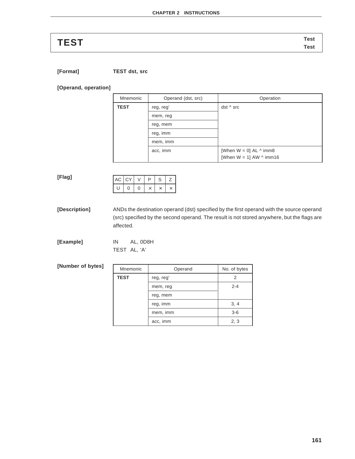# **Test TEST Test**

**[Format] TEST dst, src**

**[Operand, operation]**

| Mnemonic    | Operand (dst, src) | Operation                        |  |  |  |  |  |  |  |
|-------------|--------------------|----------------------------------|--|--|--|--|--|--|--|
| <b>TEST</b> | reg, reg'          | dst ^ src                        |  |  |  |  |  |  |  |
|             | mem, reg           |                                  |  |  |  |  |  |  |  |
|             | reg, mem           |                                  |  |  |  |  |  |  |  |
|             | reg, imm           |                                  |  |  |  |  |  |  |  |
|             | mem, imm           |                                  |  |  |  |  |  |  |  |
|             | acc, imm           | [When $W = 0$ ] AL $\wedge$ imm8 |  |  |  |  |  |  |  |
|             |                    | [When $W = 1$ ] AW $\land$ imm16 |  |  |  |  |  |  |  |

**[Flag]**

| AC CY |   |   | D | ╮ |  |
|-------|---|---|---|---|--|
|       | 0 | N |   |   |  |

**[Description]** ANDs the destination operand (dst) specified by the first operand with the source operand (src) specified by the second operand. The result is not stored anywhere, but the flags are affected.

**[Example]** IN AL, 0D8H TEST AL, 'A'

**[Number of bytes]**

| Mnemonic    | Operand   | No. of bytes |
|-------------|-----------|--------------|
| <b>TEST</b> | reg, reg' | 2            |
|             | mem, reg  | $2 - 4$      |
|             | reg, mem  |              |
|             | reg, imm  | 3, 4         |
|             | mem, imm  | $3-6$        |
|             | acc, imm  | 2, 3         |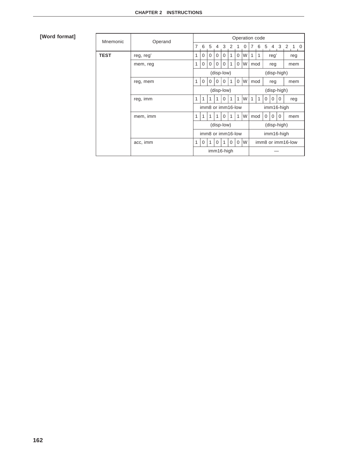| Mnemonic    | Operand   |                                                                            |             |          |            |          |                   |              |          |                   | Operation code |             |             |           |            |     |  |
|-------------|-----------|----------------------------------------------------------------------------|-------------|----------|------------|----------|-------------------|--------------|----------|-------------------|----------------|-------------|-------------|-----------|------------|-----|--|
|             |           | $\overline{7}$                                                             | 6           | 5 4      |            | 3        | 2                 | 1            | $\Omega$ | 7                 | 6              | $5^{\circ}$ |             | 4 3 2 1 0 |            |     |  |
| <b>TEST</b> | reg, reg' | 1                                                                          | $\Omega$    | $\Omega$ | $\Omega$   | $\Omega$ | 1                 | $\Omega$     | W        | 1                 | 1              |             | reg'        |           |            | reg |  |
|             | mem, reg  | 1                                                                          | 0           | $\Omega$ | $\Omega$   | $\Omega$ | 1                 | $\Omega$     | W        | mod               |                |             | reg<br>mem  |           |            |     |  |
|             |           |                                                                            |             |          | (disp-low) |          |                   |              |          |                   |                |             | (disp-high) |           |            |     |  |
|             | reg, mem  | W<br>$\Omega$<br>$\mathbf 0$<br>1<br>mod<br>$\Omega$<br>1<br>0<br>$\Omega$ |             |          |            |          | reg               |              | mem      |                   |                |             |             |           |            |     |  |
|             |           | (disp-low)                                                                 |             |          |            |          |                   |              |          |                   | (disp-high)    |             |             |           |            |     |  |
|             | reg, imm  | 1                                                                          | 1           |          | 1          | $\Omega$ | 1                 | 1            | W        | 1                 | 1              | $\Omega$    | $\Omega$    | $\Omega$  |            | reg |  |
|             |           |                                                                            |             |          |            |          | imm8 or imm16-low |              |          |                   |                |             |             |           | imm16-high |     |  |
|             | mem, imm  | 1                                                                          | 1           |          | 1          | $\Omega$ | 1                 | $\mathbf{1}$ | W        | mod               |                | $\Omega$    | $\Omega$    | $\Omega$  |            | mem |  |
|             |           |                                                                            |             |          | (disp-low) |          |                   |              |          |                   |                |             | (disp-high) |           |            |     |  |
|             |           | imm8 or imm16-low                                                          |             |          |            |          |                   |              |          | imm16-high        |                |             |             |           |            |     |  |
|             | acc, imm  | 1                                                                          | $\mathbf 0$ | 1        | $\Omega$   | 1        | $\Omega$          | $\Omega$     | W        | imm8 or imm16-low |                |             |             |           |            |     |  |
|             |           |                                                                            |             |          | imm16-high |          |                   |              |          |                   |                |             |             |           |            |     |  |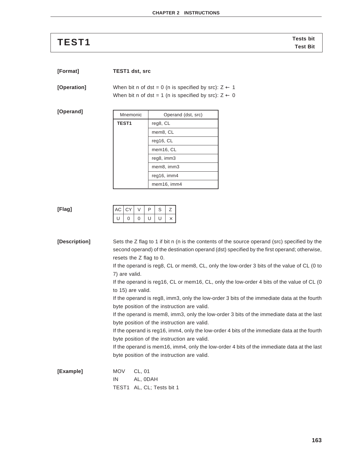| <b>TEST1</b> | <b>Tests bit</b> |
|--------------|------------------|
|              | <b>Test Bit</b>  |

| [Format] | <b>TEST1 dst, src</b> |  |
|----------|-----------------------|--|
|          |                       |  |

**[Operation]** When bit n of dst = 0 (n is specified by src):  $Z \leftarrow 1$ When bit n of dst = 1 (n is specified by src):  $Z \leftarrow 0$ 

| [Operand] | Mnemc        |
|-----------|--------------|
|           | <b>TEST1</b> |
|           |              |

| Mnemonic | Operand (dst, src) |  |  |  |  |  |  |  |  |
|----------|--------------------|--|--|--|--|--|--|--|--|
| TEST1    | reg8, CL           |  |  |  |  |  |  |  |  |
|          | mem8, CL           |  |  |  |  |  |  |  |  |
|          | req16, CL          |  |  |  |  |  |  |  |  |
|          | mem16, CL          |  |  |  |  |  |  |  |  |
|          | reg8, imm3         |  |  |  |  |  |  |  |  |
|          | mem8, imm3         |  |  |  |  |  |  |  |  |
|          | reg16, imm4        |  |  |  |  |  |  |  |  |
|          | mem16, imm4        |  |  |  |  |  |  |  |  |

### **[Flag]**

|  | AC CY |   | כי | ົ |  |
|--|-------|---|----|---|--|
|  | 0     | O |    |   |  |

**[Description]** Sets the Z flag to 1 if bit n (n is the contents of the source operand (src) specified by the second operand) of the destination operand (dst) specified by the first operand; otherwise, resets the Z flag to 0. If the operand is reg8, CL or mem8, CL, only the low-order 3 bits of the value of CL (0 to 7) are valid. If the operand is reg16, CL or mem16, CL, only the low-order 4 bits of the value of CL (0 to 15) are valid. If the operand is reg8, imm3, only the low-order 3 bits of the immediate data at the fourth byte position of the instruction are valid. If the operand is mem8, imm3, only the low-order 3 bits of the immediate data at the last byte position of the instruction are valid. If the operand is reg16, imm4, only the low-order 4 bits of the immediate data at the fourth byte position of the instruction are valid. If the operand is mem16, imm4, only the low-order 4 bits of the immediate data at the last byte position of the instruction are valid. **[Example]** MOV CL, 01 IN AL, 0DAH TEST1 AL, CL; Tests bit 1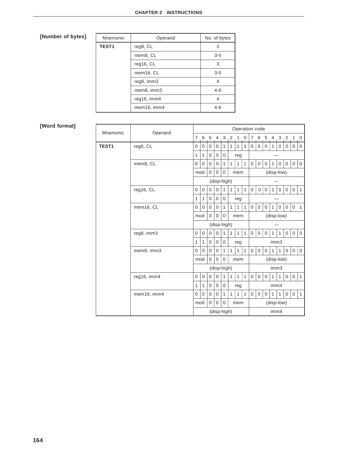| Mnemonic     | Operand     | No. of bytes |
|--------------|-------------|--------------|
| <b>TEST1</b> | reg8, CL    | 3            |
|              | mem8, CL    | $3-5$        |
|              | reg16, CL   | 3            |
|              | mem16, CL   | $3-5$        |
|              | reg8, imm3  | 4            |
|              | mem8, imm3  | $4 - 6$      |
|              | reg16, imm4 | 4            |
|              | mem16, imm4 | $4 - 6$      |

| Mnemonic     | Operand     |                |              |             |                |                |              |              |              |                | Operation code |                 |                |              |                |              |                |
|--------------|-------------|----------------|--------------|-------------|----------------|----------------|--------------|--------------|--------------|----------------|----------------|-----------------|----------------|--------------|----------------|--------------|----------------|
|              |             | $\overline{7}$ | 6            | 5           | $\overline{4}$ | 3              | 2            | $\mathbf{1}$ | 0            | $\overline{7}$ | 6              | $5\overline{5}$ | $\overline{4}$ | $\mathbf{3}$ | 2 <sub>1</sub> |              | 0              |
| <b>TEST1</b> | reg8, CL    | 0              | $\Omega$     | $\mathbf 0$ | $\mathbf 0$    | 1              | 1            | $\mathbf{1}$ | $\mathbf{1}$ | 0              | $\mathbf 0$    | $\Omega$        | 1              | $\Omega$     | 0              | $\Omega$     | $\mathbf{0}$   |
|              |             |                |              |             | $\mathbf{0}$   | $\Omega$       |              | reg          |              |                |                |                 |                |              |                |              |                |
|              | mem8, CL    | $\overline{0}$ | 0            | $\mathbf 0$ | $\mathbf 0$    | $\mathbf{1}$   | $\mathbf{1}$ | $\mathbf{1}$ | $\mathbf{1}$ | $\mathbf{0}$   | $\mathbf 0$    | $\mathbf{0}$    | 1              | $\mathbf 0$  | $\mathbf 0$    | $\mathbf{0}$ | $\mathbf 0$    |
|              |             | mod            |              | $\mathbf 0$ | 0              | $\overline{0}$ |              | mem          |              |                |                |                 | (disp-low)     |              |                |              |                |
|              |             |                |              |             |                | (disp-high)    |              |              |              |                |                |                 |                |              |                |              |                |
|              | reg16, CL   | 0              | 0            | $\mathbf 0$ | $\mathbf 0$    | 1              | $\mathbf{1}$ | $\mathbf{1}$ | $\mathbf{1}$ | $\mathbf{0}$   | $\overline{0}$ | 0               | $\mathbf{1}$   | 0            | 0              | 0            | $\mathbf{1}$   |
|              |             | 1              | 1            | $\mathbf 0$ | $\mathbf{0}$   | $\overline{0}$ |              | reg          |              |                |                |                 |                |              |                |              |                |
|              | mem16, CL   | $\mathbf 0$    | 0            | $\mathbf 0$ | $\mathbf 0$    | 1              | $\mathbf{1}$ | 1            | $\mathbf{1}$ | 0              | $\mathbf 0$    | $\mathbf 0$     | 1              | 0            | $\overline{0}$ | $\mathbf 0$  | $\mathbf{1}$   |
|              |             | mod            |              | $\mathbf 0$ | $\Omega$       | $\mathbf 0$    |              | mem          |              |                | (disp-low)     |                 |                |              |                |              |                |
|              |             |                |              |             |                | (disp-high)    |              |              |              |                |                |                 |                |              |                |              |                |
|              | reg8, imm3  | $\Omega$       | 0            | $\mathbf 0$ | 0              | 1              | $\mathbf{1}$ | $\mathbf{1}$ | $\mathbf{1}$ | $\mathbf{0}$   | $\mathbf{0}$   | $\mathbf{0}$    | 1              | 1            | $\mathbf 0$    | $\mathbf 0$  | $\overline{0}$ |
|              |             | $\mathbf{1}$   | 1            | $\mathbf 0$ | $\mathbf 0$    | $\overline{0}$ |              | reg          |              |                |                |                 | imm3           |              |                |              |                |
|              | mem8, imm3  | $\overline{0}$ | 0            | $\mathbf 0$ | $\mathbf 0$    | $\mathbf{1}$   | $\mathbf{1}$ | $\mathbf{1}$ | $\mathbf{1}$ | 0              | $\mathbf 0$    | $\mathbf{0}$    | $\mathbf{1}$   | $\mathbf{1}$ | 0              | $\mathbf{0}$ | $\mathbf 0$    |
|              |             | mod            |              | $\Omega$    | $\Omega$       | $\overline{0}$ |              | mem          |              |                |                |                 | (disp-low)     |              |                |              |                |
|              |             |                |              |             |                | (disp-high)    |              |              |              |                |                |                 | imm3           |              |                |              |                |
|              | reg16, imm4 | 0              | $\mathbf{0}$ | $\mathbf 0$ | $\mathbf{0}$   | $\mathbf{1}$   | $\mathbf{1}$ | $\mathbf{1}$ | $\mathbf{1}$ | $\mathbf{0}$   | $\mathbf{0}$   | $\mathbf{0}$    | $\mathbf{1}$   | $\mathbf{1}$ | $\mathbf{0}$   | $\mathbf{0}$ | $\mathbf{1}$   |
|              |             | 1<br>1         |              | $\mathbf 0$ | $\mathbf 0$    | $\overline{0}$ |              | reg          |              |                |                |                 | imm4           |              |                |              |                |
|              | mem16, imm4 | 0              | 0            | 0           | 0              | 1              | $\mathbf{1}$ | $\mathbf{1}$ | $\mathbf{1}$ | $\mathbf 0$    | 0              | $\mathbf 0$     | $\mathbf{1}$   | $\mathbf{1}$ | $\mathbf 0$    | $\mathbf 0$  | $\mathbf{1}$   |
|              |             | mod            |              | $\mathbf 0$ | 0              | $\mathbf 0$    |              | mem          |              |                |                |                 | (disp-low)     |              |                |              |                |
|              |             |                |              |             |                | (disp-high)    |              |              |              |                |                |                 | imm4           |              |                |              |                |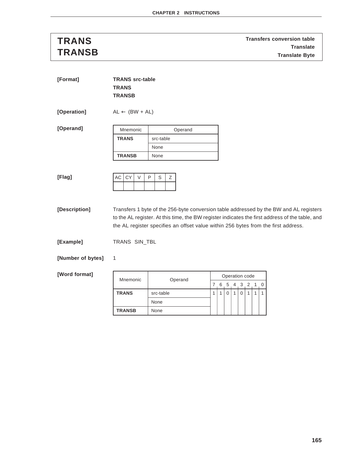**TRANS TRANS TRANS TRANS Transfers conversion table Translate TRANSB Translate Byte**

| [Format]    | <b>TRANS src-table</b><br><b>TRANS</b><br><b>TRANSB</b> |             |
|-------------|---------------------------------------------------------|-------------|
| [Operation] | $AL \leftarrow (BW + AL)$                               |             |
| [Operand]   | Mnemonic                                                | Operand     |
|             | <b>TRANS</b>                                            | src-table   |
|             |                                                         | None        |
|             | <b>TRANSB</b>                                           | None        |
|             |                                                         |             |
| [Flag]      | AC<br>  CY<br>V                                         | Z<br>S<br>P |
|             |                                                         |             |

**[Description]** Transfers 1 byte of the 256-byte conversion table addressed by the BW and AL registers to the AL register. At this time, the BW register indicates the first address of the table, and the AL register specifies an offset value within 256 bytes from the first address.

**[Example]** TRANS SIN\_TBL

**[Number of bytes]** 1

| Mnemonic      | Operand   | Operation code |   |  |  |         |  |  |  |  |  |
|---------------|-----------|----------------|---|--|--|---------|--|--|--|--|--|
|               |           |                | 6 |  |  | 5 4 3 2 |  |  |  |  |  |
| <b>TRANS</b>  | src-table |                |   |  |  |         |  |  |  |  |  |
|               | None      |                |   |  |  |         |  |  |  |  |  |
| <b>TRANSB</b> | None      |                |   |  |  |         |  |  |  |  |  |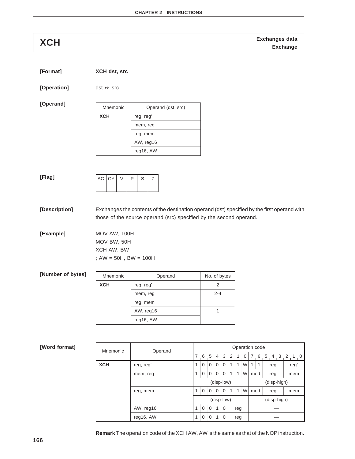**Exchanges data XCH Exchange**

| [Format] | XCH dst, src |
|----------|--------------|
|          |              |

**[Operation]** dst ↔ src

**[Operand]**

| Mnemonic   | Operand (dst, src) |
|------------|--------------------|
| <b>XCH</b> | reg, reg'          |
|            | mem, reg           |
|            | reg, mem           |
|            | AW, reg16          |
|            | reg16, AW          |

### **[Flag]**

| $AC$ $CY$ | o |  |
|-----------|---|--|
|           |   |  |

**[Description]** Exchanges the contents of the destination operand (dst) specified by the first operand with those of the source operand (src) specified by the second operand.

**[Example]** MOV AW, 100H MOV BW, 50H XCH AW, BW ; AW = 50H, BW = 100H

| [Number of bytes] | Mnemonic   | Operand   | No. of bytes |
|-------------------|------------|-----------|--------------|
|                   | <b>XCH</b> | reg, reg' |              |
|                   |            | mem, reg  | $2 - 4$      |
|                   |            | reg, mem  |              |
|                   |            | AW, reg16 |              |
|                   |            | reg16, AW |              |

### **[Word format]**

| Mnemonic   | Operand   | Operation code                                           |             |          |          |                |   |     |          |     |             |     |             |                |      |     |  |
|------------|-----------|----------------------------------------------------------|-------------|----------|----------|----------------|---|-----|----------|-----|-------------|-----|-------------|----------------|------|-----|--|
|            |           | 7                                                        | 6           | 5        | 4        | 3 <sup>2</sup> |   |     | $\Omega$ | 7   | 6           | 5   | 4           | 3 <sub>2</sub> |      | 1 0 |  |
| <b>XCH</b> | reg, reg' |                                                          | $\Omega$    | $\Omega$ | $\Omega$ | $\Omega$       | 1 | 1   | W        | 1   | 1           | reg |             |                | reg' |     |  |
|            | mem, reg  | 1                                                        | $\Omega$    | $\Omega$ | $\Omega$ | $\Omega$       | 1 | 1   | W        | mod |             |     | reg         | mem            |      |     |  |
|            |           |                                                          |             |          |          | (disp-low)     |   |     |          |     |             |     | (disp-high) |                |      |     |  |
|            | reg, mem  | 1                                                        | $\Omega$    | $\Omega$ | $\Omega$ | $\Omega$       | 1 | 1   | W        |     | mod<br>reg  |     |             |                |      | mem |  |
|            |           | (disp-low)                                               |             |          |          |                |   |     |          |     | (disp-high) |     |             |                |      |     |  |
|            | AW, reg16 | $\mathbf 0$<br>$\mathbf{1}$<br>0<br>1<br>$\Omega$<br>reg |             |          |          |                |   |     |          |     |             |     |             |                |      |     |  |
|            | reg16, AW | 1                                                        | $\mathbf 0$ | $\Omega$ | 1        | 0              |   | reg |          |     |             |     |             |                |      |     |  |

**Remark** The operation code of the XCH AW, AW is the same as that of the NOP instruction.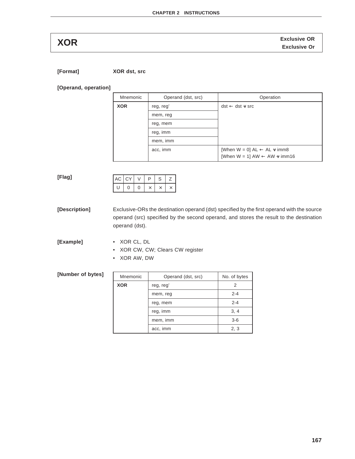**Exclusive OR XOR Exclusive Or**

**[Format] XOR dst, src**

**[Operand, operation]**

| Mnemonic   | Operand (dst, src) | Operation                                                                                       |
|------------|--------------------|-------------------------------------------------------------------------------------------------|
| <b>XOR</b> | reg, reg'          | $dst \leftarrow dst \vee src$                                                                   |
|            | mem, reg           |                                                                                                 |
|            | reg, mem           |                                                                                                 |
|            | reg, imm           |                                                                                                 |
|            | mem, imm           |                                                                                                 |
|            | acc, imm           | [When W = 0] $AL \leftarrow AL \vee imm8$<br>[When W = 1] AW $\leftarrow$ AW $\leftarrow$ imm16 |

**[Flag]**

| $AC$ $CY$ |  | ח | S | <u>.</u> |
|-----------|--|---|---|----------|
|           |  |   |   |          |

**[Description]** Exclusive-ORs the destination operand (dst) specified by the first operand with the source operand (src) specified by the second operand, and stores the result to the destination operand (dst).

**[Example]** • XOR CL, DL

• XOR CW, CW; Clears CW register

• XOR AW, DW

**[Number of bytes]**

| Mnemonic   | Operand (dst, src) | No. of bytes |
|------------|--------------------|--------------|
| <b>XOR</b> | reg, reg'          | 2            |
|            | mem, reg           | $2 - 4$      |
|            | reg, mem           | $2 - 4$      |
|            | reg, imm           | 3, 4         |
|            | mem, imm           | $3 - 6$      |
|            | acc, imm           | 2, 3         |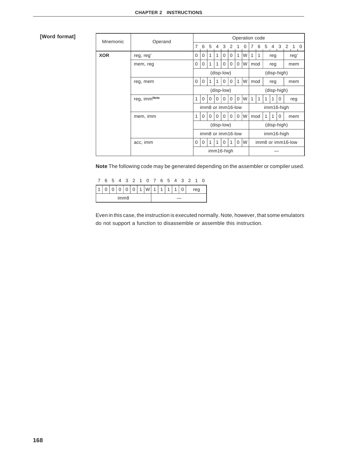| Mnemonic   | Operand      |                                                        |                   |                 |                |              |          | Operation code |   |                |                         |                   |                |          |                |            |  |  |  |  |  |
|------------|--------------|--------------------------------------------------------|-------------------|-----------------|----------------|--------------|----------|----------------|---|----------------|-------------------------|-------------------|----------------|----------|----------------|------------|--|--|--|--|--|
|            |              | $\overline{7}$                                         | 6                 | $5\overline{)}$ | $\overline{4}$ | $\mathbf{3}$ | 2        | 1              | 0 | $\overline{7}$ | 6                       | 5                 | $\overline{4}$ |          | 3 <sub>2</sub> | $1\quad 0$ |  |  |  |  |  |
| <b>XOR</b> | reg, reg'    | 0                                                      | 0                 | 1               | 1              | $\Omega$     | 0        | 1              | W | 1              | 1                       |                   | reg            |          |                | reg'       |  |  |  |  |  |
|            | mem, reg     | 0                                                      | 0                 | 1               | 1              | $\Omega$     | $\Omega$ | $\mathbf 0$    | W | mod            |                         | reg               |                |          |                | mem        |  |  |  |  |  |
|            |              |                                                        |                   |                 | (disp-low)     |              |          |                |   |                | (disp-high)             |                   |                |          |                |            |  |  |  |  |  |
|            | reg, mem     | $\mathbf{1}$<br>$\Omega$<br>1<br>$\mathbf 0$<br>0<br>0 |                   |                 |                |              |          |                | W | mod            |                         |                   | reg            |          |                | mem        |  |  |  |  |  |
|            |              |                                                        |                   |                 | (disp-low)     |              |          |                |   |                | (disp-high)             |                   |                |          |                |            |  |  |  |  |  |
|            | reg, immNote | 1                                                      | $\Omega$          | $\Omega$        | 0              | $\Omega$     | $\Omega$ | $\Omega$       | W | $\mathbf{1}$   | 1<br>1<br>1<br>$\Omega$ |                   |                |          | reg            |            |  |  |  |  |  |
|            |              |                                                        | imm8 or imm16-low |                 |                |              |          |                |   |                |                         |                   | imm16-high     |          |                |            |  |  |  |  |  |
|            | mem, imm     | 1                                                      | $\Omega$          | $\Omega$        | $\Omega$       | $\Omega$     | $\Omega$ | $\mathbf 0$    | W | mod            |                         | 1                 | 1              | $\Omega$ |                | mem        |  |  |  |  |  |
|            |              |                                                        | (disp-low)        |                 |                |              |          |                |   |                | (disp-high)             |                   |                |          |                |            |  |  |  |  |  |
|            |              |                                                        | imm8 or imm16-low |                 |                |              |          |                |   |                |                         |                   | imm16-high     |          |                |            |  |  |  |  |  |
|            | acc, imm     | W<br>$\Omega$<br>1<br>0<br>0<br>1<br>$\Omega$<br>1     |                   |                 |                |              |          |                |   |                |                         | imm8 or imm16-low |                |          |                |            |  |  |  |  |  |
|            |              | imm16-high                                             |                   |                 |                |              |          |                |   |                |                         |                   |                |          |                |            |  |  |  |  |  |

**Note** The following code may be generated depending on the assembler or compiler used.

|                  |  |  |  |  |  |  | 6 5 4 3 2 1 0 7 6 5 4 3 2 1 0 |  |              |          |  |     |  |
|------------------|--|--|--|--|--|--|-------------------------------|--|--------------|----------|--|-----|--|
|                  |  |  |  |  |  |  | 0 0 0 0 1 W 1 1 1             |  | $\mathbf{1}$ | $\Omega$ |  | reg |  |
| imm <sub>8</sub> |  |  |  |  |  |  |                               |  |              |          |  |     |  |

Even in this case, the instruction is executed normally. Note, however, that some emulators do not support a function to disassemble or assemble this instruction.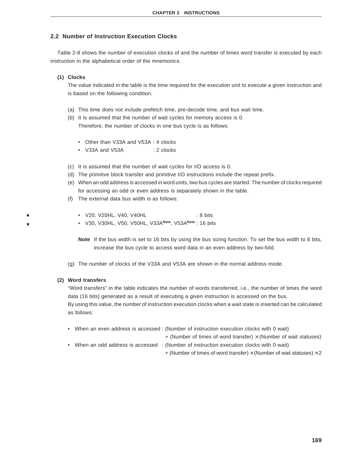### **2.2 Number of Instruction Execution Clocks**

Table 2-8 shows the number of execution clocks of and the number of times word transfer is executed by each instruction in the alphabetical order of the mnemonics.

### **(1) Clocks**

The value indicated in the table is the time required for the execution unit to execute a given instruction and is based on the following condition.

- (a) This time does not include prefetch time, pre-decode time, and bus wait time.
- (b) It is assumed that the number of wait cycles for memory access is 0. Therefore, the number of clocks in one bus cycle is as follows:
	- Other than V33A and V53A : 4 clocks
	- V33A and V53A : 2 clocks
- (c) It is assumed that the number of wait cycles for I/O access is 0.
- (d) The primitive block transfer and primitive I/O instructions include the repeat prefix.
- (e) When an odd address is accessed in word units, two bus cycles are started. The number of clocks required for accessing an odd or even address is separately shown in the table.
- (f) The external data bus width is as follows:
	- V20, V20HL, V40, V40HL : 8 bits
	- V30, V30HL, V50, V50HL, V33A**Note**, V53A**Note** : 16 bits
	- **Note** If the bus width is set to 16 bits by using the bus sizing function. To set the bus width to 8 bits, increase the bus cycle to access word data in an even address by two-fold.
- (g) The number of clocks of the V33A and V53A are shown in the normal address mode.

### **(2) Word transfers**

"Word transfers" in the table indicates the number of words transferred, i.e., the number of times the word data (16 bits) generated as a result of executing a given instruction is accessed on the bus. By using this value, the number of instruction execution clocks when a wait state is inserted can be calculated as follows:

- When an even address is accessed : (Number of instruction execution clocks with 0 wait)
	- $+$  (Number of times of word transfer)  $\times$  (Number of wait statuses)
- When an odd address is accessed : (Number of instruction execution clocks with 0 wait)
	- $+$  (Number of times of word transfer)  $\times$  (Number of wait statuses)  $\times$  2

**169**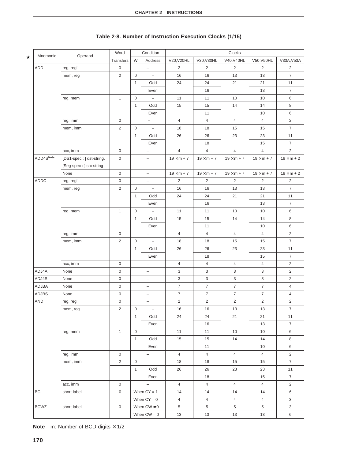|  | Table 2-8. Number of Instruction Execution Clocks (1/15) |  |
|--|----------------------------------------------------------|--|
|  |                                                          |  |

 $\star$ 

|              |                          | Word                  |              | Condition                | Clocks            |                   |                     |                   |                   |
|--------------|--------------------------|-----------------------|--------------|--------------------------|-------------------|-------------------|---------------------|-------------------|-------------------|
| Mnemonic     | Operand                  | Transfers             | W            | Address                  | V20, V20HL        | V30, V30HL        | V40, V40HL          | V50, V50HL        | V33A, V53A        |
| ADD          | reg, reg'                | 0                     |              | $\overline{\phantom{0}}$ | $\overline{2}$    | 2                 | 2                   | $\overline{2}$    | 2                 |
|              | mem, reg                 | $\mathbf{2}^{\prime}$ | $\mathbf 0$  | $\overline{\phantom{a}}$ | 16                | 16                | 13                  | 13                | $\overline{7}$    |
|              |                          |                       | $\mathbf{1}$ | Odd                      | 24                | 24                | 21                  | 21                | 11                |
|              |                          |                       |              | Even                     |                   | 16                |                     | 13                | $\overline{7}$    |
|              | reg, mem                 | $\mathbf{1}$          | 0            | $\overline{\phantom{a}}$ | 11                | 11                | 10                  | 10                | 6                 |
|              |                          |                       | $\mathbf{1}$ | Odd                      | 15                | 15                | 14                  | 14                | 8                 |
|              |                          |                       |              | Even                     |                   | 11                |                     | 10                | 6                 |
|              | reg, imm                 | 0                     |              | $\overline{\phantom{0}}$ | $\overline{4}$    | $\overline{4}$    | $\overline{4}$      | $\overline{4}$    | 2                 |
|              | mem, imm                 | $\overline{2}$        | 0            | $\overline{\phantom{a}}$ | 18                | 18                | 15                  | 15                | $\overline{7}$    |
|              |                          |                       | $\mathbf{1}$ | Odd                      | 26                | 26                | 23                  | 23                | 11                |
|              |                          |                       |              | Even                     |                   | 18                |                     | 15                | $\overline{7}$    |
|              | acc, imm                 | 0                     |              | $\equiv$                 | $\overline{4}$    | $\overline{4}$    | $\overline{4}$      | $\overline{4}$    | $\overline{2}$    |
| ADD4SNote    | [DS1-spec: ] dst-string, | 0                     |              | $\overline{\phantom{0}}$ | $19 \times m + 7$ | $19 \times m + 7$ | $19 \times m + 7$   | $19 \times m + 7$ | $18 \times m + 2$ |
|              | [Seg-spec: ] src-string  |                       |              |                          |                   |                   |                     |                   |                   |
|              | None                     | 0                     |              | $\overline{\phantom{a}}$ | $19 \times m + 7$ | $19 \times m + 7$ | $19 \times m + 7$   | $19 \times m + 7$ | $18 \times m + 2$ |
| ADDC         | reg, reg'                | 0                     |              | $\overline{\phantom{a}}$ | $\overline{2}$    | 2                 | 2                   | $\overline{2}$    | $\overline{2}$    |
|              | mem, reg                 | $\overline{2}$        | 0            | $\overline{\phantom{a}}$ | 16                | 16                | 13                  | 13                | $\overline{7}$    |
|              |                          |                       | $\mathbf{1}$ | Odd                      | 24                | 24                | 21                  | 21                | 11                |
|              |                          |                       |              | Even                     |                   | 16                |                     | 13                | $\boldsymbol{7}$  |
|              | reg, mem                 | $\mathbf{1}$          | $\mathbf 0$  | $\overline{\phantom{a}}$ | 11                | 11                | 10                  | 10                | 6                 |
|              |                          |                       | $\mathbf{1}$ | Odd                      | 15                | 15                | 14                  | 14                | 8                 |
|              |                          |                       |              | Even                     |                   | 11                |                     | 10                | 6                 |
|              | reg, imm                 | 0                     |              | $\overline{\phantom{m}}$ | $\overline{4}$    | $\overline{4}$    | $\overline{4}$      | $\overline{4}$    | $\overline{2}$    |
|              | mem, imm                 | $\overline{2}$        | $\mathbf 0$  | $\equiv$                 | 18                | 18                | 15                  | 15                | $\overline{7}$    |
|              |                          |                       | $\mathbf{1}$ | Odd                      | 26                | 26                | 23                  | 23                | 11                |
|              |                          |                       |              | Even                     |                   | 18                |                     | 15                | $\overline{7}$    |
|              | acc, imm                 | 0                     |              | $\qquad \qquad -$        | 4                 | 4                 | $\overline{4}$      | 4                 | $\overline{2}$    |
| ADJ4A        | None                     | 0                     |              | $\overline{\phantom{m}}$ | 3                 | 3                 | 3                   | 3                 | $\overline{2}$    |
| ADJ4S        | None                     | $\mathsf{O}\xspace$   |              | $\qquad \qquad -$        | 3                 | 3                 | 3                   | 3                 | $\overline{2}$    |
| ADJBA        | None                     | 0                     |              | $\overline{\phantom{m}}$ | $\overline{7}$    | $\overline{7}$    | $\overline{7}$      | $\overline{7}$    | $\overline{4}$    |
| <b>ADJBS</b> | None                     | 0                     |              | $\qquad \qquad -$        | $\overline{7}$    | $\overline{7}$    | $\overline{7}$      | $\overline{7}$    | $\overline{4}$    |
| AND          | reg, reg'                | 0                     |              | $\overline{\phantom{m}}$ | $\overline{2}$    | 2                 | $\overline{2}$      | $\overline{2}$    | $\overline{2}$    |
|              | mem, reg                 | 2                     | 0            | $\overline{\phantom{a}}$ | 16                | 16                | 13                  | 13                | 7                 |
|              |                          |                       | $\mathbf{1}$ | Odd                      | 24                | 24                | 21                  | 21                | 11                |
|              |                          |                       |              | Even                     |                   | 16                |                     | 13                | $\overline{7}$    |
|              | reg, mem                 | $\mathbf{1}$          | 0            | $\overline{\phantom{0}}$ | 11                | 11                | 10                  | 10                | 6                 |
|              |                          |                       | 1            | Odd                      | 15                | 15                | $14$                | 14                | 8                 |
|              |                          |                       |              | Even                     |                   | 11                |                     | $10$              | $\,6$             |
|              | reg, imm                 | 0                     |              | $\overline{\phantom{a}}$ | $\overline{4}$    | $\overline{4}$    | $\overline{4}$      | $\overline{4}$    | 2                 |
|              | mem, imm                 | $\overline{c}$        | $\mathbf 0$  | $\overline{\phantom{a}}$ | 18                | 18                | 15                  | 15                | $\overline{7}$    |
|              |                          |                       | $\mathbf{1}$ | Odd                      | 26                | 26                | 23                  | 23                | 11                |
|              |                          |                       |              | Even                     |                   | 18                |                     | 15                | $\overline{7}$    |
|              | acc, imm                 | 0                     |              | $\overline{\phantom{a}}$ | $\overline{4}$    | $\overline{4}$    | $\overline{4}$      | $\overline{4}$    | 2                 |
| ВC           | short-label              | 0                     |              | When $CY = 1$            | 14                | 14                | 14                  | 14                | $\,6\,$           |
|              |                          |                       |              | When $CY = 0$            | 4                 | $\overline{4}$    | $\overline{4}$<br>5 | 4                 | 3<br>3            |
| <b>BCWZ</b>  | short-label              | 0                     |              | When $CW \neq 0$         | $\,$ 5 $\,$       | $\,$ 5 $\,$       |                     | $\,$ 5 $\,$       |                   |
|              |                          |                       |              | When $CW = 0$            | 13                | 13                | $13$                | 13                | $\,6$             |

**Note** m: Number of BCD digits  $\times$  1/2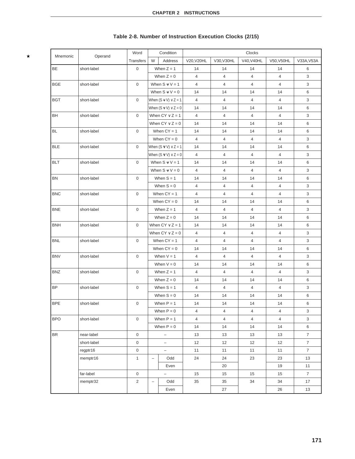|            |             | Word                |                          | Condition                    |                |                | Clocks         |                |                |
|------------|-------------|---------------------|--------------------------|------------------------------|----------------|----------------|----------------|----------------|----------------|
| Mnemonic   | Operand     | <b>Transfers</b>    | W                        | Address                      | V20, V20HL     | V30, V30HL     | V40, V40HL     | V50, V50HL     | V33A, V53A     |
| BE         | short-label | 0                   |                          | When $Z = 1$                 | 14             | 14             | 14             | 14             | 6              |
|            |             |                     |                          | When $Z = 0$                 | $\overline{4}$ | $\overline{4}$ | $\overline{4}$ | $\overline{4}$ | 3              |
| <b>BGE</b> | short-label | 0                   |                          | When $S \vee V = 1$          | 4              | $\overline{4}$ | 4              | $\overline{4}$ | 3              |
|            |             |                     |                          | When $S \vee V = 0$          | 14             | 14             | 14             | 14             | 6              |
| <b>BGT</b> | short-label | 0                   |                          | When $(S \vee V) \vee Z = 1$ | $\overline{4}$ | $\overline{4}$ | $\overline{4}$ | $\overline{4}$ | 3              |
|            |             |                     |                          | When $(S \vee V) \vee Z = 0$ | 14             | 14             | 14             | 14             | 6              |
| BH         | short-label | $\mathsf 0$         |                          | When $CY \vee Z = 1$         | $\overline{4}$ | $\overline{4}$ | $\overline{4}$ | $\overline{4}$ | 3              |
|            |             |                     |                          | When $CY \vee Z = 0$         | 14             | 14             | 14             | 14             | 6              |
| <b>BL</b>  | short-label | 0                   |                          | When $CY = 1$                | 14             | 14             | 14             | 14             | 6              |
|            |             |                     |                          | When $CY = 0$                | $\overline{4}$ | $\overline{4}$ | $\overline{4}$ | $\overline{4}$ | 3              |
| <b>BLE</b> | short-label | 0                   |                          | When $(S \vee V) \vee Z = 1$ | 14             | 14             | 14             | 14             | 6              |
|            |             |                     |                          | When $(S \vee V) \vee Z = 0$ | $\overline{4}$ | $\overline{4}$ | $\overline{4}$ | $\overline{4}$ | 3              |
| <b>BLT</b> | short-label | 0                   |                          | When $S \vee V = 1$          | 14             | 14             | 14             | 14             | 6              |
|            |             |                     |                          | When $S \vee V = 0$          | 4              | $\overline{4}$ | $\overline{4}$ | $\overline{4}$ | 3              |
| <b>BN</b>  | short-label | $\boldsymbol{0}$    |                          | When $S = 1$                 | 14             | 14             | 14             | 14             | 6              |
|            |             |                     |                          | When $S = 0$                 | $\overline{4}$ | $\overline{4}$ | $\overline{4}$ | $\overline{4}$ | 3              |
| <b>BNC</b> | short-label | 0                   |                          | When $CY = 1$                | $\overline{4}$ | 4              | 4              | $\overline{4}$ | 3              |
|            |             |                     |                          | When $CY = 0$                | 14             | 14             | 14             | 14             | 6              |
| <b>BNE</b> | short-label | 0                   |                          | When $Z = 1$                 | 4              | $\overline{4}$ | 4              | $\overline{4}$ | 3              |
|            |             |                     |                          | When $Z = 0$                 | 14             | 14             | 14             | 14             | 6              |
| <b>BNH</b> | short-label | 0                   |                          | When $CY \vee Z = 1$         | 14             | 14             | 14             | 14             | 6              |
|            |             |                     |                          | When $CY \vee Z = 0$         | 4              | $\overline{4}$ | $\overline{4}$ | $\overline{4}$ | 3              |
| <b>BNL</b> | short-label | $\boldsymbol{0}$    |                          | When $CY = 1$                | 4              | $\overline{4}$ | 4              | $\overline{4}$ | $\mathbf{3}$   |
|            |             |                     |                          | When $CY = 0$                | 14             | 14             | 14             | 14             | 6              |
| <b>BNV</b> | short-label | 0                   |                          | When $V = 1$                 | 4              | 4              | 4              | $\overline{4}$ | 3              |
|            |             |                     |                          | When $V = 0$                 | 14             | 14             | 14             | 14             | 6              |
| <b>BNZ</b> | short-label | 0                   |                          | When $Z = 1$                 | 4              | $\overline{4}$ | 4              | $\overline{4}$ | 3              |
|            |             |                     |                          | When $Z = 0$                 | 14             | 14             | 14             | 14             | 6              |
| <b>BP</b>  | short-label | 0                   |                          | When $S = 1$                 | $\overline{4}$ | 4              | 4              | $\overline{4}$ | 3              |
|            |             |                     |                          | When $S = 0$                 | 14             | 14             | 14             | 14             | 6              |
| <b>BPE</b> | short-label | $\mathsf 0$         |                          | When $P = 1$                 | 14             | 14             | 14             | 14             | 6              |
|            |             |                     |                          | When $P = 0$                 | $\overline{4}$ | $\overline{4}$ | 4              | 4              | 3              |
| <b>BPO</b> | short-label | 0                   |                          | When $P = 1$                 | $\overline{4}$ | $\overline{4}$ | $\overline{4}$ | $\overline{4}$ | 3              |
|            |             |                     |                          | When $P = 0$                 | 14             | 14             | 14             | 14             | 6              |
| <b>BR</b>  | near-label  | 0                   |                          | $\overline{\phantom{a}}$     | 13             | 13             | 13             | 13             | $\overline{7}$ |
|            | short-label | 0                   |                          | $\overline{\phantom{0}}$     | 12             | 12             | 12             | 12             | $\overline{7}$ |
|            | regptr16    | $\mathsf{O}\xspace$ |                          | $\overline{\phantom{a}}$     | 11             | 11             | 11             | 11             | $\overline{7}$ |
|            | memptr16    | $\mathbf{1}$        | Odd<br>$\qquad \qquad -$ |                              | 24             | 24             | 23             | 23             | 13             |
|            |             |                     |                          | Even                         |                | 20             |                | 19             | 11             |
|            | far-label   | $\mathsf{O}$        |                          | $\overline{\phantom{a}}$     | 15             | 15             | 15             | 15             | $\overline{7}$ |
|            | memptr32    | $\overline{2}$      | $\qquad \qquad -$        | Odd                          | 35             | 35             | 34             | 34             | 17             |
|            |             |                     |                          | Even                         |                | 27             |                | 26             | 13             |

# **Table 2-8. Number of Instruction Execution Clocks (2/15)**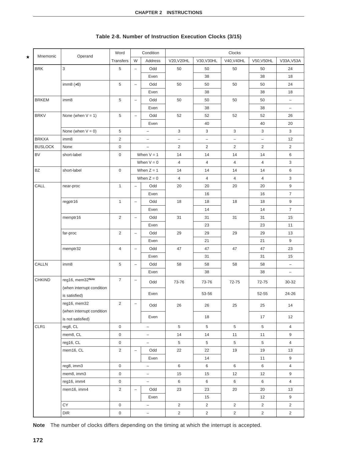|         | Mnemonic       | Operand                   | Word                |                          | Condition                | Clocks            |                   |                   |                   |                          |
|---------|----------------|---------------------------|---------------------|--------------------------|--------------------------|-------------------|-------------------|-------------------|-------------------|--------------------------|
| $\star$ |                |                           | Transfers           | W                        | Address                  | V20, V20HL        | V30, V30HL        | V40, V40HL        | V50, V50HL        | V33A, V53A               |
|         | <b>BRK</b>     | 3                         | 5                   | $\overline{\phantom{0}}$ | Odd                      | 50                | 50                | 50                | 50                | 24                       |
|         |                |                           |                     |                          | Even                     |                   | 38                |                   | 38                | 18                       |
|         |                | imm8 $(\neq 3)$           | 5                   | $\qquad \qquad -$        | Odd                      | 50                | 50                | 50                | 50                | 24                       |
|         |                |                           |                     |                          | Even                     |                   | 38                |                   | 38                | 18                       |
|         | <b>BRKEM</b>   | imm8                      | $\,$ 5 $\,$         | $\qquad \qquad -$        | Odd                      | 50                | 50                | 50                | 50                | $\overline{\phantom{0}}$ |
|         |                |                           |                     |                          | Even                     |                   | 38                |                   | 38                | -                        |
|         | <b>BRKV</b>    | None (when $V = 1$ )      | 5                   | $\qquad \qquad -$        | Odd                      | 52                | 52                | 52                | 52                | 26                       |
|         |                |                           |                     |                          | Even                     |                   | 40                |                   | 40                | 20                       |
|         |                | None (when $V = 0$ )      | 5                   |                          | $\qquad \qquad -$        | 3                 | 3                 | 3                 | 3                 | 3                        |
|         | <b>BRKXA</b>   | imm8                      | $\overline{2}$      |                          | $\qquad \qquad -$        | $\qquad \qquad -$ | $\qquad \qquad -$ | $\qquad \qquad -$ | $\qquad \qquad -$ | 12                       |
|         | <b>BUSLOCK</b> | None                      | $\mathbf 0$         |                          | $\qquad \qquad -$        | $\overline{c}$    | $\overline{2}$    | $\overline{2}$    | $\overline{2}$    | $\overline{2}$           |
|         | <b>BV</b>      | short-label               | $\mathsf 0$         |                          | When $V = 1$             | 14                | 14                | 14                | 14                | 6                        |
|         |                |                           |                     |                          | When $V = 0$             | $\overline{4}$    | $\overline{4}$    | $\overline{4}$    | 4                 | 3                        |
|         | <b>BZ</b>      | short-label               | $\mathsf 0$         |                          | When $Z = 1$             | 14                | 14                | 14                | 14                | 6                        |
|         |                |                           |                     |                          | When $Z = 0$             | 4                 | 4                 | 4                 | 4                 | 3                        |
|         | CALL           | near-proc                 | $\mathbf{1}$        | $\overline{\phantom{0}}$ | Odd                      | 20                | 20                | 20                | 20                | 9                        |
|         |                |                           |                     |                          | Even                     |                   | 16                |                   | 16                | $\overline{7}$           |
|         |                | regptr16                  | $\mathbf{1}$        | $\overline{\phantom{0}}$ | Odd                      | 18                | 18                | 18                | 18                | $9\,$                    |
|         |                |                           |                     |                          | Even                     |                   | 14                |                   | 14                | $\overline{7}$           |
|         |                | memptr16                  | $\sqrt{2}$          | $\overline{\phantom{0}}$ | Odd                      | 31                | 31                | 31                | 31                | 15                       |
|         |                |                           |                     |                          | Even                     |                   | 23                |                   | 23                | 11                       |
|         |                | far-proc                  | $\overline{2}$      | $\overline{\phantom{0}}$ | Odd                      | 29                | 29                | 29                | 29                | 13                       |
|         |                |                           |                     |                          | Even                     |                   | 21                |                   | 21                | 9                        |
|         |                | memptr32                  | $\overline{4}$      | $\overline{\phantom{0}}$ | Odd                      | 47                | 47                | 47                | 47                | 23                       |
|         |                |                           |                     |                          | Even                     |                   | 31                |                   | 31                | 15                       |
|         | CALLN          | imm8                      | $\sqrt{5}$          | $\overline{\phantom{0}}$ | Odd                      | 58                | 58                | 58                | 58                | -                        |
|         |                |                           |                     |                          | Even                     |                   | 38                |                   | 38                | $\qquad \qquad -$        |
|         | <b>CHKIND</b>  | reg16, mem32Note          | $\boldsymbol{7}$    | $\qquad \qquad -$        | Odd                      | 73-76             | 73-76             | 72-75             | 72-75             | 30-32                    |
|         |                | (when interrupt condition |                     |                          |                          |                   |                   |                   |                   |                          |
|         |                | is satisfied)             |                     |                          | Even                     |                   | 53-56             |                   | 52-55             | 24-26                    |
|         |                | reg16, mem32              | $\overline{2}$      | $\qquad \qquad -$        | Odd                      | 26                | 26                | 25                | 25                | 14                       |
|         |                | (when interrupt condition |                     |                          |                          |                   |                   |                   |                   |                          |
|         |                | is not satisfied)         |                     |                          | Even                     |                   | 18                |                   | 17                | 12                       |
|         | CLR1           | reg8, CL                  | $\mathbf 0$         |                          | $\overline{\phantom{0}}$ | $5\,$             | $\overline{5}$    | $\overline{5}$    | 5                 | $\overline{4}$           |
|         |                | mem8, CL                  | $\mathsf{O}\xspace$ |                          | $\qquad \qquad -$        | 14                | 14                | 11                | 11                | 9                        |
|         |                | reg16, CL                 | $\mathsf{O}\xspace$ |                          | $\overline{\phantom{0}}$ | 5                 | 5                 | $\overline{5}$    | $\overline{5}$    | $\overline{4}$           |
|         |                | mem16, CL                 | $\overline{2}$      | $\overline{\phantom{0}}$ | Odd                      | 22                | 22                | 19                | 19                | 13                       |
|         |                |                           |                     |                          | Even                     |                   | 14                |                   | 11                | 9                        |
|         |                | reg8, imm3                | 0                   |                          | $\overline{\phantom{0}}$ | 6                 | 6                 | $\,6\,$           | 6                 | $\overline{4}$           |
|         |                | mem8, imm3                | $\mathsf{O}\xspace$ |                          | $\qquad \qquad -$        | 15                | 15                | 12                | 12                | 9                        |
|         |                | reg16, imm4               | $\mathsf{O}$        |                          | $\qquad \qquad -$        | 6                 | 6                 | 6                 | 6                 | $\overline{4}$           |
|         |                | mem16, imm4               | $\overline{2}$      |                          | Odd                      | 23                | 23                | 20                | $20\,$            | 13                       |
|         |                |                           |                     |                          | Even                     |                   | 15                |                   | 12                | 9                        |
|         |                | CY                        | $\mathsf{O}\xspace$ |                          | $\qquad \qquad -$        | $\overline{2}$    | $\overline{2}$    | $\overline{2}$    | $\overline{2}$    | $\overline{2}$           |
|         |                | DIR                       | $\mathsf{O}\xspace$ |                          | -                        | $\overline{2}$    | $\overline{a}$    | $\overline{2}$    | $\overline{2}$    | $\overline{2}$           |

# **Table 2-8. Number of Instruction Execution Clocks (3/15)**

**Note** The number of clocks differs depending on the timing at which the interrupt is accepted.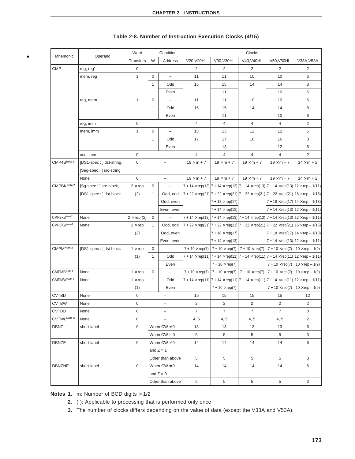| Mnemonic     | Operand                  | Word              |                  | Condition                | Clocks                 |                                                                                                                                     |                                                                                               |                                                   |                        |  |
|--------------|--------------------------|-------------------|------------------|--------------------------|------------------------|-------------------------------------------------------------------------------------------------------------------------------------|-----------------------------------------------------------------------------------------------|---------------------------------------------------|------------------------|--|
|              |                          | <b>Transfers</b>  | W                | Address                  | V20, V20HL             | V30, V30HL                                                                                                                          | V40, V40HL                                                                                    | V50, V50HL                                        | V33A, V53A             |  |
| <b>CMP</b>   | reg, reg'                | 0                 |                  | $\overline{\phantom{0}}$ | $\overline{2}$         | 2                                                                                                                                   | 2                                                                                             | 2                                                 | $\overline{2}$         |  |
|              | mem, reg                 | $\mathbf{1}$      | $\mathbf 0$      | $\equiv$                 | 11                     | 11                                                                                                                                  | 10                                                                                            | 10                                                | 6                      |  |
|              |                          |                   | $\mathbf{1}$     | Odd                      | 15                     | 15                                                                                                                                  | 14                                                                                            | 14                                                | 8                      |  |
|              |                          |                   |                  | Even                     |                        | 11                                                                                                                                  |                                                                                               | 10                                                | 6                      |  |
|              | reg, mem                 | $\mathbf{1}$      | $\mathbf 0$      | $\overline{\phantom{a}}$ | 11                     | 11                                                                                                                                  | 10                                                                                            | 10                                                | 6                      |  |
|              |                          |                   | 1                | Odd                      | 15                     | 15                                                                                                                                  | 14                                                                                            | 14                                                | 8                      |  |
|              |                          |                   |                  | Even                     |                        | 11                                                                                                                                  |                                                                                               | 10                                                | 6                      |  |
|              | reg, imm                 | 0                 |                  | $\qquad \qquad -$        | 4                      | 4                                                                                                                                   | 4                                                                                             | 4                                                 | $\overline{2}$         |  |
|              | mem, imm                 | $\mathbf{1}$      | 0                | $\overline{\phantom{a}}$ | 13                     | 13                                                                                                                                  | 12                                                                                            | 12                                                | 6                      |  |
|              |                          |                   | 1                | Odd                      | 17                     | 17                                                                                                                                  | 16                                                                                            | 16                                                | 8                      |  |
|              |                          |                   |                  | Even                     |                        | 13                                                                                                                                  |                                                                                               | 12                                                | 6                      |  |
|              | acc, imm                 | 0                 |                  | $\qquad \qquad -$        | $\overline{4}$         | 4                                                                                                                                   | 4                                                                                             | 4                                                 | 2                      |  |
| CMP4SNote 1  | [DS1-spec: ] dst-string, | 0                 |                  | $\overline{\phantom{0}}$ | $19 \times m + 7$      | $19 \times m + 7$                                                                                                                   | $19 \times m + 7$                                                                             | $19 \times m + 7$                                 | $14 \times m + 2$      |  |
|              | [Seg-spec: ] src-string  |                   |                  |                          |                        |                                                                                                                                     |                                                                                               |                                                   |                        |  |
|              | None                     | 0                 |                  | $\qquad \qquad -$        | $19 \times m + 7$      | $19 \times m + 7$                                                                                                                   | $19 \times m + 7$                                                                             | $19 \times m + 7$                                 | $14 \times m + 2$      |  |
| CMPBKNote 2  | [Sg-spec : ] src-block,  | $2 \times rep$    | 0                | $\overline{\phantom{a}}$ |                        | 7 + 14 $\times$ rep(13)  7 + 14 $\times$ rep(13)  7 + 14 $\times$ rep(13)  7 + 14 $\times$ rep(13)  12 $\times$ rep – 1(11)         |                                                                                               |                                                   |                        |  |
|              | [DS1-spec: ] dst-block   | (2)               | $\mathbf{1}$     | Odd, odd                 |                        | $7 + 22 \times$ rep(21) $ 7 + 22 \times$ rep(21) $ 7 + 22 \times$ rep(21) $ 7 + 22 \times$ rep(21) $ 16 \times$ rep - 1(15)         |                                                                                               |                                                   |                        |  |
|              |                          |                   |                  | Odd, even                |                        | $7 + 18 \times rep(17)$                                                                                                             |                                                                                               | $ 7 + 18 \times$ rep(17) $ 14 \times$ rep - 1(13) |                        |  |
|              |                          |                   |                  | Even, even               |                        | $7 + 14 \times rep(13)$                                                                                                             |                                                                                               | $7 + 14 \times rep(13)$ 12 $\times rep - 1(11)$   |                        |  |
| CMPBKBNote 2 | None                     | $2 \times rep(2)$ | 0                | $\qquad \qquad -$        |                        | 7 + 14 $\times$ rep(13)  7 + 14 $\times$ rep(13)  7 + 14 $\times$ rep(13)  7 + 14 $\times$ rep(13)  12 $\times$ rep – 1(11)         |                                                                                               |                                                   |                        |  |
| CMPBKWNote 2 | None                     | $2 \times rep$    | $\mathbf{1}$     | Odd, odd                 |                        | $7 + 22 \times$ rep(21) $ 7 + 22 \times$ rep(21) $ 7 + 22 \times$ rep(21) $ 7 + 22 \times$ rep(21) $ 16 \times$ rep - 1(15)         |                                                                                               |                                                   |                        |  |
|              |                          | (2)               |                  | Odd, even                |                        | $7 + 18 \times rep(17)$                                                                                                             |                                                                                               | 7 + 18 $\times$ rep(17)   14 $\times$ rep – 1(13) |                        |  |
|              |                          |                   |                  | Even, even               |                        | $7 + 14 \times rep(13)$                                                                                                             |                                                                                               | 7 + 14 $\times$ rep(13)   12 $\times$ rep – 1(11) |                        |  |
| CMPMNote 2   | [DS1-spec: ] dst-block   | $1 \times rep$    | 0                | $\qquad \qquad -$        | $7 + 10 \times rep(7)$ |                                                                                                                                     | $7 + 10 \times \text{rep}(7)$   $7 + 10 \times \text{rep}(7)$   $7 + 10 \times \text{rep}(7)$ |                                                   | $10 \times rep - 1(9)$ |  |
|              |                          | (1)               | $\mathbf{1}$     | Odd                      |                        | 7 + 14 $\times$ rep(11)  7 + 14 $\times$ rep(11)  7 + 14 $\times$ rep(11)  7 + 14 $\times$ rep(11)  12 $\times$ rep – 1(11)         |                                                                                               |                                                   |                        |  |
|              |                          |                   |                  | Even                     |                        | $7 + 10 \times rep(7)$                                                                                                              |                                                                                               | $7 + 10 \times rep(7)$                            | $10 \times rep - 1(9)$ |  |
| CMPMBNote 2  | None                     | $1 \times rep$    | 0                | $\overline{\phantom{0}}$ | $7 + 10 \times rep(7)$ |                                                                                                                                     | 7 + 10 $\times$ rep(7)   7 + 10 $\times$ rep(7)                                               | $7 + 10 \times rep(7)$                            | $10 \times rep - 1(9)$ |  |
| CMPMWNote 2  | None                     | $1 \times rep$    | 1                | Odd                      |                        | 7 + 14 $\times$ rep(11) $\big 7+14\times$ rep(11) $\big 7+14\times$ rep(11) $\big 7+14\times$ rep(11) $\big 12\times$ rep $-$ 1(11) |                                                                                               |                                                   |                        |  |
|              |                          | (1)               |                  | Even                     |                        | $7 + 10 \times rep(7)$                                                                                                              |                                                                                               | $7 + 10 \times rep(7)$                            | $10 \times rep - 1(9)$ |  |
| <b>CVTBD</b> | None                     | $\mathbf 0$       |                  | $\overline{\phantom{0}}$ | 15                     | 15                                                                                                                                  | 15                                                                                            | 15                                                | 12                     |  |
| <b>CVTBW</b> | None                     | 0                 |                  |                          | 2                      | 2                                                                                                                                   | 2                                                                                             | $\overline{2}$                                    | $\overline{2}$         |  |
| CVTDB        | None                     | 0                 |                  | $\overline{\phantom{a}}$ | 7                      | 7                                                                                                                                   | $\overline{7}$                                                                                | 7                                                 | 8                      |  |
| CVTWLNote 3  | None                     | 0                 |                  | $\overline{\phantom{0}}$ | 4, 5                   | 4, 5                                                                                                                                | 4, 5                                                                                          | 4, 5                                              | $\overline{2}$         |  |
| <b>DBNZ</b>  | short-label              | 0                 |                  | When $CW \neq 0$         | 13                     | 13                                                                                                                                  | 13                                                                                            | 13                                                | 6                      |  |
|              |                          |                   |                  | When $CW = 0$            | 5                      | 5                                                                                                                                   | 5                                                                                             | 5                                                 | 3                      |  |
| DBNZE        | short-label              | $\mathbf 0$       | When $CW \neq 0$ |                          | 14                     | 14                                                                                                                                  | 14                                                                                            | 14                                                | 6                      |  |
|              |                          |                   | and $Z = 1$      |                          |                        |                                                                                                                                     |                                                                                               |                                                   |                        |  |
|              |                          |                   | Other than above |                          | 5                      | 5                                                                                                                                   | 5                                                                                             | 5                                                 | 3                      |  |
| DBNZNE       | short-label              | $\mathbf 0$       | When $CW \neq 0$ |                          | 14                     | 14                                                                                                                                  | 14                                                                                            | 14                                                | 6                      |  |
|              |                          |                   | and $Z = 0$      |                          |                        |                                                                                                                                     |                                                                                               |                                                   |                        |  |
|              |                          |                   |                  | Other than above         | 5                      | 5                                                                                                                                   | $\overline{5}$                                                                                | 5                                                 | 3                      |  |

# **Table 2-8. Number of Instruction Execution Clocks (4/15)**

**Notes 1.** m: Number of BCD digits  $\times$  1/2

 $\star$ 

**2.** ( ): Applicable to processing that is performed only once

**3.** The number of clocks differs depending on the value of data (except the V33A and V53A).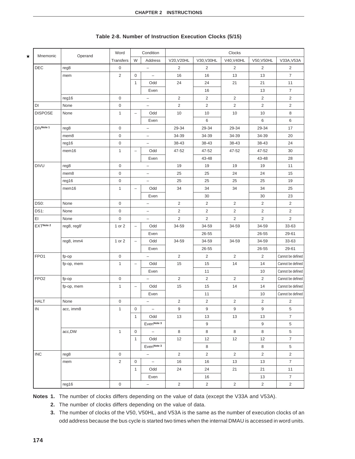| Mnemonic         |             | Word                |                          | Condition                | Clocks         |                         |                |                |                          |
|------------------|-------------|---------------------|--------------------------|--------------------------|----------------|-------------------------|----------------|----------------|--------------------------|
|                  | Operand     | Transfers           | W                        | Address                  | V20, V20HL     | V30, V30HL              | V40, V40HL     | V50, V50HL     | V33A, V53A               |
| DEC              | reg8        | 0                   |                          | $\overline{\phantom{0}}$ | $\overline{2}$ | $\overline{2}$          | 2              | 2              | $\overline{2}$           |
|                  | mem         | $\sqrt{2}$          | $\mathbf 0$              | $\equiv$                 | 16             | 16                      | 13             | 13             | $\overline{\mathcal{I}}$ |
|                  |             |                     | $\mathbf{1}$             | Odd                      | 24             | 24                      | 21             | 21             | 11                       |
|                  |             |                     |                          | Even                     |                | 16                      |                | 13             | $\overline{7}$           |
|                  | reg16       | $\mathsf{O}\xspace$ |                          | $\qquad \qquad -$        | $\sqrt{2}$     | $\overline{\mathbf{c}}$ | $\overline{2}$ | $\sqrt{2}$     | $\overline{\mathbf{c}}$  |
| DI               | None        | $\mathsf{O}\xspace$ |                          | $\equiv$                 | $\overline{2}$ | $\overline{2}$          | $\overline{2}$ | $\overline{2}$ | $\overline{2}$           |
| <b>DISPOSE</b>   | None        | $\mathbf{1}$        | $\overline{\phantom{a}}$ | Odd                      | 10             | 10                      | 10             | 10             | 8                        |
|                  |             |                     |                          | Even                     |                | 6                       |                | 6              | 6                        |
| DIVNote 1        | reg8        | $\mathsf{O}\xspace$ |                          | $\overline{\phantom{0}}$ | 29-34          | 29-34                   | 29-34          | 29-34          | 17                       |
|                  | mem8        | 0                   |                          | $\overline{\phantom{0}}$ | 34-39          | 34-39                   | 34-39          | 34-39          | 20                       |
|                  | reg16       | $\mathsf 0$         |                          | $\overline{\phantom{0}}$ | 38-43          | 38-43                   | 38-43          | 38-43          | 24                       |
|                  | mem16       | $\mathbf{1}$        | $\overline{\phantom{a}}$ | Odd                      | 47-52          | 47-52                   | 47-52          | 47-52          | 30                       |
|                  |             |                     |                          | Even                     |                | 43-48                   |                | 43-48          | 28                       |
| <b>DIVU</b>      | reg8        | $\mathbf 0$         |                          |                          | 19             | 19                      | 19             | 19             | 11                       |
|                  | mem8        | $\mathsf{O}\xspace$ |                          | $\overline{\phantom{0}}$ | 25             | 25                      | 24             | 24             | 15                       |
|                  | reg16       | $\pmb{0}$           |                          | $\overline{\phantom{0}}$ | 25             | 25                      | 25             | 25             | 19                       |
|                  | mem16       | $\mathbf{1}$        | $\overline{\phantom{0}}$ | Odd                      | 34             | 34                      | 34             | 34             | 25                       |
|                  |             |                     |                          | Even                     |                | 30                      |                | 30             | 23                       |
| DS0:             | None        | 0                   |                          | $\overline{\phantom{0}}$ | $\overline{2}$ | $\overline{2}$          | $\overline{2}$ | $\overline{2}$ | $\overline{2}$           |
| DS1:             | None        | $\mathsf 0$         |                          |                          | $\overline{c}$ | $\overline{2}$          | $\overline{2}$ | $\overline{2}$ | $\overline{2}$           |
| ΕI               | None        | $\mathsf{O}\xspace$ |                          | $\overline{\phantom{0}}$ | $\overline{2}$ | $\overline{2}$          | $\overline{2}$ | $\overline{2}$ | $\overline{2}$           |
| EXTNote 2        | reg8, reg8' | 1 or 2              | $\qquad \qquad -$        | Odd                      | 34-59          | 34-59                   | 34-59          | 34-59          | 33-63                    |
|                  |             |                     |                          | Even                     |                | 26-55                   |                | 26-55          | 29-61                    |
|                  | reg8, imm4  | 1 or 2              | $\overline{\phantom{a}}$ | Odd                      | 34-59          | 34-59                   | 34-59          | 34-59          | 33-63                    |
|                  |             |                     |                          | Even                     |                | 26-55                   |                | 26-55          | 29-61                    |
| FPO <sub>1</sub> | fp-op       | $\mathsf{O}\xspace$ |                          | $\overline{\phantom{0}}$ | $\overline{2}$ | $\overline{2}$          | $\overline{2}$ | $\overline{2}$ | Cannot be defined        |
|                  | fp-op, mem  | $\mathbf{1}$        | $\qquad \qquad -$        | Odd                      | 15             | 15                      | 14             | 14             | Cannot be defined        |
|                  |             |                     |                          | Even                     |                | 11                      |                | 10             | Cannot be defined        |
| FPO <sub>2</sub> | fp-op       | $\mathsf 0$         |                          | $\qquad \qquad -$        | $\overline{2}$ | $\overline{2}$          | $\overline{2}$ | $\overline{2}$ | Cannot be defined        |
|                  | fp-op, mem  | $\mathbf{1}$        | $\overline{\phantom{m}}$ | Odd                      | 15             | 15                      | 14             | 14             | Cannot be defined        |
|                  |             |                     |                          | Even                     |                | 11                      |                | 10             | Cannot be defined        |
| <b>HALT</b>      | None        | $\mathsf{O}\xspace$ |                          | $\overline{\phantom{0}}$ | $\overline{c}$ | $\overline{2}$          | $\overline{2}$ | $\overline{2}$ | $\overline{2}$           |
| IN               | acc, imm8   | 1                   | $\mathsf{O}\xspace$      |                          | 9              | 9                       | 9              | 9              | $\,$ 5 $\,$              |
|                  |             |                     | $\mathbf{1}$             | Odd                      | 13             | 13                      | 13             | 13             | $\overline{7}$           |
|                  |             |                     |                          | EvenNote <sub>3</sub>    |                | $\boldsymbol{9}$        |                | 9              | $\,$ 5 $\,$              |
|                  | acc,DW      | $\mathbf{1}$        | $\mathbf 0$              | $\overline{\phantom{a}}$ | $\bf8$         | 8                       | 8              | 8              | $\,$ 5 $\,$              |
|                  |             |                     | $\mathbf{1}$             | Odd                      | 12             | 12                      | 12             | 12             | $\overline{7}$           |
|                  |             |                     |                          | EvenNote <sub>3</sub>    |                | 8                       |                | 8              | $\,$ 5 $\,$              |
| <b>INC</b>       | reg8        | 0                   |                          | $\equiv$                 | $\overline{2}$ | $\overline{2}$          | $\overline{2}$ | $\overline{2}$ | $\overline{2}$           |
|                  | mem         | $\overline{2}$      | 0                        | $\overline{\phantom{a}}$ | 16             | 16                      | 13             | 13             | $\overline{7}$           |
|                  |             |                     | $\mathbf{1}$             | Odd                      | 24             | 24                      | 21             | 21             | 11                       |
|                  |             |                     |                          | Even                     |                | 16                      |                | 13             | $\overline{7}$           |
|                  | reg16       | $\mathsf{O}\xspace$ |                          | $\equiv$                 | $\overline{2}$ | $\overline{2}$          | $\overline{2}$ | $\overline{2}$ | $\overline{2}$           |

### **Table 2-8. Number of Instruction Execution Clocks (5/15)**

**Notes 1.** The number of clocks differs depending on the value of data (except the V33A and V53A).

- **2.** The number of clocks differs depending on the value of data.
- **3.** The number of clocks of the V50, V50HL, and V53A is the same as the number of execution clocks of an odd address because the bus cycle is started two times when the internal DMAU is accessed in word units.

 $\star$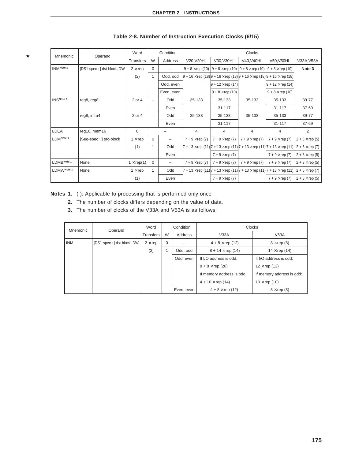| Mnemonic   | Operand                    | Word              |                          | Condition  | Clocks                |                         |                                                                                                     |                                                                                                     |                       |  |
|------------|----------------------------|-------------------|--------------------------|------------|-----------------------|-------------------------|-----------------------------------------------------------------------------------------------------|-----------------------------------------------------------------------------------------------------|-----------------------|--|
|            |                            | Transfers         | W                        | Address    | V20, V20HL            | V30, V30HL              | V40, V40HL                                                                                          | V50, V50HL                                                                                          | V33A, V53A            |  |
| INMNote 1  | [DS1-spec: ] dst-block, DW | $2 \times rep$    | $\Omega$                 |            |                       |                         | $9 + 8 \times$ rep (10) $9 + 8 \times$ rep (10) $9 + 8 \times$ rep (10) $9 + 8 \times$ rep (10)     |                                                                                                     | Note 3                |  |
|            |                            | (2)               | $\overline{1}$           | Odd, odd   |                       |                         | $9 + 16 \times$ rep (18) $9 + 16 \times$ rep (18) $9 + 16 \times$ rep (18) $9 + 16 \times$ rep (18) |                                                                                                     |                       |  |
|            |                            |                   |                          | Odd, even  |                       | $9 + 12 \times rep(14)$ |                                                                                                     | $9 + 12 \times rep$ (14)                                                                            |                       |  |
|            |                            |                   |                          | Even, even |                       | $9 + 8 \times rep(10)$  |                                                                                                     | $9 + 8 \times rep(10)$                                                                              |                       |  |
| INSNote 2  | reg8, reg8'                | 2 or 4            | $\overline{\phantom{0}}$ | Odd        | 35-133                | 35-133                  | 35-133                                                                                              | 35-133                                                                                              | 39-77                 |  |
|            |                            |                   |                          | Even       |                       | $31 - 117$              |                                                                                                     | 31-117                                                                                              | 37-69                 |  |
|            | reg8, imm4                 | 2 or 4            | $\overline{\phantom{0}}$ | Odd        | 35-133                | 35-133                  | 35-133                                                                                              | 35-133                                                                                              | 39-77                 |  |
|            |                            |                   |                          | Even       |                       | 31-117                  |                                                                                                     | 31-117                                                                                              | 37-69                 |  |
| LDEA       | reg16, mem16               | 0                 |                          |            | $\overline{4}$        | 4                       | 4                                                                                                   | 4                                                                                                   | 2                     |  |
| LDMNote 1  | [Seg-spec : ] src-block    | $1 \times rep$    | $\mathbf 0$              | -          | $7 + 9 \times rep(7)$ | $7 + 9 \times rep(7)$   | $7 + 9 \times rep(7)$                                                                               | $7 + 9 \times rep(7)$                                                                               | $2 + 3 \times rep(5)$ |  |
|            |                            | (1)               | $\overline{1}$           | Odd        |                       |                         |                                                                                                     | $7 + 13 \times$ rep (11) $7 + 13 \times$ rep (11) $7 + 13 \times$ rep (11) $7 + 13 \times$ rep (11) | $2 + 5 \times rep(7)$ |  |
|            |                            |                   |                          | Even       |                       | $7 + 9 \times rep(7)$   |                                                                                                     | $7 + 9 \times rep(7)$                                                                               | $2 + 3 \times rep(5)$ |  |
| LDMBNote 1 | None                       | $1 \times rep(1)$ | $\mathbf 0$              | -          | $7 + 9 \times rep(7)$ | $7 + 9 \times rep(7)$   | $7 + 9 \times rep(7)$                                                                               | $7 + 9 \times rep(7)$                                                                               | $2 + 3 \times rep(5)$ |  |
| LDMWNote 1 | None                       | $1 \times rep$    | $\mathbf{1}$             | Odd        |                       |                         |                                                                                                     | $7 + 13 \times$ rep (11) $7 + 13 \times$ rep (11) $7 + 13 \times$ rep (11) $7 + 13 \times$ rep (11) | $2 + 5 \times rep(7)$ |  |
|            |                            | (1)               |                          | Even       |                       | $7 + 9 \times rep(7)$   |                                                                                                     | $7 + 9 \times rep(7)$                                                                               | $2 + 3 \times rep(5)$ |  |

# **Table 2-8. Number of Instruction Execution Clocks (6/15)**

**Notes 1.** ( ): Applicable to processing that is performed only once

 $\star$ 

- **2.** The number of clocks differs depending on the value of data.
- **3.** The number of clocks of the V33A and V53A is as follows:

| Mnemonic   | Operand                    | Word           |          | Condition  | <b>Clocks</b>             |                           |  |  |
|------------|----------------------------|----------------|----------|------------|---------------------------|---------------------------|--|--|
|            |                            | Transfers      | W        | Address    | V33A                      | V53A                      |  |  |
| <b>INM</b> | [DS1-spec: ] dst-block, DW | $2 \times rep$ | $\Omega$ |            | $4 + 8 \times$ rep (12)   | $8 \times$ rep (8)        |  |  |
|            |                            | (2)            |          | Odd, odd   | $8 + 14 \times rep(14)$   | $14 \times$ rep (14)      |  |  |
|            |                            |                |          | Odd, even  | If I/O address is odd:    | If I/O address is odd:    |  |  |
|            |                            |                |          |            | $8 + 8 \times$ rep (20)   | $12 \times rep(12)$       |  |  |
|            |                            |                |          |            | If memory address is odd: | If memory address is odd: |  |  |
|            |                            |                |          |            | $4 + 10 \times rep$ (14)  | $10 \times rep(10)$       |  |  |
|            |                            |                |          | Even, even | $4 + 8 \times rep(12)$    | $8 \times$ rep (8)        |  |  |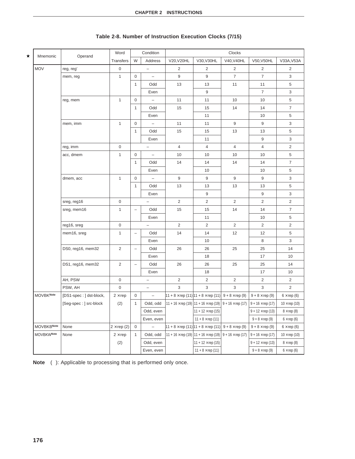|                   |                         | Word              |                          | Condition                |                                                                             |                                                                                                       | Clocks                   |                          |                     |
|-------------------|-------------------------|-------------------|--------------------------|--------------------------|-----------------------------------------------------------------------------|-------------------------------------------------------------------------------------------------------|--------------------------|--------------------------|---------------------|
| Mnemonic          | Operand                 | Transfers         | W                        | Address                  | V20, V20HL                                                                  | V30, V30HL                                                                                            | V40, V40HL               | V50, V50HL               | V33A, V53A          |
| <b>MOV</b>        | reg, reg'               | $\mathsf 0$       |                          | $\overline{\phantom{a}}$ | 2                                                                           | 2                                                                                                     | $\overline{2}$           | 2                        | $\overline{2}$      |
|                   | mem, reg                | $\mathbf{1}$      | 0                        | $\overline{\phantom{a}}$ | 9                                                                           | 9                                                                                                     | $\overline{7}$           | $\overline{7}$           | 3                   |
|                   |                         |                   | $\mathbf{1}$             | Odd                      | 13                                                                          | 13                                                                                                    | 11                       | 11                       | 5                   |
|                   |                         |                   |                          | Even                     |                                                                             | 9                                                                                                     |                          | $\overline{7}$           | 3                   |
|                   | reg, mem                | $\mathbf{1}$      | 0                        |                          | 11                                                                          | 11                                                                                                    | 10                       | 10                       | 5                   |
|                   |                         |                   | $\mathbf{1}$             | Odd                      | 15                                                                          | 15                                                                                                    | 14                       | 14                       | $\overline{7}$      |
|                   |                         |                   |                          | Even                     |                                                                             | 11                                                                                                    |                          | 10                       | 5                   |
|                   | mem, imm                | $\mathbf{1}$      | 0                        | $\qquad \qquad -$        | 11                                                                          | 11                                                                                                    | 9                        | 9                        | 3                   |
|                   |                         |                   | 1                        | Odd                      | 15                                                                          | 15                                                                                                    | 13                       | 13                       | 5                   |
|                   |                         |                   |                          | Even                     |                                                                             | 11                                                                                                    |                          | 9                        | 3                   |
|                   | reg, imm                | $\mathbf 0$       |                          | $\overline{\phantom{a}}$ | $\overline{4}$                                                              | $\overline{4}$                                                                                        | $\overline{4}$           | $\overline{4}$           | $\overline{2}$      |
|                   | acc, dmem               | $\mathbf{1}$      | 0                        | $\equiv$                 | 10                                                                          | 10                                                                                                    | 10                       | 10                       | 5                   |
|                   |                         |                   | 1                        | Odd                      | 14                                                                          | 14                                                                                                    | 14                       | 14                       | $\overline{7}$      |
|                   |                         |                   |                          | Even                     |                                                                             | 10                                                                                                    |                          | 10                       | 5                   |
|                   | dmem, acc               | $\mathbf{1}$      | 0                        | $\overline{\phantom{a}}$ | 9                                                                           | 9                                                                                                     | 9                        | 9                        | 3                   |
|                   |                         |                   | 1                        | Odd                      | 13                                                                          | 13                                                                                                    | 13                       | 13                       | 5                   |
|                   |                         |                   |                          | Even                     |                                                                             | 9                                                                                                     |                          | 9                        | 3                   |
|                   | sreg, reg16             | $\mathsf 0$       |                          | $\overline{\phantom{a}}$ | $\overline{2}$                                                              | $\overline{2}$                                                                                        | $\overline{2}$           | $\overline{c}$           | $\overline{2}$      |
|                   | sreg, mem16             | $\mathbf{1}$      | $\overline{\phantom{0}}$ | Odd                      | 15                                                                          | 15                                                                                                    | 14                       | 14                       | $\overline{7}$      |
|                   |                         |                   |                          | Even                     |                                                                             | 11                                                                                                    |                          | 10                       | 5                   |
|                   | reg16, sreg             | $\mathbf 0$       |                          |                          | 2                                                                           | 2                                                                                                     | $\overline{2}$           | 2                        | $\overline{2}$      |
|                   | mem16, sreg             | $\mathbf{1}$      | $\overline{\phantom{0}}$ | Odd                      | 14                                                                          | 14                                                                                                    | 12                       | 12                       | 5                   |
|                   |                         |                   |                          | Even                     |                                                                             | 10                                                                                                    |                          | 8                        | 3                   |
|                   | DS0, reg16, mem32       | $\overline{2}$    |                          | Odd                      | 26                                                                          | 26                                                                                                    | 25                       | 25                       | 14                  |
|                   |                         |                   |                          | Even                     |                                                                             | 18                                                                                                    |                          | 17                       | 10                  |
|                   | DS1, reg16, mem32       | $\overline{c}$    | $\qquad \qquad -$        | Odd                      | 26                                                                          | 26                                                                                                    | 25                       | 25                       | 14                  |
|                   |                         |                   |                          | Even                     |                                                                             | 18                                                                                                    |                          | 17                       | 10                  |
|                   | AH, PSW                 | $\mathbf 0$       |                          | $\qquad \qquad -$        | $\overline{2}$                                                              | $\overline{2}$                                                                                        | $\overline{2}$           | $\overline{2}$           | $\overline{2}$      |
|                   | PSW, AH                 | $\mathbf 0$       |                          | $\overline{\phantom{a}}$ | 3                                                                           | 3                                                                                                     | 3                        | 3                        | $\overline{2}$      |
| <b>MOVBKNote</b>  | [DS1-spec: ] dst-block, | $2 \times rep$    | 0                        | $\qquad \qquad -$        | $ 11 + 8 \times$ rep (11) $ 11 + 8 \times$ rep (11) $ 9 + 8 \times$ rep (9) |                                                                                                       |                          | $9 + 8 \times rep(9)$    | $6 \times rep(6)$   |
|                   | [Seg-spec: ] src-block  | (2)               | $\mathbf{1}$             | Odd, odd                 |                                                                             | $11 + 16 \times$ rep (19) $11 + 16 \times$ rep (19) $9 + 16 \times$ rep (17) $9 + 16 \times$ rep (17) |                          |                          | $10 \times rep(10)$ |
|                   |                         |                   |                          | Odd, even                |                                                                             | $11 + 12 \times rep$ (15)                                                                             |                          | $9 + 12 \times rep$ (13) | $8 \times$ rep (8)  |
|                   |                         |                   |                          | Even, even               |                                                                             | $11 + 8 \times rep(11)$                                                                               |                          | $9 + 8 \times rep(9)$    | $6 \times$ rep (6)  |
| <b>MOVBKBNote</b> | None                    | $2 \times rep(2)$ | $\mathbf 0$              | <sup>-</sup>             |                                                                             | $ 11 + 8 \times$ rep (11) $ 11 + 8 \times$ rep (11)                                                   | $9 + 8 \times rep$ (9)   | $9 + 8 \times rep(9)$    | $6 \times rep(6)$   |
| <b>MOVBKWNote</b> | None                    | $2 \times rep$    | 1                        | Odd, odd                 | 11 + 16 $\times$ rep (19) 11 + 16 $\times$ rep (19)                         |                                                                                                       | $9 + 16 \times rep$ (17) | $9 + 16 \times rep(17)$  | $10 \times rep(10)$ |
|                   |                         | (2)               |                          | Odd, even                |                                                                             | 11 + 12 $\times$ rep (15)                                                                             |                          | $9 + 12 \times rep(13)$  | $8 \times rep$ (8)  |
|                   |                         |                   |                          | Even, even               |                                                                             | $11 + 8 \times rep(11)$                                                                               |                          | $9 + 8 \times rep(9)$    | $6 \times$ rep (6)  |

# **Table 2-8. Number of Instruction Execution Clocks (7/15)**

**Note** ( ): Applicable to processing that is performed only once.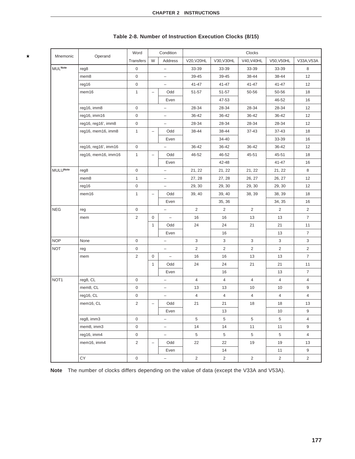| Mnemonic         | Operand              | Word                |                          | Condition                |                         |                | Clocks         |                |                 |  |
|------------------|----------------------|---------------------|--------------------------|--------------------------|-------------------------|----------------|----------------|----------------|-----------------|--|
|                  |                      | <b>Transfers</b>    | W                        | Address                  | V20, V20HL              | V30, V30HL     | V40.V40HL      | V50, V50HL     | V33A, V53A      |  |
| <b>MULNote</b>   | reg8                 | $\mathbf 0$         |                          | L,                       | 33-39                   | 33-39          | 33-39          | 33-39          | 8               |  |
|                  | mem8                 | $\mathbf 0$         |                          | -                        | 39-45                   | 39-45          | 38-44          | 38-44          | 12              |  |
|                  | reg16                | 0                   |                          | $\overline{\phantom{0}}$ | 41-47                   | 41-47          | $41 - 47$      | 41-47          | 12              |  |
|                  | mem16                | $\mathbf{1}$        | $\overline{\phantom{0}}$ | Odd                      | 51-57                   | 51-57          | 50-56          | 50-56          | 18              |  |
|                  |                      |                     |                          | Even                     |                         | 47-53          |                | 46-52          | 16              |  |
|                  | reg16, imm8          | 0                   |                          | $\overline{\phantom{0}}$ | 28-34                   | 28-34          | 28-34          | 28-34          | 12              |  |
|                  | reg16, imm16         | 0                   |                          | -                        | 36-42                   | 36-42          | 36-42          | 36-42          | 12              |  |
|                  | reg16, reg16', imm8  | 0                   |                          | $\qquad \qquad -$        | 28-34                   | 28-34          | 28-34          | 28-34          | 12              |  |
|                  | reg16, mem16, imm8   | $\mathbf{1}$        | $\overline{\phantom{m}}$ | Odd                      | 38-44                   | 38-44          | 37-43          | 37-43          | 18              |  |
|                  |                      |                     |                          | Even                     |                         | 34-40          |                | 33-39          | 16              |  |
|                  | reg16, reg16', imm16 | $\mathbf 0$         |                          | $\overline{\phantom{0}}$ | 36-42                   | 36-42          | 36-42          | 36-42          | 12 <sup>2</sup> |  |
|                  | reg16, mem16, imm16  | 1                   | $\qquad \qquad -$        | Odd                      | 46-52                   | 46-52          | 45-51          | 45-51          | 18              |  |
|                  |                      |                     |                          | Even                     |                         | 42-48          |                | 41-47          | 16              |  |
| <b>MULUNote</b>  | reg8                 | 0                   |                          | $\overline{\phantom{0}}$ | 21, 22                  | 21, 22         | 21, 22         | 21, 22         | 8               |  |
|                  | mem8                 | $\mathbf{1}$        |                          | -                        | 27, 28                  | 27, 28         | 26, 27         | 26, 27         | 12              |  |
|                  | reg16                | 0                   |                          | $\qquad \qquad -$        | 29, 30                  | 29, 30         | 29, 30         | 29, 30         | 12              |  |
|                  | mem16                | $\mathbf{1}$        | $\overline{\phantom{m}}$ | Odd                      | 39, 40                  | 39, 40         | 38, 39         | 38, 39         | 18              |  |
|                  |                      |                     |                          | Even                     |                         | 35, 36         |                | 34, 35         | 16              |  |
| <b>NEG</b>       | reg                  | $\mathbf 0$         |                          | $\overline{\phantom{0}}$ | $\overline{2}$          | 2              | 2              | 2              | $\overline{2}$  |  |
|                  | mem                  | $\overline{c}$      | $\mathbf 0$              | $\overline{\phantom{a}}$ | 16                      | 16             | 13             | 13             | $\overline{7}$  |  |
|                  |                      |                     | $\mathbf{1}$             | Odd                      | 24                      | 24             | 21             | 21             | 11              |  |
|                  |                      |                     |                          | Even                     |                         | 16             |                | 13             | $\overline{7}$  |  |
| <b>NOP</b>       | None                 | $\mathbf 0$         |                          | $\overline{\phantom{0}}$ | 3                       | 3              | 3              | 3              | 3               |  |
| <b>NOT</b>       | reg                  | 0                   |                          | $\qquad \qquad -$        | $\overline{c}$          | $\overline{2}$ | $\overline{2}$ | $\overline{2}$ | $\overline{2}$  |  |
|                  | mem                  | $\overline{2}$      | 0                        | $\overline{\phantom{0}}$ | 16                      | 16             | 13             | 13             | $\overline{7}$  |  |
|                  |                      |                     | $\mathbf{1}$             | Odd                      | 24                      | 24             | 21             | 21             | 11              |  |
|                  |                      |                     |                          | Even                     |                         | 16             |                | 13             | $\overline{7}$  |  |
| NOT <sub>1</sub> | reg8, CL             | 0                   |                          | -                        | 4                       | $\overline{4}$ | $\overline{4}$ | $\overline{4}$ | $\overline{4}$  |  |
|                  | mem8, CL             | 0                   |                          | -                        | 13                      | 13             | 10             | 10             | 9               |  |
|                  | reg16, CL            | 0                   |                          | $\overline{\phantom{0}}$ | $\overline{\mathbf{4}}$ | $\overline{4}$ | $\overline{4}$ | $\overline{4}$ | $\overline{4}$  |  |
|                  | mem16, CL            | $\overline{c}$      | $\qquad \qquad -$        | Odd                      | 21                      | 21             | 18             | 18             | 13              |  |
|                  |                      |                     |                          | Even                     |                         | 13             |                | 10             | 9               |  |
|                  | reg8, imm3           | $\mathbf 0$         |                          | -                        | 5                       | 5              | 5              | 5              | $\overline{4}$  |  |
|                  | mem8, imm3           | 0                   |                          | $\overline{\phantom{0}}$ | 14                      | 14             | 11             | 11             | 9               |  |
|                  | reg16, imm4          | $\mathsf{O}\xspace$ |                          | -                        | 5                       | $\,$ 5 $\,$    | $\,$ 5 $\,$    | 5              | $\overline{4}$  |  |
|                  | mem16, imm4          | $\overline{c}$      | $\overline{\phantom{a}}$ | Odd                      | 22                      | 22             | 19             | 19             | 13              |  |
|                  |                      |                     |                          | Even                     |                         | 14             |                | 11             | 9               |  |
|                  | CY                   | $\mathsf{O}\xspace$ |                          | $\overline{\phantom{0}}$ | $\overline{c}$          | $\overline{2}$ | $\overline{2}$ | $\overline{2}$ | $\overline{a}$  |  |

# **Table 2-8. Number of Instruction Execution Clocks (8/15)**

 $\star$ 

**Note** The number of clocks differs depending on the value of data (except the V33A and V53A).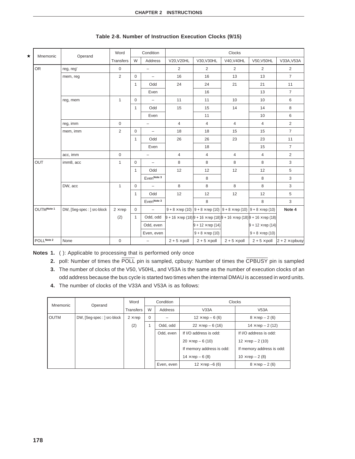| $\star$ | Mnemonic   | Operand                     | Word           |              | Condition                | Clocks                                                                                              |                                                                                                 |                     |                          |                       |  |
|---------|------------|-----------------------------|----------------|--------------|--------------------------|-----------------------------------------------------------------------------------------------------|-------------------------------------------------------------------------------------------------|---------------------|--------------------------|-----------------------|--|
|         |            |                             | Transfers      | W            | Address                  | V20, V20HL                                                                                          | V30, V30HL                                                                                      | V40, V40HL          | V50, V50HL               | V33A, V53A            |  |
|         | <b>OR</b>  | reg, reg'                   | $\mathbf 0$    |              | $\qquad \qquad -$        | 2                                                                                                   | 2                                                                                               | 2                   | $\overline{2}$           | $\overline{2}$        |  |
|         |            | mem, reg                    | 2              | $\mathbf 0$  | $\overline{\phantom{a}}$ | 16                                                                                                  | 16                                                                                              | 13                  | 13                       | $\overline{7}$        |  |
|         |            |                             |                | 1            | Odd                      | 24                                                                                                  | 24                                                                                              | 21                  | 21                       | 11                    |  |
|         |            |                             |                |              | Even                     |                                                                                                     | 16                                                                                              |                     | 13                       | $\overline{7}$        |  |
|         |            | reg, mem                    | $\mathbf{1}$   | 0            | $\qquad \qquad -$        | 11                                                                                                  | 11                                                                                              | 10                  | 10                       | 6                     |  |
|         |            |                             |                | 1            | Odd                      | 15                                                                                                  | 15                                                                                              | 14                  | 14                       | 8                     |  |
|         |            |                             |                |              | Even                     |                                                                                                     | 11                                                                                              |                     | 10                       | 6                     |  |
|         |            | reg, imm                    | $\mathbf 0$    |              | $\overline{\phantom{0}}$ | $\overline{4}$                                                                                      | $\overline{4}$                                                                                  | $\overline{4}$      | 4                        | $\overline{c}$        |  |
|         |            | mem, imm                    | $\overline{2}$ | $\mathbf 0$  | $\overline{\phantom{a}}$ | 18                                                                                                  | 18                                                                                              | 15                  | 15                       | $\overline{7}$        |  |
|         |            |                             |                | 1            | Odd                      | 26                                                                                                  | 26                                                                                              | 23                  | 23                       | 11                    |  |
|         |            |                             |                |              | Even                     |                                                                                                     | 18                                                                                              |                     | 15                       | $\overline{7}$        |  |
|         |            | acc, imm                    | $\mathbf 0$    |              | $\overline{\phantom{0}}$ | $\overline{4}$                                                                                      | $\overline{4}$                                                                                  | $\overline{4}$      | $\overline{4}$           | $\overline{2}$        |  |
|         | OUT        | imm8, acc                   | $\mathbf{1}$   | $\mathbf 0$  | $\qquad \qquad -$        | 8                                                                                                   | 8                                                                                               | 8                   | 8                        | 3                     |  |
|         |            |                             |                | 1            | Odd                      | 12                                                                                                  | 12                                                                                              | 12                  | 12                       | 5                     |  |
|         |            |                             |                |              | Even <sup>Note 3</sup>   |                                                                                                     | 8                                                                                               |                     | 8                        | 3                     |  |
|         |            | DW, acc                     | $\mathbf{1}$   | $\mathbf 0$  |                          | 8                                                                                                   | 8                                                                                               | 8                   | 8                        | 3                     |  |
|         |            |                             |                | 1            | Odd                      | 12                                                                                                  | 12                                                                                              | 12                  | 12                       | 5                     |  |
|         |            |                             |                |              | Even <sup>Note 3</sup>   |                                                                                                     | 8                                                                                               |                     | 8                        | 3                     |  |
|         | OUTMNote 1 | DW, [Seg-spec : ] src-block | $2 \times rep$ | 0            | $\equiv$                 |                                                                                                     | $9 + 8 \times$ rep (10) $9 + 8 \times$ rep (10) $9 + 8 \times$ rep (10) $9 + 8 \times$ rep (10) |                     |                          | Note 4                |  |
|         |            |                             | (2)            | $\mathbf{1}$ | Odd, odd                 | $9 + 16 \times$ rep (18) $9 + 16 \times$ rep (18) $9 + 16 \times$ rep (18) $9 + 16 \times$ rep (18) |                                                                                                 |                     |                          |                       |  |
|         |            |                             |                |              | Odd, even                |                                                                                                     | $9 + 12 \times rep(14)$                                                                         |                     | $9 + 12 \times rep$ (14) |                       |  |
|         |            |                             |                |              | Even, even               |                                                                                                     | $9 + 8 \times$ rep (10)                                                                         |                     | $9 + 8 \times$ rep (10)  |                       |  |
|         | POLLNote 2 | None                        | $\mathsf 0$    |              | $\overline{\phantom{0}}$ | $2 + 5 \times$ poll                                                                                 | $2 + 5 \times$ poll                                                                             | $2 + 5 \times$ poll | $2 + 5 \times$ poll      | $2 + 2 \times$ cpbusy |  |

### **Table 2-8. Number of Instruction Execution Clocks (9/15)**

**Notes 1.** ( ): Applicable to processing that is performed only once

- **2.** poll: Number of times the POLL pin is sampled, cpbusy: Number of times the CPBUSY pin is sampled
- **3.** The number of clocks of the V50, V50HL, and V53A is the same as the number of execution clocks of an odd address because the bus cycle is started two times when the internal DMAU is accessed in word units.
- **4.** The number of clocks of the V33A and V53A is as follows:

| Mnemonic | Operand                     | Word             |          | Condition  | <b>Clocks</b>             |                           |  |  |
|----------|-----------------------------|------------------|----------|------------|---------------------------|---------------------------|--|--|
|          |                             | <b>Transfers</b> | W        | Address    | V33A                      | V53A                      |  |  |
| l outm   | DW, [Seg-spec : ] src-block | $2 \times rep$   | $\Omega$ |            | $12 \times rep - 6(6)$    | $8 \times rep - 2(6)$     |  |  |
|          |                             | (2)              |          | Odd, odd   | $22 \times rep - 6(16)$   | $14 \times rep - 2(12)$   |  |  |
|          |                             |                  |          | Odd. even  | If I/O address is odd:    | If I/O address is odd:    |  |  |
|          |                             |                  |          |            | $20 \times rep - 6(10)$   | $12 \times rep - 2(10)$   |  |  |
|          |                             |                  |          |            | If memory address is odd: | If memory address is odd: |  |  |
|          |                             |                  |          |            | $14 \times rep - 6(8)$    | $10 \times rep - 2(8)$    |  |  |
|          |                             |                  |          | Even, even | $12 \times rep -6(6)$     | $8 \times$ rep $- 2(6)$   |  |  |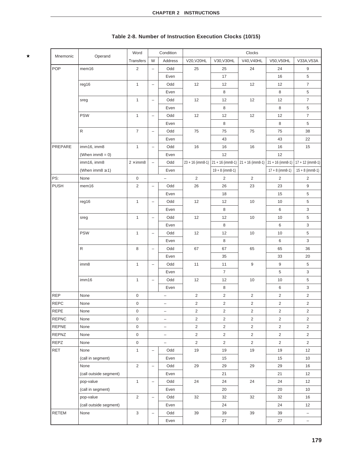| Mnemonic     | Operand                   | Word                |                          | Condition                |                |                                                                                | Clocks         |                    |                          |
|--------------|---------------------------|---------------------|--------------------------|--------------------------|----------------|--------------------------------------------------------------------------------|----------------|--------------------|--------------------------|
|              |                           | Transfers           | W                        | <b>Address</b>           | V20, V20HL     | V30, V30HL                                                                     | V40, V40HL     | V50, V50HL         | V33A, V53A               |
| POP          | mem <sub>16</sub>         | 2                   | $\overline{\phantom{m}}$ | Odd                      | 25             | 25                                                                             | 24             | 24                 | 9                        |
|              |                           |                     |                          | Even                     |                | 17                                                                             |                | 16                 | 5                        |
|              | reg16                     | $\mathbf{1}$        | $\overline{\phantom{a}}$ | Odd                      | 12             | 12                                                                             | 12             | 12                 | $\overline{7}$           |
|              |                           |                     |                          | Even                     |                | 8                                                                              |                | 8                  | 5                        |
|              | sreg                      | $\mathbf{1}$        | $\overline{\phantom{a}}$ | Odd                      | 12             | 12                                                                             | 12             | 12                 | $\overline{7}$           |
|              |                           |                     |                          | Even                     |                | 8                                                                              |                | 8                  | 5                        |
|              | <b>PSW</b>                | $\mathbf{1}$        | $\overline{\phantom{a}}$ | Odd                      | 12             | 12                                                                             | 12             | 12                 | $\overline{7}$           |
|              |                           |                     |                          | Even                     |                | 8                                                                              |                | 8                  | 5                        |
|              | R                         | $\overline{7}$      | $\overline{\phantom{m}}$ | Odd                      | 75             | 75                                                                             | 75             | 75                 | 38                       |
|              |                           |                     |                          | Even                     |                | 43                                                                             |                | 43                 | 22                       |
| PREPARE      | imm16, imm8               | $\mathbf{1}$        | $\overline{\phantom{m}}$ | Odd                      | 16             | 16                                                                             | 16             | 16                 | 15                       |
|              | (When $\text{imm8} = 0$ ) |                     |                          | Even                     |                | 12                                                                             |                | 12                 |                          |
|              | imm16, imm8               | $2 \times$ imm8     | $\overline{\phantom{a}}$ | Odd                      |                | $23 + 16$ (imm8-1) $\left  21 + 16$ (imm8-1) $\left  21 + 16 \right $ (imm8-1) |                | $21 + 16$ (imm8-1) | $17 + 12$ (imm8-1)       |
|              | (When imm $8 \geq 1$ )    |                     |                          | Even                     |                | $19 + 8$ (imm8-1)                                                              |                | $17 + 8$ (imm8-1)  | $15 + 8$ (imm8-1)        |
| PS:          | None                      | $\mathbf 0$         |                          | $\overline{\phantom{0}}$ | 2              | 2                                                                              | $\overline{2}$ | 2                  | $\overline{c}$           |
| <b>PUSH</b>  | mem16                     | $\sqrt{2}$          | $\overline{\phantom{a}}$ | Odd                      | 26             | 26                                                                             | 23             | 23                 | 9                        |
|              |                           |                     |                          | Even                     |                | 18                                                                             |                | 15                 | 5                        |
|              | reg16                     | $\mathbf{1}$        | $\qquad \qquad -$        | Odd                      | 12             | 12                                                                             | 10             | 10                 | 5                        |
|              |                           |                     |                          | Even                     |                | 8                                                                              |                | 6                  | 3                        |
|              | sreg                      | $\mathbf{1}$        | $\overline{\phantom{a}}$ | Odd                      | 12             | 12                                                                             | 10             | 10                 | 5                        |
|              |                           |                     |                          | Even                     |                | 8                                                                              |                | 6                  | 3                        |
|              | <b>PSW</b>                | $\mathbf{1}$        | $\overline{\phantom{m}}$ | Odd                      | 12             | 12                                                                             | 10             | 10                 | 5                        |
|              |                           |                     |                          | Even                     |                | 8                                                                              |                | 6                  | 3                        |
|              | ${\sf R}$                 | 8                   | $\overline{\phantom{0}}$ | Odd                      | 67             | 67                                                                             | 65             | 65                 | 36                       |
|              |                           |                     |                          | Even                     |                | 35                                                                             |                | 33                 | 20                       |
|              | imm8                      | $\mathbf{1}$        | $\qquad \qquad -$        | Odd                      | 11             | 11                                                                             | 9              | $\boldsymbol{9}$   | 5                        |
|              |                           |                     |                          | Even                     |                | $\overline{7}$                                                                 |                | 5                  | 3                        |
|              | imm16                     | $\mathbf{1}$        | $\overline{\phantom{0}}$ | Odd                      | 12             | 12                                                                             | 10             | 10                 | 5                        |
|              |                           |                     |                          | Even                     |                | 8                                                                              |                | 6                  | 3                        |
| <b>REP</b>   | None                      | $\mathsf 0$         |                          | $\overline{\phantom{0}}$ | $\overline{2}$ | $\overline{2}$                                                                 | $\overline{2}$ | $\overline{2}$     | $\overline{2}$           |
| <b>REPC</b>  | None                      | $\boldsymbol{0}$    |                          | $\overline{\phantom{0}}$ | $\overline{2}$ | $\overline{2}$                                                                 | $\overline{2}$ | $\overline{2}$     | $\overline{2}$           |
| REPE         | None                      | $\pmb{0}$           |                          | $\overline{\phantom{a}}$ | 2              | 2                                                                              | 2              | 2                  | 2                        |
| <b>REPNC</b> | None                      | 0                   |                          | $\overline{\phantom{0}}$ | $\overline{2}$ | $\overline{2}$                                                                 | $\overline{2}$ | $\overline{2}$     | $\overline{2}$           |
| <b>REPNE</b> | None                      | $\mathbf 0$         |                          | -                        | $\overline{2}$ | $\overline{c}$                                                                 | $\overline{2}$ | $\overline{2}$     | $\overline{2}$           |
| REPNZ        | None                      | $\mathsf{O}\xspace$ |                          | $\overline{\phantom{0}}$ | $\overline{c}$ | $\overline{2}$                                                                 | $\overline{c}$ | $\overline{2}$     | $\overline{a}$           |
| REPZ         | None                      | $\mathsf{O}\xspace$ |                          | $\overline{\phantom{a}}$ | $\overline{2}$ | $\overline{2}$                                                                 | $\overline{2}$ | $\overline{2}$     | $\overline{a}$           |
| RET          | None                      | $\mathbf{1}$        | $\overline{\phantom{m}}$ | Odd                      | 19             | 19                                                                             | 19             | 19                 | 12                       |
|              | (call in segment)         |                     |                          | Even                     |                | 15                                                                             |                | 15                 | 10                       |
|              | None                      | $\overline{2}$      | $\overline{\phantom{a}}$ | Odd                      | 29             | 29                                                                             | 29             | 29                 | 16                       |
|              | (call outside segment)    |                     |                          | Even                     |                | 21                                                                             |                | 21                 | 12                       |
|              | pop-value                 | $\mathbf{1}$        | $\overline{\phantom{a}}$ | Odd                      | 24             | 24                                                                             | 24             | 24                 | 12                       |
|              | (call in segment)         |                     |                          | Even                     |                | 20                                                                             |                | 20                 | 10 <sup>1</sup>          |
|              | pop-value                 | $\overline{2}$      | $\qquad \qquad -$        | Odd                      | 32             | 32                                                                             | 32             | 32                 | 16                       |
|              | (call outside segment)    |                     |                          | Even                     |                | 24                                                                             |                | 24                 | 12                       |
| RETEM        | None                      | 3                   | $\overline{\phantom{a}}$ | Odd                      | 39             | 39                                                                             | 39             | 39                 | -                        |
|              |                           |                     |                          | Even                     |                | 27                                                                             |                | 27                 | $\overline{\phantom{0}}$ |

# **Table 2-8. Number of Instruction Execution Clocks (10/15)**

 $\star$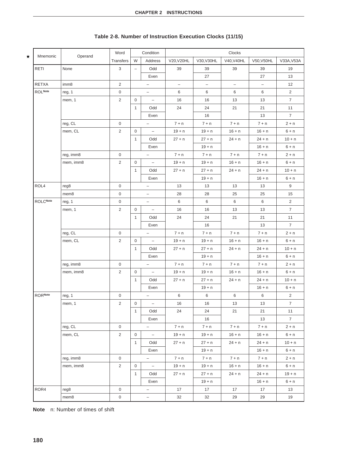| Mnemonic<br>★   | Operand   | Word           |                          | Condition                |                          |                          | Clocks                   |                          |                |
|-----------------|-----------|----------------|--------------------------|--------------------------|--------------------------|--------------------------|--------------------------|--------------------------|----------------|
|                 |           | Transfers      | W                        | Address                  | V20, V20HL               | V30, V30HL               | V40, V40HL               | V50, V50HL               | V33A, V53A     |
| RETI            | None      | 3              | $\overline{\phantom{m}}$ | Odd                      | 39                       | 39                       | 39                       | 39                       | 19             |
|                 |           |                |                          | Even                     |                          | 27                       |                          | 27                       | 13             |
| <b>RETXA</b>    | imm8      | 2              |                          | $\overline{\phantom{a}}$ | $\overline{\phantom{0}}$ | $\overline{\phantom{0}}$ | $\overline{\phantom{0}}$ | $\overline{\phantom{a}}$ | 12             |
| <b>ROL</b> Note | reg, 1    | $\mathbf 0$    |                          | $\overline{\phantom{a}}$ | 6                        | 6                        | 6                        | 6                        | $\overline{2}$ |
|                 | mem, 1    | 2              | $\mathbf 0$              | $\overline{\phantom{0}}$ | 16                       | 16                       | 13                       | 13                       | $\overline{7}$ |
|                 |           |                | $\mathbf{1}$             | Odd                      | 24                       | 24                       | 21                       | 21                       | 11             |
|                 |           |                |                          | Even                     |                          | 16                       |                          | 13                       | $\overline{7}$ |
|                 | reg, CL   | $\mathbf 0$    |                          | $\overline{\phantom{a}}$ | $7 + n$                  | $7 + n$                  | $7 + n$                  | $7 + n$                  | $2 + n$        |
|                 | mem, CL   | 2              | $\mathbf 0$              | $\overline{\phantom{0}}$ | $19 + n$                 | $19 + n$                 | $16 + n$                 | $16 + n$                 | $6 + n$        |
|                 |           |                | $\mathbf{1}$             | Odd                      | $27 + n$                 | $27 + n$                 | $24 + n$                 | 24 + n                   | $10 + n$       |
|                 |           |                |                          | Even                     |                          | $19 + n$                 |                          | $16 + n$                 | $6 + n$        |
|                 | reg, imm8 | 0              |                          | $\overline{\phantom{a}}$ | $7 + n$                  | $7 + n$                  | $7 + n$                  | $7 + n$                  | $2 + n$        |
|                 | mem, imm8 | $\overline{2}$ | $\mathbf 0$              | $\overline{\phantom{0}}$ | $19 + n$                 | $19 + n$                 | $16 + n$                 | $16 + n$                 | $6 + n$        |
|                 |           |                | $\mathbf{1}$             | Odd                      | $27 + n$                 | $27 + n$                 | $24 + n$                 | 24 + n                   | $10 + n$       |
|                 |           |                |                          | Even                     |                          | $19 + n$                 |                          | $16 + n$                 | $6 + n$        |
| ROL4            | reg8      | $\mathbf 0$    |                          | $\qquad \qquad -$        | 13                       | 13                       | 13                       | 13                       | 9              |
|                 | mem8      | 0              |                          | $\overline{\phantom{0}}$ | 28                       | 28                       | 25                       | 25                       | 15             |
| <b>ROLCNote</b> | reg, 1    | 0              |                          | $\overline{\phantom{a}}$ | 6                        | 6                        | 6                        | 6                        | $\overline{2}$ |
|                 | mem, 1    | 2              | $\mathbf 0$              | $\overline{\phantom{a}}$ | 16                       | 16                       | 13                       | 13                       | $\overline{7}$ |
|                 |           |                | $\mathbf{1}$             | Odd                      | 24                       | 24                       | 21                       | 21                       | 11             |
|                 |           |                |                          | Even                     |                          | 16                       |                          | 13                       | $\overline{7}$ |
|                 | reg, CL   | 0              |                          | $\overline{\phantom{a}}$ | $7 + n$                  | $7 + n$                  | $7 + n$                  | $7 + n$                  | $2 + n$        |
|                 | mem, CL   | 2              | $\mathbf 0$              | $\overline{\phantom{0}}$ | $19 + n$                 | $19 + n$                 | $16 + n$                 | $16 + n$                 | $6 + n$        |
|                 |           |                | $\mathbf{1}$             | Odd                      | $27 + n$                 | $27 + n$                 | $24 + n$                 | $24 + n$                 | $10 + n$       |
|                 |           |                |                          | Even                     |                          | $19 + n$                 |                          | $16 + n$                 | $6 + n$        |
|                 | reg, imm8 | $\mathbf 0$    |                          | $\overline{\phantom{a}}$ | $7 + n$                  | $7 + n$                  | $7 + n$                  | $7 + n$                  | $2 + n$        |
|                 | mem, imm8 | 2              | $\mathbf 0$              | $\overline{\phantom{0}}$ | $19 + n$                 | $19 + n$                 | $16 + n$                 | $16 + n$                 | $6 + n$        |
|                 |           |                | $\mathbf{1}$             | Odd                      | $27 + n$                 | $27 + n$                 | $24 + n$                 | $24 + n$                 | $10 + n$       |
|                 |           |                |                          | Even                     |                          | $19 + n$                 |                          | $16 + n$                 | $6 + n$        |
| <b>RORNote</b>  | reg, 1    | $\mathsf 0$    |                          | $\overline{\phantom{a}}$ | 6                        | 6                        | 6                        | 6                        | $\overline{2}$ |
|                 | mem, 1    | $\overline{2}$ | $\mathbf 0$              | $\overline{\phantom{a}}$ | 16                       | 16                       | 13                       | 13                       | $\overline{7}$ |
|                 |           |                | 1                        | Odd                      | 24                       | 24                       | 21                       | 21                       | 11             |
|                 |           |                |                          | Even                     |                          | 16                       |                          | 13                       | $\overline{7}$ |
|                 | reg, CL   | 0              |                          | $\overline{\phantom{a}}$ | $7 + n$                  | $7 + n$                  | $7 + n$                  | $7 + n$                  | $2 + n$        |
|                 | mem, CL   | 2              | 0                        | $\overline{\phantom{0}}$ | $19 + n$                 | $19 + n$                 | $16 + n$                 | $16 + n$                 | $6 + n$        |
|                 |           |                | $\mathbf{1}$             | Odd                      | $27 + n$                 | $27 + n$                 | $24 + n$                 | $24 + n$                 | $10 + n$       |
|                 |           |                |                          | Even                     |                          | $19 + n$                 |                          | $16 + n$                 | $6 + n$        |
|                 | reg, imm8 | $\mathbf 0$    |                          | $\overline{\phantom{a}}$ | $7 + n$                  | $7 + n$                  | $7 + n$                  | $7 + n$                  | $2 + n$        |
|                 | mem, imm8 | $\overline{2}$ | $\mathbf 0$              | $\overline{\phantom{0}}$ | $19 + n$                 | $19 + n$                 | $16 + n$                 | $16 + n$                 | $6 + n$        |
|                 |           |                | $\mathbf{1}$             | Odd                      | $27 + n$                 | $27 + n$                 | $24 + n$                 | $24 + n$                 | $19 + n$       |
|                 |           |                |                          | Even                     |                          | $19 + n$                 |                          | $16 + n$                 | $6 + n$        |
| ROR4            | reg8      | $\mathsf 0$    |                          | $\overline{\phantom{a}}$ | 17                       | 17                       | 17                       | 17                       | 13             |
|                 | mem8      | $\mathsf 0$    |                          | $\overline{\phantom{a}}$ | 32                       | 32                       | 29                       | 29                       | 19             |

# **Table 2-8. Number of Instruction Execution Clocks (11/15)**

**Note** n: Number of times of shift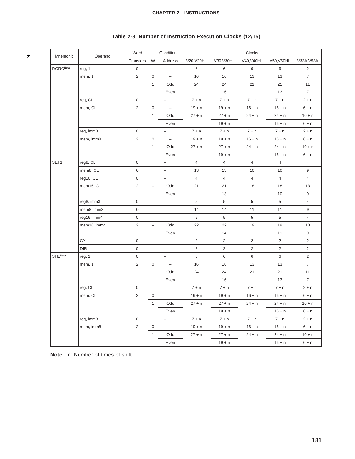| Mnemonic                  | Operand     | Word                |                          | Condition                |                |                | Clocks                |                |                |
|---------------------------|-------------|---------------------|--------------------------|--------------------------|----------------|----------------|-----------------------|----------------|----------------|
|                           |             | Transfers           | W                        | Address                  | V20, V20HL     | V30, V30HL     | V40, V40HL            | V50, V50HL     | V33A, V53A     |
| <b>RORCNote</b>           | reg, 1      | $\mathbf 0$         |                          | $\qquad \qquad -$        | 6              | 6              | 6                     | 6              | $\overline{2}$ |
|                           | mem, 1      | 2                   | $\mathbf 0$              | $\overline{\phantom{a}}$ | 16             | 16             | 13                    | 13             | $\overline{7}$ |
|                           |             |                     | $\mathbf{1}$             | Odd                      | 24             | 24             | 21                    | 21             | 11             |
|                           |             |                     |                          | Even                     |                | 16             |                       | 13             | $\overline{7}$ |
|                           | reg, CL     | $\mathbf 0$         |                          | $\overline{\phantom{0}}$ | $7 + n$        | $7 + n$        | $7 + n$               | $7 + n$        | $2 + n$        |
|                           | mem, CL     | 2                   | $\mathbf 0$              | $\overline{\phantom{a}}$ | $19 + n$       | $19 + n$       | $16 + n$              | $16 + n$       | $6 + n$        |
|                           |             |                     | $\mathbf{1}$             | Odd                      | $27 + n$       | $27 + n$       | $24 + n$              | $24 + n$       | $10 + n$       |
|                           |             |                     |                          | Even                     |                | $19 + n$       |                       | $16 + n$       | $6 + n$        |
|                           | reg, imm8   | $\mathsf{O}\xspace$ |                          | $\overline{\phantom{a}}$ | $7 + n$        | $7 + n$        | $7 + n$               | $7 + n$        | $2 + n$        |
|                           | mem, imm8   | $\overline{2}$      | $\mathbf 0$              | $\overline{\phantom{a}}$ | $19 + n$       | $19 + n$       | $16 + n$              | $16 + n$       | $6 + n$        |
|                           |             |                     | $\mathbf{1}$             | Odd                      | $27 + n$       | $27 + n$       | $24 + n$              | $24 + n$       | $10 + n$       |
|                           |             |                     |                          | Even                     |                | $19 + n$       |                       | $16 + n$       | $6 + n$        |
| SET1                      | reg8, CL    | 0                   |                          | $\overline{\phantom{a}}$ | $\overline{4}$ | $\overline{4}$ | $\overline{4}$        | $\overline{4}$ | $\overline{4}$ |
|                           | mem8, CL    | $\mathsf{O}\xspace$ |                          | $\overline{\phantom{a}}$ | 13             | 13             | 10                    | 10             | 9              |
|                           | reg16, CL   | 0                   |                          | $\overline{\phantom{a}}$ | $\overline{4}$ | $\overline{4}$ | $\overline{4}$        | $\overline{4}$ | $\overline{4}$ |
|                           | mem16, CL   | $\overline{2}$      | $\overline{\phantom{a}}$ | Odd                      | 21             | 21             | 18                    | 18             | 13             |
|                           |             |                     |                          | Even                     |                | 13             |                       | 10             | 9              |
|                           | reg8, imm3  | $\mathsf 0$         |                          | $\overline{\phantom{0}}$ | 5              | 5              | 5                     | 5              | $\overline{4}$ |
|                           | mem8, imm3  | $\boldsymbol{0}$    |                          | -                        | 14             | 14             | 11                    | 11             | 9              |
|                           | reg16, imm4 | 0                   |                          | $\overline{\phantom{0}}$ | 5              | 5              | 5                     | 5              | $\overline{4}$ |
|                           | mem16, imm4 | $\overline{2}$      | $\overline{\phantom{a}}$ | Odd                      | 22             | 22             | 19                    | 19             | 13             |
|                           |             |                     |                          | Even                     |                | 14             |                       | 11             | 9              |
|                           | CY          | $\mathbf 0$         |                          | $\qquad \qquad -$        | 2              | 2              | $\mathbf{2}^{\prime}$ | 2              | 2              |
|                           | <b>DIR</b>  | $\boldsymbol{0}$    |                          | $\qquad \qquad -$        | $\overline{2}$ | $\overline{2}$ | $\overline{2}$        | $\overline{2}$ | $\overline{2}$ |
| <b>SHL<sup>Note</sup></b> | reg, 1      | $\mathbf 0$         |                          | $\overline{\phantom{0}}$ | 6              | 6              | 6                     | 6              | 2              |
|                           | mem, 1      | $\overline{2}$      | $\mathbf 0$              | $\overline{\phantom{a}}$ | 16             | 16             | 13                    | 13             | $\overline{7}$ |
|                           |             |                     | $\mathbf{1}$             | Odd                      | 24             | 24             | 21                    | 21             | 11             |
|                           |             |                     |                          | Even                     |                | 16             |                       | 13             | $\overline{7}$ |
|                           | reg, CL     | $\mathbf 0$         |                          | $\qquad \qquad -$        | $7 + n$        | $7 + n$        | $7 + n$               | $7 + n$        | $2 + n$        |
|                           | mem, CL     | $\overline{2}$      | 0                        | $\qquad \qquad -$        | $19 + n$       | $19 + n$       | $16 + n$              | $16 + n$       | $6 + n$        |
|                           |             |                     | $\mathbf{1}$             | Odd                      | $27 + n$       | $27 + n$       | $24 + n$              | $24 + n$       | $10 + n$       |
|                           |             |                     |                          | Even                     |                | $19 + n$       |                       | $16 + n$       | $6 + n$        |
|                           | reg, imm8   | 0                   |                          | $\qquad \qquad -$        | $7 + n$        | $7 + n$        | $7 + n$               | $7 + n$        | $2 + n$        |
|                           | mem, imm8   | 2                   | 0                        | $\qquad \qquad -$        | $19 + n$       | $19 + n$       | $16 + n$              | $16 + n$       | $6 + n$        |
|                           |             |                     | $\mathbf{1}$             | Odd                      | $27 + n$       | $27 + n$       | $24 + n$              | $24 + n$       | $10 + n$       |
|                           |             |                     |                          | Even                     |                | $19 + n$       |                       | $16 + n$       | $6 + n$        |

# **Table 2-8. Number of Instruction Execution Clocks (12/15)**

**Note** n: Number of times of shift

 $\star$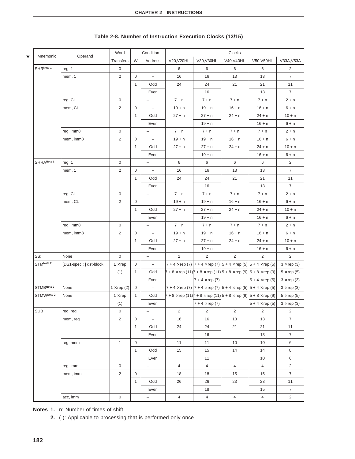| ★ | Mnemonic   |                        | Word              |              | Condition                |                                                                                               |                                                                                                   | Clocks         |                       |                    |
|---|------------|------------------------|-------------------|--------------|--------------------------|-----------------------------------------------------------------------------------------------|---------------------------------------------------------------------------------------------------|----------------|-----------------------|--------------------|
|   |            | Operand                | Transfers         | W            | Address                  | V20, V20HL                                                                                    | V30, V30HL                                                                                        | V40, V40HL     | V50, V50HL            | V33A, V53A         |
|   | SHRNote 1  | reg, 1                 | 0                 |              |                          | 6                                                                                             | 6                                                                                                 | 6              | 6                     | $\overline{2}$     |
|   |            | mem, 1                 | 2                 | 0            | $\qquad \qquad -$        | 16                                                                                            | 16                                                                                                | 13             | 13                    | $\overline{7}$     |
|   |            |                        |                   | $\mathbf{1}$ | Odd                      | 24                                                                                            | 24                                                                                                | 21             | 21                    | 11                 |
|   |            |                        |                   |              | Even                     |                                                                                               | 16                                                                                                |                | 13                    | $\overline{7}$     |
|   |            | reg, CL                | $\mathbf 0$       |              |                          | $7 + n$                                                                                       | $7 + n$                                                                                           | $7 + n$        | $7 + n$               | $2 + n$            |
|   |            | mem, CL                | 2                 | 0            | $\qquad \qquad -$        | $19 + n$                                                                                      | $19 + n$                                                                                          | $16 + n$       | $16 + n$              | $6 + n$            |
|   |            |                        |                   | $\mathbf{1}$ | Odd                      | $27 + n$                                                                                      | $27 + n$                                                                                          | $24 + n$       | $24 + n$              | $10 + n$           |
|   |            |                        |                   |              | Even                     |                                                                                               | $19 + n$                                                                                          |                | $16 + n$              | $6 + n$            |
|   |            | reg, imm8              | $\mathbf 0$       |              | $\qquad \qquad -$        | $7 + n$                                                                                       | $7 + n$                                                                                           | $7 + n$        | $7 + n$               | $2 + n$            |
|   |            | mem, imm8              | $\overline{c}$    | 0            | $\qquad \qquad -$        | $19 + n$                                                                                      | $19 + n$                                                                                          | $16 + n$       | $16 + n$              | $6 + n$            |
|   |            |                        |                   | $\mathbf{1}$ | Odd                      | $27 + n$                                                                                      | $27 + n$                                                                                          | $24 + n$       | $24 + n$              | $10 + n$           |
|   |            |                        |                   |              | Even                     |                                                                                               | $19 + n$                                                                                          |                | $16 + n$              | $6 + n$            |
|   | SHRANote 1 | reg, 1                 | $\mathbf 0$       |              |                          | 6                                                                                             | 6                                                                                                 | 6              | 6                     | $\overline{2}$     |
|   |            | mem, 1                 | 2                 | 0            | $\qquad \qquad -$        | 16                                                                                            | 16                                                                                                | 13             | 13                    | $\overline{7}$     |
|   |            |                        |                   | $\mathbf{1}$ | Odd                      | 24                                                                                            | 24                                                                                                | 21             | 21                    | 11                 |
|   |            |                        |                   |              | Even                     |                                                                                               | 16                                                                                                |                | 13                    | $\overline{7}$     |
|   |            | reg, CL                | $\mathbf 0$       |              | $\qquad \qquad -$        | $7 + n$                                                                                       | $7 + n$                                                                                           | $7 + n$        | $7 + n$               | $2 + n$            |
|   |            | mem, CL                | 2                 | 0            | $\qquad \qquad -$        | $19 + n$                                                                                      | $19 + n$                                                                                          | $16 + n$       | $16 + n$              | $6 + n$            |
|   |            |                        |                   | $\mathbf{1}$ | Odd                      | $27 + n$                                                                                      | $27 + n$                                                                                          | $24 + n$       | $24 + n$              | $10 + n$           |
|   |            |                        |                   |              | Even                     |                                                                                               | $19 + n$                                                                                          |                | $16 + n$              | $6 + n$            |
|   |            | reg, imm8              | $\mathbf 0$       |              |                          | $7 + n$                                                                                       | $7 + n$                                                                                           | $7 + n$        | $7 + n$               | $2 + n$            |
|   |            | mem, imm8              | 2                 | 0            | $\qquad \qquad -$        | $19 + n$                                                                                      | $19 + n$                                                                                          | $16 + n$       | $16 + n$              | $6 + n$            |
|   |            |                        |                   | $\mathbf{1}$ | Odd                      | $27 + n$                                                                                      | $27 + n$                                                                                          | $24 + n$       | $24 + n$              | $10 + n$           |
|   |            |                        |                   |              | Even                     |                                                                                               | $19 + n$                                                                                          |                | $16 + n$              | $6 + n$            |
|   | SS:        | None                   | $\mathsf 0$       |              | $\qquad \qquad -$        | $\overline{2}$                                                                                | $\overline{2}$                                                                                    | 2              | $\overline{2}$        | $\overline{2}$     |
|   | STMNote 2  | [DS1-spec: ] dst-block | $1 \times rep$    | 0            | $\qquad \qquad -$        |                                                                                               | 7 + 4 $\times$ rep (7)   7 + 4 $\times$ rep (7)   5 + 4 $\times$ rep (5)   5 + 4 $\times$ rep (5) |                |                       | $3 \times rep(3)$  |
|   |            |                        | (1)               | $\mathbf{1}$ | Odd                      | $7 + 8 \times$ rep (11) $7 + 8 \times$ rep (11) $5 + 8 \times$ rep (9) $5 + 8 \times$ rep (9) |                                                                                                   |                |                       | $5 \times$ rep (5) |
|   |            |                        |                   |              | Even                     |                                                                                               | $7 + 4 \times rep(7)$                                                                             |                | $5 + 4 \times rep(5)$ | $3 \times rep(3)$  |
|   | STMBNote 2 | None                   | $1 \times rep(2)$ | $\mathbf 0$  |                          |                                                                                               | 7 + 4 × rep (7) $ 7 + 4 \times$ rep (7) $ 5 + 4 \times$ rep (5) $ 5 + 4 \times$ rep (5)           |                |                       | $3 \times rep(3)$  |
|   | STMWNote 2 | None                   | $1 \times rep$    | 1            | Odd                      | $7 + 8 \times$ rep (11) $7 + 8 \times$ rep (11) $5 + 8 \times$ rep (9) $5 + 8 \times$ rep (9) |                                                                                                   |                |                       | $5 \times$ rep (5) |
|   |            |                        | (1)               |              | Even                     |                                                                                               | $7 + 4 \times rep(7)$                                                                             |                | $5 + 4 \times rep(5)$ | $3 \times rep(3)$  |
|   | SUB        | reg, reg'              | 0                 |              |                          | $\overline{c}$                                                                                | $\overline{2}$                                                                                    | $\overline{c}$ | $\overline{2}$        | 2                  |
|   |            | mem, reg               | $\overline{2}$    | 0            |                          | 16                                                                                            | 16                                                                                                | 13             | 13                    | $\overline{7}$     |
|   |            |                        |                   | $\mathbf{1}$ | Odd                      | 24                                                                                            | 24                                                                                                | 21             | 21                    | 11                 |
|   |            |                        |                   |              | Even                     |                                                                                               | 16                                                                                                |                | 13                    | $\overline{7}$     |
|   |            | reg, mem               | $\mathbf{1}$      | 0            | $\equiv$                 | 11                                                                                            | 11                                                                                                | 10             | 10                    | 6                  |
|   |            |                        |                   | $\mathbf{1}$ | Odd                      | 15                                                                                            | 15                                                                                                | 14             | 14                    | 8                  |
|   |            |                        |                   |              | Even                     |                                                                                               | 11                                                                                                |                | 10                    | 6                  |
|   |            | reg, imm               | 0                 |              | $\overline{\phantom{a}}$ | $\overline{4}$                                                                                | $\overline{4}$                                                                                    | $\overline{4}$ | $\overline{4}$        | $\overline{2}$     |
|   |            | mem, imm               | $\overline{2}$    | 0            | $\equiv$                 | 18                                                                                            | 18                                                                                                | 15             | 15                    | $\overline{7}$     |
|   |            |                        |                   | $\mathbf{1}$ | Odd                      | 26                                                                                            | 26                                                                                                | 23             | 23                    | 11                 |
|   |            |                        |                   |              | Even                     |                                                                                               | 18                                                                                                |                | 15                    | $\overline{7}$     |
|   |            | acc, imm               | 0                 |              | $\qquad \qquad -$        | 4                                                                                             | $\overline{4}$                                                                                    | $\overline{4}$ | $\overline{4}$        | $\mathbf{2}$       |

# **Table 2-8. Number of Instruction Execution Clocks (13/15)**

**Notes 1.** n: Number of times of shift

**2.** ( ): Applicable to processing that is performed only once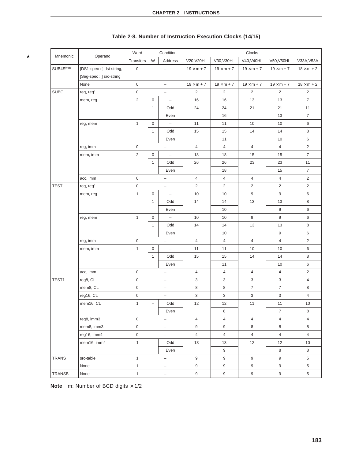| Mnemonic     | Operand                  | Word                |                          | Condition                |                           |                   | Clocks                    |                   |                   |
|--------------|--------------------------|---------------------|--------------------------|--------------------------|---------------------------|-------------------|---------------------------|-------------------|-------------------|
|              |                          | Transfers           | W                        | Address                  | V20, V20HL                | V30, V30HL        | V40, V40HL                | V50, V50HL        | V33A, V53A        |
| SUB4SNote    | [DS1-spec: ] dst-string, | $\mathbf 0$         |                          | $\overline{\phantom{0}}$ | $19 \times m + 7$         | $19 \times m + 7$ | $19 \times m + 7$         | $19 \times m + 7$ | $18 \times m + 2$ |
|              | [Seg-spec : ] src-string |                     |                          |                          |                           |                   |                           |                   |                   |
|              | None                     | $\mathbf 0$         |                          | $\overline{\phantom{0}}$ | $19 \times m + 7$         | $19 \times m + 7$ | $19 \times m + 7$         | $19 \times m + 7$ | $18 \times m + 2$ |
| <b>SUBC</b>  | reg, reg'                | $\,0\,$             |                          | $\qquad \qquad -$        | 2                         | $\overline{2}$    | $\overline{2}$            | $\overline{2}$    | $\overline{c}$    |
|              | mem, reg                 | $\overline{c}$      | $\mathbf 0$              | $\overline{\phantom{a}}$ | 16                        | 16                | 13                        | 13                | $\overline{7}$    |
|              |                          |                     | $\mathbf{1}$             | Odd                      | 24                        | 24                | 21                        | 21                | 11                |
|              |                          |                     |                          | Even                     |                           | 16                |                           | 13                | $\overline{7}$    |
|              | reg, mem                 | $\mathbf{1}$        | $\mathbf 0$              | $\qquad \qquad -$        | 11                        | 11                | 10                        | 10                | 6                 |
|              |                          |                     | $\mathbf{1}$             | Odd                      | 15                        | 15                | 14                        | 14                | 8                 |
|              |                          |                     |                          | Even                     |                           | 11                |                           | 10                | 6                 |
|              | reg, imm                 | $\mathbf 0$         |                          | $\qquad \qquad -$        | $\overline{4}$            | $\overline{4}$    | $\overline{4}$            | $\overline{4}$    | $\overline{2}$    |
|              | mem, imm                 | $\overline{2}$      | $\mathbf 0$              | $\overline{\phantom{a}}$ | 18                        | 18                | 15                        | 15                | $\overline{7}$    |
|              |                          |                     | $\mathbf{1}$             | Odd                      | 26                        | 26                | 23                        | 23                | 11                |
|              |                          |                     |                          | Even                     |                           | 18                |                           | 15                | $\overline{7}$    |
|              | acc, imm                 | $\mathbf 0$         |                          | $\qquad \qquad -$        | $\overline{4}$            | $\overline{4}$    | $\overline{4}$            | $\overline{4}$    | $\overline{2}$    |
| <b>TEST</b>  | reg, reg'                | 0                   |                          | $\qquad \qquad -$        | 2                         | $\overline{2}$    | $\overline{2}$            | $\overline{2}$    | $\overline{2}$    |
|              | mem, reg                 | $\mathbf{1}$        | $\mathbf 0$              | $\overline{\phantom{m}}$ | 10                        | 10                | 9                         | 9                 | 6                 |
|              |                          |                     | $\mathbf{1}$             | Odd                      | 14                        | 14                | 13                        | 13                | 8                 |
|              |                          |                     |                          | Even                     |                           | 10                |                           | $9\,$             | 6                 |
|              | reg, mem                 | $\mathbf{1}$        | $\mathbf 0$              | $\overline{\phantom{a}}$ | 10                        | 10                | 9                         | $9\,$             | 6                 |
|              |                          |                     | $\mathbf{1}$             | Odd                      | 14                        | 14                | 13                        | 13                | 8                 |
|              |                          |                     |                          | Even                     |                           | 10                |                           | 9                 | 6                 |
|              | reg, imm                 | $\mathbf 0$         |                          | $\qquad \qquad -$        | $\overline{4}$            | $\overline{4}$    | $\overline{4}$            | $\overline{4}$    | $\overline{2}$    |
|              | mem, imm                 | $\mathbf{1}$        | $\mathbf 0$              | $\overline{\phantom{a}}$ | 11                        | 11                | 10                        | 10                | 6                 |
|              |                          |                     | $\mathbf{1}$             | Odd                      | 15                        | 15                | 14                        | 14                | 8                 |
|              |                          |                     |                          | Even                     |                           | 11                |                           | 10                | 6                 |
|              | acc, imm                 | $\mathbf 0$         |                          | $\qquad \qquad -$        | $\overline{4}$            | 4                 | $\overline{4}$            | $\overline{4}$    | $\overline{2}$    |
| TEST1        | reg8, CL                 | 0                   |                          | -                        | $\ensuremath{\mathsf{3}}$ | 3                 | 3                         | 3                 | $\overline{4}$    |
|              | mem8, CL                 | $\mathsf 0$         |                          | $\qquad \qquad -$        | 8                         | 8                 | $\overline{7}$            | $\overline{7}$    | 8                 |
|              | reg16, CL                | $\mathsf 0$         |                          | $\overline{\phantom{0}}$ | $\ensuremath{\mathsf{3}}$ | $\mathbf{3}$      | $\ensuremath{\mathsf{3}}$ | 3                 | $\overline{4}$    |
|              | mem16, CL                | $\mathbf{1}$        | $\qquad \qquad -$        | Odd                      | 12                        | 12                | 11                        | 11                | 10 <sup>1</sup>   |
|              |                          |                     |                          | Even                     |                           | 8                 |                           | $\overline{7}$    | 8                 |
|              | reg8, imm3               | $\mathsf{O}\xspace$ |                          | $\qquad \qquad -$        | $\overline{4}$            | $\overline{4}$    | $\overline{4}$            | $\overline{4}$    | $\overline{4}$    |
|              | mem8, imm3               | $\mathsf 0$         |                          | $\qquad \qquad -$        | $\boldsymbol{9}$          | 9                 | 8                         | 8                 | 8                 |
|              | reg16, imm4              | $\mathsf 0$         |                          | $\qquad \qquad -$        | $\overline{4}$            | $\overline{4}$    | $\overline{4}$            | $\overline{4}$    | $\overline{4}$    |
|              | mem16, imm4              | $\mathbf{1}$        | $\overline{\phantom{0}}$ | Odd                      | 13                        | 13                | 12                        | 12                | 10                |
|              |                          |                     |                          | Even                     |                           | 9                 |                           | 8                 | 8                 |
| <b>TRANS</b> | src-table                | $\mathbf{1}$        |                          | $\overline{\phantom{0}}$ | 9                         | 9                 | 9                         | 9                 | 5                 |
|              | None                     | $\mathbf{1}$        |                          | $\qquad \qquad -$        | $9\,$                     | $\boldsymbol{9}$  | $\boldsymbol{9}$          | $\boldsymbol{9}$  | 5                 |
| TRANSB       | None                     | $\mathbf{1}$        |                          | $\qquad \qquad -$        | $\boldsymbol{9}$          | $\boldsymbol{9}$  | 9                         | 9                 | $5\overline{)}$   |

# **Table 2-8. Number of Instruction Execution Clocks (14/15)**

**Note** m: Number of BCD digits  $\times$  1/2

 $\star$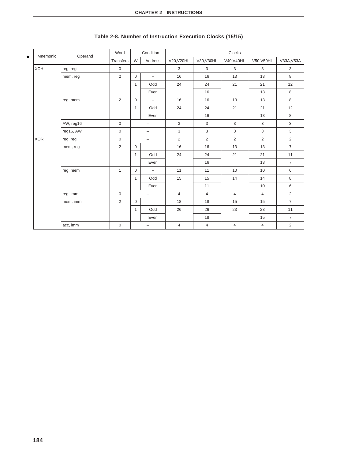| Mnemonic   | Operand   | Word           |              | Condition                |                |                | Clocks         |                |                |
|------------|-----------|----------------|--------------|--------------------------|----------------|----------------|----------------|----------------|----------------|
|            |           | Transfers      | W            | Address                  | V20, V20HL     | V30, V30HL     | V40, V40HL     | V50, V50HL     | V33A, V53A     |
| <b>XCH</b> | reg, reg' | $\mathbf 0$    |              | $\overline{\phantom{0}}$ | 3              | 3              | 3              | 3              | 3              |
|            | mem, reg  | $\overline{2}$ | $\mathbf 0$  | $\overline{\phantom{a}}$ | 16             | 16             | 13             | 13             | 8              |
|            |           |                | $\mathbf{1}$ | Odd                      | 24             | 24             | 21             | 21             | 12             |
|            |           |                |              | Even                     |                | 16             |                | 13             | 8              |
|            | reg, mem  | 2              | $\mathbf 0$  | $\overline{\phantom{a}}$ | 16             | 16             | 13             | 13             | 8              |
|            |           |                | $\mathbf{1}$ | Odd                      | 24             | 24             | 21             | 21             | 12             |
|            |           |                |              | Even                     |                | 16             |                | 13             | 8              |
|            | AW, reg16 | $\mathbf 0$    |              | $\qquad \qquad -$        | 3              | 3              | 3              | 3              | 3              |
|            | reg16, AW | $\mathbf 0$    |              | $\overline{\phantom{0}}$ | 3              | 3              | 3              | 3              | 3              |
| <b>XOR</b> | reg, reg' | $\mathsf 0$    |              | $\overline{\phantom{a}}$ | 2              | 2              | 2              | 2              | $\overline{2}$ |
|            | mem, reg  | $\overline{2}$ | $\mathbf 0$  | $\overline{\phantom{a}}$ | 16             | 16             | 13             | 13             | $\overline{7}$ |
|            |           |                | $\mathbf{1}$ | Odd                      | 24             | 24             | 21             | 21             | 11             |
|            |           |                |              | Even                     |                | 16             |                | 13             | $\overline{7}$ |
|            | reg, mem  | $\mathbf{1}$   | $\mathbf 0$  | $\overline{\phantom{m}}$ | 11             | 11             | 10             | 10             | 6              |
|            |           |                | $\mathbf{1}$ | Odd                      | 15             | 15             | 14             | 14             | 8              |
|            |           |                |              | Even                     |                | 11             |                | 10             | 6              |
|            | reg, imm  | $\mathbf 0$    |              | $\overline{\phantom{0}}$ | $\overline{4}$ | $\overline{4}$ | $\overline{4}$ | $\overline{4}$ | $\overline{2}$ |
|            | mem, imm  | $\overline{2}$ | $\mathbf 0$  | $\overline{\phantom{m}}$ | 18             | 18             | 15             | 15             | $\overline{7}$ |
|            |           |                | $\mathbf{1}$ | Odd                      | 26             | 26             | 23             | 23             | 11             |
|            |           |                |              | Even                     |                | 18             |                | 15             | $\overline{7}$ |
|            | acc, imm  | $\mathbf 0$    |              | $\qquad \qquad -$        | 4              | $\overline{4}$ | 4              | $\overline{4}$ | $\overline{2}$ |

# **Table 2-8. Number of Instruction Execution Clocks (15/15)**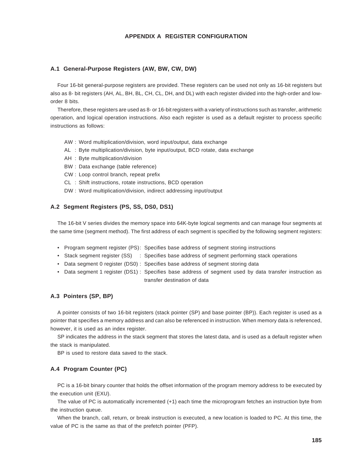#### **APPENDIX A REGISTER CONFIGURATION**

#### **A.1 General-Purpose Registers (AW, BW, CW, DW)**

Four 16-bit general-purpose registers are provided. These registers can be used not only as 16-bit registers but also as 8- bit registers (AH, AL, BH, BL, CH, CL, DH, and DL) with each register divided into the high-order and loworder 8 bits.

Therefore, these registers are used as 8- or 16-bit registers with a variety of instructions such as transfer, arithmetic operation, and logical operation instructions. Also each register is used as a default register to process specific instructions as follows:

- AW : Word multiplication/division, word input/output, data exchange
- AL : Byte multiplication/division, byte input/output, BCD rotate, data exchange
- AH : Byte multiplication/division
- BW : Data exchange (table reference)
- CW : Loop control branch, repeat prefix
- CL : Shift instructions, rotate instructions, BCD operation
- DW : Word multiplication/division, indirect addressing input/output

## **A.2 Segment Registers (PS, SS, DS0, DS1)**

The 16-bit V series divides the memory space into 64K-byte logical segments and can manage four segments at the same time (segment method). The first address of each segment is specified by the following segment registers:

- Program segment register (PS): Specifies base address of segment storing instructions
- Stack segment register (SS) : Specifies base address of segment performing stack operations
- Data segment 0 register (DS0) : Specifies base address of segment storing data
- Data segment 1 register (DS1) : Specifies base address of segment used by data transfer instruction as transfer destination of data

# **A.3 Pointers (SP, BP)**

A pointer consists of two 16-bit registers (stack pointer (SP) and base pointer (BP)). Each register is used as a pointer that specifies a memory address and can also be referenced in instruction. When memory data is referenced, however, it is used as an index register.

SP indicates the address in the stack segment that stores the latest data, and is used as a default register when the stack is manipulated.

BP is used to restore data saved to the stack.

## **A.4 Program Counter (PC)**

PC is a 16-bit binary counter that holds the offset information of the program memory address to be executed by the execution unit (EXU).

The value of PC is automatically incremented (+1) each time the microprogram fetches an instruction byte from the instruction queue.

When the branch, call, return, or break instruction is executed, a new location is loaded to PC. At this time, the value of PC is the same as that of the prefetch pointer (PFP).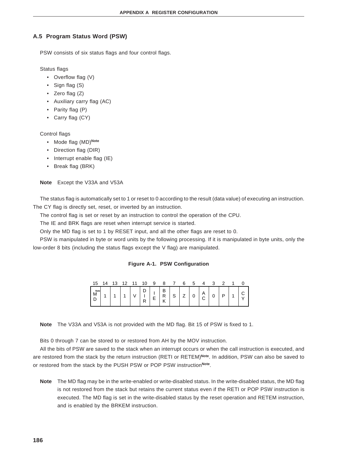# **A.5 Program Status Word (PSW)**

PSW consists of six status flags and four control flags.

Status flags

- Overflow flag (V)
- Sign flag (S)
- Zero flag (Z)
- Auxiliary carry flag (AC)
- Parity flag (P)
- Carry flag (CY)

Control flags

- Mode flag (MD)**Note**
- Direction flag (DIR)
- Interrupt enable flag (IE)
- Break flag (BRK)

**Note** Except the V33A and V53A

The status flag is automatically set to 1 or reset to 0 according to the result (data value) of executing an instruction. The CY flag is directly set, reset, or inverted by an instruction.

The control flag is set or reset by an instruction to control the operation of the CPU.

The IE and BRK flags are reset when interrupt service is started.

Only the MD flag is set to 1 by RESET input, and all the other flags are reset to 0.

PSW is manipulated in byte or word units by the following processing. If it is manipulated in byte units, only the low-order 8 bits (including the status flags except the V flag) are manipulated.

#### **Figure A-1. PSW Configuration**

| 15          | 14 | 13 | 12 | 11 | 10 | 9 |                     |             | 6 | 5 |             |   |    |   |
|-------------|----|----|----|----|----|---|---------------------|-------------|---|---|-------------|---|----|---|
| Note<br>IVI |    |    |    |    | r  |   | R<br>$\overline{ }$ | $\sim$<br>ບ | ∸ | 0 | Α<br>⌒<br>ັ | v | רו | ◡ |

**Note** The V33A and V53A is not provided with the MD flag. Bit 15 of PSW is fixed to 1.

Bits 0 through 7 can be stored to or restored from AH by the MOV instruction.

All the bits of PSW are saved to the stack when an interrupt occurs or when the call instruction is executed, and are restored from the stack by the return instruction (RETI or RETEM)**Note**. In addition, PSW can also be saved to or restored from the stack by the PUSH PSW or POP PSW instruction**Note**.

**Note** The MD flag may be in the write-enabled or write-disabled status. In the write-disabled status, the MD flag is not restored from the stack but retains the current status even if the RETI or POP PSW instruction is executed. The MD flag is set in the write-disabled status by the reset operation and RETEM instruction, and is enabled by the BRKEM instruction.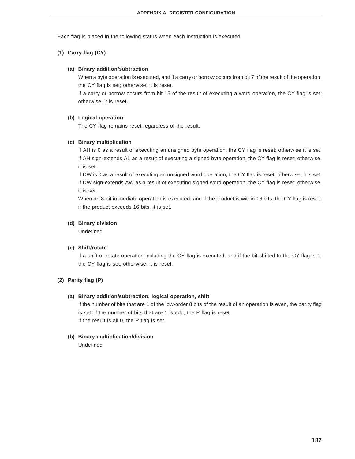Each flag is placed in the following status when each instruction is executed.

## **(1) Carry flag (CY)**

#### **(a) Binary addition/subtraction**

When a byte operation is executed, and if a carry or borrow occurs from bit 7 of the result of the operation, the CY flag is set; otherwise, it is reset.

If a carry or borrow occurs from bit 15 of the result of executing a word operation, the CY flag is set; otherwise, it is reset.

### **(b) Logical operation**

The CY flag remains reset regardless of the result.

#### **(c) Binary multiplication**

If AH is 0 as a result of executing an unsigned byte operation, the CY flag is reset; otherwise it is set. If AH sign-extends AL as a result of executing a signed byte operation, the CY flag is reset; otherwise, it is set.

If DW is 0 as a result of executing an unsigned word operation, the CY flag is reset; otherwise, it is set. If DW sign-extends AW as a result of executing signed word operation, the CY flag is reset; otherwise, it is set.

When an 8-bit immediate operation is executed, and if the product is within 16 bits, the CY flag is reset; if the product exceeds 16 bits, it is set.

#### **(d) Binary division**

Undefined

#### **(e) Shift/rotate**

If a shift or rotate operation including the CY flag is executed, and if the bit shifted to the CY flag is 1, the CY flag is set; otherwise, it is reset.

### **(2) Parity flag (P)**

### **(a) Binary addition/subtraction, logical operation, shift**

If the number of bits that are 1 of the low-order 8 bits of the result of an operation is even, the parity flag is set; if the number of bits that are 1 is odd, the P flag is reset. If the result is all 0, the P flag is set.

#### **(b) Binary multiplication/division**

Undefined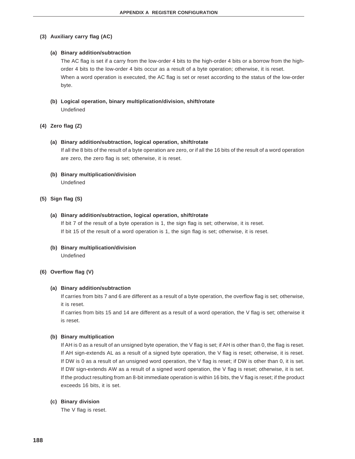#### **(3) Auxiliary carry flag (AC)**

#### **(a) Binary addition/subtraction**

The AC flag is set if a carry from the low-order 4 bits to the high-order 4 bits or a borrow from the highorder 4 bits to the low-order 4 bits occur as a result of a byte operation; otherwise, it is reset. When a word operation is executed, the AC flag is set or reset according to the status of the low-order byte.

**(b) Logical operation, binary multiplication/division, shift/rotate** Undefined

### **(4) Zero flag (Z)**

#### **(a) Binary addition/subtraction, logical operation, shift/rotate**

If all the 8 bits of the result of a byte operation are zero, or if all the 16 bits of the result of a word operation are zero, the zero flag is set; otherwise, it is reset.

# **(b) Binary multiplication/division**

Undefined

## **(5) Sign flag (S)**

#### **(a) Binary addition/subtraction, logical operation, shift/rotate**

If bit 7 of the result of a byte operation is 1, the sign flag is set; otherwise, it is reset. If bit 15 of the result of a word operation is 1, the sign flag is set; otherwise, it is reset.

**(b) Binary multiplication/division** Undefined

#### **(6) Overflow flag (V)**

#### **(a) Binary addition/subtraction**

If carries from bits 7 and 6 are different as a result of a byte operation, the overflow flag is set; otherwise, it is reset.

If carries from bits 15 and 14 are different as a result of a word operation, the V flag is set; otherwise it is reset.

### **(b) Binary multiplication**

If AH is 0 as a result of an unsigned byte operation, the V flag is set; if AH is other than 0, the flag is reset. If AH sign-extends AL as a result of a signed byte operation, the V flag is reset; otherwise, it is reset. If DW is 0 as a result of an unsigned word operation, the V flag is reset; if DW is other than 0, it is set. If DW sign-extends AW as a result of a signed word operation, the V flag is reset; otherwise, it is set. If the product resulting from an 8-bit immediate operation is within 16 bits, the V flag is reset; if the product exceeds 16 bits, it is set.

#### **(c) Binary division**

The V flag is reset.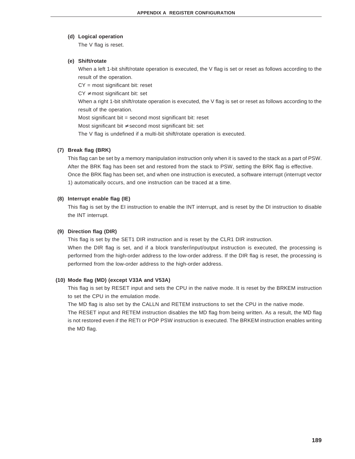#### **(d) Logical operation**

The V flag is reset.

## **(e) Shift/rotate**

When a left 1-bit shift/rotate operation is executed, the V flag is set or reset as follows according to the result of the operation.

CY = most significant bit: reset

 $CY \neq most$  significant bit: set

When a right 1-bit shift/rotate operation is executed, the V flag is set or reset as follows according to the result of the operation.

Most significant bit = second most significant bit: reset

Most significant bit ≠ second most significant bit: set

The V flag is undefined if a multi-bit shift/rotate operation is executed.

## **(7) Break flag (BRK)**

This flag can be set by a memory manipulation instruction only when it is saved to the stack as a part of PSW. After the BRK flag has been set and restored from the stack to PSW, setting the BRK flag is effective. Once the BRK flag has been set, and when one instruction is executed, a software interrupt (interrupt vector 1) automatically occurs, and one instruction can be traced at a time.

## **(8) Interrupt enable flag (IE)**

This flag is set by the EI instruction to enable the INT interrupt, and is reset by the DI instruction to disable the INT interrupt.

## **(9) Direction flag (DIR)**

This flag is set by the SET1 DIR instruction and is reset by the CLR1 DIR instruction. When the DIR flag is set, and if a block transfer/input/output instruction is executed, the processing is performed from the high-order address to the low-order address. If the DIR flag is reset, the processing is performed from the low-order address to the high-order address.

## **(10) Mode flag (MD) (except V33A and V53A)**

This flag is set by RESET input and sets the CPU in the native mode. It is reset by the BRKEM instruction to set the CPU in the emulation mode.

The MD flag is also set by the CALLN and RETEM instructions to set the CPU in the native mode. The RESET input and RETEM instruction disables the MD flag from being written. As a result, the MD flag is not restored even if the RETI or POP PSW instruction is executed. The BRKEM instruction enables writing the MD flag.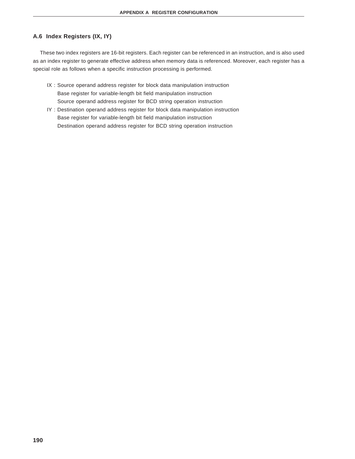# **A.6 Index Registers (IX, IY)**

These two index registers are 16-bit registers. Each register can be referenced in an instruction, and is also used as an index register to generate effective address when memory data is referenced. Moreover, each register has a special role as follows when a specific instruction processing is performed.

- IX : Source operand address register for block data manipulation instruction Base register for variable-length bit field manipulation instruction Source operand address register for BCD string operation instruction
- IY : Destination operand address register for block data manipulation instruction Base register for variable-length bit field manipulation instruction Destination operand address register for BCD string operation instruction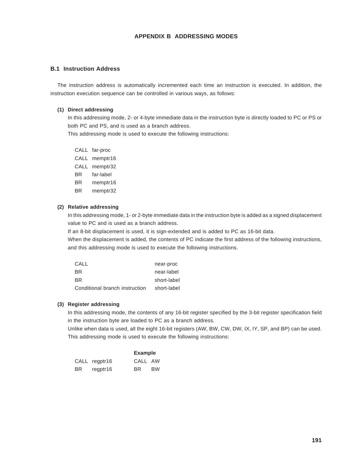# **APPENDIX B ADDRESSING MODES**

### **B.1 Instruction Address**

The instruction address is automatically incremented each time an instruction is executed. In addition, the instruction execution sequence can be controlled in various ways, as follows:

#### **(1) Direct addressing**

In this addressing mode, 2- or 4-byte immediate data in the instruction byte is directly loaded to PC or PS or both PC and PS, and is used as a branch address.

This addressing mode is used to execute the following instructions:

- CALL far-proc
- CALL memptr16
- CALL memptr32
- BR far-label
- BR memptr16
- BR memptr32

## **(2) Relative addressing**

In this addressing mode, 1- or 2-byte immediate data in the instruction byte is added as a signed displacement value to PC and is used as a branch address.

If an 8-bit displacement is used, it is sign-extended and is added to PC as 16-bit data.

When the displacement is added, the contents of PC indicate the first address of the following instructions, and this addressing mode is used to execute the following instructions.

| CALL                           | near-proc   |
|--------------------------------|-------------|
| BR.                            | near-label  |
| <b>BR</b>                      | short-label |
| Conditional branch instruction | short-label |

#### **(3) Register addressing**

In this addressing mode, the contents of any 16-bit register specified by the 3-bit register specification field in the instruction byte are loaded to PC as a branch address.

Unlike when data is used, all the eight 16-bit registers (AW, BW, CW, DW, IX, IY, SP, and BP) can be used. This addressing mode is used to execute the following instructions:

|     |               | <b>Example</b> |           |
|-----|---------------|----------------|-----------|
|     | CALL regptr16 | CALL AW        |           |
| BR. | regptr16      | BR             | <b>BW</b> |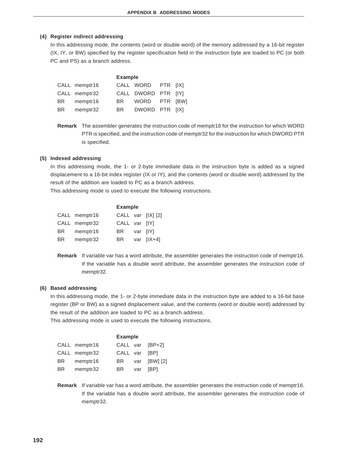### **(4) Register indirect addressing**

In this addressing mode, the contents (word or double word) of the memory addressed by a 16-bit register (IX, IY, or BW) specified by the register specification field in the instruction byte are loaded to PC (or both PC and PS) as a branch address.

|     |               | <b>Example</b> |                     |  |
|-----|---------------|----------------|---------------------|--|
|     | CALL memptr16 |                | CALL WORD PTR [IX]  |  |
|     | CALL memptr32 |                | CALL DWORD PTR [IY] |  |
| BR  | memptr16      | BR .           | WORD PTR IBWI       |  |
| BR. | memptr32      | BR             | DWORD PTR [IX]      |  |

**Remark** The assembler generates the instruction code of memptr16 for the instruction for which WORD PTR is specified, and the instruction code of memptr32 for the instruction for which DWORD PTR is specified.

#### **(5) Indexed addressing**

In this addressing mode, the 1- or 2-byte immediate data in the instruction byte is added as a signed displacement to a 16-bit index register (IX or IY), and the contents (word or double word) addressed by the result of the addition are loaded to PC as a branch address.

This addressing mode is used to execute the following instructions.

|     |               | <b>Example</b> |          |                   |
|-----|---------------|----------------|----------|-------------------|
|     | CALL memptr16 |                |          | CALL var [IX] [2] |
|     | CALL memptr32 | CALL var [IY]  |          |                   |
| BR. | memptr16      | BR             | var IIYI |                   |
| BR. | memptr32      | BR             |          | var $[IX+4]$      |

**Remark** If variable var has a word attribute, the assembler generates the instruction code of memptr16. If the variable has a double word attribute, the assembler generates the instruction code of memptr32.

#### **(6) Based addressing**

In this addressing mode, the 1- or 2-byte immediate data in the instruction byte are added to a 16-bit base register (BP or BW) as a signed displacement value, and the contents (word or double word) addressed by the result of the addition are loaded to PC as a branch address.

This addressing mode is used to execute the following instructions.

|     |               | <b>Example</b> |     |                 |
|-----|---------------|----------------|-----|-----------------|
|     | CALL memptr16 |                |     | CALL var [BP+2] |
|     | CALL memptr32 | CALL var [BP]  |     |                 |
| BR. | memptr16      | BR             | var | [BW] [2]        |
| BR. | memptr32      | BR.            | var | [BP]            |

**Remark** If variable var has a word attribute, the assembler generates the instruction code of memptr16. If the variable has a double word attribute, the assembler generates the instruction code of memptr32.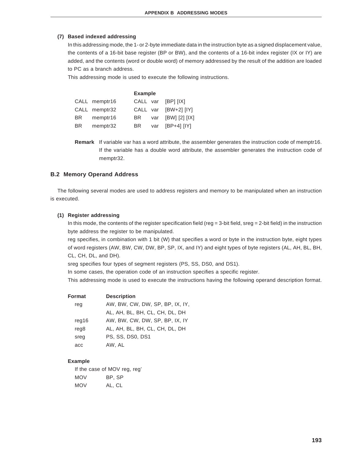### **(7) Based indexed addressing**

In this addressing mode, the 1- or 2-byte immediate data in the instruction byte as a signed displacement value, the contents of a 16-bit base register (BP or BW), and the contents of a 16-bit index register (IX or IY) are added, and the contents (word or double word) of memory addressed by the result of the addition are loaded to PC as a branch address.

This addressing mode is used to execute the following instructions.

#### **Example**

|      | CALL memptr16 |      | CALL var [BP] [IX]   |
|------|---------------|------|----------------------|
|      | CALL memptr32 |      | CALL var [BW+2] [IY] |
| BR 1 | memptr16      | BR - | var [BW] [2] [IX]    |
| BR.  | memptr32      | BR I | var [BP+4] [IY]      |

**Remark** If variable var has a word attribute, the assembler generates the instruction code of memptr16. If the variable has a double word attribute, the assembler generates the instruction code of memptr32.

#### **B.2 Memory Operand Address**

The following several modes are used to address registers and memory to be manipulated when an instruction is executed.

#### **(1) Register addressing**

In this mode, the contents of the register specification field (reg =  $3$ -bit field, sreg =  $2$ -bit field) in the instruction byte address the register to be manipulated.

reg specifies, in combination with 1 bit (W) that specifies a word or byte in the instruction byte, eight types of word registers (AW, BW, CW, DW, BP, SP, IX, and IY) and eight types of byte registers (AL, AH, BL, BH, CL, CH, DL, and DH).

sreg specifies four types of segment registers (PS, SS, DS0, and DS1).

In some cases, the operation code of an instruction specifies a specific register.

This addressing mode is used to execute the instructions having the following operand description format.

| <b>Format</b>    | <b>Description</b>              |
|------------------|---------------------------------|
| reg              | AW, BW, CW, DW, SP, BP, IX, IY, |
|                  | AL, AH, BL, BH, CL, CH, DL, DH  |
| reg16            | AW, BW, CW, DW, SP, BP, IX, IY  |
| reg <sub>8</sub> | AL, AH, BL, BH, CL, CH, DL, DH  |
| sreg             | <b>PS. SS. DS0. DS1</b>         |
| acc              | AW, AL                          |
|                  |                                 |

#### **Example**

If the case of MOV reg, reg' MOV BP, SP MOV AL, CL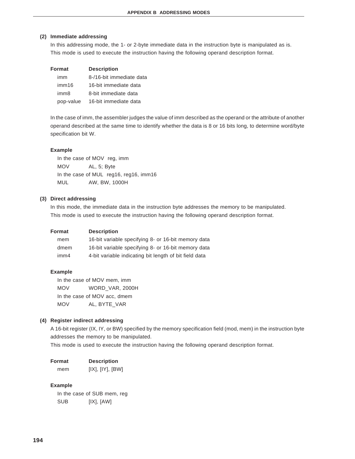#### **(2) Immediate addressing**

In this addressing mode, the 1- or 2-byte immediate data in the instruction byte is manipulated as is. This mode is used to execute the instruction having the following operand description format.

| Format           | <b>Description</b>       |  |  |
|------------------|--------------------------|--|--|
| imm              | 8-/16-bit immediate data |  |  |
| imm16            | 16-bit immediate data    |  |  |
| imm <sub>8</sub> | 8-bit immediate data     |  |  |
| pop-value        | 16-bit immediate data    |  |  |

In the case of imm, the assembler judges the value of imm described as the operand or the attribute of another operand described at the same time to identify whether the data is 8 or 16 bits long, to determine word/byte specification bit W.

#### **Example**

In the case of MOV reg, imm MOV AL, 5; Byte In the case of MUL reg16, reg16, imm16 MUL AW, BW, 1000H

### **(3) Direct addressing**

In this mode, the immediate data in the instruction byte addresses the memory to be manipulated. This mode is used to execute the instruction having the following operand description format.

| Format           | <b>Description</b>                                     |
|------------------|--------------------------------------------------------|
| mem              | 16-bit variable specifying 8- or 16-bit memory data    |
| dmem             | 16-bit variable specifying 8- or 16-bit memory data    |
| imm <sub>4</sub> | 4-bit variable indicating bit length of bit field data |

#### **Example**

In the case of MOV mem, imm MOV WORD\_VAR, 2000H In the case of MOV acc, dmem MOV AL, BYTE\_VAR

#### **(4) Register indirect addressing**

A 16-bit register (IX, IY, or BW) specified by the memory specification field (mod, mem) in the instruction byte addresses the memory to be manipulated.

This mode is used to execute the instruction having the following operand description format.

| <b>Format</b> | <b>Description</b> |
|---------------|--------------------|
| mem           | [IX], [IY], [BW]   |

#### **Example**

In the case of SUB mem, reg SUB [IX], [AW]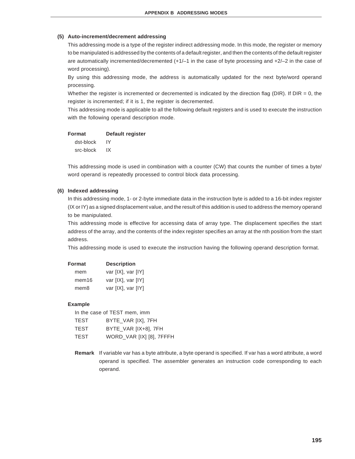### **(5) Auto-increment/decrement addressing**

This addressing mode is a type of the register indirect addressing mode. In this mode, the register or memory to be manipulated is addressed by the contents of a default register, and then the contents of the default register are automatically incremented/decremented (+1/–1 in the case of byte processing and +2/–2 in the case of word processing).

By using this addressing mode, the address is automatically updated for the next byte/word operand processing.

Whether the register is incremented or decremented is indicated by the direction flag (DIR). If  $DIR = 0$ , the register is incremented; if it is 1, the register is decremented.

This addressing mode is applicable to all the following default registers and is used to execute the instruction with the following operand description mode.

# **Format Default register**

dst-block IY src-block IX

This addressing mode is used in combination with a counter (CW) that counts the number of times a byte/ word operand is repeatedly processed to control block data processing.

### **(6) Indexed addressing**

In this addressing mode, 1- or 2-byte immediate data in the instruction byte is added to a 16-bit index register (IX or IY) as a signed displacement value, and the result of this addition is used to address the memory operand to be manipulated.

This addressing mode is effective for accessing data of array type. The displacement specifies the start address of the array, and the contents of the index register specifies an array at the nth position from the start address.

This addressing mode is used to execute the instruction having the following operand description format.

| Format | <b>Description</b> |
|--------|--------------------|
| mem    | var [IX], var [IY] |
| mem16  | var [IX], var [IY] |
| mem8   | var [IX], var [IY] |

#### **Example**

In the case of TEST mem, imm

| TEST | BYTE_VAR [IX], 7FH       |
|------|--------------------------|
| TEST | BYTE_VAR [IX+8], 7FH     |
| TEST | WORD_VAR [IX] [8], 7FFFH |

**Remark** If variable var has a byte attribute, a byte operand is specified. If var has a word attribute, a word operand is specified. The assembler generates an instruction code corresponding to each operand.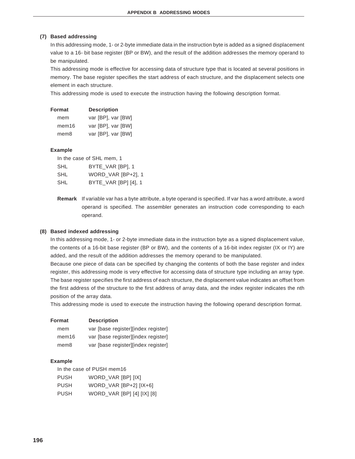#### **(7) Based addressing**

In this addressing mode, 1- or 2-byte immediate data in the instruction byte is added as a signed displacement value to a 16- bit base register (BP or BW), and the result of the addition addresses the memory operand to be manipulated.

This addressing mode is effective for accessing data of structure type that is located at several positions in memory. The base register specifies the start address of each structure, and the displacement selects one element in each structure.

This addressing mode is used to execute the instruction having the following description format.

| Format           | <b>Description</b> |
|------------------|--------------------|
| mem              | var [BP], var [BW] |
| mem16            | var [BP], var [BW] |
| mem <sub>8</sub> | var [BP], var [BW] |

#### **Example**

In the case of SHL mem, 1

| <b>SHL</b> | BYTE_VAR [BP], 1     |
|------------|----------------------|
| <b>SHL</b> | WORD VAR [BP+2], 1   |
| <b>SHL</b> | BYTE_VAR [BP] [4], 1 |

**Remark** If variable var has a byte attribute, a byte operand is specified. If var has a word attribute, a word operand is specified. The assembler generates an instruction code corresponding to each operand.

#### **(8) Based indexed addressing**

In this addressing mode, 1- or 2-byte immediate data in the instruction byte as a signed displacement value, the contents of a 16-bit base register (BP or BW), and the contents of a 16-bit index register (IX or IY) are added, and the result of the addition addresses the memory operand to be manipulated.

Because one piece of data can be specified by changing the contents of both the base register and index register, this addressing mode is very effective for accessing data of structure type including an array type. The base register specifies the first address of each structure, the displacement value indicates an offset from the first address of the structure to the first address of array data, and the index register indicates the nth position of the array data.

This addressing mode is used to execute the instruction having the following operand description format.

| Format            | <b>Description</b>                  |
|-------------------|-------------------------------------|
| mem               | var [base register][index register] |
| mem <sub>16</sub> | var [base register][index register] |
| mem8              | var [base register][index register] |

#### **Example**

| In the case of PUSH mem16 |                   |  |
|---------------------------|-------------------|--|
| <b>PHSH</b>               | WORD VAR IRPI II) |  |

| <b>PUSH</b> | WORD VAR [BP] [IX]         |
|-------------|----------------------------|
| <b>PUSH</b> | WORD_VAR [BP+2] [IX+6]     |
| <b>PUSH</b> | WORD_VAR [BP] [4] [IX] [8] |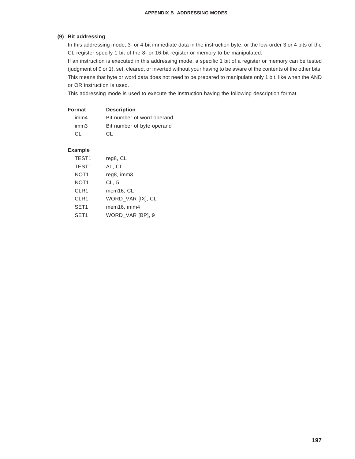## **(9) Bit addressing**

In this addressing mode, 3- or 4-bit immediate data in the instruction byte, or the low-order 3 or 4 bits of the CL register specify 1 bit of the 8- or 16-bit register or memory to be manipulated.

If an instruction is executed in this addressing mode, a specific 1 bit of a register or memory can be tested (judgment of 0 or 1), set, cleared, or inverted without your having to be aware of the contents of the other bits. This means that byte or word data does not need to be prepared to manipulate only 1 bit, like when the AND or OR instruction is used.

This addressing mode is used to execute the instruction having the following description format.

| Format           | <b>Description</b>         |
|------------------|----------------------------|
| imm4             | Bit number of word operand |
| imm <sub>3</sub> | Bit number of byte operand |
| C.L              | CL.                        |

### **Example**

| TEST <sub>1</sub> | reg8, CL          |
|-------------------|-------------------|
| TEST <sub>1</sub> | AL, CL            |
| NOT <sub>1</sub>  | reg8, imm3        |
| NOT <sub>1</sub>  | CL, 5             |
| CLR1              | mem16, CL         |
| CLR1              | WORD_VAR [IX], CL |
| SET <sub>1</sub>  | mem16, imm4       |
| SET <sub>1</sub>  | WORD_VAR [BP], 9  |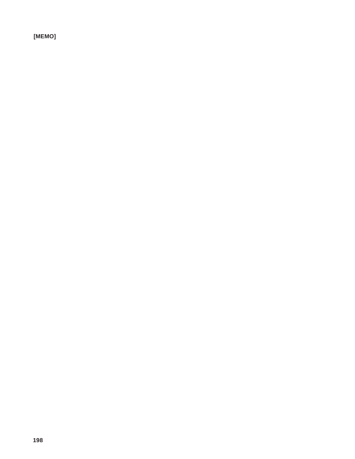**[MEMO]**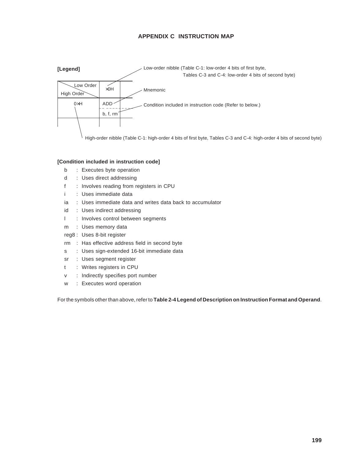# **APPENDIX C INSTRUCTION MAP**



### **[Condition included in instruction code]**

- b : Executes byte operation
- d : Uses direct addressing
- f : Involves reading from registers in CPU
- i : Uses immediate data
- ia : Uses immediate data and writes data back to accumulator
- id : Uses indirect addressing
- l : Involves control between segments
- m : Uses memory data
- reg8 : Uses 8-bit register
- rm : Has effective address field in second byte
- s : Uses sign-extended 16-bit immediate data
- sr : Uses segment register
- t : Writes registers in CPU
- v : Indirectly specifies port number
- w : Executes word operation

For the symbols other than above, refer to **Table 2-4 Legend of Description on Instruction Format and Operand**.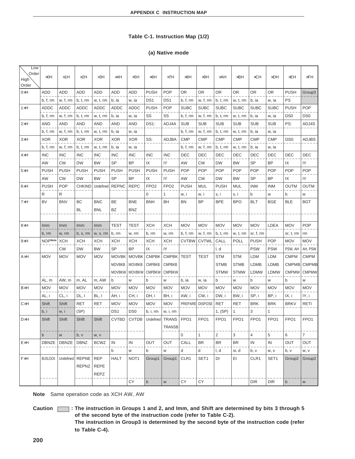## **Table C-1. Instruction Map (1/2)**

### **(a) Native mode**

| Low<br>Order<br>High<br>Order | $\times$ OH    | $\times$ 1H  | $\times 2H$                  | $\times$ 3H                              | $\times$ 4H     | $\times$ 5H              | $\times$ 6H      | $\times 7H$      | $\times$ 8H      | $\times$ 9H      | $\times$ AH      | $\times$ BH      | $\times$ CH      | <b>×DH</b>       | $\times$ EH        | $\times$ FH        |
|-------------------------------|----------------|--------------|------------------------------|------------------------------------------|-----------------|--------------------------|------------------|------------------|------------------|------------------|------------------|------------------|------------------|------------------|--------------------|--------------------|
| $0\times H$                   | ADD            | ADD          | ADD                          | ADD                                      | <b>ADD</b>      | ADD                      | <b>PUSH</b>      | <b>POP</b>       | OR               | ΟR               | <b>OR</b>        | 0R               | OR               | <b>OR</b>        | <b>PUSH</b>        | Group3             |
|                               | b, f, rm       | w, f, rm     | b, t, rm                     | w, t, rm                                 | b, ia           | w, ia                    | DS <sub>1</sub>  | DS <sub>1</sub>  | b, f, rm         | w, f, rm         | b, t, rm         | w, t, rm         | b, ia            | w, ia            | PS                 |                    |
| $1\times H$                   | <b>ADDC</b>    | ADDC         | ADDC                         | <b>ADDC</b>                              | ADDC            | ADDC                     | <b>PUSH</b>      | <b>POP</b>       | <b>SUBC</b>      | <b>SUBC</b>      | <b>SUBC</b>      | <b>SUBC</b>      | SUBC             | <b>SUBC</b>      | <b>PUSH</b>        | <b>POP</b>         |
|                               | b, f, rm       | w, f, rm     | b, t, rm                     | w, t, rm                                 | b, ia           | w, ia                    | SS               | SS               | b, f, rm         | w, f, rm         | b, t, rm         | w, t, rm         | b, ia            | w, ia            | DS <sub>0</sub>    | DS <sub>0</sub>    |
| $2\times H$                   | <b>AND</b>     | <b>AND</b>   | AND                          | AND                                      | <b>AND</b>      | AND                      | <b>DS1:</b>      | ADJ4A            | <b>SUB</b>       | <b>SUB</b>       | <b>SUB</b>       | <b>SUB</b>       | <b>SUB</b>       | <b>SUB</b>       | PS:                | ADJ4S              |
|                               | b, f, rm       | w, f, rm     | b, t, rm                     | w, t, rm                                 | b, ia           | w, ia                    |                  |                  | b, f, rm         | w, f, rm         | b, t, rm         | w, t, rm         | b, ia            | w, ia            |                    |                    |
| 3×H                           | <b>XOR</b>     | <b>XOR</b>   | <b>XOR</b>                   | <b>XOR</b>                               | <b>XOR</b>      | <b>XOR</b>               | SS:              | <b>ADJBA</b>     | <b>CMP</b>       | <b>CMP</b>       | <b>CMP</b>       | <b>CMP</b>       | <b>CMP</b>       | <b>CMP</b>       | DS0:               | ADJBS              |
|                               | b, f, rm       | w, f, rm     | b, t, rm                     | w, t, rm                                 | b, ia           | w, ia                    |                  |                  | b, f, rm         | w, f, rm         | b, t, rm         | w, t, rm         | b, ia            | w, ia            |                    |                    |
| 4×H                           | <b>INC</b>     | <b>INC</b>   | <b>INC</b>                   | <b>INC</b>                               | <b>INC</b>      | <b>INC</b>               | <b>INC</b>       | <b>INC</b>       | DEC              | DEC              | DEC              | DEC              | DEC              | DEC              | DEC                | DEC                |
|                               | AW             | <b>CW</b>    | <b>DW</b>                    | BW                                       | SP              | BP                       | IX               | IY               | AW               | СW               | <b>DW</b>        | BW               | SP               | BP               | IX                 | IY                 |
| $5\times H$                   | <b>PUSH</b>    | <b>PUSH</b>  | <b>PUSH</b>                  | <b>PUSH</b>                              | <b>PUSH</b>     | <b>PUSH</b>              | <b>PUSH</b>      | <b>PUSH</b>      | <b>POP</b>       | <b>POP</b>       | <b>POP</b>       | <b>POP</b>       | <b>POP</b>       | <b>POP</b>       | <b>POP</b>         | <b>POP</b>         |
|                               | AW             | <b>CW</b>    | <b>DW</b>                    | <b>BW</b>                                | <b>SP</b>       | <b>BP</b>                | IX               | IY               | AW               | СW               | <b>DW</b>        | BW               | <b>SP</b>        | <b>BP</b>        | IX                 | IY                 |
| $6\times H$                   | <b>PUSH</b>    | <b>POP</b>   | <b>CHKIND</b>                | Undefined                                | <b>REPNC</b>    | <b>REPC</b>              | FPO <sub>2</sub> | FPO <sub>2</sub> | <b>PUSH</b>      | MUL              | <b>PUSH</b>      | MUL              | INM              | INM              | <b>OUTM</b>        | <b>OUTM</b>        |
|                               | R              | R            |                              |                                          |                 |                          | 0                | 1                | w, i             | w, i             | s, i             | s, i             | b                | W                | b                  | W                  |
| 7×H                           | <b>BV</b>      | <b>BNV</b>   | BC<br>BL                     | <b>BNC</b><br><b>BNL</b>                 | BE<br>BZ        | <b>BNE</b><br><b>BNZ</b> | <b>BNH</b>       | BH               | BN               | <b>BP</b>        | <b>BPE</b>       | <b>BPO</b>       | <b>BLT</b>       | <b>BGE</b>       | <b>BLE</b>         | <b>BGT</b>         |
|                               |                |              |                              |                                          |                 |                          |                  |                  |                  |                  |                  |                  |                  |                  |                    |                    |
| $B \times H$                  | Imm            | Imm          | Imm                          | Imm                                      | <b>TEST</b>     | TEST                     | <b>XCH</b>       | <b>XCH</b>       | <b>MOV</b>       | <b>MOV</b>       | <b>MOV</b>       | <b>MOV</b>       | <b>MOV</b>       | LDEA             | <b>MOV</b>         | <b>POP</b>         |
|                               | b, rm          | w, rm        | b, s, rm                     | w, s, rm                                 | b, rm           | w, rm                    | b, rm            | w, rm            | b, f, rm         | w, f, rm         | b, t, rm         | w, t, rm         | sr, f, rm        |                  | sr, t, rm          | rm                 |
| $9\times H$                   | <b>NOPNote</b> | <b>XCH</b>   | <b>XCH</b>                   | XCH                                      | <b>XCH</b>      | XCH                      | XCH              | <b>XCH</b>       | <b>CVTBW</b>     | <b>CVTWL</b>     | CALL             | POLL             | <b>PUSH</b>      | <b>POP</b>       | <b>MOV</b>         | <b>MOV</b>         |
|                               |                | <b>CW</b>    | <b>DW</b>                    | BW                                       | <b>SP</b>       | <b>BP</b>                | IX               | IY               |                  |                  | I, d             |                  | <b>PSW</b>       | <b>PSW</b>       | PSW, AH            | AH, PSW            |
| AxH                           | <b>MOV</b>     | <b>MOV</b>   | <b>MOV</b>                   | <b>MOV</b>                               | <b>MOVBK</b>    | <b>MOVBK</b>             | <b>CMPBK</b>     | <b>CMPBK</b>     | <b>TEST</b>      | TEST             | <b>STM</b>       | <b>STM</b>       | LDM              | LDM              | <b>CMPM</b>        | <b>CMPM</b>        |
|                               |                |              |                              |                                          | <b>MOVBKB</b>   | <b>MOVBKB</b>            | <b>CMPBKB</b>    | <b>CMPBKB</b>    |                  |                  | <b>STMB</b>      | <b>STMB</b>      | <b>LDMB</b>      | LDMB             | <b>CMPMB</b>       | <b>CMPMB</b>       |
|                               |                |              |                              |                                          | <b>MOVBKW</b>   | <b>MOVBKW</b>            | <b>CMPBKW</b>    | <b>CMPBKW</b>    |                  |                  | <b>STMW</b>      | <b>STMW</b>      | LDMW             | <b>LDMW</b>      | <b>CMPMW</b>       | <b>CMPMW</b>       |
|                               | AL, m          | AW, m        | m, AL                        | m, AW                                    | b               | W                        | b                | W                | b, ia            | w, ia            | b                | W                | b                | W                | b                  | W                  |
| <b>B</b> <sub>×</sub> H       | <b>MOV</b>     | <b>MOV</b>   | <b>MOV</b>                   | <b>MOV</b>                               | <b>MOV</b>      | <b>MOV</b>               | <b>MOV</b>       | <b>MOV</b>       | <b>MOV</b>       | <b>MOV</b>       | <b>MOV</b>       | <b>MOV</b>       | <b>MOV</b>       | <b>MOV</b>       | <b>MOV</b>         | <b>MOV</b>         |
|                               | AL, i          | CL, i        | DL, I                        | BL, I                                    | AH, i           | CH, i                    | DH, i            | BH, i            | AW, i            | CW, i            | DW, i            | BW, i            | SP, i            | BP, i            | IX, i              | IY, i              |
| CxH                           | Shift          | Shift        | <b>RET</b>                   | <b>RET</b>                               | <b>MOV</b>      | <b>MOV</b>               | <b>MOV</b>       | <b>MOV</b>       | PREPARE          | <b>DISPOSE</b>   | RET              | RET              | <b>BRK</b>       | <b>BRK</b>       | <b>BRKV</b>        | <b>RETI</b>        |
|                               | b, i           | w, i         | (SP)                         |                                          | DS <sub>1</sub> | DS <sub>0</sub>          | b, i, rm         | w, i, rm         |                  |                  | 1, (SP)          | 1                | 3                | 1                |                    |                    |
| <b>D</b> ×H                   | Shift          | Shift        | Shift                        | Shift                                    | <b>CVTBD</b>    | <b>CVTDB</b>             | Undefined        | <b>TRANS</b>     | FPO <sub>1</sub> | FPO <sub>1</sub> | FPO <sub>1</sub> | FPO <sub>1</sub> | FPO <sub>1</sub> | FPO <sub>1</sub> | FPO <sub>1</sub>   | FPO <sub>1</sub>   |
|                               |                |              |                              |                                          |                 |                          |                  | TRANSB           |                  |                  |                  |                  |                  |                  |                    |                    |
|                               | $\mathsf b$    | W            | b, v                         | w, v                                     |                 |                          |                  |                  | $\mathbf 0$      | 1                | $\overline{2}$   | 3                | 4                | 5                | 6                  | $\overline{7}$     |
| ExH                           | DBNZE          | <b>DBNZE</b> | <b>DBNZ</b>                  | <b>BCWZ</b>                              | IN              | IN                       | OUT              | <b>OUT</b>       | CALL             | <b>BR</b>        | <b>BR</b>        | <b>BR</b>        | IN               | IN               | <b>OUT</b>         | OUT                |
|                               |                |              |                              |                                          | b               | W                        | b                | W                | d                | d                | I, d             | si, d            | b, v             | W, V             | b, v               | W, V               |
| FxH                           | <b>BUSLOCK</b> | Undefined    | <b>REPNE</b><br><b>REPNZ</b> | <b>REP</b><br><b>REPE</b><br><b>REPZ</b> | <b>HALT</b>     | NOT <sub>1</sub>         | Group1           | Group1           | CLR1             | SET1             | DI               | EI               | CLR1             | SET <sub>1</sub> | Group <sub>2</sub> | Group <sub>2</sub> |
|                               |                |              |                              |                                          |                 | СY                       | $\mathsf b$      | ${\sf W}$        | СY               | СY               |                  |                  | <b>DIR</b>       | <b>DIR</b>       | $\mathsf b$        | ${\sf W}$          |

**Note** Same operation code as XCH AW, AW

**Caution : The instruction in Groups 1 and 2, and Imm, and Shift are determined by bits 3 through 5 of the second byte of the instruction code (refer to Table C-2). The instruction in Group3 is determined by the second byte of the instruction code (refer to Table C-4).**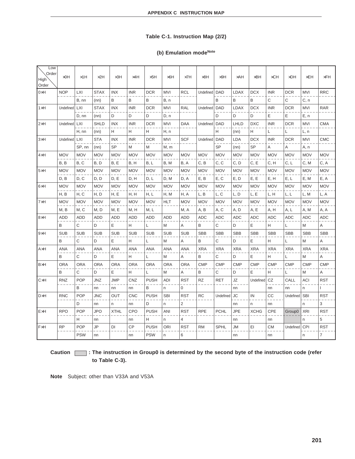## **Table C-1. Instruction Map (2/2)**

# (b) Emulation mode<sup>Note</sup>

| Low<br>Order<br>High<br>Order | $\times$ OH | $\times$ 1H | $\times 2H$ | $\times$ 3H | $\times$ 4H | $\times$ 5H | $\times$ 6H | $\times 7H$    | $\times$ 8H     | $\times 9H$ | $\times$ AH | $\times$ BH | $\times$ CH | $\times$ DH  | $\times$ EH | $\times$ FH |
|-------------------------------|-------------|-------------|-------------|-------------|-------------|-------------|-------------|----------------|-----------------|-------------|-------------|-------------|-------------|--------------|-------------|-------------|
| $0\times H$                   | <b>NOP</b>  | LXI         | <b>STAX</b> | <b>INX</b>  | <b>INR</b>  | <b>DCR</b>  | <b>MVI</b>  | <b>RCL</b>     | Undefined       | <b>DAD</b>  | <b>LDAX</b> | <b>DCX</b>  | <b>INR</b>  | <b>DCR</b>   | <b>MVI</b>  | <b>RRC</b>  |
|                               |             | B. nn       | (nn)        | В           | B           | B           | B. n        |                |                 | В           | B           | В           | C           | $\mathsf{C}$ | C, n        |             |
| $1\times H$                   | Undefined   | <b>LXI</b>  | <b>STAX</b> | <b>INX</b>  | <b>INR</b>  | <b>DCR</b>  | <b>MVI</b>  | <b>RAL</b>     | Undefined   DAD |             | <b>LDAX</b> | <b>DCX</b>  | <b>INR</b>  | <b>DCR</b>   | <b>MVI</b>  | <b>RAR</b>  |
|                               |             | D, nn       | (nn)        | D           | D           | D           | D, n        |                |                 | D           | D           | D           | E           | E            | E, n        |             |
| $2\times H$                   | Undefined   | LXI         | <b>SHLD</b> | <b>INX</b>  | <b>INR</b>  | <b>DCR</b>  | MVI         | <b>DAA</b>     | Undefined   DAD |             | LHLD        | <b>DXC</b>  | <b>INR</b>  | <b>DCR</b>   | MVI         | <b>CMA</b>  |
|                               |             | H, nn       | (nn)        | н           | Н           | н           | H, n        |                |                 | н           | (nn)        | н           | Г           | L            | L, n        |             |
| $3\times H$                   | Undefined   | LXI         | <b>STA</b>  | <b>INX</b>  | <b>INR</b>  | <b>DCR</b>  | <b>MVI</b>  | <b>SCF</b>     | Undefined       | <b>DAD</b>  | <b>LDA</b>  | <b>DCX</b>  | <b>INR</b>  | <b>DCR</b>   | <b>MVI</b>  | <b>CMC</b>  |
|                               |             |             |             | <b>SP</b>   |             |             |             |                |                 | <b>SP</b>   |             | <b>SP</b>   |             |              |             |             |
|                               |             | SP, nn      | (nn)        |             | M           | M           | M, m        |                |                 |             | (nn)        |             | A           | A            | A, n        |             |
| $4\times H$                   | <b>MOV</b>  | <b>MOV</b>  | <b>MOV</b>  | <b>MOV</b>  | <b>MOV</b>  | <b>MOV</b>  | <b>MOV</b>  | <b>MOV</b>     | <b>MOV</b>      | <b>MOV</b>  | <b>MOV</b>  | <b>MOV</b>  | <b>MOV</b>  | <b>MOV</b>   | <b>MOV</b>  | <b>MOV</b>  |
|                               | B, B        | B, C        | B, D        | B, E        | B, H        | B, L        | B, M        | B, A           | C, B            | C, C        | C, D        | C, E        | C, H        | C, L         | C, M        | C, A        |
| $5\times H$                   | <b>MOV</b>  | <b>MOV</b>  | <b>MOV</b>  | <b>MOV</b>  | <b>MOV</b>  | <b>MOV</b>  | <b>MOV</b>  | <b>MOV</b>     | <b>MOV</b>      | <b>MOV</b>  | <b>MOV</b>  | <b>MOV</b>  | <b>MOV</b>  | <b>MOV</b>   | <b>MOV</b>  | <b>MOV</b>  |
|                               | D, B        | D, C        | D, D        | D, E        | D, H        | D, L        | D, M        | D, A           | E, B            | E, C        | E, D        | E, E        | E, H        | E, L         | E, M        | E, A        |
| $6\times H$                   | <b>MOV</b>  | <b>MOV</b>  | <b>MOV</b>  | <b>MOV</b>  | <b>MOV</b>  | <b>MOV</b>  | MOV         | <b>MOV</b>     | <b>MOV</b>      | <b>MOV</b>  | <b>MOV</b>  | <b>MOV</b>  | <b>MOV</b>  | <b>MOV</b>   | <b>MOV</b>  | <b>MOV</b>  |
|                               | H, B        | H, C        | H, D        | H, E        | H, H        | H, L        | H, M        | H, A           | L, B            | L, C        | L, D        | L, E        | L, H        | L, L         | L, M        | L, A        |
| $7\times H$                   | <b>MOV</b>  | <b>MOV</b>  | <b>MOV</b>  | <b>MOV</b>  | <b>MOV</b>  | <b>MOV</b>  | HLT         | <b>MOV</b>     | <b>MOV</b>      | <b>MOV</b>  | <b>MOV</b>  | <b>MOV</b>  | <b>MOV</b>  | <b>MOV</b>   | <b>MOV</b>  | <b>MOV</b>  |
|                               | M, B        | M, C        | M, D        | M, E        | M, H        | M, L        |             | M, A           | A, B            | A, C        | A, D        | A, E        | A, H        | A, L         | A, M        | A, A        |
| $8\times H$                   | <b>ADD</b>  | <b>ADD</b>  | <b>ADD</b>  | <b>ADD</b>  | <b>ADD</b>  | <b>ADD</b>  | <b>ADD</b>  | <b>ADD</b>     | <b>ADC</b>      | <b>ADC</b>  | <b>ADC</b>  | <b>ADC</b>  | <b>ADC</b>  | <b>ADC</b>   | <b>ADC</b>  | <b>ADC</b>  |
|                               | B           | C           | D           | E           | Η           | L           | M           | Α              | B               | С           | D           | E           | н           | L            | M           | Α           |
| $9\times H$                   | <b>SUB</b>  | <b>SUB</b>  | <b>SUB</b>  | <b>SUB</b>  | <b>SUB</b>  | <b>SUB</b>  | <b>SUB</b>  | <b>SUB</b>     | <b>SBB</b>      | <b>SBB</b>  | <b>SBB</b>  | <b>SBB</b>  | <b>SBB</b>  | <b>SBB</b>   | <b>SBB</b>  | <b>SBB</b>  |
|                               | B           | C           | D           | Е           | Η           | L           | M           | Α              | B               | C           | D           | E           | н           | L            | M           | Α           |
| AxH                           | <b>ANA</b>  | ANA         | <b>ANA</b>  | ANA         | ANA         | <b>ANA</b>  | ANA         | ANA            | <b>XRA</b>      | <b>XRA</b>  | <b>XRA</b>  | <b>XRA</b>  | <b>XRA</b>  | <b>XRA</b>   | <b>XRA</b>  | <b>XRA</b>  |
|                               | B           | C           | D           | E           | н           | L           | M           | A              | B               | C           | D           | E           | H           | L            | M           | Α           |
| <b>B</b> <sub>×</sub> H       | <b>ORA</b>  | <b>ORA</b>  | <b>ORA</b>  | <b>ORA</b>  | <b>ORA</b>  | <b>ORA</b>  | <b>ORA</b>  | <b>ORA</b>     | <b>CMP</b>      | <b>CMP</b>  | <b>CMP</b>  | <b>CMP</b>  | <b>CMP</b>  | <b>CMP</b>   | <b>CMP</b>  | <b>CMP</b>  |
|                               | B           | C           | D           | E           | H           | L           | M           | A              | B               | C           | D           | E           | H           | L            | M           | Α           |
| $C \times H$                  | <b>RNZ</b>  | <b>POP</b>  | <b>JNZ</b>  | <b>JMP</b>  | CNZ         | <b>PUSH</b> | <b>ADI</b>  | <b>RST</b>     | <b>RZ</b>       | <b>RET</b>  | JZ          | Undefined   | CZ          | CALL         | ACI         | <b>RST</b>  |
|                               |             | B           | nn          | nn          | nn          | B           | n           | 0              |                 |             | nn          |             | nn          | nn           | n.          |             |
| <b>D</b> ×H                   | <b>RNC</b>  | <b>POP</b>  | <b>JNC</b>  | OUT         | <b>CNC</b>  | <b>PUSH</b> | <b>SBI</b>  | <b>RST</b>     | RC              | Undefined   | <b>JC</b>   | IN          | СC          | Undefined    | <b>SBI</b>  | <b>RST</b>  |
|                               |             | D           | nn          | n           | nn          | D           | n.          | 2              |                 |             | nn          | n.          | nn          |              | n.          | 3           |
| ExH                           | <b>RPO</b>  | POP         | <b>JPO</b>  | <b>XTHL</b> | CPO         | <b>PUSH</b> | ANI         | <b>RST</b>     | <b>RPE</b>      | <b>PCHL</b> | <b>JPE</b>  | <b>XCHG</b> | CPE         | Group0       | XRI         | <b>RST</b>  |
|                               |             | н           | nn          |             | nn          | н           | n.          | $\overline{4}$ |                 |             | nn          |             | nn          |              | n.          | 5           |
| FxH                           | <b>RP</b>   | POP         | JP          | DI          | CP          | <b>PUSH</b> | ORI         | <b>RST</b>     | <b>RM</b>       | <b>SPHL</b> | <b>JM</b>   | ΕI          | <b>CM</b>   | Undefined    | CPI         | <b>RST</b>  |
|                               |             | <b>PSW</b>  | nn          |             | nn          | <b>PSW</b>  | n           | 6              |                 |             | nn          |             | nn          |              | n           | 7           |

# **Caution : The instruction in Group0 is determined by the second byte of the instruction code (refer to Table C-3).**

**Note** Subject: other than V33A and V53A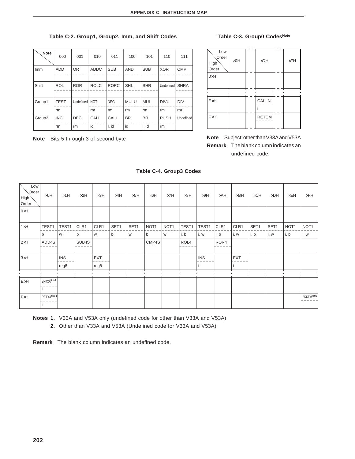## **Table C-2. Group1, Group2, Imm, and Shift Codes**

| <b>Note</b>        | 000         | 001              | 010         | 011         | 100         | 101        | 110         | 111         |
|--------------------|-------------|------------------|-------------|-------------|-------------|------------|-------------|-------------|
| Imm                | <b>ADD</b>  | <b>OR</b>        | <b>ADDC</b> | <b>SUB</b>  | <b>AND</b>  | <b>SUB</b> | <b>XOR</b>  | <b>CMP</b>  |
|                    |             |                  |             |             |             |            |             |             |
| Shift              | <b>ROL</b>  | <b>ROR</b>       | <b>ROLC</b> | <b>RORC</b> | <b>SHL</b>  | <b>SHR</b> | Undefined   | <b>SHRA</b> |
|                    |             |                  |             |             |             |            |             |             |
| Group1             | <b>TEST</b> | <b>Undefined</b> | <b>NOT</b>  | <b>NEG</b>  | <b>MULU</b> | <b>MUL</b> | <b>DIVU</b> | <b>DIV</b>  |
|                    | rm          |                  | rm          | rm          | rm          | rm         | rm          | rm          |
| Group <sub>2</sub> | <b>INC</b>  | <b>DEC</b>       | CALL        | CALL        | <b>BR</b>   | <b>BR</b>  | <b>PUSH</b> | Undefined   |
|                    | rm          | rm               | id          | I, id       | id          | I, id      | rm          |             |

**Note** Bits 5 through 3 of second byte

# **Table C-3. Group0 CodesNote**

| Low<br>Order<br>High<br>Order | $\times$ OH | $\times$ DH  | $\times$ FH |
|-------------------------------|-------------|--------------|-------------|
| $0\times H$                   |             |              |             |
| ExH                           |             | <b>CALLN</b> |             |
| FxH                           |             | <b>RETEM</b> |             |

**Note** Subject: other than V33A and V53A **Remark** The blank column indicates an undefined code.

| Low<br>Order<br>High<br>Order | $\times$ OH | $\times$ 1H | $\times 2H$ | $\times$ 3H | $\times$ 4H  | $\times$ 5H | $\times$ 6H      | $\times 7H$      | $\times$ 8H | $\times$ 9H | $\times$ AH | $\times$ BH | $\times$ CH | $\times$ DH | $\times$ EH      | $\times$ FH      |
|-------------------------------|-------------|-------------|-------------|-------------|--------------|-------------|------------------|------------------|-------------|-------------|-------------|-------------|-------------|-------------|------------------|------------------|
| OxH                           |             |             |             |             |              |             |                  |                  |             |             |             |             |             |             |                  |                  |
|                               |             |             |             |             |              |             |                  |                  |             |             |             |             |             |             |                  |                  |
| $1\times H$                   | TEST1       | TEST1       | CLR1        | CLR1        | SET1         | SET1        | NOT <sub>1</sub> | NOT <sub>1</sub> | TEST1       | TEST1       | CLR1        | CLR1        | SET1        | SET1        | NOT <sub>1</sub> | NOT <sub>1</sub> |
|                               | b           | W           | b           | W           | $\mathsf{b}$ | W           | b                | W                | i, b        | i, w        | i, b        | i, w        | i, b        | i, w        | i, b             | i, w             |
| $2\times H$                   | ADD4S       |             | SUB4S       |             |              |             | CMP4S            |                  | ROL4        |             | ROR4        |             |             |             |                  |                  |
|                               |             |             |             |             |              |             |                  |                  |             |             |             |             |             |             |                  |                  |
| $3\times H$                   |             | <b>INS</b>  |             | EXT         |              |             |                  |                  |             | <b>INS</b>  |             | <b>EXT</b>  |             |             |                  |                  |
|                               |             | reg8        |             | reg8        |              |             |                  |                  |             |             |             |             |             |             |                  |                  |
|                               |             |             |             |             |              |             |                  |                  |             |             |             |             |             |             |                  |                  |
| ExH                           | BRKXANote 1 |             |             |             |              |             |                  |                  |             |             |             |             |             |             |                  |                  |
|                               |             |             |             |             |              |             |                  |                  |             |             |             |             |             |             |                  |                  |
| FxH                           | RETXANote 1 |             |             |             |              |             |                  |                  |             |             |             |             |             |             |                  | BRKEMNote 2      |
|                               |             |             |             |             |              |             |                  |                  |             |             |             |             |             |             |                  |                  |

**Table C-4. Group3 Codes**

**Notes 1.** V33A and V53A only (undefined code for other than V33A and V53A)

**2.** Other than V33A and V53A (Undefined code for V33A and V53A)

**Remark** The blank column indicates an undefined code.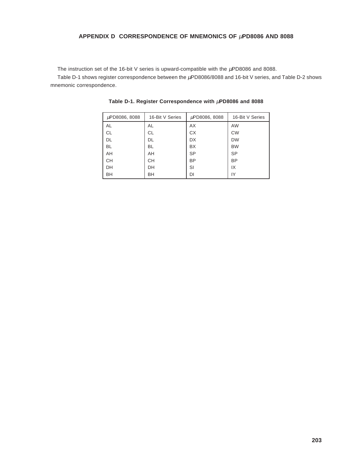# **APPENDIX D CORRESPONDENCE OF MNEMONICS OF** µ**PD8086 AND 8088**

The instruction set of the 16-bit V series is upward-compatible with the  $\mu$ PD8086 and 8088.

Table D-1 shows register correspondence between the  $\mu$ PD8086/8088 and 16-bit V series, and Table D-2 shows mnemonic correspondence.

| µPD8086, 8088 | 16-Bit V Series | µPD8086, 8088 | 16-Bit V Series |  |  |
|---------------|-----------------|---------------|-----------------|--|--|
| AL            | AL              | AX            | <b>AW</b>       |  |  |
| <b>CL</b>     | СL              | <b>CX</b>     | <b>CW</b>       |  |  |
| <b>DL</b>     | DL              | <b>DX</b>     | <b>DW</b>       |  |  |
| <b>BL</b>     | BL              | <b>BX</b>     | <b>BW</b>       |  |  |
| AH            | AH              | <b>SP</b>     | <b>SP</b>       |  |  |
| <b>CH</b>     | CН              | <b>BP</b>     | <b>BP</b>       |  |  |
| DH            | DH              | SI            | IX              |  |  |
| BH            | BH              | DI            | IY              |  |  |

**Table D-1. Register Correspondence with** µ**PD8086 and 8088**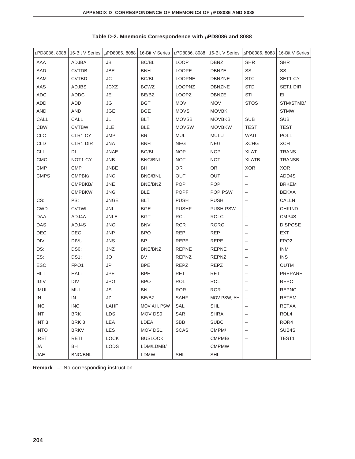| µPD8086, 8088    |                     | 16-Bit V Series $\mu$ PD8086, 8088 |                | 16-Bit V Series $\mu$ PD8086, 8088 |                 | 16-Bit V Series   µPD8086, 8088 | 16-Bit V Series  |
|------------------|---------------------|------------------------------------|----------------|------------------------------------|-----------------|---------------------------------|------------------|
| AAA              | ADJBA               | <b>JB</b>                          | BC/BL          | LOOP                               | <b>DBNZ</b>     | <b>SHR</b>                      | <b>SHR</b>       |
| AAD              | <b>CVTDB</b>        | JBE                                | <b>BNH</b>     | LOOPE                              | DBNZE           | SS:                             | SS:              |
| AAM              | <b>CVTBD</b>        | JС                                 | BC/BL          | <b>LOOPNE</b>                      | <b>DBNZNE</b>   | <b>STC</b>                      | SET1 CY          |
| AAS              | ADJBS               | <b>JCXZ</b>                        | <b>BCWZ</b>    | <b>LOOPNZ</b>                      | <b>DBNZNE</b>   | <b>STD</b>                      | SET1 DIR         |
| ADC              | ADDC                | JE                                 | BE/BZ          | LOOPZ                              | DBNZE           | STI                             | EI               |
| ADD              | ADD                 | JG                                 | <b>BGT</b>     | MOV                                | <b>MOV</b>      | <b>STOS</b>                     | STM/STMB/        |
| AND              | <b>AND</b>          | <b>JGE</b>                         | BGE            | <b>MOVS</b>                        | <b>MOVBK</b>    |                                 | <b>STMW</b>      |
| CALL             | CALL                | JL                                 | <b>BLT</b>     | <b>MOVSB</b>                       | <b>MOVBKB</b>   | <b>SUB</b>                      | <b>SUB</b>       |
| <b>CBW</b>       | <b>CVTBW</b>        | JLE                                | <b>BLE</b>     | <b>MOVSW</b>                       | <b>MOVBKW</b>   | <b>TEST</b>                     | <b>TEST</b>      |
| CLC              | CLR1 CY             | <b>JMP</b>                         | <b>BR</b>      | MUL                                | <b>MULU</b>     | WAIT                            | POLL             |
| CLD              | CLR1 DIR            | JNA                                | <b>BNH</b>     | <b>NEG</b>                         | <b>NEG</b>      | <b>XCHG</b>                     | <b>XCH</b>       |
| CLI              | DI                  | <b>JNAE</b>                        | BC/BL          | <b>NOP</b>                         | <b>NOP</b>      | <b>XLAT</b>                     | <b>TRANS</b>     |
| <b>CMC</b>       | NOT <sub>1</sub> CY | JNB                                | <b>BNC/BNL</b> | <b>NOT</b>                         | <b>NOT</b>      | <b>XLATB</b>                    | <b>TRANSB</b>    |
| <b>CMP</b>       | <b>CMP</b>          | <b>JNBE</b>                        | BH             | OR                                 | OR              | <b>XOR</b>                      | <b>XOR</b>       |
| <b>CMPS</b>      | CMPBK/              | <b>JNC</b>                         | BNC/BNL        | OUT                                | OUT             | -                               | ADD4S            |
|                  | CMPBKB/             | JNE                                | BNE/BNZ        | POP                                | <b>POP</b>      |                                 | <b>BRKEM</b>     |
|                  | <b>CMPBKW</b>       | <b>JNG</b>                         | <b>BLE</b>     | <b>POPF</b>                        | POP PSW         | -                               | <b>BEKXA</b>     |
| CS:              | PS:                 | <b>JNGE</b>                        | <b>BLT</b>     | <b>PUSH</b>                        | <b>PUSH</b>     |                                 | CALLN            |
| <b>CWD</b>       | <b>CVTWL</b>        | <b>JNL</b>                         | <b>BGE</b>     | <b>PUSHF</b>                       | <b>PUSH PSW</b> | -                               | <b>CHKIND</b>    |
| <b>DAA</b>       | ADJ4A               | <b>JNLE</b>                        | <b>BGT</b>     | <b>RCL</b>                         | <b>ROLC</b>     | -                               | CMP4S            |
| DAS              | ADJ4S               | <b>JNO</b>                         | <b>BNV</b>     | <b>RCR</b>                         | <b>RORC</b>     | $\overline{\phantom{0}}$        | <b>DISPOSE</b>   |
| DEC              | DEC                 | <b>JNP</b>                         | <b>BPO</b>     | <b>REP</b>                         | <b>REP</b>      |                                 | EXT              |
| DIV              | <b>DIVU</b>         | <b>JNS</b>                         | <b>BP</b>      | REPE                               | REPE            | -                               | FPO <sub>2</sub> |
| DS:              | DS0:                | JNZ                                | BNE/BNZ        | <b>REPNE</b>                       | <b>REPNE</b>    |                                 | <b>INM</b>       |
| ES:              | DS1:                | JO                                 | <b>BV</b>      | REPNZ                              | <b>REPNZ</b>    | —                               | <b>INS</b>       |
| ESC              | FPO <sub>1</sub>    | <b>JP</b>                          | <b>BPE</b>     | REPZ                               | <b>REPZ</b>     | -                               | <b>OUTM</b>      |
| <b>HLT</b>       | <b>HALT</b>         | <b>JPE</b>                         | <b>BPE</b>     | <b>RET</b>                         | RET             | -                               | PREPARE          |
| <b>IDIV</b>      | <b>DIV</b>          | <b>JPO</b>                         | <b>BPO</b>     | <b>ROL</b>                         | <b>ROL</b>      |                                 | <b>REPC</b>      |
| IMUL             | MUL                 | JS                                 | BN             | <b>ROR</b>                         | <b>ROR</b>      |                                 | <b>REPNC</b>     |
| IN               | IN                  | JZ                                 | BE/BZ          | <b>SAHF</b>                        | MOV PSW, AH     |                                 | RETEM            |
| <b>INC</b>       | <b>INC</b>          | LAHF                               | MOV AH, PSW    | SAL                                | SHL             |                                 | <b>RETXA</b>     |
| <b>INT</b>       | <b>BRK</b>          | LDS                                | MOV DS0        | SAR                                | <b>SHRA</b>     |                                 | ROL4             |
| INT <sub>3</sub> | BRK 3               | LEA                                | LDEA           | SBB                                | <b>SUBC</b>     |                                 | ROR4             |
| <b>INTO</b>      | <b>BRKV</b>         | LES                                | MOV DS1,       | <b>SCAS</b>                        | CMPM/           |                                 | SUB4S            |
| <b>IRET</b>      | <b>RETI</b>         | <b>LOCK</b>                        | <b>BUSLOCK</b> |                                    | CMPMB/          |                                 | TEST1            |
| JA               | BH                  | <b>LODS</b>                        | LDM/LDMB/      |                                    | <b>CMPMW</b>    |                                 |                  |
| JAE              | BNC/BNL             |                                    | LDMW           | SHL                                | <b>SHL</b>      |                                 |                  |

# **Table D-2. Mnemonic Correspondence with** µ**PD8086 and 8088**

**Remark** –: No corresponding instruction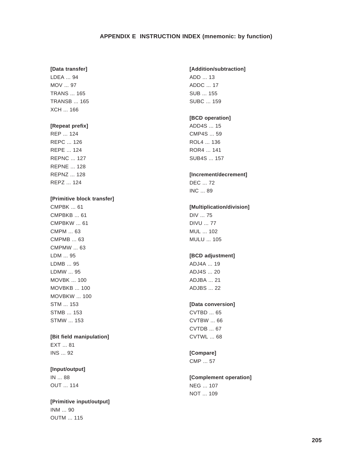## **APPENDIX E INSTRUCTION INDEX (mnemonic: by function)**

#### **[Data transfer]**

LDEA ... 94 MOV ... 97 TRANS ... 165 TRANSB ... 165 XCH ... 166

### **[Repeat prefix]**

REP ... 124 REPC ... 126 REPE ... 124 REPNC ... 127 REPNE ... 128 REPNZ ... 128 REPZ ... 124

### **[Primitive block transfer]**

CMPBK ... 61 CMPBKB ... 61 CMPBKW ... 61 CMPM ... 63 CMPMB ... 63 CMPMW ... 63 LDM ... 95 LDMB ... 95 LDMW ... 95 MOVBK ... 100 MOVBKB ... 100 MOVBKW ... 100 STM ... 153 STMB ... 153 STMW ... 153

### **[Bit field manipulation]**

EXT ... 81 INS ... 92

## **[Input/output]**

IN ... 88 OUT ... 114

**[Primitive input/output]** INM ... 90 OUTM ... 115

#### **[Addition/subtraction]**

ADD ... 13 ADDC ... 17 SUB ... 155 SUBC ... 159

# **[BCD operation]**

ADD4S ... 15 CMP4S ... 59 ROL4 ... 136 ROR4 ... 141 SUB4S ... 157

#### **[Increment/decrement]**

DEC ... 72 INC ... 89

# **[Multiplication/division]**

DIV ... 75 DIVU ... 77 MUL ... 102 MULU ... 105

# **[BCD adjustment]**

ADJ4A ... 19 ADJ4S ... 20 ADJBA ... 21 ADJBS ... 22

#### **[Data conversion]**

CVTBD ... 65 CVTBW ... 66 CVTDB ... 67 CVTWL ... 68

# **[Compare]**

CMP ... 57

# **[Complement operation]** NEG ... 107

NOT ... 109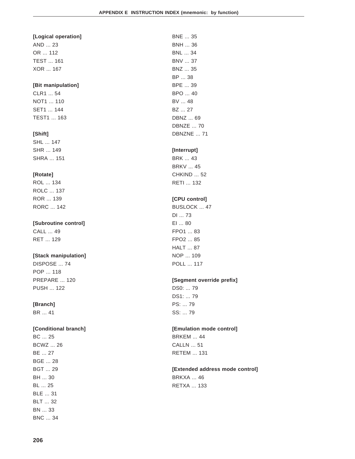BNE ... 35

#### **[Logical operation]**

AND ... 23 OR ... 112 TEST ... 161 XOR ... 167

#### **[Bit manipulation]**

CLR1 ... 54 NOT1 ... 110 SET1 ... 144 TEST1 ... 163

#### **[Shift]**

SHL ... 147 SHR ... 149 SHRA ... 151

#### **[Rotate]**

ROL ... 134 ROLC ... 137 ROR ... 139 RORC ... 142

#### **[Subroutine control]**

CALL ... 49 RET ... 129

#### **[Stack manipulation]**

DISPOSE ... 74 POP ... 118 PREPARE ... 120 PUSH ... 122

#### **[Branch]**

BR ... 41

#### **[Conditional branch]**

BC ... 25 BCWZ ... 26 BE ... 27 BGE ... 28 BGT ... 29 BH ... 30 BL ... 25 BLE ... 31 BLT ... 32 BN ... 33 BNC ... 34

BNH ... 36 BNL ... 34 BNV ... 37 BNZ ... 35 BP ... 38 BPE ... 39 BPO ... 40 BV ... 48 BZ ... 27 DBNZ ... 69 DBNZE ... 70 DBNZNE ... 71 **[Interrupt]** BRK ... 43 BRKV ... 45 CHKIND ... 52 RETI ... 132 **[CPU control]**

# BUSLOCK ... 47

DI ... 73 EI ... 80 FPO1 ... 83 FPO2 ... 85 HALT ... 87 NOP ... 109 POLL ... 117

#### **[Segment override prefix]**

DS0: ... 79 DS1: ... 79 PS: ... 79 SS: ... 79

#### **[Emulation mode control]**

BRKEM ... 44 CALLN ... 51 RETEM ... 131

#### **[Extended address mode control]**

BRKXA ... 46 RETXA ... 133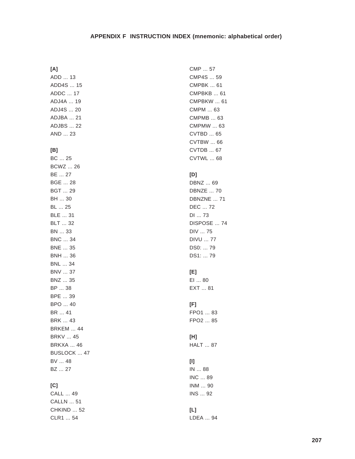#### APPENDIX F INSTRUCTION INDEX (mnemonic: alphabetical order)

#### $[A]$

ADD ... 13 ADD4S ... 15 ADDC ... 17 ADJ4A ... 19 ADJ4S ... 20 ADJBA ... 21 **ADJBS ... 22** AND ... 23

#### $[B]$

BC ... 25 **BCWZ ... 26** BE ... 27 **BGE ... 28 BGT ... 29** BH ... 30 BL ... 25 BLE ... 31 **BLT** ... 32 BN ... 33 **BNC ... 34 BNE ... 35 BNH ... 36 BNL ... 34 BNV ... 37** BNZ ... 35 BP ... 38 BPE ... 39 BPO ... 40 BR ... 41 **BRK ... 43 BRKEM ... 44 BRKV ... 45 BRKXA ... 46** BUSLOCK ... 47 BV ... 48 BZ ... 27

#### $[C]$

CALL ... 49 **CALLN** ... 51 **CHKIND ... 52** CLR1 ... 54

CMP ... 57 CMP4S ... 59 **CMPBK ... 61 CMPBKB ... 61 CMPBKW ... 61** CMPM ... 63 CMPMB ... 63 **CMPMW ... 63 CVTBD ... 65** CVTBW ... 66 CVTDB ... 67 CVTWL ... 68  $[D]$ DBNZ ... 69 **DBNZE ... 70** DBNZNE ... 71 DEC ... 72 DI ... 73 DISPOSE ... 74 DIV ... 75 **DIVU ... 77** DS0: ... 79 DS1: ... 79  $[E]$ EI ... 80 EXT ... 81  $[F]$ FPO1 ... 83 FPO2 ... 85  $[H]$ **HALT** ... 87  $[1]$ IN ... 88 INC ... 89 INM ... 90 INS ... 92  $[L]$ LDEA ... 94

#### 207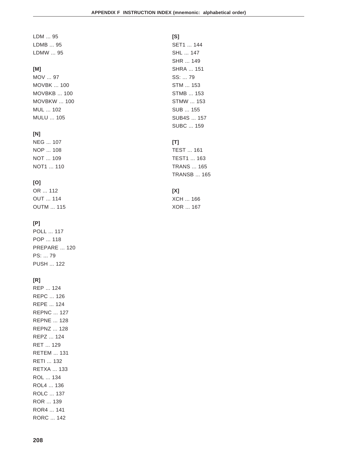LDM ... 95 LDMB ... 95 LDMW ... 95

#### **[M]**

MOV ... 97 MOVBK ... 100 MOVBKB ... 100 MOVBKW ... 100 MUL ... 102 MULU ... 105

#### **[N]**

NEG ... 107 NOP ... 108 NOT ... 109 NOT1 ... 110

#### **[O]**

OR ... 112 OUT ... 114 OUTM ... 115

#### **[P]**

POLL ... 117 POP ... 118 PREPARE ... 120 PS: ... 79 PUSH ... 122

#### **[R]**

REP ... 124 REPC ... 126 REPE ... 124 REPNC ... 127 REPNE ... 128 REPNZ ... 128 REPZ ... 124 RET ... 129 RETEM ... 131 RETI ... 132 RETXA ... 133 ROL ... 134 ROL4 ... 136 ROLC ... 137 ROR ... 139 ROR4 ... 141 RORC ... 142

**[S]** SET1 ... 144 SHL ... 147 SHR ... 149 SHRA ... 151 SS: ... 79 STM ... 153 STMB ... 153 STMW ... 153 SUB ... 155 SUB4S ... 157 SUBC ... 159

### **[T]**

TEST ... 161 TEST1 ... 163 TRANS ... 165 TRANSB ... 165

## **[X]**

XCH ... 166 XOR ... 167